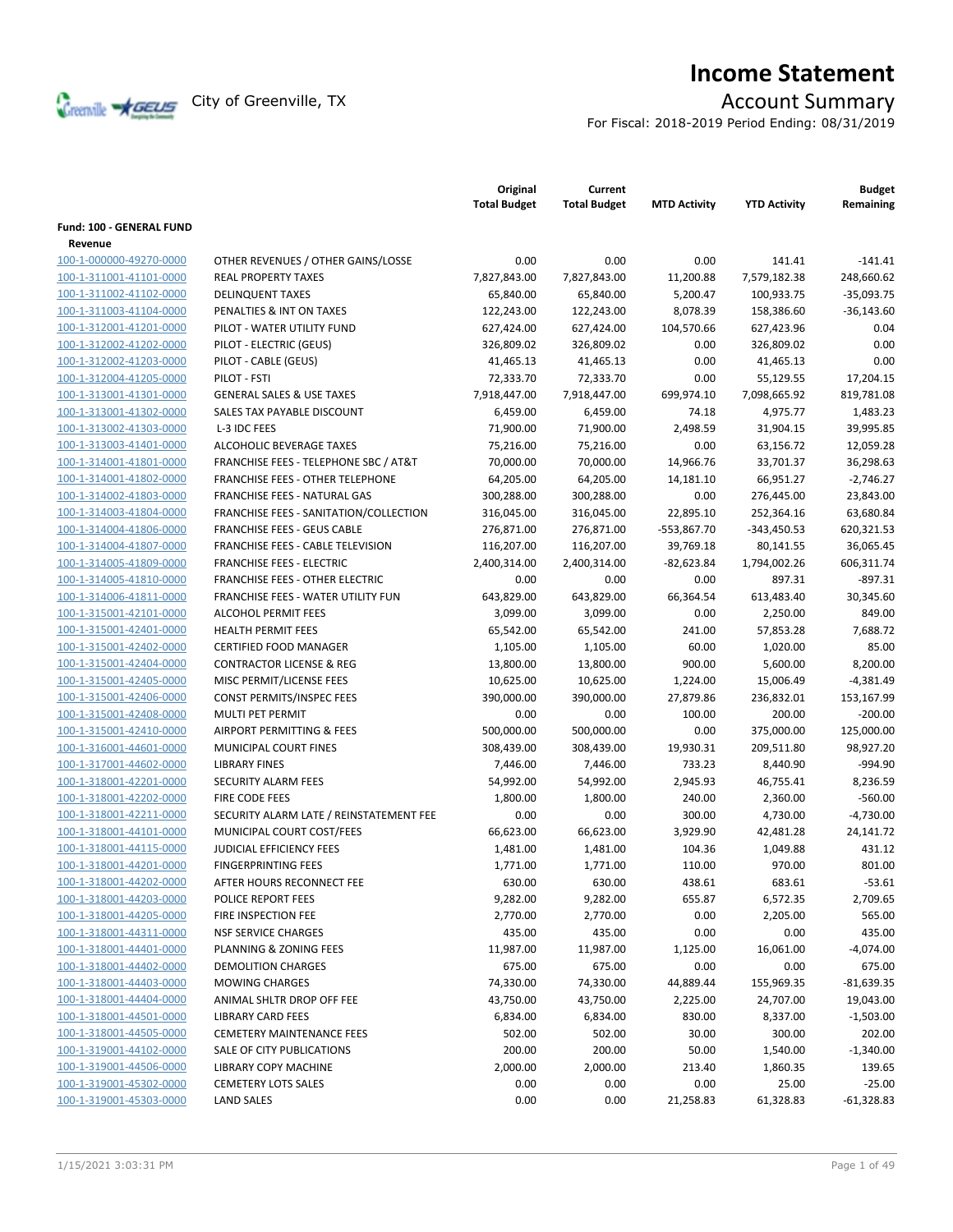

# **Income Statement**

For Fiscal: 2018-2019 Period Ending: 08/31/2019

|                          |                                           | Original<br><b>Total Budget</b> | Current<br><b>Total Budget</b> | <b>MTD Activity</b> | <b>YTD Activity</b> | <b>Budget</b><br>Remaining |
|--------------------------|-------------------------------------------|---------------------------------|--------------------------------|---------------------|---------------------|----------------------------|
| Fund: 100 - GENERAL FUND |                                           |                                 |                                |                     |                     |                            |
| Revenue                  |                                           |                                 |                                |                     |                     |                            |
| 100-1-000000-49270-0000  | OTHER REVENUES / OTHER GAINS/LOSSE        | 0.00                            | 0.00                           | 0.00                | 141.41              | $-141.41$                  |
| 100-1-311001-41101-0000  | <b>REAL PROPERTY TAXES</b>                | 7,827,843.00                    | 7,827,843.00                   | 11,200.88           | 7,579,182.38        | 248,660.62                 |
| 100-1-311002-41102-0000  | <b>DELINQUENT TAXES</b>                   | 65,840.00                       | 65,840.00                      | 5,200.47            | 100,933.75          | $-35,093.75$               |
| 100-1-311003-41104-0000  | PENALTIES & INT ON TAXES                  | 122,243.00                      | 122,243.00                     | 8,078.39            | 158,386.60          | $-36,143.60$               |
| 100-1-312001-41201-0000  | PILOT - WATER UTILITY FUND                | 627,424.00                      | 627,424.00                     | 104,570.66          | 627,423.96          | 0.04                       |
| 100-1-312002-41202-0000  | PILOT - ELECTRIC (GEUS)                   | 326,809.02                      | 326,809.02                     | 0.00                | 326,809.02          | 0.00                       |
| 100-1-312002-41203-0000  | PILOT - CABLE (GEUS)                      | 41,465.13                       | 41,465.13                      | 0.00                | 41,465.13           | 0.00                       |
| 100-1-312004-41205-0000  | PILOT - FSTI                              | 72,333.70                       | 72,333.70                      | 0.00                | 55,129.55           | 17,204.15                  |
| 100-1-313001-41301-0000  | <b>GENERAL SALES &amp; USE TAXES</b>      | 7,918,447.00                    | 7,918,447.00                   | 699,974.10          | 7,098,665.92        | 819,781.08                 |
| 100-1-313001-41302-0000  | SALES TAX PAYABLE DISCOUNT                | 6,459.00                        | 6,459.00                       | 74.18               | 4,975.77            | 1,483.23                   |
| 100-1-313002-41303-0000  | L-3 IDC FEES                              | 71,900.00                       | 71,900.00                      | 2,498.59            | 31,904.15           | 39,995.85                  |
| 100-1-313003-41401-0000  | ALCOHOLIC BEVERAGE TAXES                  | 75,216.00                       | 75,216.00                      | 0.00                | 63,156.72           | 12,059.28                  |
| 100-1-314001-41801-0000  | FRANCHISE FEES - TELEPHONE SBC / AT&T     | 70,000.00                       | 70,000.00                      | 14,966.76           | 33,701.37           | 36,298.63                  |
| 100-1-314001-41802-0000  | <b>FRANCHISE FEES - OTHER TELEPHONE</b>   | 64,205.00                       | 64,205.00                      | 14,181.10           | 66,951.27           | $-2,746.27$                |
| 100-1-314002-41803-0000  | <b>FRANCHISE FEES - NATURAL GAS</b>       | 300,288.00                      | 300,288.00                     | 0.00                | 276,445.00          | 23,843.00                  |
| 100-1-314003-41804-0000  | FRANCHISE FEES - SANITATION/COLLECTION    | 316,045.00                      | 316,045.00                     | 22,895.10           | 252,364.16          | 63,680.84                  |
| 100-1-314004-41806-0000  | <b>FRANCHISE FEES - GEUS CABLE</b>        | 276,871.00                      | 276,871.00                     | -553,867.70         | $-343,450.53$       | 620,321.53                 |
| 100-1-314004-41807-0000  | <b>FRANCHISE FEES - CABLE TELEVISION</b>  | 116,207.00                      | 116,207.00                     | 39,769.18           | 80,141.55           | 36,065.45                  |
| 100-1-314005-41809-0000  | <b>FRANCHISE FEES - ELECTRIC</b>          | 2,400,314.00                    | 2,400,314.00                   | -82,623.84          | 1,794,002.26        | 606,311.74                 |
| 100-1-314005-41810-0000  | <b>FRANCHISE FEES - OTHER ELECTRIC</b>    | 0.00                            | 0.00                           | 0.00                | 897.31              | $-897.31$                  |
| 100-1-314006-41811-0000  | <b>FRANCHISE FEES - WATER UTILITY FUN</b> | 643,829.00                      | 643,829.00                     | 66,364.54           | 613,483.40          | 30,345.60                  |
| 100-1-315001-42101-0000  | <b>ALCOHOL PERMIT FEES</b>                | 3,099.00                        | 3,099.00                       | 0.00                | 2,250.00            | 849.00                     |
| 100-1-315001-42401-0000  | <b>HEALTH PERMIT FEES</b>                 | 65,542.00                       | 65,542.00                      | 241.00              | 57,853.28           | 7,688.72                   |
| 100-1-315001-42402-0000  | CERTIFIED FOOD MANAGER                    | 1,105.00                        | 1,105.00                       | 60.00               | 1,020.00            | 85.00                      |
| 100-1-315001-42404-0000  | <b>CONTRACTOR LICENSE &amp; REG</b>       | 13,800.00                       | 13,800.00                      | 900.00              | 5,600.00            | 8,200.00                   |
| 100-1-315001-42405-0000  | MISC PERMIT/LICENSE FEES                  | 10,625.00                       | 10,625.00                      | 1,224.00            | 15,006.49           | $-4,381.49$                |
| 100-1-315001-42406-0000  | <b>CONST PERMITS/INSPEC FEES</b>          | 390,000.00                      | 390,000.00                     | 27,879.86           | 236,832.01          | 153,167.99                 |
| 100-1-315001-42408-0000  | MULTI PET PERMIT                          | 0.00                            | 0.00                           | 100.00              | 200.00              | $-200.00$                  |
| 100-1-315001-42410-0000  | AIRPORT PERMITTING & FEES                 | 500,000.00                      | 500,000.00                     | 0.00                | 375,000.00          | 125,000.00                 |
| 100-1-316001-44601-0000  | MUNICIPAL COURT FINES                     | 308,439.00                      | 308,439.00                     | 19,930.31           | 209,511.80          | 98,927.20                  |
| 100-1-317001-44602-0000  | <b>LIBRARY FINES</b>                      | 7,446.00                        | 7,446.00                       | 733.23              | 8,440.90            | $-994.90$                  |
| 100-1-318001-42201-0000  | SECURITY ALARM FEES                       | 54,992.00                       | 54,992.00                      | 2,945.93            | 46,755.41           | 8,236.59                   |
| 100-1-318001-42202-0000  | FIRE CODE FEES                            | 1,800.00                        | 1,800.00                       | 240.00              | 2,360.00            | $-560.00$                  |
| 100-1-318001-42211-0000  | SECURITY ALARM LATE / REINSTATEMENT FEE   | 0.00                            | 0.00                           | 300.00              | 4,730.00            | $-4.730.00$                |
| 100-1-318001-44101-0000  | MUNICIPAL COURT COST/FEES                 | 66,623.00                       | 66,623.00                      | 3,929.90            | 42,481.28           | 24,141.72                  |
| 100-1-318001-44115-0000  | JUDICIAL EFFICIENCY FEES                  | 1,481.00                        | 1,481.00                       | 104.36              | 1,049.88            | 431.12                     |
| 100-1-318001-44201-0000  | <b>FINGERPRINTING FEES</b>                | 1,771.00                        | 1,771.00                       | 110.00              | 970.00              | 801.00                     |
| 100-1-318001-44202-0000  | AFTER HOURS RECONNECT FEE                 | 630.00                          | 630.00                         | 438.61              | 683.61              | $-53.61$                   |
| 100-1-318001-44203-0000  | POLICE REPORT FEES                        | 9,282.00                        | 9,282.00                       | 655.87              | 6,572.35            | 2,709.65                   |
| 100-1-318001-44205-0000  | FIRE INSPECTION FEE                       | 2,770.00                        | 2,770.00                       | 0.00                | 2,205.00            | 565.00                     |
| 100-1-318001-44311-0000  | <b>NSF SERVICE CHARGES</b>                | 435.00                          | 435.00                         | 0.00                | 0.00                | 435.00                     |
| 100-1-318001-44401-0000  | PLANNING & ZONING FEES                    | 11,987.00                       | 11,987.00                      | 1,125.00            | 16,061.00           | $-4,074.00$                |
| 100-1-318001-44402-0000  | <b>DEMOLITION CHARGES</b>                 | 675.00                          | 675.00                         | 0.00                | 0.00                | 675.00                     |
| 100-1-318001-44403-0000  | <b>MOWING CHARGES</b>                     | 74,330.00                       | 74,330.00                      | 44,889.44           | 155,969.35          | $-81,639.35$               |
| 100-1-318001-44404-0000  | ANIMAL SHLTR DROP OFF FEE                 | 43,750.00                       | 43,750.00                      | 2,225.00            | 24,707.00           | 19,043.00                  |
| 100-1-318001-44501-0000  | <b>LIBRARY CARD FEES</b>                  | 6,834.00                        | 6,834.00                       | 830.00              | 8,337.00            | $-1,503.00$                |
| 100-1-318001-44505-0000  | <b>CEMETERY MAINTENANCE FEES</b>          | 502.00                          | 502.00                         | 30.00               | 300.00              | 202.00                     |
| 100-1-319001-44102-0000  | SALE OF CITY PUBLICATIONS                 | 200.00                          | 200.00                         | 50.00               | 1,540.00            | $-1,340.00$                |
| 100-1-319001-44506-0000  | LIBRARY COPY MACHINE                      | 2,000.00                        | 2,000.00                       | 213.40              | 1,860.35            | 139.65                     |
| 100-1-319001-45302-0000  | <b>CEMETERY LOTS SALES</b>                | 0.00                            | 0.00                           | 0.00                | 25.00               | $-25.00$                   |
| 100-1-319001-45303-0000  | <b>LAND SALES</b>                         | 0.00                            | 0.00                           | 21,258.83           | 61,328.83           | $-61,328.83$               |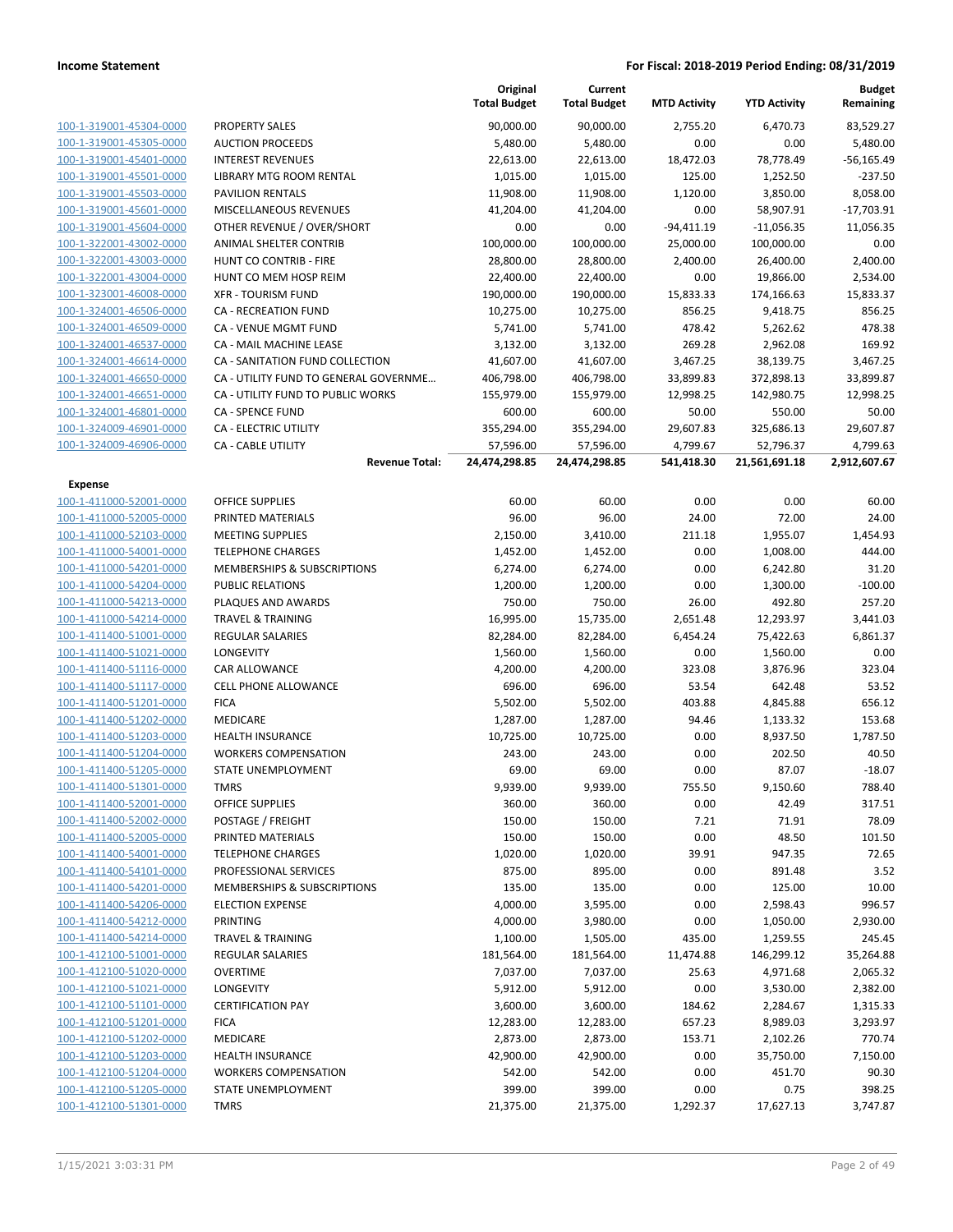|                         |                                        | Original<br><b>Total Budget</b> | Current<br><b>Total Budget</b> | <b>MTD Activity</b> | <b>YTD Activity</b> | <b>Budget</b><br>Remaining |
|-------------------------|----------------------------------------|---------------------------------|--------------------------------|---------------------|---------------------|----------------------------|
| 100-1-319001-45304-0000 | <b>PROPERTY SALES</b>                  | 90,000.00                       | 90,000.00                      | 2,755.20            | 6,470.73            | 83,529.27                  |
| 100-1-319001-45305-0000 | <b>AUCTION PROCEEDS</b>                | 5,480.00                        | 5,480.00                       | 0.00                | 0.00                | 5,480.00                   |
| 100-1-319001-45401-0000 | <b>INTEREST REVENUES</b>               | 22,613.00                       | 22,613.00                      | 18,472.03           | 78,778.49           | $-56,165.49$               |
| 100-1-319001-45501-0000 | LIBRARY MTG ROOM RENTAL                | 1,015.00                        | 1,015.00                       | 125.00              | 1,252.50            | $-237.50$                  |
| 100-1-319001-45503-0000 | <b>PAVILION RENTALS</b>                | 11,908.00                       | 11,908.00                      | 1,120.00            | 3,850.00            | 8,058.00                   |
| 100-1-319001-45601-0000 | MISCELLANEOUS REVENUES                 | 41,204.00                       | 41,204.00                      | 0.00                | 58,907.91           | $-17,703.91$               |
| 100-1-319001-45604-0000 | OTHER REVENUE / OVER/SHORT             | 0.00                            | 0.00                           | $-94,411.19$        | $-11,056.35$        | 11,056.35                  |
| 100-1-322001-43002-0000 | ANIMAL SHELTER CONTRIB                 | 100,000.00                      | 100,000.00                     | 25,000.00           | 100,000.00          | 0.00                       |
| 100-1-322001-43003-0000 | HUNT CO CONTRIB - FIRE                 | 28,800.00                       | 28,800.00                      | 2,400.00            | 26,400.00           | 2,400.00                   |
| 100-1-322001-43004-0000 | HUNT CO MEM HOSP REIM                  | 22,400.00                       | 22,400.00                      | 0.00                | 19,866.00           | 2,534.00                   |
| 100-1-323001-46008-0000 | <b>XFR - TOURISM FUND</b>              | 190,000.00                      | 190,000.00                     | 15,833.33           | 174,166.63          | 15,833.37                  |
| 100-1-324001-46506-0000 | <b>CA - RECREATION FUND</b>            | 10,275.00                       | 10,275.00                      | 856.25              | 9,418.75            | 856.25                     |
| 100-1-324001-46509-0000 | CA - VENUE MGMT FUND                   | 5,741.00                        | 5,741.00                       | 478.42              | 5,262.62            | 478.38                     |
| 100-1-324001-46537-0000 | CA - MAIL MACHINE LEASE                | 3,132.00                        |                                | 269.28              | 2,962.08            | 169.92                     |
| 100-1-324001-46614-0000 | CA - SANITATION FUND COLLECTION        | 41,607.00                       | 3,132.00<br>41,607.00          | 3,467.25            | 38,139.75           | 3,467.25                   |
| 100-1-324001-46650-0000 | CA - UTILITY FUND TO GENERAL GOVERNME  |                                 |                                |                     |                     | 33,899.87                  |
|                         | CA - UTILITY FUND TO PUBLIC WORKS      | 406,798.00                      | 406,798.00<br>155,979.00       | 33,899.83           | 372,898.13          |                            |
| 100-1-324001-46651-0000 |                                        | 155,979.00                      |                                | 12,998.25           | 142,980.75          | 12,998.25                  |
| 100-1-324001-46801-0000 | <b>CA - SPENCE FUND</b>                | 600.00                          | 600.00                         | 50.00               | 550.00              | 50.00                      |
| 100-1-324009-46901-0000 | CA - ELECTRIC UTILITY                  | 355,294.00                      | 355,294.00                     | 29,607.83           | 325,686.13          | 29,607.87                  |
| 100-1-324009-46906-0000 | <b>CA - CABLE UTILITY</b>              | 57,596.00                       | 57,596.00                      | 4,799.67            | 52,796.37           | 4,799.63                   |
|                         | <b>Revenue Total:</b>                  | 24,474,298.85                   | 24,474,298.85                  | 541,418.30          | 21,561,691.18       | 2,912,607.67               |
| <b>Expense</b>          |                                        |                                 |                                |                     |                     |                            |
| 100-1-411000-52001-0000 | <b>OFFICE SUPPLIES</b>                 | 60.00                           | 60.00                          | 0.00                | 0.00                | 60.00                      |
| 100-1-411000-52005-0000 | PRINTED MATERIALS                      | 96.00                           | 96.00                          | 24.00               | 72.00               | 24.00                      |
| 100-1-411000-52103-0000 | <b>MEETING SUPPLIES</b>                | 2,150.00                        | 3,410.00                       | 211.18              | 1,955.07            | 1,454.93                   |
| 100-1-411000-54001-0000 | <b>TELEPHONE CHARGES</b>               | 1,452.00                        | 1,452.00                       | 0.00                | 1,008.00            | 444.00                     |
| 100-1-411000-54201-0000 | MEMBERSHIPS & SUBSCRIPTIONS            | 6,274.00                        | 6,274.00                       | 0.00                | 6,242.80            | 31.20                      |
| 100-1-411000-54204-0000 | <b>PUBLIC RELATIONS</b>                | 1,200.00                        | 1,200.00                       | 0.00                | 1,300.00            | $-100.00$                  |
| 100-1-411000-54213-0000 | PLAQUES AND AWARDS                     | 750.00                          | 750.00                         | 26.00               | 492.80              | 257.20                     |
| 100-1-411000-54214-0000 | <b>TRAVEL &amp; TRAINING</b>           | 16,995.00                       | 15,735.00                      | 2,651.48            | 12,293.97           | 3,441.03                   |
| 100-1-411400-51001-0000 | <b>REGULAR SALARIES</b>                | 82,284.00                       | 82,284.00                      | 6,454.24            | 75,422.63           | 6,861.37                   |
| 100-1-411400-51021-0000 | LONGEVITY                              | 1,560.00                        | 1,560.00                       | 0.00                | 1,560.00            | 0.00                       |
| 100-1-411400-51116-0000 | CAR ALLOWANCE                          | 4,200.00                        | 4,200.00                       | 323.08              | 3,876.96            | 323.04                     |
| 100-1-411400-51117-0000 | <b>CELL PHONE ALLOWANCE</b>            | 696.00                          | 696.00                         | 53.54               | 642.48              | 53.52                      |
| 100-1-411400-51201-0000 | <b>FICA</b>                            | 5,502.00                        | 5,502.00                       | 403.88              | 4,845.88            | 656.12                     |
| 100-1-411400-51202-0000 | <b>MEDICARE</b>                        | 1,287.00                        | 1,287.00                       | 94.46               | 1,133.32            | 153.68                     |
| 100-1-411400-51203-0000 | <b>HEALTH INSURANCE</b>                | 10,725.00                       | 10,725.00                      | 0.00                | 8,937.50            | 1,787.50                   |
| 100-1-411400-51204-0000 | <b>WORKERS COMPENSATION</b>            | 243.00                          | 243.00                         | 0.00                | 202.50              | 40.50                      |
| 100-1-411400-51205-0000 | <b>STATE UNEMPLOYMENT</b>              | 69.00                           | 69.00                          | 0.00                | 87.07               | $-18.07$                   |
| 100-1-411400-51301-0000 | TMRS                                   | 9,939.00                        | 9,939.00                       | 755.50              | 9,150.60            | 788.40                     |
| 100-1-411400-52001-0000 | <b>OFFICE SUPPLIES</b>                 | 360.00                          | 360.00                         | 0.00                | 42.49               | 317.51                     |
| 100-1-411400-52002-0000 | POSTAGE / FREIGHT                      | 150.00                          | 150.00                         | 7.21                | 71.91               | 78.09                      |
| 100-1-411400-52005-0000 | PRINTED MATERIALS                      | 150.00                          | 150.00                         | 0.00                | 48.50               | 101.50                     |
| 100-1-411400-54001-0000 | <b>TELEPHONE CHARGES</b>               | 1,020.00                        | 1,020.00                       | 39.91               | 947.35              | 72.65                      |
| 100-1-411400-54101-0000 | PROFESSIONAL SERVICES                  | 875.00                          | 895.00                         | 0.00                | 891.48              | 3.52                       |
| 100-1-411400-54201-0000 | <b>MEMBERSHIPS &amp; SUBSCRIPTIONS</b> | 135.00                          | 135.00                         | 0.00                | 125.00              | 10.00                      |
| 100-1-411400-54206-0000 | <b>ELECTION EXPENSE</b>                | 4,000.00                        | 3,595.00                       | 0.00                | 2,598.43            | 996.57                     |
| 100-1-411400-54212-0000 | <b>PRINTING</b>                        | 4,000.00                        | 3,980.00                       | 0.00                | 1,050.00            | 2,930.00                   |
| 100-1-411400-54214-0000 | <b>TRAVEL &amp; TRAINING</b>           | 1,100.00                        | 1,505.00                       | 435.00              | 1,259.55            | 245.45                     |
| 100-1-412100-51001-0000 | <b>REGULAR SALARIES</b>                | 181,564.00                      | 181,564.00                     | 11,474.88           | 146,299.12          | 35,264.88                  |
| 100-1-412100-51020-0000 | <b>OVERTIME</b>                        | 7,037.00                        | 7,037.00                       | 25.63               | 4,971.68            | 2,065.32                   |
| 100-1-412100-51021-0000 | LONGEVITY                              | 5,912.00                        | 5,912.00                       | 0.00                | 3,530.00            | 2,382.00                   |
| 100-1-412100-51101-0000 | <b>CERTIFICATION PAY</b>               | 3,600.00                        | 3,600.00                       | 184.62              | 2,284.67            | 1,315.33                   |
| 100-1-412100-51201-0000 | <b>FICA</b>                            | 12,283.00                       | 12,283.00                      | 657.23              | 8,989.03            | 3,293.97                   |
| 100-1-412100-51202-0000 | MEDICARE                               | 2,873.00                        | 2,873.00                       | 153.71              | 2,102.26            | 770.74                     |
| 100-1-412100-51203-0000 | HEALTH INSURANCE                       | 42,900.00                       | 42,900.00                      | 0.00                | 35,750.00           | 7,150.00                   |
| 100-1-412100-51204-0000 | <b>WORKERS COMPENSATION</b>            | 542.00                          | 542.00                         | 0.00                | 451.70              | 90.30                      |
| 100-1-412100-51205-0000 | STATE UNEMPLOYMENT                     | 399.00                          | 399.00                         | 0.00                | 0.75                | 398.25                     |
| 100-1-412100-51301-0000 | <b>TMRS</b>                            | 21,375.00                       | 21,375.00                      | 1,292.37            | 17,627.13           | 3,747.87                   |
|                         |                                        |                                 |                                |                     |                     |                            |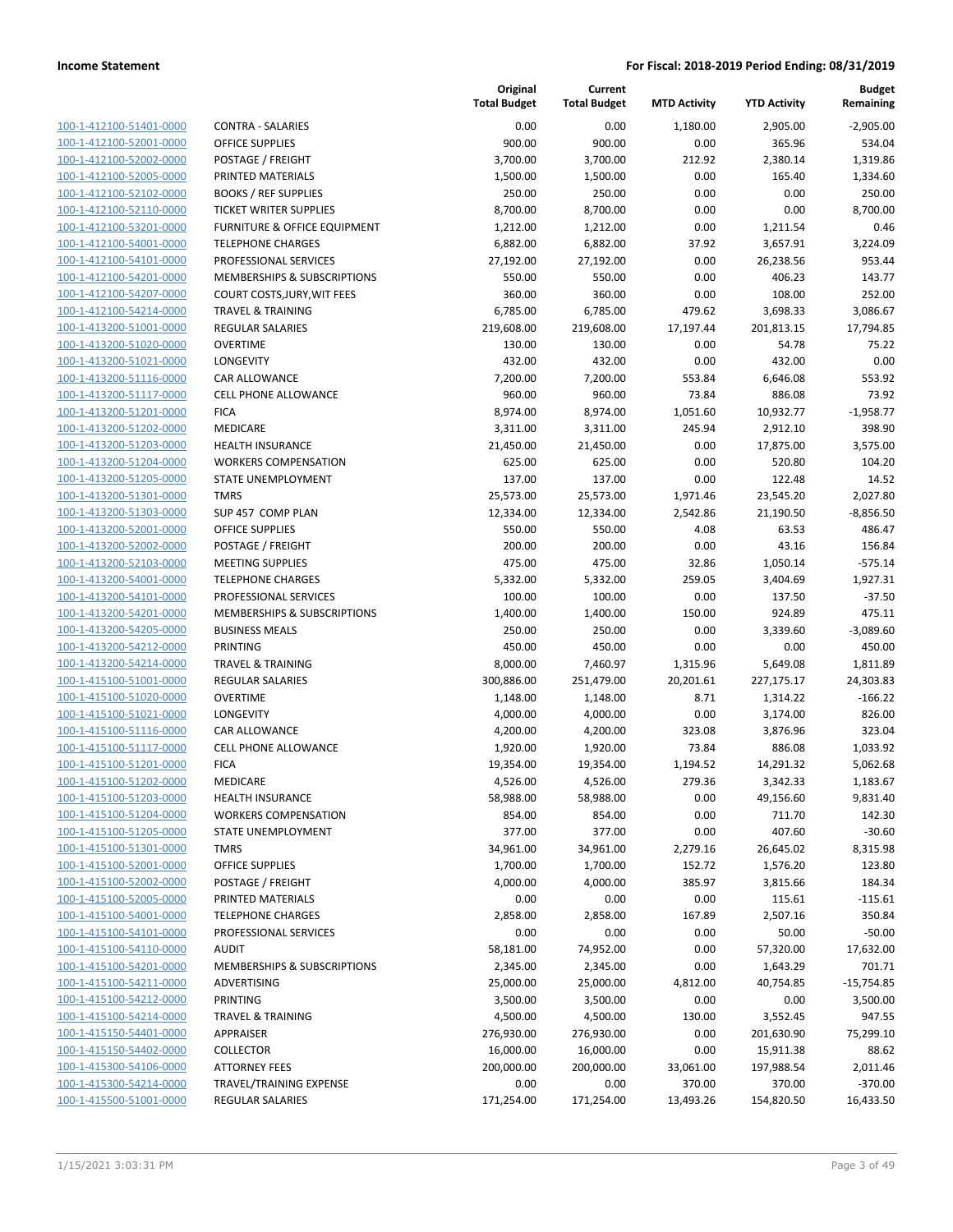| 100-1-412100-51401-0000        |
|--------------------------------|
| 100-1-412100-52001-0000        |
| 100-1-412100-52002-0000        |
| <u>100-1-412100-52005-0000</u> |
| 100-1-412100-52102-0000        |
| 100-1-412100-52110-0000        |
| 100-1-412100-53201-0000        |
| 100-1-412100-54001-0000        |
| <u>100-1-412100-54101-0000</u> |
| 100-1-412100-54201-0000        |
| 100-1-412100-54207-0000        |
| 100-1-412100-54214-0000        |
| 100-1-413200-51001-0000        |
| 100-1-413200-51020-0000        |
| <u>100-1-413200-51021-0000</u> |
| 100-1-413200-51116-0000        |
| 100-1-413200-51117-0000        |
| 100-1-413200-51201-0000        |
| <u>100-1-413200-51202-0000</u> |
| 100-1-413200-51203-0000        |
| 100-1-413200-51204-0000        |
| 100-1-413200-51205-0000        |
| 100-1-413200-51301-0000        |
| 100-1-413200-51303-0000        |
| 100-1-413200-52001-0000        |
| 100-1-413200-52002-0000        |
| 100-1-413200-52103-0000        |
| 100-1-413200-54001-0000        |
| <u>100-1-413200-54101-0000</u> |
| 100-1-413200-54201-0000        |
| 100-1-413200-54205-0000        |
| 100-1-413200-54212-0000        |
| 100-1-413200-54214-0000        |
| <u>100-1-415100-51001-0000</u> |
| 100-1-415100-51020-0000        |
| 100-1-415100-51021-0000        |
| 100-1-415100-51116-0000        |
| 100-1-415100-51117-0000        |
| <u>100-1-415100-51201-0000</u> |
| 100-1-415100-51202-0000        |
| 100-1-415100-51203-0000        |
| 100-1-415100-51204-0000        |
| 100-1-415100-51205-0000        |
| 100-1-415100-51301-0000        |
| 100-1-415100-52001-0000        |
| 100-1-415100-52002-0000        |
| <u>100-1-415100-52005-0000</u> |
| 100-1-415100-54001-0000        |
| 100-1-415100-54101-0000        |
| <u>100-1-415100-54110-0000</u> |
| <u>100-1-415100-54201-0000</u> |
| 100-1-415100-54211-0000        |
| 100-1-415100-54212-0000        |
| 100-1-415100-54214-0000        |
| <u>100-1-415150-54401-0000</u> |
| 100-1-415150-54402-0000        |
| <u>100-1-415300-54106-0000</u> |
| 100-1-415300-54214-0000        |
| <u>100-1-415500-51001-0000</u> |

|                                                    |                                             | Original<br><b>Total Budget</b> | Current<br><b>Total Budget</b> | <b>MTD Activity</b> | <b>YTD Activity</b> | <b>Budget</b><br>Remaining |
|----------------------------------------------------|---------------------------------------------|---------------------------------|--------------------------------|---------------------|---------------------|----------------------------|
| 100-1-412100-51401-0000                            | <b>CONTRA - SALARIES</b>                    | 0.00                            | 0.00                           | 1,180.00            | 2,905.00            | $-2,905.00$                |
| 100-1-412100-52001-0000                            | <b>OFFICE SUPPLIES</b>                      | 900.00                          | 900.00                         | 0.00                | 365.96              | 534.04                     |
| 100-1-412100-52002-0000                            | POSTAGE / FREIGHT                           | 3,700.00                        | 3,700.00                       | 212.92              | 2,380.14            | 1,319.86                   |
| 100-1-412100-52005-0000                            | PRINTED MATERIALS                           | 1,500.00                        | 1,500.00                       | 0.00                | 165.40              | 1,334.60                   |
| 100-1-412100-52102-0000                            | <b>BOOKS / REF SUPPLIES</b>                 | 250.00                          | 250.00                         | 0.00                | 0.00                | 250.00                     |
| 100-1-412100-52110-0000                            | <b>TICKET WRITER SUPPLIES</b>               | 8,700.00                        | 8,700.00                       | 0.00                | 0.00                | 8,700.00                   |
| 100-1-412100-53201-0000                            | FURNITURE & OFFICE EQUIPMENT                | 1,212.00                        | 1,212.00                       | 0.00                | 1,211.54            | 0.46                       |
| 100-1-412100-54001-0000                            | <b>TELEPHONE CHARGES</b>                    | 6,882.00                        | 6,882.00                       | 37.92               | 3,657.91            | 3,224.09                   |
| 100-1-412100-54101-0000                            | PROFESSIONAL SERVICES                       | 27,192.00                       | 27,192.00                      | 0.00                | 26,238.56           | 953.44                     |
| 100-1-412100-54201-0000                            | MEMBERSHIPS & SUBSCRIPTIONS                 | 550.00                          | 550.00                         | 0.00                | 406.23              | 143.77                     |
| 100-1-412100-54207-0000                            | COURT COSTS, JURY, WIT FEES                 | 360.00                          | 360.00                         | 0.00                | 108.00              | 252.00                     |
| 100-1-412100-54214-0000                            | <b>TRAVEL &amp; TRAINING</b>                | 6,785.00                        | 6,785.00                       | 479.62              | 3,698.33            | 3,086.67                   |
| 100-1-413200-51001-0000                            | <b>REGULAR SALARIES</b>                     | 219,608.00                      | 219,608.00                     | 17,197.44           | 201,813.15          | 17,794.85                  |
| 100-1-413200-51020-0000                            | <b>OVERTIME</b>                             | 130.00                          | 130.00                         | 0.00                | 54.78               | 75.22                      |
| 100-1-413200-51021-0000                            | LONGEVITY                                   | 432.00                          | 432.00                         | 0.00                | 432.00              | 0.00                       |
| 100-1-413200-51116-0000                            | CAR ALLOWANCE                               | 7,200.00                        | 7,200.00                       | 553.84              | 6,646.08            | 553.92                     |
| 100-1-413200-51117-0000                            | <b>CELL PHONE ALLOWANCE</b>                 | 960.00                          | 960.00                         | 73.84               | 886.08              | 73.92                      |
| 100-1-413200-51201-0000                            | <b>FICA</b>                                 | 8,974.00                        | 8,974.00                       | 1,051.60            | 10,932.77           | $-1,958.77$                |
| 100-1-413200-51202-0000                            | MEDICARE                                    | 3,311.00                        | 3,311.00                       | 245.94              | 2,912.10            | 398.90                     |
| 100-1-413200-51203-0000                            | <b>HEALTH INSURANCE</b>                     | 21,450.00                       | 21,450.00                      | 0.00                | 17,875.00           | 3,575.00                   |
| 100-1-413200-51204-0000                            | <b>WORKERS COMPENSATION</b>                 | 625.00                          | 625.00                         | 0.00                | 520.80              | 104.20                     |
| 100-1-413200-51205-0000<br>100-1-413200-51301-0000 | STATE UNEMPLOYMENT<br><b>TMRS</b>           | 137.00                          | 137.00                         | 0.00                | 122.48              | 14.52                      |
| 100-1-413200-51303-0000                            |                                             | 25,573.00                       | 25,573.00                      | 1,971.46            | 23,545.20           | 2,027.80                   |
| 100-1-413200-52001-0000                            | SUP 457 COMP PLAN<br><b>OFFICE SUPPLIES</b> | 12,334.00<br>550.00             | 12,334.00<br>550.00            | 2,542.86<br>4.08    | 21,190.50<br>63.53  | $-8,856.50$<br>486.47      |
| 100-1-413200-52002-0000                            | POSTAGE / FREIGHT                           | 200.00                          | 200.00                         | 0.00                | 43.16               | 156.84                     |
| 100-1-413200-52103-0000                            | <b>MEETING SUPPLIES</b>                     | 475.00                          | 475.00                         | 32.86               | 1,050.14            | $-575.14$                  |
| 100-1-413200-54001-0000                            | <b>TELEPHONE CHARGES</b>                    | 5,332.00                        | 5,332.00                       | 259.05              | 3,404.69            | 1,927.31                   |
| 100-1-413200-54101-0000                            | PROFESSIONAL SERVICES                       | 100.00                          | 100.00                         | 0.00                | 137.50              | $-37.50$                   |
| 100-1-413200-54201-0000                            | MEMBERSHIPS & SUBSCRIPTIONS                 | 1,400.00                        | 1,400.00                       | 150.00              | 924.89              | 475.11                     |
| 100-1-413200-54205-0000                            | <b>BUSINESS MEALS</b>                       | 250.00                          | 250.00                         | 0.00                | 3,339.60            | $-3,089.60$                |
| 100-1-413200-54212-0000                            | PRINTING                                    | 450.00                          | 450.00                         | 0.00                | 0.00                | 450.00                     |
| 100-1-413200-54214-0000                            | <b>TRAVEL &amp; TRAINING</b>                | 8,000.00                        | 7,460.97                       | 1,315.96            | 5,649.08            | 1,811.89                   |
| 100-1-415100-51001-0000                            | <b>REGULAR SALARIES</b>                     | 300,886.00                      | 251,479.00                     | 20,201.61           | 227,175.17          | 24,303.83                  |
| 100-1-415100-51020-0000                            | <b>OVERTIME</b>                             | 1,148.00                        | 1,148.00                       | 8.71                | 1,314.22            | $-166.22$                  |
| 100-1-415100-51021-0000                            | <b>LONGEVITY</b>                            | 4,000.00                        | 4,000.00                       | 0.00                | 3,174.00            | 826.00                     |
| 100-1-415100-51116-0000                            | <b>CAR ALLOWANCE</b>                        | 4,200.00                        | 4,200.00                       | 323.08              | 3,876.96            | 323.04                     |
| 100-1-415100-51117-0000                            | <b>CELL PHONE ALLOWANCE</b>                 | 1,920.00                        | 1,920.00                       | 73.84               | 886.08              | 1,033.92                   |
| 100-1-415100-51201-0000                            | <b>FICA</b>                                 | 19,354.00                       | 19,354.00                      | 1,194.52            | 14,291.32           | 5,062.68                   |
| 100-1-415100-51202-0000                            | <b>MEDICARE</b>                             | 4,526.00                        | 4,526.00                       | 279.36              | 3,342.33            | 1,183.67                   |
| 100-1-415100-51203-0000                            | HEALTH INSURANCE                            | 58,988.00                       | 58,988.00                      | 0.00                | 49,156.60           | 9,831.40                   |
| 100-1-415100-51204-0000                            | <b>WORKERS COMPENSATION</b>                 | 854.00                          | 854.00                         | 0.00                | 711.70              | 142.30                     |
| 100-1-415100-51205-0000                            | STATE UNEMPLOYMENT                          | 377.00                          | 377.00                         | 0.00                | 407.60              | $-30.60$                   |
| 100-1-415100-51301-0000                            | <b>TMRS</b>                                 | 34,961.00                       | 34,961.00                      | 2,279.16            | 26,645.02           | 8,315.98                   |
| 100-1-415100-52001-0000                            | OFFICE SUPPLIES                             | 1,700.00                        | 1,700.00                       | 152.72              | 1,576.20            | 123.80                     |
| 100-1-415100-52002-0000                            | POSTAGE / FREIGHT                           | 4,000.00                        | 4,000.00                       | 385.97              | 3,815.66            | 184.34                     |
| 100-1-415100-52005-0000                            | PRINTED MATERIALS                           | 0.00                            | 0.00                           | 0.00                | 115.61              | $-115.61$                  |
| 100-1-415100-54001-0000                            | <b>TELEPHONE CHARGES</b>                    | 2,858.00                        | 2,858.00                       | 167.89              | 2,507.16            | 350.84                     |
| 100-1-415100-54101-0000                            | PROFESSIONAL SERVICES                       | 0.00                            | 0.00                           | 0.00                | 50.00               | $-50.00$                   |
| 100-1-415100-54110-0000                            | <b>AUDIT</b>                                | 58,181.00                       | 74,952.00                      | 0.00                | 57,320.00           | 17,632.00                  |
| 100-1-415100-54201-0000                            | MEMBERSHIPS & SUBSCRIPTIONS                 | 2,345.00                        | 2,345.00                       | 0.00                | 1,643.29            | 701.71                     |
| 100-1-415100-54211-0000                            | ADVERTISING                                 | 25,000.00                       | 25,000.00                      | 4,812.00            | 40,754.85           | $-15,754.85$               |
| 100-1-415100-54212-0000                            | PRINTING                                    | 3,500.00                        | 3,500.00                       | 0.00                | 0.00                | 3,500.00                   |
| 100-1-415100-54214-0000                            | <b>TRAVEL &amp; TRAINING</b>                | 4,500.00                        | 4,500.00                       | 130.00              | 3,552.45            | 947.55                     |
| 100-1-415150-54401-0000                            | APPRAISER                                   | 276,930.00                      | 276,930.00                     | 0.00                | 201,630.90          | 75,299.10                  |
| 100-1-415150-54402-0000                            | <b>COLLECTOR</b>                            | 16,000.00                       | 16,000.00                      | 0.00                | 15,911.38           | 88.62                      |
| 100-1-415300-54106-0000                            | <b>ATTORNEY FEES</b>                        | 200,000.00                      | 200,000.00                     | 33,061.00           | 197,988.54          | 2,011.46                   |
| 100-1-415300-54214-0000                            | TRAVEL/TRAINING EXPENSE                     | 0.00                            | 0.00                           | 370.00              | 370.00              | $-370.00$                  |
| 100-1-415500-51001-0000                            | <b>REGULAR SALARIES</b>                     | 171,254.00                      | 171,254.00                     | 13,493.26           | 154,820.50          | 16,433.50                  |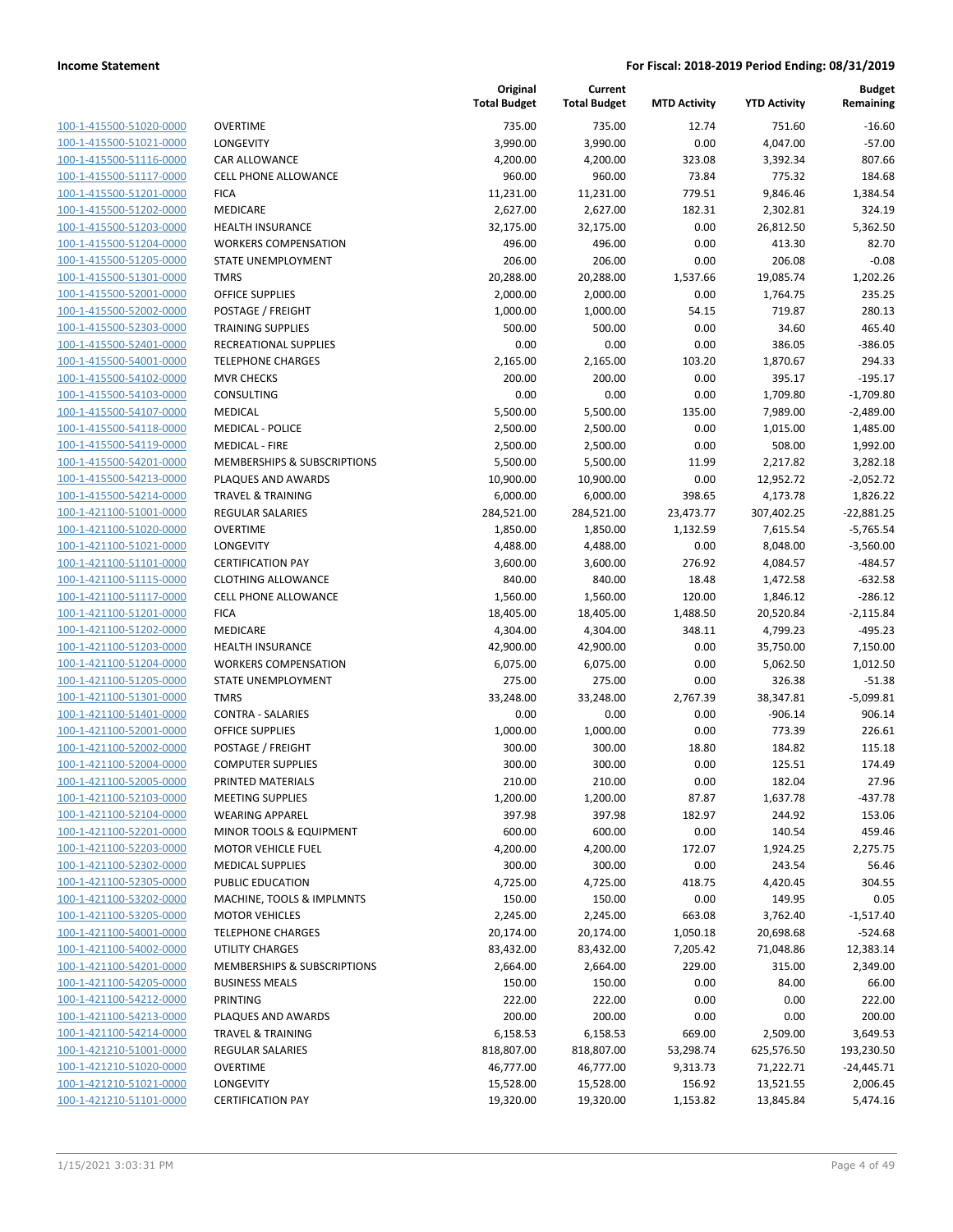| 100-1-415500-51020-0000        |
|--------------------------------|
| 100-1-415500-51021-0000        |
| 100-1-415500-51116-0000        |
| 100-1-415500-51117-0000        |
| 100-1-415500-51201-0000        |
| 100-1-415500-51202-0000        |
| 100-1-415500-51203-0000        |
| 100-1-415500-51204-0000        |
| 100-1-415500-51205-0000        |
| 100-1-415500-51301-0000        |
| 100-1-415500-52001-0000        |
| 100-1-415500-52002-0000        |
| 100-1-415500-52303-0000        |
| 100-1-415500-52401-0000        |
| 100-1-415500-54001-0000        |
| 100-1-415500-54102-0000        |
| 100-1-415500-54103-0000        |
| 100-1-415500-54107-0000        |
| 100-1-415500-54118-0000        |
| 100-1-415500-54119-0000        |
| 100-1-415500-54201-0000        |
| 100-1-415500-54213-0000        |
| 100-1-415500-54214-0000        |
| 100-1-421100-51001-0000        |
| 100-1-421100-51020-0000        |
| 100-1-421100-51021-0000        |
| 100-1-421100-51101-0000        |
| 100-1-421100-51115-0000        |
| 100-1-421100-51117-0000        |
| 100-1-421100-51201-0000        |
| 100-1-421100-51202-0000        |
| 100-1-421100-51203-0000        |
| 100-1-421100-51204-0000        |
| 100-1-421100-51205-0000        |
| 100-1-421100-51301-0000        |
| 100-1-421100-51401-0000        |
| 100-1-421100-52001-0000        |
| 100-1-421100-52002-0000        |
| 100-1-421100-52004-0000        |
| 100-1-421100-52005-0000        |
| 100-1-421100-52103-0000        |
| <u>100-1-421100-52104-0000</u> |
| 100-1-421100-52201-0000        |
| 100-1-421100-52203-0000        |
| <u>100-1-421100-52302-0000</u> |
|                                |
| <u>100-1-421100-52305-0000</u> |
| 100-1-421100-53202-0000        |
| <u>100-1-421100-53205-0000</u> |
| <u>100-1-421100-54001-0000</u> |
| <u>100-1-421100-54002-0000</u> |
| 100-1-421100-54201-0000        |
| 100-1-421100-54205-0000        |
| <u>100-1-421100-54212-0000</u> |
| <u>100-1-421100-54213-0000</u> |
| <u>100-1-421100-54214-0000</u> |
| <u>100-1-421210-51001-0000</u> |
| 100-1-421210-51020-0000        |
| 100-1-421210-51021-0000        |
| <u>100-1-421210-51101-0000</u> |

| <b>DVERTIME</b>                      |
|--------------------------------------|
| ONGEVITY.                            |
| CAR ALLOWANCE                        |
| CELL PHONE ALLOWANCE                 |
| <b>ICA</b>                           |
| MEDICARE                             |
| <b>IEALTH INSURANCE</b>              |
| <b>NORKERS COMPENSATION</b>          |
| TATE UNEMPLOYMENT                    |
| MRS <sup>.</sup>                     |
| <b>DEFICE SUPPLIES</b>               |
| POSTAGE / FREIGHT                    |
| <b>RAINING SUPPLIES</b>              |
| RECREATIONAL SUPPLIES                |
| <b>ELEPHONE CHARGES</b>              |
| MVR CHECKS                           |
| Consulting                           |
| MEDICAL                              |
| <b>MEDICAL - POLICE</b>              |
| <b>MEDICAL - FIRE</b>                |
| MEMBERSHIPS & SUBSCRIPTIONS          |
| <b>LAQUES AND AWARDS</b>             |
| <b>RAVEL &amp; TRAINING</b>          |
| REGULAR SALARIES                     |
| <b>DVERTIME</b>                      |
| ONGEVITY.                            |
| <b>CERTIFICATION PAY</b>             |
| <b>LOTHING ALLOWANCE</b>             |
| CELL PHONE ALLOWANCE                 |
| <b>ICA</b>                           |
| MEDICARE                             |
| <b>IEALTH INSURANCE</b>              |
| <b><i>NORKERS COMPENSATION</i></b>   |
| TATE UNEMPLOYMENT                    |
| MRS <sup>.</sup>                     |
| CONTRA - SALARIES                    |
| <b>DEFICE SUPPLIES</b>               |
| POSTAGE / FREIGHT                    |
| COMPUTER SUPPLIES                    |
| <b>PRINTED MATERIALS</b>             |
| <b><i>MEETING SUPPLIES</i></b>       |
| <b><i>NEARING APPAREL</i></b>        |
| MINOR TOOLS & EQUIPMENT              |
| <b>MOTOR VEHICLE FUEL</b>            |
| <b>MEDICAL SUPPLIES</b>              |
| <b>UBLIC EDUCATION</b>               |
| <b>MACHINE, TOOLS &amp; IMPLMNTS</b> |
| <b>MOTOR VEHICLES</b>                |
| <b>ELEPHONE CHARGES</b>              |
| <b>JTILITY CHARGES</b>               |
| MEMBERSHIPS & SUBSCRIPTIONS          |
| <b>BUSINESS MEALS</b>                |
| <b>RINTING</b>                       |
| <b>LAQUES AND AWARDS</b>             |
| <b>RAVEL &amp; TRAINING</b>          |
| REGULAR SALARIES                     |
| <b>OVERTIME</b>                      |
| ONGEVITY.                            |

|                         |                              | Original<br><b>Total Budget</b> | Current<br><b>Total Budget</b> | <b>MTD Activity</b> | <b>YTD Activity</b> | <b>Budget</b><br>Remaining |
|-------------------------|------------------------------|---------------------------------|--------------------------------|---------------------|---------------------|----------------------------|
| 100-1-415500-51020-0000 | <b>OVERTIME</b>              | 735.00                          | 735.00                         | 12.74               | 751.60              | $-16.60$                   |
| 100-1-415500-51021-0000 | <b>LONGEVITY</b>             | 3,990.00                        | 3,990.00                       | 0.00                | 4,047.00            | $-57.00$                   |
| 100-1-415500-51116-0000 | CAR ALLOWANCE                | 4,200.00                        | 4,200.00                       | 323.08              | 3,392.34            | 807.66                     |
| 100-1-415500-51117-0000 | <b>CELL PHONE ALLOWANCE</b>  | 960.00                          | 960.00                         | 73.84               | 775.32              | 184.68                     |
| 100-1-415500-51201-0000 | <b>FICA</b>                  | 11,231.00                       | 11,231.00                      | 779.51              | 9,846.46            | 1,384.54                   |
| 100-1-415500-51202-0000 | MEDICARE                     | 2,627.00                        | 2,627.00                       | 182.31              | 2,302.81            | 324.19                     |
| 100-1-415500-51203-0000 | <b>HEALTH INSURANCE</b>      | 32,175.00                       | 32,175.00                      | 0.00                | 26,812.50           | 5,362.50                   |
| 100-1-415500-51204-0000 | <b>WORKERS COMPENSATION</b>  | 496.00                          | 496.00                         | 0.00                | 413.30              | 82.70                      |
| 100-1-415500-51205-0000 | <b>STATE UNEMPLOYMENT</b>    | 206.00                          | 206.00                         | 0.00                | 206.08              | $-0.08$                    |
| 100-1-415500-51301-0000 | <b>TMRS</b>                  | 20,288.00                       | 20,288.00                      | 1,537.66            | 19,085.74           | 1,202.26                   |
| 100-1-415500-52001-0000 | <b>OFFICE SUPPLIES</b>       | 2,000.00                        | 2,000.00                       | 0.00                | 1,764.75            | 235.25                     |
| 100-1-415500-52002-0000 | POSTAGE / FREIGHT            | 1,000.00                        | 1,000.00                       | 54.15               | 719.87              | 280.13                     |
| 100-1-415500-52303-0000 | <b>TRAINING SUPPLIES</b>     | 500.00                          | 500.00                         | 0.00                | 34.60               | 465.40                     |
| 100-1-415500-52401-0000 | RECREATIONAL SUPPLIES        | 0.00                            | 0.00                           | 0.00                | 386.05              | $-386.05$                  |
| 100-1-415500-54001-0000 | <b>TELEPHONE CHARGES</b>     | 2,165.00                        | 2,165.00                       | 103.20              | 1,870.67            | 294.33                     |
| 100-1-415500-54102-0000 | <b>MVR CHECKS</b>            | 200.00                          | 200.00                         | 0.00                | 395.17              | $-195.17$                  |
| 100-1-415500-54103-0000 | CONSULTING                   | 0.00                            | 0.00                           | 0.00                | 1,709.80            | $-1,709.80$                |
| 100-1-415500-54107-0000 | <b>MEDICAL</b>               | 5,500.00                        | 5,500.00                       | 135.00              | 7,989.00            | $-2,489.00$                |
| 100-1-415500-54118-0000 | <b>MEDICAL - POLICE</b>      | 2,500.00                        | 2,500.00                       | 0.00                | 1,015.00            | 1,485.00                   |
| 100-1-415500-54119-0000 | <b>MEDICAL - FIRE</b>        | 2,500.00                        | 2,500.00                       | 0.00                | 508.00              | 1,992.00                   |
| 100-1-415500-54201-0000 | MEMBERSHIPS & SUBSCRIPTIONS  | 5,500.00                        | 5,500.00                       | 11.99               | 2,217.82            | 3,282.18                   |
| 100-1-415500-54213-0000 | PLAQUES AND AWARDS           | 10,900.00                       | 10,900.00                      | 0.00                | 12,952.72           | $-2,052.72$                |
| 100-1-415500-54214-0000 | <b>TRAVEL &amp; TRAINING</b> | 6,000.00                        | 6,000.00                       | 398.65              | 4,173.78            | 1,826.22                   |
| 100-1-421100-51001-0000 | REGULAR SALARIES             | 284,521.00                      | 284,521.00                     | 23,473.77           | 307,402.25          | $-22,881.25$               |
| 100-1-421100-51020-0000 | <b>OVERTIME</b>              | 1,850.00                        | 1,850.00                       | 1,132.59            | 7,615.54            | $-5,765.54$                |
| 100-1-421100-51021-0000 | LONGEVITY                    | 4,488.00                        | 4,488.00                       | 0.00                | 8,048.00            | $-3,560.00$                |
| 100-1-421100-51101-0000 | <b>CERTIFICATION PAY</b>     | 3,600.00                        | 3,600.00                       | 276.92              | 4,084.57            | $-484.57$                  |
| 100-1-421100-51115-0000 | <b>CLOTHING ALLOWANCE</b>    | 840.00                          | 840.00                         | 18.48               | 1,472.58            | $-632.58$                  |
| 100-1-421100-51117-0000 | <b>CELL PHONE ALLOWANCE</b>  | 1,560.00                        | 1,560.00                       | 120.00              | 1,846.12            | $-286.12$                  |
| 100-1-421100-51201-0000 | <b>FICA</b>                  | 18,405.00                       | 18,405.00                      | 1,488.50            | 20,520.84           | $-2,115.84$                |
| 100-1-421100-51202-0000 | MEDICARE                     | 4,304.00                        | 4,304.00                       | 348.11              | 4,799.23            | $-495.23$                  |
| 100-1-421100-51203-0000 | <b>HEALTH INSURANCE</b>      | 42,900.00                       | 42,900.00                      | 0.00                | 35,750.00           | 7,150.00                   |
| 100-1-421100-51204-0000 | <b>WORKERS COMPENSATION</b>  | 6,075.00                        | 6,075.00                       | 0.00                | 5,062.50            | 1,012.50                   |
| 100-1-421100-51205-0000 | STATE UNEMPLOYMENT           | 275.00                          | 275.00                         | 0.00                | 326.38              | $-51.38$                   |
| 100-1-421100-51301-0000 | <b>TMRS</b>                  | 33,248.00                       | 33,248.00                      | 2,767.39            | 38,347.81           | $-5,099.81$                |
| 100-1-421100-51401-0000 | <b>CONTRA - SALARIES</b>     | 0.00                            | 0.00                           | 0.00                | $-906.14$           | 906.14                     |
| 100-1-421100-52001-0000 | <b>OFFICE SUPPLIES</b>       | 1,000.00                        | 1,000.00                       | 0.00                | 773.39              | 226.61                     |
| 100-1-421100-52002-0000 | POSTAGE / FREIGHT            | 300.00                          | 300.00                         | 18.80               | 184.82              | 115.18                     |
| 100-1-421100-52004-0000 | <b>COMPUTER SUPPLIES</b>     | 300.00                          | 300.00                         | 0.00                | 125.51              | 174.49                     |
| 100-1-421100-52005-0000 | PRINTED MATERIALS            | 210.00                          | 210.00                         | 0.00                | 182.04              | 27.96                      |
| 100-1-421100-52103-0000 | <b>MEETING SUPPLIES</b>      | 1,200.00                        | 1,200.00                       | 87.87               | 1,637.78            | -437.78                    |
| 100-1-421100-52104-0000 | <b>WEARING APPAREL</b>       | 397.98                          | 397.98                         | 182.97              | 244.92              | 153.06                     |
| 100-1-421100-52201-0000 | MINOR TOOLS & EQUIPMENT      | 600.00                          | 600.00                         | 0.00                | 140.54              | 459.46                     |
| 100-1-421100-52203-0000 | <b>MOTOR VEHICLE FUEL</b>    | 4,200.00                        | 4,200.00                       | 172.07              | 1,924.25            | 2,275.75                   |
| 100-1-421100-52302-0000 | <b>MEDICAL SUPPLIES</b>      | 300.00                          | 300.00                         | 0.00                | 243.54              | 56.46                      |
| 100-1-421100-52305-0000 | PUBLIC EDUCATION             | 4,725.00                        | 4,725.00                       | 418.75              | 4,420.45            | 304.55                     |
| 100-1-421100-53202-0000 | MACHINE, TOOLS & IMPLMNTS    | 150.00                          | 150.00                         | 0.00                | 149.95              | 0.05                       |
| 100-1-421100-53205-0000 | <b>MOTOR VEHICLES</b>        | 2,245.00                        | 2,245.00                       | 663.08              | 3,762.40            | $-1,517.40$                |
| 100-1-421100-54001-0000 | <b>TELEPHONE CHARGES</b>     | 20,174.00                       | 20,174.00                      | 1,050.18            | 20,698.68           | $-524.68$                  |
| 100-1-421100-54002-0000 | UTILITY CHARGES              | 83,432.00                       | 83,432.00                      | 7,205.42            | 71,048.86           | 12,383.14                  |
| 100-1-421100-54201-0000 | MEMBERSHIPS & SUBSCRIPTIONS  | 2,664.00                        | 2,664.00                       | 229.00              | 315.00              | 2,349.00                   |
| 100-1-421100-54205-0000 | <b>BUSINESS MEALS</b>        | 150.00                          | 150.00                         | 0.00                | 84.00               | 66.00                      |
| 100-1-421100-54212-0000 | PRINTING                     | 222.00                          | 222.00                         | 0.00                | 0.00                | 222.00                     |
| 100-1-421100-54213-0000 | PLAQUES AND AWARDS           | 200.00                          | 200.00                         | 0.00                | 0.00                | 200.00                     |
| 100-1-421100-54214-0000 | TRAVEL & TRAINING            | 6,158.53                        | 6,158.53                       | 669.00              | 2,509.00            | 3,649.53                   |
| 100-1-421210-51001-0000 | REGULAR SALARIES             | 818,807.00                      | 818,807.00                     | 53,298.74           | 625,576.50          | 193,230.50                 |
| 100-1-421210-51020-0000 | <b>OVERTIME</b>              | 46,777.00                       | 46,777.00                      | 9,313.73            | 71,222.71           | $-24,445.71$               |
| 100-1-421210-51021-0000 | LONGEVITY                    | 15,528.00                       | 15,528.00                      | 156.92              | 13,521.55           | 2,006.45                   |
| 100-1-421210-51101-0000 | <b>CERTIFICATION PAY</b>     | 19,320.00                       | 19,320.00                      | 1,153.82            | 13,845.84           | 5,474.16                   |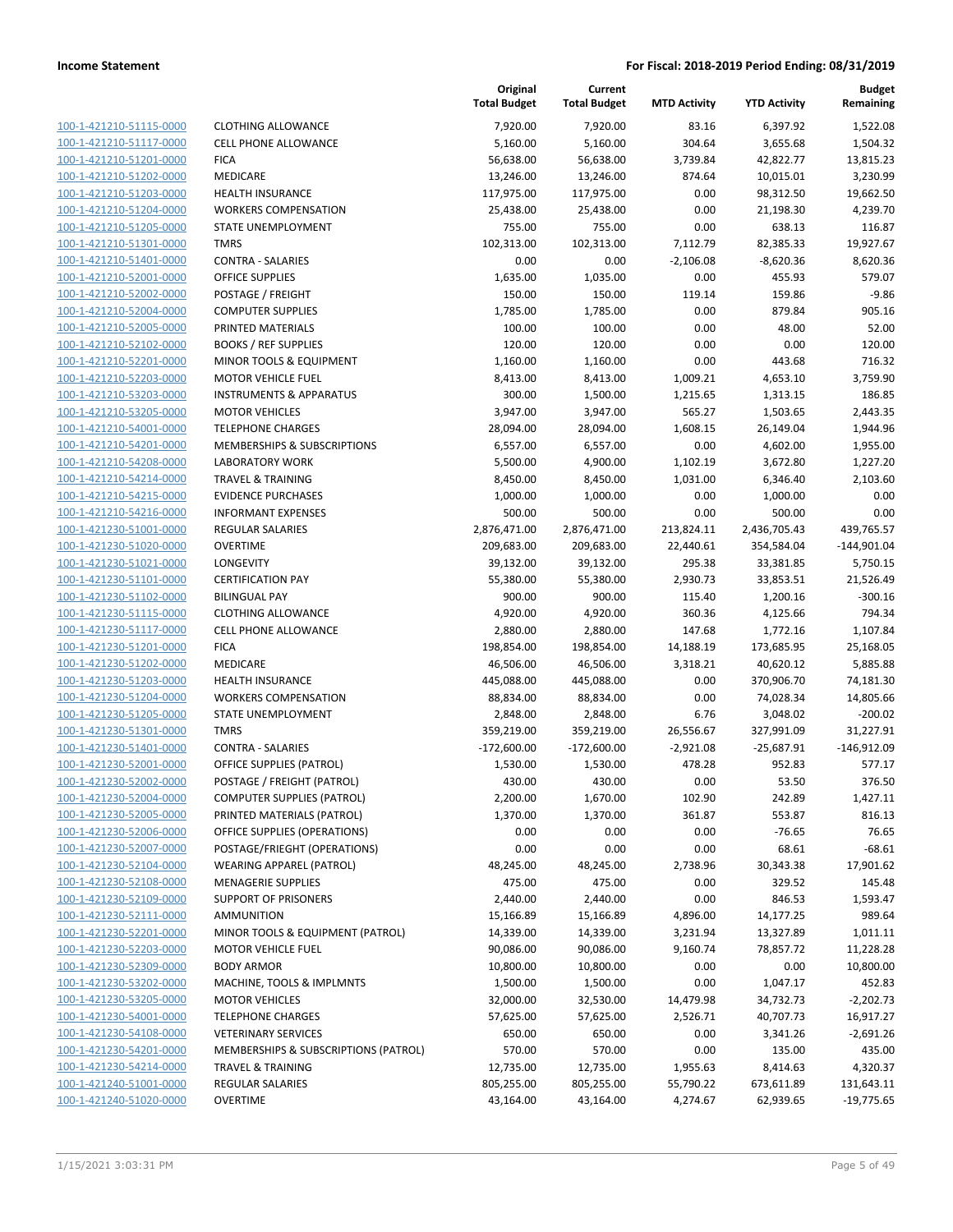| <u>100-1-421210-51115-0000</u> |
|--------------------------------|
| 100-1-421210-51117-0000        |
| 100-1-421210-51201-0000        |
| <u>100-1-421210-51202-0000</u> |
| 100-1-421210-51203-0000        |
| 100-1-421210-51204-0000        |
| 100-1-421210-51205-0000        |
| 100-1-421210-51301-0000        |
| <u>100-1-421210-51401-0000</u> |
| 100-1-421210-52001-0000        |
| 100-1-421210-52002-0000        |
| 100-1-421210-52004-0000        |
| 100-1-421210-52005-0000        |
|                                |
| <u>100-1-421210-52102-0000</u> |
| 100-1-421210-52201-0000        |
| 100-1-421210-52203-0000        |
| 100-1-421210-53203-0000        |
| 100-1-421210-53205-0000        |
| <u>100-1-421210-54001-0000</u> |
| 100-1-421210-54201-0000        |
| 100-1-421210-54208-0000        |
| 100-1-421210-54214-0000        |
| 100-1-421210-54215-0000        |
| <u>100-1-421210-54216-0000</u> |
| 100-1-421230-51001-0000        |
| 100-1-421230-51020-0000        |
| 100-1-421230-51021-0000        |
| 100-1-421230-51101-0000        |
| <u>100-1-421230-51102-0000</u> |
|                                |
| 100-1-421230-51115-0000        |
| 100-1-421230-51117-0000        |
| 100-1-421230-51201-0000        |
| 100-1-421230-51202-0000        |
| <u>100-1-421230-51203-0000</u> |
| 100-1-421230-51204-0000        |
| 100-1-421230-51205-0000        |
| 100-1-421230-51301-0000        |
| 100-1-421230-51401-0000        |
| <u>100-1-421230-52001-0000</u> |
| 100-1-421230-52002-0000        |
| 100-1-421230-52004-0000        |
| <u>100-1-421230-52005-0000</u> |
| 100-1-421230-52006-0000        |
| 100-1-421230-52007-0000        |
| <u>100-1-421230-52104-0000</u> |
| 100-1-421230-52108-0000        |
|                                |
| <u>100-1-421230-52109-0000</u> |
| 100-1-421230-52111-0000        |
| 100-1-421230-52201-0000        |
| <u>100-1-421230-52203-0000</u> |
| <u>100-1-421230-52309-0000</u> |
| 100-1-421230-53202-0000        |
| 100-1-421230-53205-0000        |
| 100-1-421230-54001-0000        |
| <u>100-1-421230-54108-0000</u> |
| <u>100-1-421230-54201-0000</u> |
| <u>100-1-421230-54214-0000</u> |
| 100-1-421240-51001-0000        |
| <u>100-1-421240-51020-0000</u> |
|                                |

|                         |                                      | Original<br><b>Total Budget</b> | Current<br><b>Total Budget</b> | <b>MTD Activity</b> | <b>YTD Activity</b> | <b>Budget</b><br>Remaining |
|-------------------------|--------------------------------------|---------------------------------|--------------------------------|---------------------|---------------------|----------------------------|
| 100-1-421210-51115-0000 | <b>CLOTHING ALLOWANCE</b>            | 7,920.00                        | 7,920.00                       | 83.16               | 6,397.92            | 1,522.08                   |
| 100-1-421210-51117-0000 | CELL PHONE ALLOWANCE                 | 5,160.00                        | 5,160.00                       | 304.64              | 3,655.68            | 1,504.32                   |
| 100-1-421210-51201-0000 | <b>FICA</b>                          | 56,638.00                       | 56,638.00                      | 3,739.84            | 42,822.77           | 13,815.23                  |
| 100-1-421210-51202-0000 | MEDICARE                             | 13,246.00                       | 13,246.00                      | 874.64              | 10,015.01           | 3,230.99                   |
| 100-1-421210-51203-0000 | HEALTH INSURANCE                     | 117,975.00                      | 117,975.00                     | 0.00                | 98,312.50           | 19,662.50                  |
| 100-1-421210-51204-0000 | <b>WORKERS COMPENSATION</b>          | 25,438.00                       | 25,438.00                      | 0.00                | 21,198.30           | 4,239.70                   |
| 100-1-421210-51205-0000 | STATE UNEMPLOYMENT                   | 755.00                          | 755.00                         | 0.00                | 638.13              | 116.87                     |
| 100-1-421210-51301-0000 | <b>TMRS</b>                          | 102,313.00                      | 102,313.00                     | 7,112.79            | 82,385.33           | 19,927.67                  |
| 100-1-421210-51401-0000 | <b>CONTRA - SALARIES</b>             | 0.00                            | 0.00                           | $-2,106.08$         | $-8,620.36$         | 8,620.36                   |
| 100-1-421210-52001-0000 | <b>OFFICE SUPPLIES</b>               | 1,635.00                        | 1,035.00                       | 0.00                | 455.93              | 579.07                     |
| 100-1-421210-52002-0000 | POSTAGE / FREIGHT                    | 150.00                          | 150.00                         | 119.14              | 159.86              | $-9.86$                    |
| 100-1-421210-52004-0000 | <b>COMPUTER SUPPLIES</b>             | 1,785.00                        | 1,785.00                       | 0.00                | 879.84              | 905.16                     |
| 100-1-421210-52005-0000 | PRINTED MATERIALS                    | 100.00                          | 100.00                         | 0.00                | 48.00               | 52.00                      |
| 100-1-421210-52102-0000 | <b>BOOKS / REF SUPPLIES</b>          | 120.00                          | 120.00                         | 0.00                | 0.00                | 120.00                     |
| 100-1-421210-52201-0000 | MINOR TOOLS & EQUIPMENT              | 1,160.00                        | 1,160.00                       | 0.00                | 443.68              | 716.32                     |
| 100-1-421210-52203-0000 | <b>MOTOR VEHICLE FUEL</b>            | 8,413.00                        | 8,413.00                       | 1,009.21            | 4,653.10            | 3,759.90                   |
| 100-1-421210-53203-0000 | <b>INSTRUMENTS &amp; APPARATUS</b>   | 300.00                          | 1,500.00                       | 1,215.65            | 1,313.15            | 186.85                     |
| 100-1-421210-53205-0000 | <b>MOTOR VEHICLES</b>                | 3,947.00                        | 3,947.00                       | 565.27              | 1,503.65            | 2,443.35                   |
| 100-1-421210-54001-0000 | <b>TELEPHONE CHARGES</b>             | 28,094.00                       | 28,094.00                      | 1,608.15            | 26,149.04           | 1,944.96                   |
| 100-1-421210-54201-0000 | MEMBERSHIPS & SUBSCRIPTIONS          | 6,557.00                        | 6,557.00                       | 0.00                | 4,602.00            | 1,955.00                   |
| 100-1-421210-54208-0000 | <b>LABORATORY WORK</b>               | 5,500.00                        | 4,900.00                       | 1,102.19            | 3,672.80            | 1,227.20                   |
| 100-1-421210-54214-0000 | <b>TRAVEL &amp; TRAINING</b>         | 8,450.00                        | 8,450.00                       | 1,031.00            | 6,346.40            | 2,103.60                   |
| 100-1-421210-54215-0000 | <b>EVIDENCE PURCHASES</b>            | 1,000.00                        | 1,000.00                       | 0.00                | 1,000.00            | 0.00                       |
| 100-1-421210-54216-0000 | <b>INFORMANT EXPENSES</b>            | 500.00                          | 500.00                         | 0.00                | 500.00              | 0.00                       |
| 100-1-421230-51001-0000 | <b>REGULAR SALARIES</b>              | 2,876,471.00                    | 2,876,471.00                   | 213,824.11          | 2,436,705.43        | 439,765.57                 |
| 100-1-421230-51020-0000 | <b>OVERTIME</b>                      | 209,683.00                      | 209,683.00                     | 22,440.61           | 354,584.04          | $-144,901.04$              |
| 100-1-421230-51021-0000 | <b>LONGEVITY</b>                     | 39,132.00                       | 39,132.00                      | 295.38              | 33,381.85           | 5,750.15                   |
| 100-1-421230-51101-0000 | <b>CERTIFICATION PAY</b>             | 55,380.00                       | 55,380.00                      | 2,930.73            | 33,853.51           | 21,526.49                  |
| 100-1-421230-51102-0000 | <b>BILINGUAL PAY</b>                 | 900.00                          | 900.00                         | 115.40              | 1,200.16            | $-300.16$                  |
| 100-1-421230-51115-0000 | <b>CLOTHING ALLOWANCE</b>            | 4,920.00                        | 4,920.00                       | 360.36              | 4,125.66            | 794.34                     |
| 100-1-421230-51117-0000 | <b>CELL PHONE ALLOWANCE</b>          | 2,880.00                        | 2,880.00                       | 147.68              | 1,772.16            | 1,107.84                   |
| 100-1-421230-51201-0000 | <b>FICA</b>                          | 198,854.00                      | 198,854.00                     | 14,188.19           | 173,685.95          | 25,168.05                  |
| 100-1-421230-51202-0000 | MEDICARE                             | 46,506.00                       | 46,506.00                      | 3,318.21            | 40,620.12           | 5,885.88                   |
| 100-1-421230-51203-0000 | <b>HEALTH INSURANCE</b>              | 445,088.00                      | 445,088.00                     | 0.00                | 370,906.70          | 74,181.30                  |
| 100-1-421230-51204-0000 | <b>WORKERS COMPENSATION</b>          | 88,834.00                       | 88,834.00                      | 0.00                | 74,028.34           | 14,805.66                  |
| 100-1-421230-51205-0000 | STATE UNEMPLOYMENT                   | 2,848.00                        | 2,848.00                       | 6.76                | 3,048.02            | $-200.02$                  |
| 100-1-421230-51301-0000 | <b>TMRS</b>                          | 359,219.00                      | 359,219.00                     | 26,556.67           | 327,991.09          | 31,227.91                  |
| 100-1-421230-51401-0000 | <b>CONTRA - SALARIES</b>             | $-172,600.00$                   | $-172,600.00$                  | $-2,921.08$         | $-25,687.91$        | $-146,912.09$              |
| 100-1-421230-52001-0000 | OFFICE SUPPLIES (PATROL)             | 1,530.00                        | 1,530.00                       | 478.28              | 952.83              | 577.17                     |
| 100-1-421230-52002-0000 | POSTAGE / FREIGHT (PATROL)           | 430.00                          | 430.00                         | 0.00                | 53.50               | 376.50                     |
| 100-1-421230-52004-0000 | <b>COMPUTER SUPPLIES (PATROL)</b>    | 2,200.00                        | 1,670.00                       | 102.90              | 242.89              | 1,427.11                   |
| 100-1-421230-52005-0000 | PRINTED MATERIALS (PATROL)           | 1,370.00                        | 1,370.00                       | 361.87              | 553.87              | 816.13                     |
| 100-1-421230-52006-0000 | OFFICE SUPPLIES (OPERATIONS)         | 0.00                            | 0.00                           | 0.00                | $-76.65$            | 76.65                      |
| 100-1-421230-52007-0000 | POSTAGE/FRIEGHT (OPERATIONS)         | 0.00                            | 0.00                           | 0.00                | 68.61               | $-68.61$                   |
| 100-1-421230-52104-0000 | <b>WEARING APPAREL (PATROL)</b>      | 48,245.00                       | 48,245.00                      | 2,738.96            | 30,343.38           | 17,901.62                  |
| 100-1-421230-52108-0000 | <b>MENAGERIE SUPPLIES</b>            | 475.00                          | 475.00                         | 0.00                | 329.52              | 145.48                     |
| 100-1-421230-52109-0000 | <b>SUPPORT OF PRISONERS</b>          | 2,440.00                        | 2,440.00                       | 0.00                | 846.53              | 1,593.47                   |
| 100-1-421230-52111-0000 | <b>AMMUNITION</b>                    | 15,166.89                       | 15,166.89                      | 4,896.00            | 14,177.25           | 989.64                     |
| 100-1-421230-52201-0000 | MINOR TOOLS & EQUIPMENT (PATROL)     | 14,339.00                       | 14,339.00                      | 3,231.94            | 13,327.89           | 1,011.11                   |
| 100-1-421230-52203-0000 | <b>MOTOR VEHICLE FUEL</b>            | 90,086.00                       | 90,086.00                      | 9,160.74            | 78,857.72           | 11,228.28                  |
| 100-1-421230-52309-0000 | <b>BODY ARMOR</b>                    | 10,800.00                       | 10,800.00                      | 0.00                | 0.00                | 10,800.00                  |
| 100-1-421230-53202-0000 | MACHINE, TOOLS & IMPLMNTS            | 1,500.00                        | 1,500.00                       | 0.00                | 1,047.17            | 452.83                     |
| 100-1-421230-53205-0000 | <b>MOTOR VEHICLES</b>                | 32,000.00                       | 32,530.00                      | 14,479.98           | 34,732.73           | $-2,202.73$                |
| 100-1-421230-54001-0000 | <b>TELEPHONE CHARGES</b>             | 57,625.00                       | 57,625.00                      | 2,526.71            | 40,707.73           | 16,917.27                  |
| 100-1-421230-54108-0000 | <b>VETERINARY SERVICES</b>           | 650.00                          | 650.00                         | 0.00                | 3,341.26            | $-2,691.26$                |
| 100-1-421230-54201-0000 | MEMBERSHIPS & SUBSCRIPTIONS (PATROL) | 570.00                          | 570.00                         | 0.00                | 135.00              | 435.00                     |
| 100-1-421230-54214-0000 | <b>TRAVEL &amp; TRAINING</b>         | 12,735.00                       | 12,735.00                      | 1,955.63            | 8,414.63            | 4,320.37                   |
| 100-1-421240-51001-0000 | <b>REGULAR SALARIES</b>              | 805,255.00                      | 805,255.00                     | 55,790.22           | 673,611.89          | 131,643.11                 |
| 100-1-421240-51020-0000 | <b>OVERTIME</b>                      | 43,164.00                       | 43,164.00                      | 4,274.67            | 62,939.65           | $-19,775.65$               |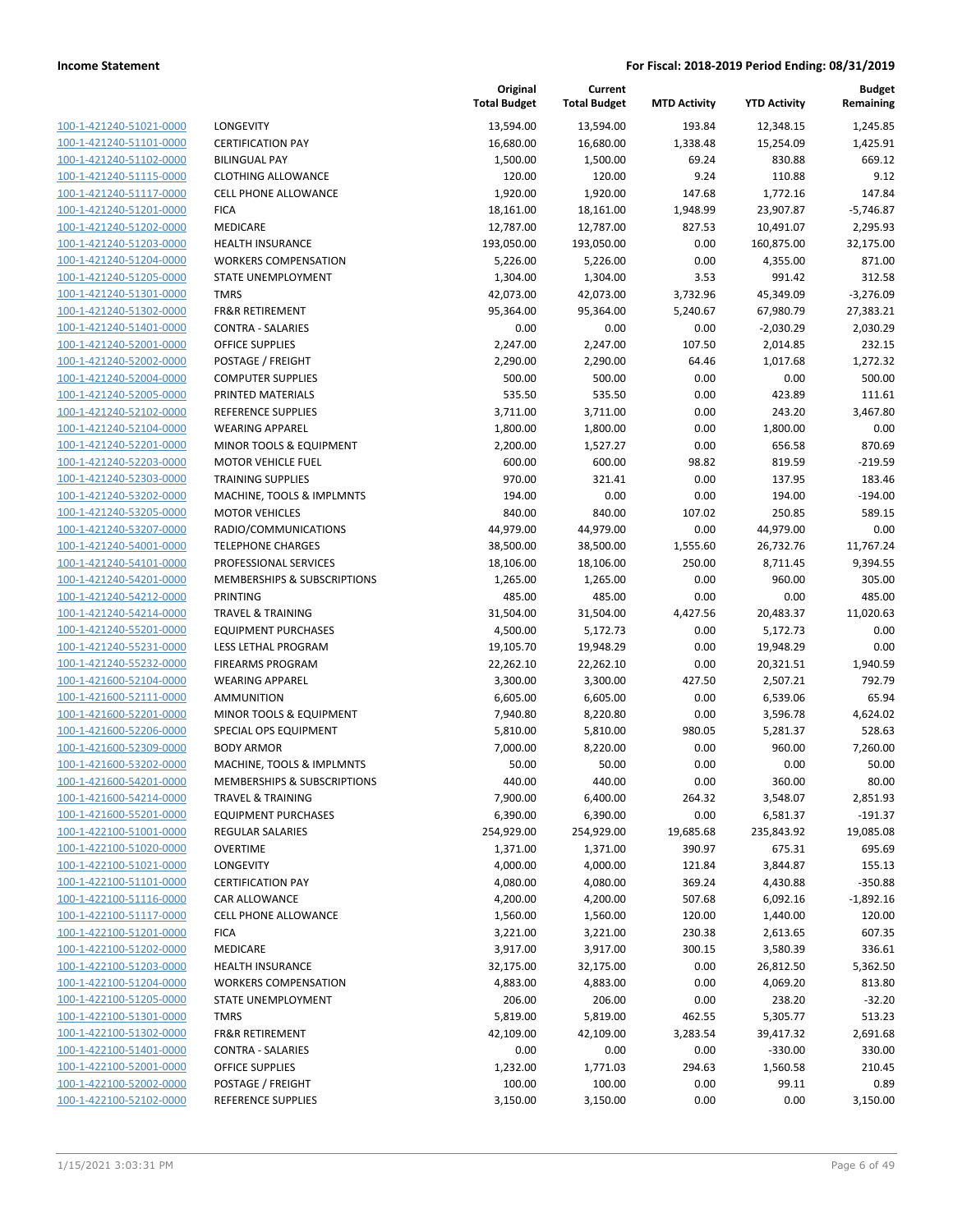| 100-1-421240-51021-0000        |
|--------------------------------|
| 100-1-421240-51101-0000        |
| 100-1-421240-51102-0000        |
| 100-1-421240-51115-0000        |
| 100-1-421240-51117-0000        |
| 100-1-421240-51201-0000        |
| 100-1-421240-51202-0000        |
| 100-1-421240-51203-0000        |
| 100-1-421240-51204-0000        |
| 100-1-421240-51205-0000        |
| 100-1-421240-51301-0000        |
| 100-1-421240-51302-0000        |
| 100-1-421240-51401-0000        |
| 100-1-421240-52001-0000        |
| 100-1-421240-52002-0000        |
| 100-1-421240-52004-0000        |
| 100-1-421240-52005-0000        |
| 100-1-421240-52102-0000        |
| 100-1-421240-52104-0000        |
| 100-1-421240-52201-0000        |
| 100-1-421240-52203-0000        |
| 100-1-421240-52303-0000        |
| 100-1-421240-53202-0000        |
| 100-1-421240-53205-0000        |
|                                |
| 100-1-421240-53207-0000        |
| 100-1-421240-54001-0000        |
| 100-1-421240-54101-0000        |
| 100-1-421240-54201-0000        |
| 100-1-421240-54212-0000        |
| 100-1-421240-54214-0000        |
| 100-1-421240-55201-0000        |
| 100-1-421240-55231-0000        |
| 100-1-421240-55232-0000        |
| 100-1-421600-52104-0000        |
| 100-1-421600-52111-0000        |
| 100-1-421600-52201-0000        |
| 100-1-421600-52206-0000        |
| 100-1-421600-52309-0000        |
| 100-1-421600-53202-0000        |
| 100-1-421600-54201-0000        |
| 100-1-421600-54214-0000        |
| <u>100-1-421600-55201-0000</u> |
| 100-1-422100-51001-0000        |
| <u>100-1-422100-51020-0000</u> |
| 100-1-422100-51021-0000        |
| <u>100-1-422100-51101-0000</u> |
| <u>100-1-422100-51116-0000</u> |
| <u>100-1-422100-51117-0000</u> |
|                                |
| <u>100-1-422100-51201-0000</u> |
| <u>100-1-422100-51202-0000</u> |
| 100-1-422100-51203-0000        |
| 100-1-422100-51204-0000        |
| <u>100-1-422100-51205-0000</u> |
| <u>100-1-422100-51301-0000</u> |
| <u>100-1-422100-51302-0000</u> |
| <u>100-1-422100-51401-0000</u> |
| <u>100-1-422100-52001-0000</u> |
| <u>100-1-422100-52002-0000</u> |
| 100-1-422100-52102-0000        |
|                                |

| LONGEVITY                              |
|----------------------------------------|
| <b>CERTIFICATION PAY</b>               |
| <b>BILINGUAL PAY</b>                   |
| <b>CLOTHING ALLOWANCE</b>              |
| CELL PHONE ALLOWANCE                   |
| <b>FICA</b>                            |
| <b>MEDICARE</b>                        |
| <b>HEALTH INSURANCE</b>                |
| <b>WORKERS COMPENSATION</b>            |
| STATE UNEMPLOYMENT                     |
| <b>TMRS</b>                            |
| <b>FR&amp;R RETIREMENT</b>             |
| <b>CONTRA - SALARIES</b>               |
| OFFICE SUPPLIES                        |
| POSTAGE / FREIGHT                      |
| <b>COMPUTER SUPPLIES</b>               |
| PRINTED MATERIALS                      |
| <b>REFERENCE SUPPLIES</b>              |
| <b>WEARING APPAREL</b>                 |
| <b>MINOR TOOLS &amp; EQUIPMENT</b>     |
| <b>MOTOR VEHICLE FUEL</b>              |
| <b>TRAINING SUPPLIES</b>               |
| MACHINE, TOOLS & IMPLMNTS              |
| <b>MOTOR VEHICLES</b>                  |
| RADIO/COMMUNICATIONS                   |
| <b>TELEPHONE CHARGES</b>               |
| PROFESSIONAL SERVICES                  |
| <b>MEMBERSHIPS &amp; SUBSCRIPTIONS</b> |
| PRINTING                               |
| <b>TRAVEL &amp; TRAINING</b>           |
| <b>EQUIPMENT PURCHASES</b>             |
| <b>LESS LETHAL PROGRAM</b>             |
| <b>FIREARMS PROGRAM</b>                |
| <b>WEARING APPAREL</b>                 |
| AMMUNITION                             |
| MINOR TOOLS & EQUIPMENT                |
| SPECIAL OPS EQUIPMENT                  |
| <b>BODY ARMOR</b>                      |
| MACHINE, TOOLS & IMPLMNTS              |
| MEMBERSHIPS & SUBSCRIPTIONS            |
| <b>TRAVEL &amp; TRAINING</b>           |
| <b>EQUIPMENT PURCHASES</b>             |
| <b>REGULAR SALARIES</b>                |
| <b>OVERTIME</b>                        |
| <b>LONGEVITY</b>                       |
| <b>CERTIFICATION PAY</b>               |
| CAR ALLOWANCE                          |
| <b>CELL PHONE ALLOWANCE</b>            |
| <b>FICA</b>                            |
| <b>MEDICARE</b>                        |
| <b>HEALTH INSURANCE</b>                |
| <b>WORKERS COMPENSATION</b>            |
| <b>STATE UNEMPLOYMENT</b>              |
| <b>TMRS</b>                            |
| <b>FR&amp;R RETIREMENT</b>             |
| <b>CONTRA - SALARIES</b>               |
| OFFICE SUPPLIES                        |
| POSTAGE / FREIGHT                      |
| REFERENCE SUPPLIES                     |

|                         |                              | Original<br><b>Total Budget</b> | Current<br><b>Total Budget</b> | <b>MTD Activity</b> | <b>YTD Activity</b> | <b>Budget</b><br>Remaining |
|-------------------------|------------------------------|---------------------------------|--------------------------------|---------------------|---------------------|----------------------------|
| 100-1-421240-51021-0000 | LONGEVITY                    | 13,594.00                       | 13,594.00                      | 193.84              | 12,348.15           | 1,245.85                   |
| 100-1-421240-51101-0000 | <b>CERTIFICATION PAY</b>     | 16,680.00                       | 16,680.00                      | 1,338.48            | 15,254.09           | 1,425.91                   |
| 100-1-421240-51102-0000 | <b>BILINGUAL PAY</b>         | 1,500.00                        | 1,500.00                       | 69.24               | 830.88              | 669.12                     |
| 100-1-421240-51115-0000 | <b>CLOTHING ALLOWANCE</b>    | 120.00                          | 120.00                         | 9.24                | 110.88              | 9.12                       |
| 100-1-421240-51117-0000 | <b>CELL PHONE ALLOWANCE</b>  | 1,920.00                        | 1,920.00                       | 147.68              | 1,772.16            | 147.84                     |
| 100-1-421240-51201-0000 | <b>FICA</b>                  | 18,161.00                       | 18,161.00                      | 1,948.99            | 23,907.87           | $-5,746.87$                |
| 100-1-421240-51202-0000 | MEDICARE                     | 12,787.00                       | 12,787.00                      | 827.53              | 10,491.07           | 2,295.93                   |
| 100-1-421240-51203-0000 | <b>HEALTH INSURANCE</b>      | 193,050.00                      | 193,050.00                     | 0.00                | 160,875.00          | 32,175.00                  |
| 100-1-421240-51204-0000 | <b>WORKERS COMPENSATION</b>  | 5,226.00                        | 5,226.00                       | 0.00                | 4,355.00            | 871.00                     |
| 100-1-421240-51205-0000 | STATE UNEMPLOYMENT           | 1,304.00                        | 1,304.00                       | 3.53                | 991.42              | 312.58                     |
| 100-1-421240-51301-0000 | <b>TMRS</b>                  | 42,073.00                       | 42,073.00                      | 3,732.96            | 45,349.09           | $-3,276.09$                |
| 100-1-421240-51302-0000 | <b>FR&amp;R RETIREMENT</b>   | 95,364.00                       | 95,364.00                      | 5,240.67            | 67,980.79           | 27,383.21                  |
| 100-1-421240-51401-0000 | <b>CONTRA - SALARIES</b>     | 0.00                            | 0.00                           | 0.00                | $-2,030.29$         | 2,030.29                   |
| 100-1-421240-52001-0000 | <b>OFFICE SUPPLIES</b>       | 2,247.00                        | 2,247.00                       | 107.50              | 2,014.85            | 232.15                     |
| 100-1-421240-52002-0000 | POSTAGE / FREIGHT            | 2,290.00                        | 2,290.00                       | 64.46               | 1,017.68            | 1,272.32                   |
| 100-1-421240-52004-0000 | <b>COMPUTER SUPPLIES</b>     | 500.00                          | 500.00                         | 0.00                | 0.00                | 500.00                     |
| 100-1-421240-52005-0000 | PRINTED MATERIALS            | 535.50                          | 535.50                         | 0.00                | 423.89              | 111.61                     |
| 100-1-421240-52102-0000 | <b>REFERENCE SUPPLIES</b>    | 3,711.00                        | 3,711.00                       | 0.00                | 243.20              | 3,467.80                   |
| 100-1-421240-52104-0000 | <b>WEARING APPAREL</b>       | 1,800.00                        | 1,800.00                       | 0.00                | 1,800.00            | 0.00                       |
| 100-1-421240-52201-0000 | MINOR TOOLS & EQUIPMENT      | 2,200.00                        | 1,527.27                       | 0.00                | 656.58              | 870.69                     |
| 100-1-421240-52203-0000 | <b>MOTOR VEHICLE FUEL</b>    | 600.00                          | 600.00                         | 98.82               | 819.59              | $-219.59$                  |
| 100-1-421240-52303-0000 | <b>TRAINING SUPPLIES</b>     | 970.00                          | 321.41                         | 0.00                | 137.95              | 183.46                     |
| 100-1-421240-53202-0000 | MACHINE, TOOLS & IMPLMNTS    | 194.00                          | 0.00                           | 0.00                | 194.00              | $-194.00$                  |
| 100-1-421240-53205-0000 | <b>MOTOR VEHICLES</b>        | 840.00                          | 840.00                         | 107.02              | 250.85              | 589.15                     |
| 100-1-421240-53207-0000 | RADIO/COMMUNICATIONS         | 44,979.00                       | 44,979.00                      | 0.00                | 44,979.00           | 0.00                       |
| 100-1-421240-54001-0000 | <b>TELEPHONE CHARGES</b>     | 38,500.00                       | 38,500.00                      | 1,555.60            | 26,732.76           | 11,767.24                  |
| 100-1-421240-54101-0000 | PROFESSIONAL SERVICES        | 18,106.00                       | 18,106.00                      | 250.00              | 8,711.45            | 9,394.55                   |
| 100-1-421240-54201-0000 | MEMBERSHIPS & SUBSCRIPTIONS  | 1,265.00                        | 1,265.00                       | 0.00                | 960.00              | 305.00                     |
| 100-1-421240-54212-0000 | <b>PRINTING</b>              | 485.00                          | 485.00                         | 0.00                | 0.00                | 485.00                     |
| 100-1-421240-54214-0000 | <b>TRAVEL &amp; TRAINING</b> | 31,504.00                       | 31,504.00                      | 4,427.56            | 20,483.37           | 11,020.63                  |
| 100-1-421240-55201-0000 | <b>EQUIPMENT PURCHASES</b>   | 4,500.00                        | 5,172.73                       | 0.00                | 5,172.73            | 0.00                       |
| 100-1-421240-55231-0000 | LESS LETHAL PROGRAM          | 19,105.70                       | 19,948.29                      | 0.00                | 19,948.29           | 0.00                       |
| 100-1-421240-55232-0000 | <b>FIREARMS PROGRAM</b>      | 22,262.10                       | 22,262.10                      | 0.00                | 20,321.51           | 1,940.59                   |
| 100-1-421600-52104-0000 | <b>WEARING APPAREL</b>       | 3,300.00                        | 3,300.00                       | 427.50              | 2,507.21            | 792.79                     |
| 100-1-421600-52111-0000 | AMMUNITION                   | 6,605.00                        | 6,605.00                       | 0.00                | 6,539.06            | 65.94                      |
| 100-1-421600-52201-0000 | MINOR TOOLS & EQUIPMENT      | 7,940.80                        | 8,220.80                       | 0.00                | 3,596.78            | 4,624.02                   |
| 100-1-421600-52206-0000 | SPECIAL OPS EQUIPMENT        | 5,810.00                        | 5,810.00                       | 980.05              | 5,281.37            | 528.63                     |
| 100-1-421600-52309-0000 | <b>BODY ARMOR</b>            | 7,000.00                        | 8,220.00                       | 0.00                | 960.00              | 7,260.00                   |
| 100-1-421600-53202-0000 | MACHINE, TOOLS & IMPLMNTS    | 50.00                           | 50.00                          | 0.00                | 0.00                | 50.00                      |
| 100-1-421600-54201-0000 | MEMBERSHIPS & SUBSCRIPTIONS  | 440.00                          | 440.00                         | 0.00                | 360.00              | 80.00                      |
| 100-1-421600-54214-0000 | <b>TRAVEL &amp; TRAINING</b> | 7,900.00                        | 6,400.00                       | 264.32              | 3,548.07            | 2,851.93                   |
| 100-1-421600-55201-0000 | <b>EQUIPMENT PURCHASES</b>   | 6,390.00                        | 6,390.00                       | 0.00                | 6,581.37            | $-191.37$                  |
| 100-1-422100-51001-0000 | <b>REGULAR SALARIES</b>      | 254,929.00                      | 254,929.00                     | 19,685.68           | 235,843.92          | 19,085.08                  |
| 100-1-422100-51020-0000 | <b>OVERTIME</b>              | 1,371.00                        | 1,371.00                       | 390.97              | 675.31              | 695.69                     |
| 100-1-422100-51021-0000 | LONGEVITY                    | 4,000.00                        | 4,000.00                       | 121.84              | 3,844.87            | 155.13                     |
| 100-1-422100-51101-0000 | <b>CERTIFICATION PAY</b>     | 4,080.00                        | 4,080.00                       | 369.24              | 4,430.88            | $-350.88$                  |
| 100-1-422100-51116-0000 | <b>CAR ALLOWANCE</b>         | 4,200.00                        | 4,200.00                       | 507.68              | 6,092.16            | $-1,892.16$                |
| 100-1-422100-51117-0000 | <b>CELL PHONE ALLOWANCE</b>  | 1,560.00                        | 1,560.00                       | 120.00              | 1,440.00            | 120.00                     |
| 100-1-422100-51201-0000 | <b>FICA</b>                  | 3,221.00                        | 3,221.00                       | 230.38              | 2,613.65            | 607.35                     |
| 100-1-422100-51202-0000 | MEDICARE                     | 3,917.00                        | 3,917.00                       | 300.15              | 3,580.39            | 336.61                     |
| 100-1-422100-51203-0000 | <b>HEALTH INSURANCE</b>      | 32,175.00                       | 32,175.00                      | 0.00                | 26,812.50           | 5,362.50                   |
| 100-1-422100-51204-0000 | <b>WORKERS COMPENSATION</b>  | 4,883.00                        | 4,883.00                       | 0.00                | 4,069.20            | 813.80                     |
| 100-1-422100-51205-0000 | STATE UNEMPLOYMENT           | 206.00                          | 206.00                         | 0.00                | 238.20              | $-32.20$                   |
| 100-1-422100-51301-0000 | <b>TMRS</b>                  | 5,819.00                        | 5,819.00                       | 462.55              | 5,305.77            | 513.23                     |
| 100-1-422100-51302-0000 | <b>FR&amp;R RETIREMENT</b>   | 42,109.00                       | 42,109.00                      | 3,283.54            | 39,417.32           | 2,691.68                   |
| 100-1-422100-51401-0000 | <b>CONTRA - SALARIES</b>     | 0.00                            | 0.00                           | 0.00                | $-330.00$           | 330.00                     |
| 100-1-422100-52001-0000 | OFFICE SUPPLIES              | 1,232.00                        | 1,771.03                       | 294.63              | 1,560.58            | 210.45                     |
| 100-1-422100-52002-0000 | POSTAGE / FREIGHT            | 100.00                          | 100.00                         | 0.00                | 99.11               | 0.89                       |
| 100-1-422100-52102-0000 | REFERENCE SUPPLIES           | 3,150.00                        | 3,150.00                       | 0.00                | 0.00                | 3,150.00                   |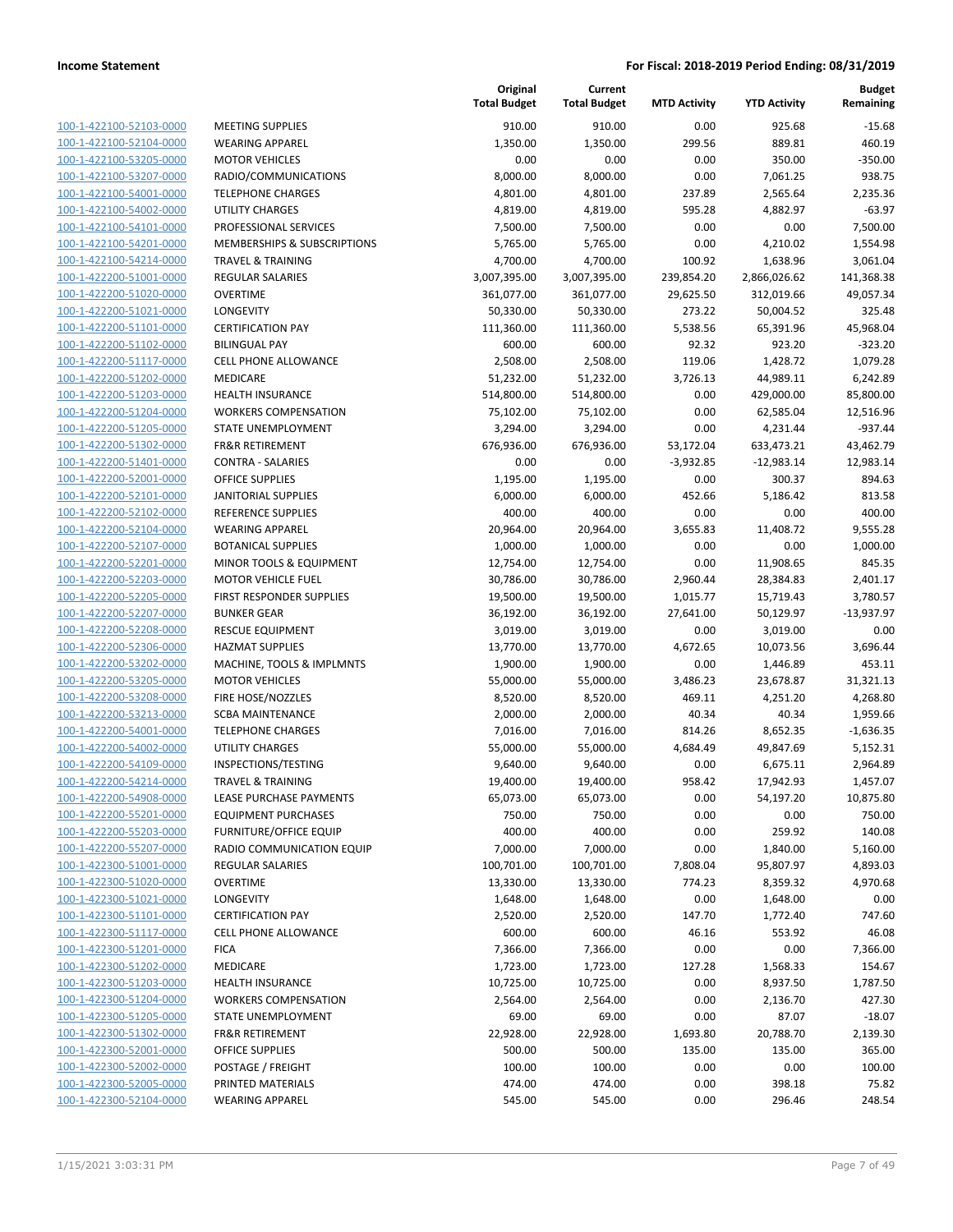| 100-1-422100-52103-0000        |
|--------------------------------|
| 100-1-422100-52104-0000        |
| 100-1-422100-53205-0000        |
| 100-1-422100-53207-0000        |
| 100-1-422100-54001-0000        |
| 100-1-422100-54002-0000        |
| 100-1-422100-54101-0000        |
| 100-1-422100-54201-0000        |
| 100-1-422100-54214-0000        |
| 100-1-422200-51001-0000        |
| 100-1-422200-51020-0000        |
| 100-1-422200-51021-0000        |
| 100-1-422200-51101-0000        |
| 100-1-422200-51102-0000        |
| 100-1-422200-51117-0000        |
| 100-1-422200-51202-0000        |
| 100-1-422200-51203-0000        |
| 100-1-422200-51204-0000        |
| 100-1-422200-51205-0000        |
| 100-1-422200-51302-0000        |
| 100-1-422200-51401-0000        |
| 100-1-422200-52001-0000        |
| 100-1-422200-52101-0000        |
| 100-1-422200-52102-0000        |
| 100-1-422200-52104-0000        |
| 100-1-422200-52107-0000        |
| 100-1-422200-52201-0000        |
| 100-1-422200-52203-0000        |
| 100-1-422200-52205-0000        |
| 100-1-422200-52207-0000        |
| 100-1-422200-52208-0000        |
| 100-1-422200-52306-0000        |
| 100-1-422200-53202-0000        |
| 100-1-422200-53205-0000        |
| 100-1-422200-53208-0000        |
| 100-1-422200-53213-0000        |
| 100-1-422200-54001-0000        |
| 100-1-422200-54002-0000        |
| 100-1-422200-54109-0000        |
| 100-1-422200-54214-0000        |
| 100-1-422200-54908-0000        |
| 100-1-422200-55201-0000        |
| <u>100-1-422200-55203-0000</u> |
| <u>100-1-422200-55207-0000</u> |
| <u>100-1-422300-51001-0000</u> |
| 100-1-422300-51020-0000        |
| 100-1-422300-51021-0000        |
| 100-1-422300-51101-0000        |
| <u>100-1-422300-51117-0000</u> |
| <u>100-1-422300-51201-0000</u> |
| 100-1-422300-51202-0000        |
| 100-1-422300-51203-0000        |
| 100-1-422300-51204-0000        |
| <u>100-1-422300-51205-0000</u> |
| <u>100-1-422300-51302-0000</u> |
| <u>100-1-422300-52001-0000</u> |
| <u>100-1-422300-52002-0000</u> |
| <u>100-1-422300-52005-0000</u> |
| <u>100-1-422300-52104-0000</u> |

|                         |                               | Original<br><b>Total Budget</b> | Current<br><b>Total Budget</b> | <b>MTD Activity</b> | <b>YTD Activity</b> | <b>Budget</b><br>Remaining |
|-------------------------|-------------------------------|---------------------------------|--------------------------------|---------------------|---------------------|----------------------------|
| 100-1-422100-52103-0000 | <b>MEETING SUPPLIES</b>       | 910.00                          | 910.00                         | 0.00                | 925.68              | $-15.68$                   |
| 100-1-422100-52104-0000 | <b>WEARING APPAREL</b>        | 1,350.00                        | 1,350.00                       | 299.56              | 889.81              | 460.19                     |
| 100-1-422100-53205-0000 | <b>MOTOR VEHICLES</b>         | 0.00                            | 0.00                           | 0.00                | 350.00              | $-350.00$                  |
| 100-1-422100-53207-0000 | RADIO/COMMUNICATIONS          | 8,000.00                        | 8,000.00                       | 0.00                | 7,061.25            | 938.75                     |
| 100-1-422100-54001-0000 | <b>TELEPHONE CHARGES</b>      | 4,801.00                        | 4,801.00                       | 237.89              | 2,565.64            | 2,235.36                   |
| 100-1-422100-54002-0000 | <b>UTILITY CHARGES</b>        | 4,819.00                        | 4,819.00                       | 595.28              | 4,882.97            | $-63.97$                   |
| 100-1-422100-54101-0000 | PROFESSIONAL SERVICES         | 7,500.00                        | 7,500.00                       | 0.00                | 0.00                | 7,500.00                   |
| 100-1-422100-54201-0000 | MEMBERSHIPS & SUBSCRIPTIONS   | 5,765.00                        | 5,765.00                       | 0.00                | 4,210.02            | 1,554.98                   |
| 100-1-422100-54214-0000 | <b>TRAVEL &amp; TRAINING</b>  | 4,700.00                        | 4,700.00                       | 100.92              | 1,638.96            | 3,061.04                   |
| 100-1-422200-51001-0000 | <b>REGULAR SALARIES</b>       | 3,007,395.00                    | 3,007,395.00                   | 239,854.20          | 2,866,026.62        | 141,368.38                 |
| 100-1-422200-51020-0000 | <b>OVERTIME</b>               | 361,077.00                      | 361,077.00                     | 29,625.50           | 312,019.66          | 49,057.34                  |
| 100-1-422200-51021-0000 | LONGEVITY                     | 50,330.00                       | 50,330.00                      | 273.22              | 50,004.52           | 325.48                     |
| 100-1-422200-51101-0000 | <b>CERTIFICATION PAY</b>      | 111,360.00                      | 111,360.00                     | 5,538.56            | 65,391.96           | 45,968.04                  |
| 100-1-422200-51102-0000 | <b>BILINGUAL PAY</b>          | 600.00                          | 600.00                         | 92.32               | 923.20              | $-323.20$                  |
| 100-1-422200-51117-0000 | CELL PHONE ALLOWANCE          | 2,508.00                        | 2,508.00                       | 119.06              | 1,428.72            | 1,079.28                   |
| 100-1-422200-51202-0000 | MEDICARE                      | 51,232.00                       | 51,232.00                      | 3,726.13            | 44,989.11           | 6,242.89                   |
| 100-1-422200-51203-0000 | <b>HEALTH INSURANCE</b>       | 514,800.00                      | 514,800.00                     | 0.00                | 429,000.00          | 85,800.00                  |
| 100-1-422200-51204-0000 | <b>WORKERS COMPENSATION</b>   | 75,102.00                       | 75,102.00                      | 0.00                | 62,585.04           | 12,516.96                  |
| 100-1-422200-51205-0000 | STATE UNEMPLOYMENT            | 3,294.00                        | 3,294.00                       | 0.00                | 4,231.44            | $-937.44$                  |
| 100-1-422200-51302-0000 | <b>FR&amp;R RETIREMENT</b>    | 676,936.00                      | 676,936.00                     | 53,172.04           | 633,473.21          | 43,462.79                  |
| 100-1-422200-51401-0000 | <b>CONTRA - SALARIES</b>      | 0.00                            | 0.00                           | $-3,932.85$         | $-12,983.14$        | 12,983.14                  |
| 100-1-422200-52001-0000 | <b>OFFICE SUPPLIES</b>        | 1,195.00                        | 1,195.00                       | 0.00                | 300.37              | 894.63                     |
| 100-1-422200-52101-0000 | <b>JANITORIAL SUPPLIES</b>    | 6,000.00                        | 6,000.00                       | 452.66              | 5,186.42            | 813.58                     |
| 100-1-422200-52102-0000 | REFERENCE SUPPLIES            | 400.00                          | 400.00                         | 0.00                | 0.00                | 400.00                     |
| 100-1-422200-52104-0000 | <b>WEARING APPAREL</b>        | 20,964.00                       | 20,964.00                      | 3,655.83            | 11,408.72           | 9,555.28                   |
| 100-1-422200-52107-0000 | <b>BOTANICAL SUPPLIES</b>     | 1,000.00                        | 1,000.00                       | 0.00                | 0.00                | 1,000.00                   |
| 100-1-422200-52201-0000 | MINOR TOOLS & EQUIPMENT       | 12,754.00                       | 12,754.00                      | 0.00                | 11,908.65           | 845.35                     |
| 100-1-422200-52203-0000 | <b>MOTOR VEHICLE FUEL</b>     | 30,786.00                       | 30,786.00                      | 2,960.44            | 28,384.83           | 2,401.17                   |
| 100-1-422200-52205-0000 | FIRST RESPONDER SUPPLIES      | 19,500.00                       | 19,500.00                      | 1,015.77            | 15,719.43           | 3,780.57                   |
| 100-1-422200-52207-0000 | <b>BUNKER GEAR</b>            | 36,192.00                       | 36,192.00                      | 27,641.00           | 50,129.97           | $-13,937.97$               |
| 100-1-422200-52208-0000 | <b>RESCUE EQUIPMENT</b>       | 3,019.00                        | 3,019.00                       | 0.00                | 3,019.00            | 0.00                       |
| 100-1-422200-52306-0000 | <b>HAZMAT SUPPLIES</b>        | 13,770.00                       | 13,770.00                      | 4,672.65            | 10,073.56           | 3,696.44                   |
| 100-1-422200-53202-0000 | MACHINE, TOOLS & IMPLMNTS     | 1,900.00                        | 1,900.00                       | 0.00                | 1,446.89            | 453.11                     |
| 100-1-422200-53205-0000 | <b>MOTOR VEHICLES</b>         | 55,000.00                       | 55,000.00                      | 3,486.23            | 23,678.87           | 31,321.13                  |
| 100-1-422200-53208-0000 | FIRE HOSE/NOZZLES             | 8,520.00                        | 8,520.00                       | 469.11              | 4,251.20            | 4,268.80                   |
| 100-1-422200-53213-0000 | <b>SCBA MAINTENANCE</b>       | 2,000.00                        | 2,000.00                       | 40.34               | 40.34               | 1,959.66                   |
| 100-1-422200-54001-0000 | <b>TELEPHONE CHARGES</b>      | 7,016.00                        | 7,016.00                       | 814.26              | 8,652.35            | $-1,636.35$                |
| 100-1-422200-54002-0000 | UTILITY CHARGES               | 55,000.00                       | 55,000.00                      | 4,684.49            | 49,847.69           | 5,152.31                   |
| 100-1-422200-54109-0000 | INSPECTIONS/TESTING           | 9,640.00                        | 9,640.00                       | 0.00                | 6,675.11            | 2,964.89                   |
| 100-1-422200-54214-0000 | <b>TRAVEL &amp; TRAINING</b>  | 19,400.00                       | 19,400.00                      | 958.42              | 17,942.93           | 1,457.07                   |
| 100-1-422200-54908-0000 | LEASE PURCHASE PAYMENTS       | 65,073.00                       | 65,073.00                      | 0.00                | 54,197.20           | 10,875.80                  |
| 100-1-422200-55201-0000 | <b>EQUIPMENT PURCHASES</b>    | 750.00                          | 750.00                         | 0.00                | 0.00                | 750.00                     |
| 100-1-422200-55203-0000 | <b>FURNITURE/OFFICE EQUIP</b> | 400.00                          | 400.00                         | 0.00                | 259.92              | 140.08                     |
| 100-1-422200-55207-0000 | RADIO COMMUNICATION EQUIP     | 7,000.00                        | 7,000.00                       | 0.00                | 1,840.00            | 5,160.00                   |
| 100-1-422300-51001-0000 | <b>REGULAR SALARIES</b>       | 100,701.00                      | 100,701.00                     | 7,808.04            | 95,807.97           | 4,893.03                   |
| 100-1-422300-51020-0000 | <b>OVERTIME</b>               | 13,330.00                       | 13,330.00                      | 774.23              | 8,359.32            | 4,970.68                   |
| 100-1-422300-51021-0000 | LONGEVITY                     | 1,648.00                        | 1,648.00                       | 0.00                | 1,648.00            | 0.00                       |
| 100-1-422300-51101-0000 | <b>CERTIFICATION PAY</b>      | 2,520.00                        | 2,520.00                       | 147.70              | 1,772.40            | 747.60                     |
| 100-1-422300-51117-0000 | <b>CELL PHONE ALLOWANCE</b>   | 600.00                          | 600.00                         | 46.16               | 553.92              | 46.08                      |
| 100-1-422300-51201-0000 | <b>FICA</b>                   | 7,366.00                        | 7,366.00                       | 0.00                | 0.00                | 7,366.00                   |
| 100-1-422300-51202-0000 | MEDICARE                      | 1,723.00                        | 1,723.00                       | 127.28              | 1,568.33            | 154.67                     |
| 100-1-422300-51203-0000 | HEALTH INSURANCE              | 10,725.00                       | 10,725.00                      | 0.00                | 8,937.50            | 1,787.50                   |
| 100-1-422300-51204-0000 | <b>WORKERS COMPENSATION</b>   | 2,564.00                        | 2,564.00                       | 0.00                | 2,136.70            | 427.30                     |
| 100-1-422300-51205-0000 | STATE UNEMPLOYMENT            | 69.00                           | 69.00                          | 0.00                | 87.07               | $-18.07$                   |
| 100-1-422300-51302-0000 | FR&R RETIREMENT               | 22,928.00                       | 22,928.00                      | 1,693.80            | 20,788.70           | 2,139.30                   |
| 100-1-422300-52001-0000 | <b>OFFICE SUPPLIES</b>        | 500.00                          | 500.00                         | 135.00              | 135.00              | 365.00                     |
| 100-1-422300-52002-0000 | POSTAGE / FREIGHT             | 100.00                          | 100.00                         | 0.00                | 0.00                | 100.00                     |
| 100-1-422300-52005-0000 | PRINTED MATERIALS             | 474.00                          | 474.00                         | 0.00                | 398.18              | 75.82                      |
| 100-1-422300-52104-0000 | <b>WEARING APPAREL</b>        | 545.00                          | 545.00                         | 0.00                | 296.46              | 248.54                     |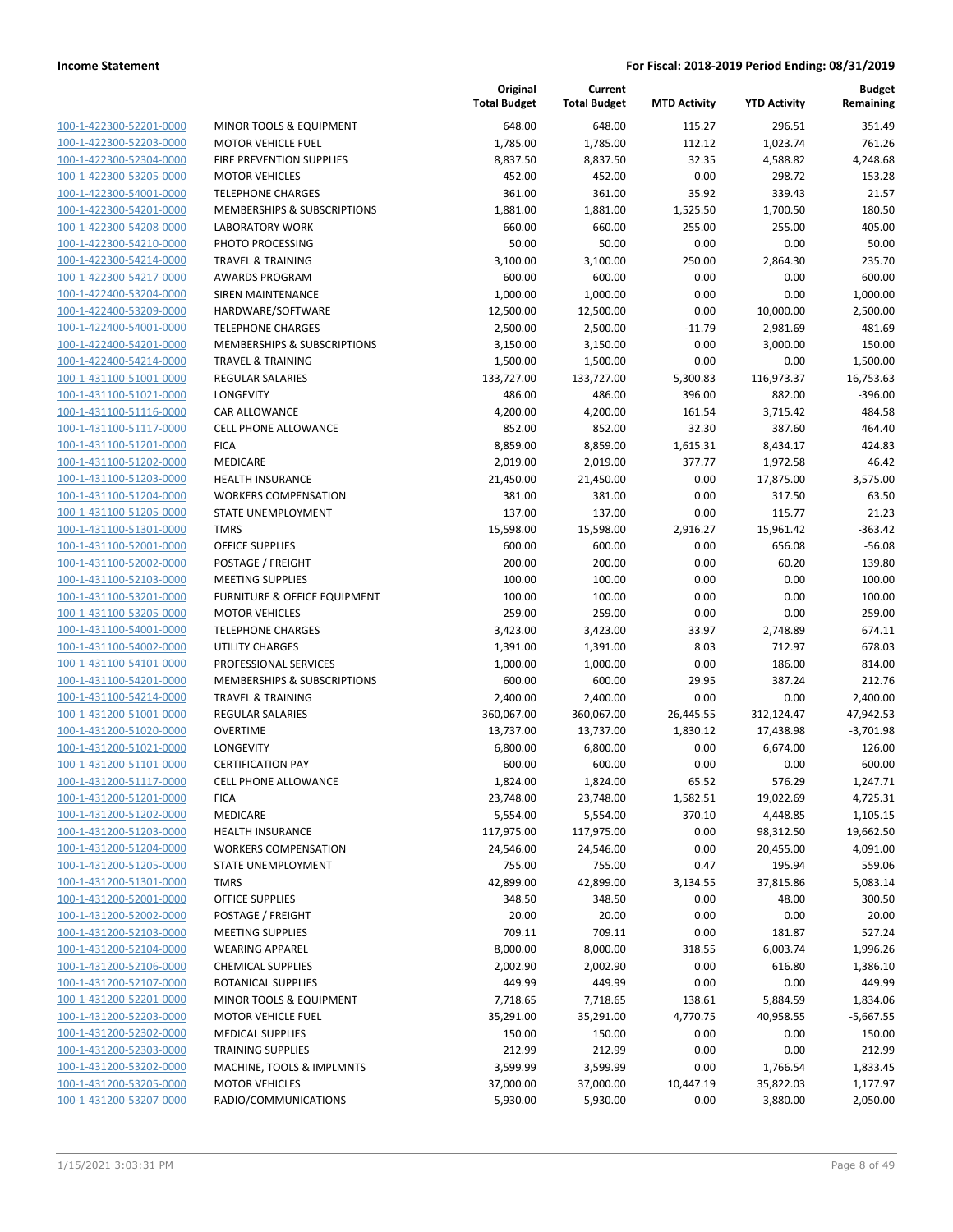| 100-1-422300-52201-0000        |
|--------------------------------|
| 100-1-422300-52203-0000        |
| <u>100-1-422300-52304-0000</u> |
| 100-1-422300-53205-0000        |
| 100-1-422300-54001-0000        |
|                                |
| 100-1-422300-54201-0000        |
| 100-1-422300-54208-0000        |
| 100-1-422300-54210-0000        |
| 100-1-422300-54214-0000        |
| 100-1-422300-54217-0000        |
| 100-1-422400-53204-0000        |
| 100-1-422400-53209-0000        |
| 100-1-422400-54001-0000        |
|                                |
| <u>100-1-422400-54201-0000</u> |
| 100-1-422400-54214-0000        |
| 100-1-431100-51001-0000        |
| 100-1-431100-51021-0000        |
| <u>100-1-431100-51116-0000</u> |
| 100-1-431100-51117-0000        |
| 100-1-431100-51201-0000        |
| 100-1-431100-51202-0000        |
| 100-1-431100-51203-0000        |
| <u>100-1-431100-51204-0000</u> |
| 100-1-431100-51205-0000        |
| 100-1-431100-51301-0000        |
|                                |
| 100-1-431100-52001-0000        |
| 100-1-431100-52002-0000        |
| <u>100-1-431100-52103-0000</u> |
| 100-1-431100-53201-0000        |
| 100-1-431100-53205-0000        |
| 100-1-431100-54001-0000        |
| 100-1-431100-54002-0000        |
| <u>100-1-431100-54101-0000</u> |
| 100-1-431100-54201-0000        |
| 100-1-431100-54214-0000        |
| 100-1-431200-51001-0000        |
|                                |
| 100-1-431200-51020-0000        |
| 100-1-431200-51021-0000        |
| 100-1-431200-51101-0000        |
| 100-1-431200-51117-0000        |
| 100-1-431200-51201-0000        |
| 100-1-431200-51202-0000        |
| <u>100-1-431200-51203-0000</u> |
| 100-1-431200-51204-0000        |
| 100-1-431200-51205-0000        |
| 100-1-431200-51301-0000        |
|                                |
| <u>100-1-431200-52001-0000</u> |
| 100-1-431200-52002-0000        |
| <u>100-1-431200-52103-0000</u> |
| 100-1-431200-52104-0000        |
| 100-1-431200-52106-0000        |
| 100-1-431200-52107-0000        |
| 100-1-431200-52201-0000        |
| <u>100-1-431200-52203-0000</u> |
| <u>100-1-431200-52302-0000</u> |
| 100-1-431200-52303-0000        |
|                                |
| <u>100-1-431200-53202-0000</u> |
| 100-1-431200-53205-0000        |
| <u>100-1-431200-53207-0000</u> |

|                                                    |                                        | Original<br><b>Total Budget</b> | Current<br><b>Total Budget</b> | <b>MTD Activity</b> | <b>YTD Activity</b> | <b>Budget</b><br>Remaining |
|----------------------------------------------------|----------------------------------------|---------------------------------|--------------------------------|---------------------|---------------------|----------------------------|
| 100-1-422300-52201-0000                            | MINOR TOOLS & EQUIPMENT                | 648.00                          | 648.00                         | 115.27              | 296.51              | 351.49                     |
| 100-1-422300-52203-0000                            | <b>MOTOR VEHICLE FUEL</b>              | 1,785.00                        | 1,785.00                       | 112.12              | 1,023.74            | 761.26                     |
| 100-1-422300-52304-0000                            | FIRE PREVENTION SUPPLIES               | 8,837.50                        | 8,837.50                       | 32.35               | 4,588.82            | 4,248.68                   |
| 100-1-422300-53205-0000                            | <b>MOTOR VEHICLES</b>                  | 452.00                          | 452.00                         | 0.00                | 298.72              | 153.28                     |
| 100-1-422300-54001-0000                            | <b>TELEPHONE CHARGES</b>               | 361.00                          | 361.00                         | 35.92               | 339.43              | 21.57                      |
| 100-1-422300-54201-0000                            | <b>MEMBERSHIPS &amp; SUBSCRIPTIONS</b> | 1,881.00                        | 1,881.00                       | 1,525.50            | 1,700.50            | 180.50                     |
| 100-1-422300-54208-0000                            | <b>LABORATORY WORK</b>                 | 660.00                          | 660.00                         | 255.00              | 255.00              | 405.00                     |
| 100-1-422300-54210-0000                            | PHOTO PROCESSING                       | 50.00                           | 50.00                          | 0.00                | 0.00                | 50.00                      |
| 100-1-422300-54214-0000                            | <b>TRAVEL &amp; TRAINING</b>           | 3,100.00                        | 3,100.00                       | 250.00              | 2,864.30            | 235.70                     |
| 100-1-422300-54217-0000                            | <b>AWARDS PROGRAM</b>                  | 600.00                          | 600.00                         | 0.00                | 0.00                | 600.00                     |
| 100-1-422400-53204-0000                            | <b>SIREN MAINTENANCE</b>               | 1,000.00                        | 1,000.00                       | 0.00                | 0.00                | 1,000.00                   |
| 100-1-422400-53209-0000                            | HARDWARE/SOFTWARE                      | 12,500.00                       | 12,500.00                      | 0.00                | 10,000.00           | 2,500.00                   |
| 100-1-422400-54001-0000                            | <b>TELEPHONE CHARGES</b>               | 2,500.00                        | 2,500.00                       | $-11.79$            | 2,981.69            | $-481.69$                  |
| 100-1-422400-54201-0000                            | MEMBERSHIPS & SUBSCRIPTIONS            | 3,150.00                        | 3,150.00                       | 0.00                | 3,000.00            | 150.00                     |
| 100-1-422400-54214-0000                            | <b>TRAVEL &amp; TRAINING</b>           | 1,500.00                        | 1,500.00                       | 0.00                | 0.00                | 1,500.00                   |
| 100-1-431100-51001-0000                            | <b>REGULAR SALARIES</b>                | 133,727.00                      | 133,727.00                     | 5,300.83            | 116,973.37          | 16,753.63                  |
| 100-1-431100-51021-0000                            | LONGEVITY                              | 486.00                          | 486.00                         | 396.00              | 882.00              | $-396.00$                  |
| 100-1-431100-51116-0000                            | CAR ALLOWANCE                          | 4,200.00                        | 4,200.00                       | 161.54              | 3,715.42            | 484.58                     |
| 100-1-431100-51117-0000                            | <b>CELL PHONE ALLOWANCE</b>            | 852.00                          | 852.00                         | 32.30               | 387.60              | 464.40                     |
| 100-1-431100-51201-0000                            | <b>FICA</b>                            | 8,859.00                        | 8,859.00                       | 1,615.31            | 8,434.17            | 424.83                     |
| 100-1-431100-51202-0000                            | <b>MEDICARE</b>                        | 2,019.00                        | 2,019.00                       | 377.77              | 1,972.58            | 46.42                      |
| 100-1-431100-51203-0000                            | <b>HEALTH INSURANCE</b>                | 21,450.00                       | 21,450.00                      | 0.00                | 17,875.00           | 3,575.00                   |
| 100-1-431100-51204-0000                            | <b>WORKERS COMPENSATION</b>            | 381.00                          | 381.00                         | 0.00                | 317.50              | 63.50                      |
| 100-1-431100-51205-0000                            | STATE UNEMPLOYMENT                     | 137.00                          | 137.00                         | 0.00                | 115.77              | 21.23                      |
| 100-1-431100-51301-0000                            | <b>TMRS</b>                            | 15,598.00                       | 15,598.00                      | 2,916.27            | 15,961.42           | $-363.42$                  |
| 100-1-431100-52001-0000                            | <b>OFFICE SUPPLIES</b>                 | 600.00                          | 600.00                         | 0.00                | 656.08              | $-56.08$                   |
| 100-1-431100-52002-0000                            | POSTAGE / FREIGHT                      | 200.00                          | 200.00                         | 0.00                | 60.20               | 139.80                     |
| 100-1-431100-52103-0000                            | <b>MEETING SUPPLIES</b>                | 100.00                          | 100.00                         | 0.00                | 0.00                | 100.00                     |
| 100-1-431100-53201-0000                            | FURNITURE & OFFICE EQUIPMENT           | 100.00                          | 100.00                         | 0.00                | 0.00                | 100.00                     |
| 100-1-431100-53205-0000                            | <b>MOTOR VEHICLES</b>                  | 259.00                          | 259.00                         | 0.00                | 0.00                | 259.00                     |
| 100-1-431100-54001-0000                            | <b>TELEPHONE CHARGES</b>               | 3,423.00                        | 3,423.00                       | 33.97               | 2,748.89            | 674.11                     |
| 100-1-431100-54002-0000                            | UTILITY CHARGES                        | 1,391.00                        | 1,391.00                       | 8.03                | 712.97              | 678.03                     |
| 100-1-431100-54101-0000                            | PROFESSIONAL SERVICES                  | 1,000.00                        | 1,000.00                       | 0.00                | 186.00              | 814.00                     |
| 100-1-431100-54201-0000                            | MEMBERSHIPS & SUBSCRIPTIONS            | 600.00                          | 600.00                         | 29.95               | 387.24              | 212.76                     |
| 100-1-431100-54214-0000                            | <b>TRAVEL &amp; TRAINING</b>           | 2,400.00                        | 2,400.00                       | 0.00                | 0.00                | 2,400.00                   |
| 100-1-431200-51001-0000                            | REGULAR SALARIES                       | 360,067.00                      | 360,067.00                     | 26,445.55           | 312,124.47          | 47,942.53                  |
| 100-1-431200-51020-0000                            | <b>OVERTIME</b>                        | 13,737.00                       | 13,737.00                      | 1,830.12            | 17,438.98           | $-3,701.98$                |
| 100-1-431200-51021-0000<br>100-1-431200-51101-0000 | LONGEVITY                              | 6,800.00                        | 6,800.00                       | 0.00                | 6,674.00            | 126.00                     |
|                                                    | <b>CERTIFICATION PAY</b>               | 600.00                          | 600.00                         | 0.00<br>65.52       | 0.00<br>576.29      | 600.00                     |
| 100-1-431200-51117-0000<br>100-1-431200-51201-0000 | <b>CELL PHONE ALLOWANCE</b>            | 1,824.00                        | 1,824.00                       | 1,582.51            | 19,022.69           | 1,247.71                   |
| 100-1-431200-51202-0000                            | <b>FICA</b><br>MEDICARE                | 23,748.00<br>5,554.00           | 23,748.00<br>5,554.00          | 370.10              | 4,448.85            | 4,725.31<br>1,105.15       |
| 100-1-431200-51203-0000                            | <b>HEALTH INSURANCE</b>                | 117,975.00                      | 117,975.00                     | 0.00                | 98,312.50           | 19,662.50                  |
| 100-1-431200-51204-0000                            | <b>WORKERS COMPENSATION</b>            | 24,546.00                       | 24,546.00                      | 0.00                | 20,455.00           | 4,091.00                   |
| 100-1-431200-51205-0000                            | STATE UNEMPLOYMENT                     | 755.00                          | 755.00                         | 0.47                | 195.94              | 559.06                     |
| 100-1-431200-51301-0000                            | <b>TMRS</b>                            | 42,899.00                       | 42,899.00                      | 3,134.55            | 37,815.86           | 5,083.14                   |
| 100-1-431200-52001-0000                            | <b>OFFICE SUPPLIES</b>                 | 348.50                          | 348.50                         | 0.00                | 48.00               | 300.50                     |
| 100-1-431200-52002-0000                            | POSTAGE / FREIGHT                      | 20.00                           | 20.00                          | 0.00                | 0.00                | 20.00                      |
| 100-1-431200-52103-0000                            | <b>MEETING SUPPLIES</b>                | 709.11                          | 709.11                         | 0.00                | 181.87              | 527.24                     |
| 100-1-431200-52104-0000                            | <b>WEARING APPAREL</b>                 | 8,000.00                        | 8,000.00                       | 318.55              | 6,003.74            | 1,996.26                   |
| 100-1-431200-52106-0000                            | <b>CHEMICAL SUPPLIES</b>               | 2,002.90                        | 2,002.90                       | 0.00                | 616.80              | 1,386.10                   |
| 100-1-431200-52107-0000                            | <b>BOTANICAL SUPPLIES</b>              | 449.99                          | 449.99                         | 0.00                | 0.00                | 449.99                     |
| 100-1-431200-52201-0000                            | MINOR TOOLS & EQUIPMENT                | 7,718.65                        | 7,718.65                       | 138.61              | 5,884.59            | 1,834.06                   |
| 100-1-431200-52203-0000                            | <b>MOTOR VEHICLE FUEL</b>              | 35,291.00                       | 35,291.00                      | 4,770.75            | 40,958.55           | $-5,667.55$                |
| 100-1-431200-52302-0000                            | <b>MEDICAL SUPPLIES</b>                | 150.00                          | 150.00                         | 0.00                | 0.00                | 150.00                     |
| 100-1-431200-52303-0000                            | <b>TRAINING SUPPLIES</b>               | 212.99                          | 212.99                         | 0.00                | 0.00                | 212.99                     |
| 100-1-431200-53202-0000                            | MACHINE, TOOLS & IMPLMNTS              | 3,599.99                        | 3,599.99                       | 0.00                | 1,766.54            | 1,833.45                   |
| 100-1-431200-53205-0000                            | <b>MOTOR VEHICLES</b>                  | 37,000.00                       | 37,000.00                      | 10,447.19           | 35,822.03           | 1,177.97                   |
| 100-1-431200-53207-0000                            | RADIO/COMMUNICATIONS                   | 5,930.00                        | 5,930.00                       | 0.00                | 3,880.00            | 2,050.00                   |
|                                                    |                                        |                                 |                                |                     |                     |                            |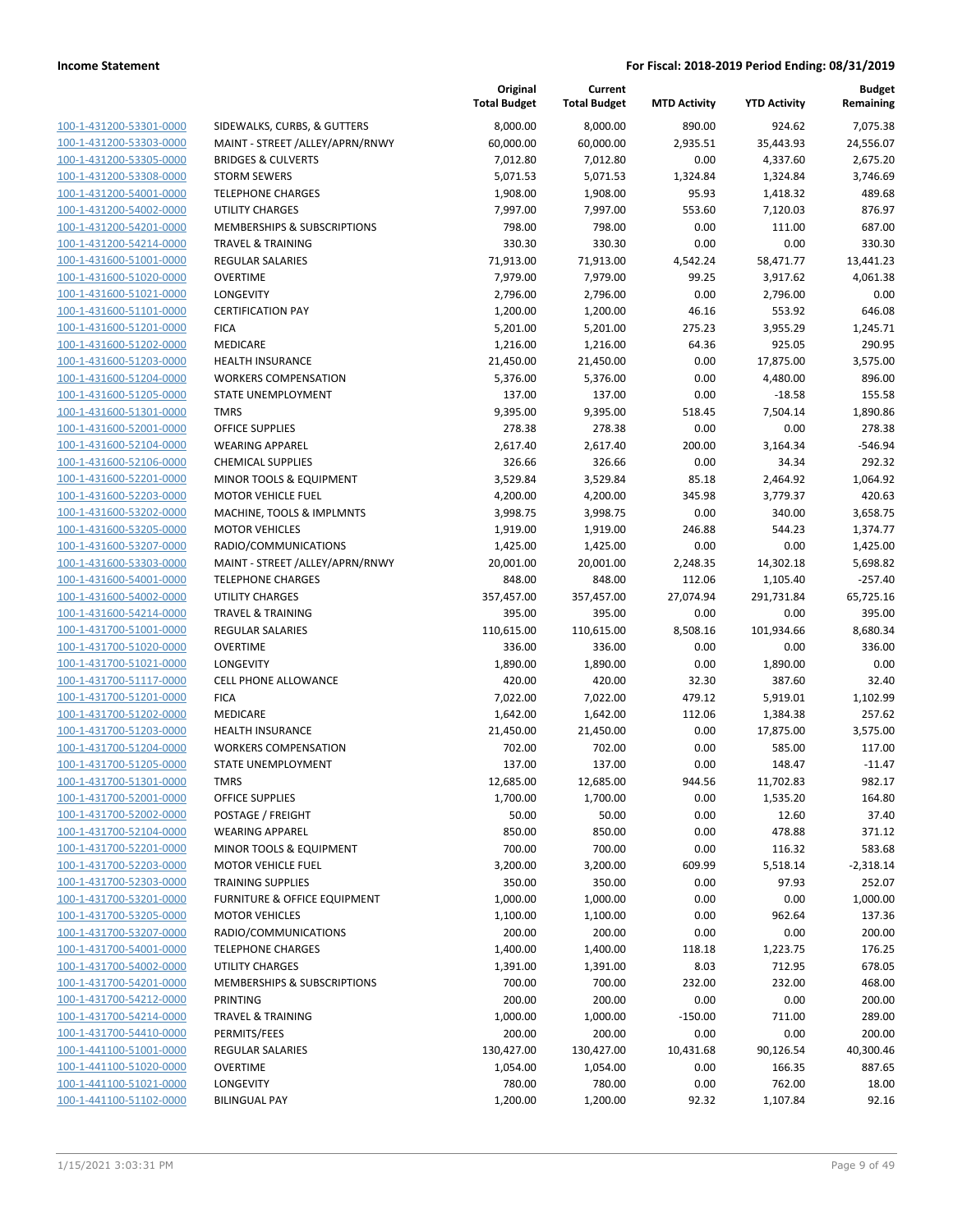| 100-1-431200-53301-0000                            | SIDEWALK!                 |
|----------------------------------------------------|---------------------------|
| 100-1-431200-53303-0000                            | <b>MAINT - ST</b>         |
| 100-1-431200-53305-0000                            | <b>BRIDGES&amp;</b>       |
| 100-1-431200-53308-0000                            | <b>STORM SEV</b>          |
| 100-1-431200-54001-0000                            | TELEPHON                  |
| 100-1-431200-54002-0000                            | UTILITY CH                |
| 100-1-431200-54201-0000                            | <b>MEMBERS</b>            |
| 100-1-431200-54214-0000                            | TRAVEL & 1                |
| 100-1-431600-51001-0000                            | <b>REGULAR S</b>          |
| 100-1-431600-51020-0000                            | <b>OVERTIME</b>           |
| 100-1-431600-51021-0000                            | <b>LONGEVITY</b>          |
| 100-1-431600-51101-0000                            | <b>CERTIFICAT</b>         |
| 100-1-431600-51201-0000                            | <b>FICA</b>               |
| 100-1-431600-51202-0000                            | MEDICARE                  |
| 100-1-431600-51203-0000                            | HEALTH IN:                |
| 100-1-431600-51204-0000                            | <b>WORKERS</b>            |
| 100-1-431600-51205-0000                            | <b>STATE UNE</b>          |
| 100-1-431600-51301-0000                            | TMRS                      |
| 100-1-431600-52001-0000                            | OFFICE SUP                |
| 100-1-431600-52104-0000                            | WEARING /                 |
| 100-1-431600-52106-0000                            | <b>CHEMICAL</b>           |
| 100-1-431600-52201-0000                            | <b>MINOR TO</b>           |
| 100-1-431600-52203-0000                            | <b>MOTOR VE</b>           |
| 100-1-431600-53202-0000                            | MACHINE,                  |
| 100-1-431600-53205-0000                            | MOTOR VE                  |
| 100-1-431600-53207-0000                            | RADIO/COI                 |
| 100-1-431600-53303-0000                            | MAINT - ST                |
| 100-1-431600-54001-0000                            | TELEPHON                  |
| 100-1-431600-54002-0000                            | UTILITY CH                |
| 100-1-431600-54214-0000                            | TRAVEL & 1                |
| 100-1-431700-51001-0000                            | <b>REGULAR S</b>          |
| 100-1-431700-51020-0000                            | OVERTIME                  |
| 100-1-431700-51021-0000                            | <b>LONGEVITY</b>          |
| 100-1-431700-51117-0000                            | <b>CELL PHON</b>          |
| 100-1-431700-51201-0000                            | <b>FICA</b>               |
| 100-1-431700-51202-0000                            | MEDICARE                  |
| 100-1-431700-51203-0000                            | <b>HEALTH IN:</b>         |
| 100-1-431700-51204-0000                            | <b>WORKERS</b>            |
| 100-1-431700-51205-0000                            | <b>STATE UNE</b>          |
| 100-1-431700-51301-0000                            | TMRS<br><b>OFFICE SUP</b> |
| 100-1-431700-52001-0000                            |                           |
| 100-1-431700-52002-0000<br>100-1-431700-52104-0000 | POSTAGE /<br>WEARING      |
| 100-1-431700-52201-0000                            | MINOR TO                  |
| 100-1-431700-52203-0000                            | <b>MOTOR VE</b>           |
| <u>100-1-431700-52303-0000</u>                     | TRAINING !                |
| 100-1-431700-53201-0000                            | <b>FURNITURE</b>          |
| 100-1-431700-53205-0000                            | <b>MOTOR VE</b>           |
| 100-1-431700-53207-0000                            | RADIO/COI                 |
| 100-1-431700-54001-0000                            | <b>TELEPHON</b>           |
| 100-1-431700-54002-0000                            | UTILITY CH                |
| 100-1-431700-54201-0000                            | <b>MEMBERS</b>            |
| 100-1-431700-54212-0000                            | PRINTING                  |
| 100-1-431700-54214-0000                            | TRAVEL & 1                |
| 100-1-431700-54410-0000                            | PERMITS/F                 |
| <u>100-1-441100-51001-0000</u>                     | REGULAR S                 |
| 100-1-441100-51020-0000                            | OVERTIME                  |
| 100-1-441100-51021-0000                            | <b>LONGEVITY</b>          |
| 100-1-441100-51102-0000                            | <b>BILINGUAL</b>          |
|                                                    |                           |

|                         |                                         | Original<br><b>Total Budget</b> | Current<br><b>Total Budget</b> | <b>MTD Activity</b> | <b>YTD Activity</b> | <b>Budget</b><br>Remaining |
|-------------------------|-----------------------------------------|---------------------------------|--------------------------------|---------------------|---------------------|----------------------------|
| 100-1-431200-53301-0000 | SIDEWALKS, CURBS, & GUTTERS             | 8,000.00                        | 8,000.00                       | 890.00              | 924.62              | 7,075.38                   |
| 100-1-431200-53303-0000 | MAINT - STREET /ALLEY/APRN/RNWY         | 60,000.00                       | 60,000.00                      | 2,935.51            | 35,443.93           | 24,556.07                  |
| 100-1-431200-53305-0000 | <b>BRIDGES &amp; CULVERTS</b>           | 7,012.80                        | 7,012.80                       | 0.00                | 4,337.60            | 2,675.20                   |
| 100-1-431200-53308-0000 | <b>STORM SEWERS</b>                     | 5,071.53                        | 5,071.53                       | 1,324.84            | 1,324.84            | 3,746.69                   |
| 100-1-431200-54001-0000 | <b>TELEPHONE CHARGES</b>                | 1,908.00                        | 1,908.00                       | 95.93               | 1,418.32            | 489.68                     |
| 100-1-431200-54002-0000 | UTILITY CHARGES                         | 7,997.00                        | 7,997.00                       | 553.60              | 7,120.03            | 876.97                     |
| 100-1-431200-54201-0000 | MEMBERSHIPS & SUBSCRIPTIONS             | 798.00                          | 798.00                         | 0.00                | 111.00              | 687.00                     |
| 100-1-431200-54214-0000 | <b>TRAVEL &amp; TRAINING</b>            | 330.30                          | 330.30                         | 0.00                | 0.00                | 330.30                     |
| 100-1-431600-51001-0000 | REGULAR SALARIES                        | 71,913.00                       | 71,913.00                      | 4,542.24            | 58,471.77           | 13,441.23                  |
| 100-1-431600-51020-0000 | <b>OVERTIME</b>                         | 7,979.00                        | 7,979.00                       | 99.25               | 3,917.62            | 4,061.38                   |
| 100-1-431600-51021-0000 | LONGEVITY                               | 2,796.00                        | 2,796.00                       | 0.00                | 2,796.00            | 0.00                       |
| 100-1-431600-51101-0000 | <b>CERTIFICATION PAY</b>                | 1,200.00                        | 1,200.00                       | 46.16               | 553.92              | 646.08                     |
| 100-1-431600-51201-0000 | <b>FICA</b>                             | 5,201.00                        | 5,201.00                       | 275.23              | 3,955.29            | 1,245.71                   |
| 100-1-431600-51202-0000 | MEDICARE                                | 1,216.00                        | 1,216.00                       | 64.36               | 925.05              | 290.95                     |
| 100-1-431600-51203-0000 | <b>HEALTH INSURANCE</b>                 | 21,450.00                       | 21,450.00                      | 0.00                | 17,875.00           | 3,575.00                   |
| 100-1-431600-51204-0000 | <b>WORKERS COMPENSATION</b>             | 5,376.00                        | 5,376.00                       | 0.00                | 4,480.00            | 896.00                     |
| 100-1-431600-51205-0000 | STATE UNEMPLOYMENT                      | 137.00                          | 137.00                         | 0.00                | $-18.58$            | 155.58                     |
| 100-1-431600-51301-0000 | <b>TMRS</b>                             | 9,395.00                        | 9,395.00                       | 518.45              | 7,504.14            | 1,890.86                   |
| 100-1-431600-52001-0000 | <b>OFFICE SUPPLIES</b>                  | 278.38                          | 278.38                         | 0.00                | 0.00                | 278.38                     |
| 100-1-431600-52104-0000 | <b>WEARING APPAREL</b>                  | 2,617.40                        | 2,617.40                       | 200.00              | 3,164.34            | $-546.94$                  |
| 100-1-431600-52106-0000 | <b>CHEMICAL SUPPLIES</b>                | 326.66                          | 326.66                         | 0.00                | 34.34               | 292.32                     |
| 100-1-431600-52201-0000 | MINOR TOOLS & EQUIPMENT                 | 3,529.84                        | 3,529.84                       | 85.18               | 2,464.92            | 1,064.92                   |
| 100-1-431600-52203-0000 | <b>MOTOR VEHICLE FUEL</b>               | 4,200.00                        | 4,200.00                       | 345.98              | 3,779.37            | 420.63                     |
| 100-1-431600-53202-0000 | MACHINE, TOOLS & IMPLMNTS               | 3,998.75                        | 3,998.75                       | 0.00                | 340.00              | 3,658.75                   |
| 100-1-431600-53205-0000 | <b>MOTOR VEHICLES</b>                   | 1,919.00                        | 1,919.00                       | 246.88              | 544.23              | 1,374.77                   |
| 100-1-431600-53207-0000 | RADIO/COMMUNICATIONS                    | 1,425.00                        | 1,425.00                       | 0.00                | 0.00                | 1,425.00                   |
| 100-1-431600-53303-0000 | MAINT - STREET /ALLEY/APRN/RNWY         | 20,001.00                       | 20,001.00                      | 2,248.35            | 14,302.18           | 5,698.82                   |
| 100-1-431600-54001-0000 | <b>TELEPHONE CHARGES</b>                | 848.00                          | 848.00                         | 112.06              | 1,105.40            | $-257.40$                  |
| 100-1-431600-54002-0000 | <b>UTILITY CHARGES</b>                  | 357,457.00                      | 357,457.00                     | 27,074.94           | 291,731.84          | 65,725.16                  |
| 100-1-431600-54214-0000 | <b>TRAVEL &amp; TRAINING</b>            | 395.00                          | 395.00                         | 0.00                | 0.00                | 395.00                     |
| 100-1-431700-51001-0000 | REGULAR SALARIES                        | 110,615.00                      | 110,615.00                     | 8,508.16            | 101,934.66          | 8,680.34                   |
| 100-1-431700-51020-0000 | <b>OVERTIME</b>                         | 336.00                          | 336.00                         | 0.00                | 0.00                | 336.00                     |
| 100-1-431700-51021-0000 | LONGEVITY                               | 1,890.00                        | 1,890.00                       | 0.00                | 1,890.00            | 0.00                       |
| 100-1-431700-51117-0000 | <b>CELL PHONE ALLOWANCE</b>             | 420.00                          | 420.00                         | 32.30               | 387.60              | 32.40                      |
| 100-1-431700-51201-0000 | <b>FICA</b>                             | 7,022.00                        | 7,022.00                       | 479.12              | 5,919.01            | 1,102.99                   |
| 100-1-431700-51202-0000 | MEDICARE                                | 1,642.00                        | 1,642.00                       | 112.06              | 1,384.38            | 257.62                     |
| 100-1-431700-51203-0000 | HEALTH INSURANCE                        | 21,450.00                       | 21,450.00                      | 0.00                | 17,875.00           | 3,575.00                   |
| 100-1-431700-51204-0000 | <b>WORKERS COMPENSATION</b>             | 702.00                          | 702.00                         | 0.00                | 585.00              | 117.00                     |
| 100-1-431700-51205-0000 | STATE UNEMPLOYMENT                      | 137.00                          | 137.00                         | 0.00                | 148.47              | $-11.47$                   |
| 100-1-431700-51301-0000 | <b>TMRS</b>                             | 12,685.00                       | 12,685.00                      | 944.56              | 11,702.83           | 982.17                     |
| 100-1-431700-52001-0000 | <b>OFFICE SUPPLIES</b>                  | 1,700.00                        | 1,700.00                       | 0.00                | 1,535.20            | 164.80                     |
| 100-1-431700-52002-0000 | POSTAGE / FREIGHT                       | 50.00                           | 50.00                          | 0.00                | 12.60               | 37.40                      |
| 100-1-431700-52104-0000 | <b>WEARING APPAREL</b>                  | 850.00                          | 850.00                         | 0.00                | 478.88              | 371.12                     |
| 100-1-431700-52201-0000 | <b>MINOR TOOLS &amp; EQUIPMENT</b>      | 700.00                          | 700.00                         | 0.00                | 116.32              | 583.68                     |
| 100-1-431700-52203-0000 | <b>MOTOR VEHICLE FUEL</b>               | 3,200.00                        | 3,200.00                       | 609.99              | 5,518.14            | $-2,318.14$                |
| 100-1-431700-52303-0000 | <b>TRAINING SUPPLIES</b>                | 350.00                          | 350.00                         | 0.00                | 97.93               | 252.07                     |
| 100-1-431700-53201-0000 | <b>FURNITURE &amp; OFFICE EQUIPMENT</b> | 1,000.00                        | 1,000.00                       | 0.00                | 0.00                | 1,000.00                   |
| 100-1-431700-53205-0000 | <b>MOTOR VEHICLES</b>                   | 1,100.00                        | 1,100.00                       | 0.00                | 962.64              | 137.36                     |
| 100-1-431700-53207-0000 | RADIO/COMMUNICATIONS                    | 200.00                          | 200.00                         | 0.00                | 0.00                | 200.00                     |
| 100-1-431700-54001-0000 | <b>TELEPHONE CHARGES</b>                | 1,400.00                        | 1,400.00                       | 118.18              | 1,223.75            | 176.25                     |
| 100-1-431700-54002-0000 | UTILITY CHARGES                         | 1,391.00                        | 1,391.00                       | 8.03                | 712.95              | 678.05                     |
| 100-1-431700-54201-0000 | MEMBERSHIPS & SUBSCRIPTIONS             | 700.00                          | 700.00                         | 232.00              | 232.00              | 468.00                     |
| 100-1-431700-54212-0000 | PRINTING                                | 200.00                          | 200.00                         | 0.00                | 0.00                | 200.00                     |
| 100-1-431700-54214-0000 | <b>TRAVEL &amp; TRAINING</b>            | 1,000.00                        | 1,000.00                       | $-150.00$           | 711.00              | 289.00                     |
| 100-1-431700-54410-0000 | PERMITS/FEES                            | 200.00                          | 200.00                         | 0.00                | 0.00                | 200.00                     |
| 100-1-441100-51001-0000 | REGULAR SALARIES                        | 130,427.00                      | 130,427.00                     | 10,431.68           | 90,126.54           | 40,300.46                  |
| 100-1-441100-51020-0000 | <b>OVERTIME</b>                         | 1,054.00                        | 1,054.00                       | 0.00                | 166.35              | 887.65                     |
| 100-1-441100-51021-0000 | LONGEVITY                               | 780.00                          | 780.00                         | 0.00                | 762.00              | 18.00                      |
| 100-1-441100-51102-0000 | <b>BILINGUAL PAY</b>                    | 1,200.00                        | 1,200.00                       | 92.32               | 1,107.84            | 92.16                      |
|                         |                                         |                                 |                                |                     |                     |                            |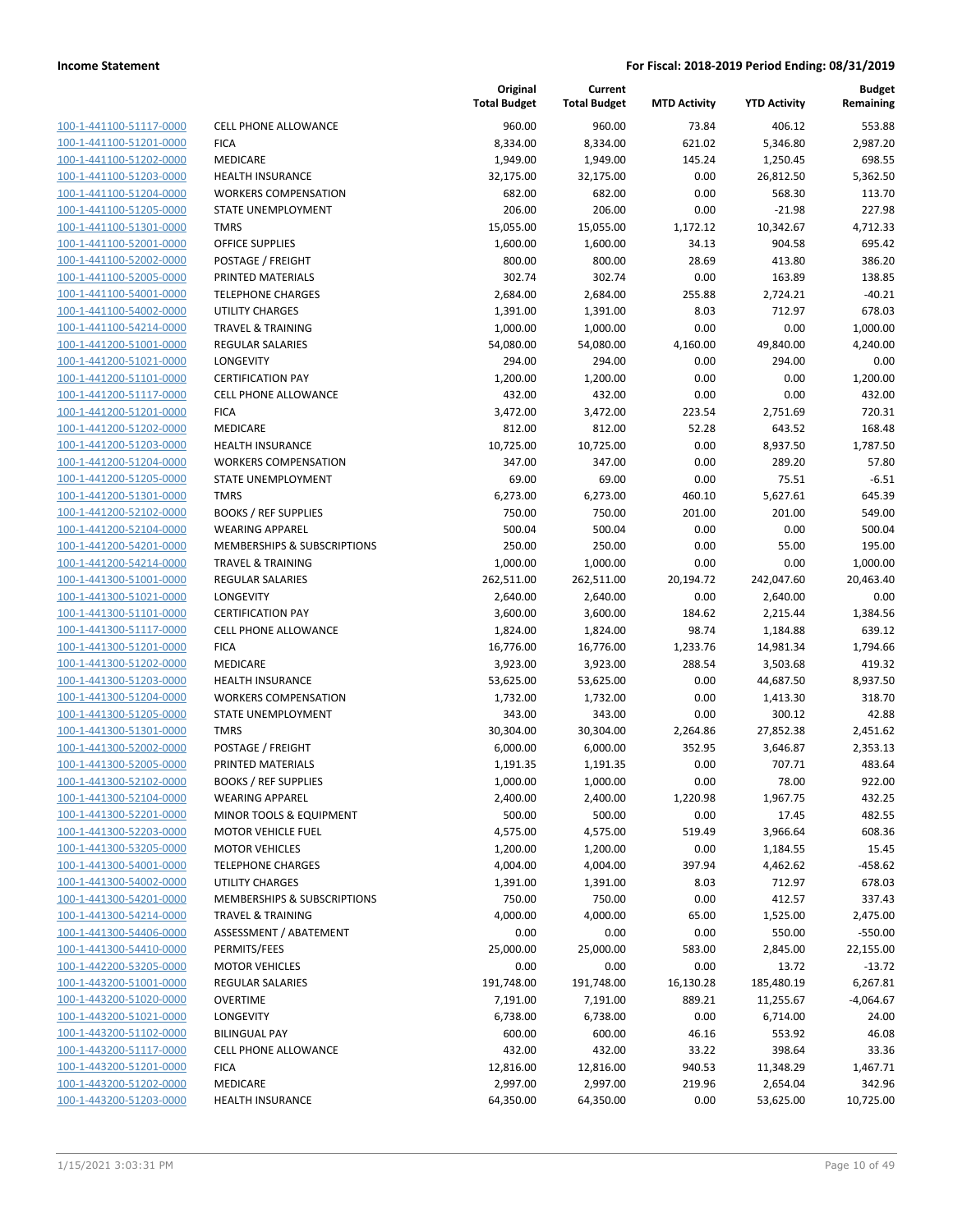| 100-1-441100-51117-0000        |
|--------------------------------|
| 100-1-441100-51201-0000        |
| 100-1-441100-51202-0000        |
| 100-1-441100-51203-0000        |
| 100-1-441100-51204-0000        |
| 100-1-441100-51205-0000        |
| 100-1-441100-51301-0000        |
| 100-1-441100-52001-0000        |
| 100-1-441100-52002-0000        |
| 100-1-441100-52005-0000        |
| 100-1-441100-54001-0000        |
| 100-1-441100-54002-0000        |
| 100-1-441100-54214-0000        |
| 100-1-441200-51001-0000        |
| 100-1-441200-51021-0000        |
| 100-1-441200-51101-0000        |
| 100-1-441200-51117-0000        |
| 100-1-441200-51201-0000        |
| 100-1-441200-51202-0000        |
| 100-1-441200-51203-0000        |
| 100-1-441200-51204-0000        |
| 100-1-441200-51205-0000        |
| 100-1-441200-51301-0000        |
| 100-1-441200-52102-0000        |
| 100-1-441200-52104-0000        |
| 100-1-441200-54201-0000        |
|                                |
| 100-1-441200-54214-0000        |
| 100-1-441300-51001-0000        |
| 100-1-441300-51021-0000        |
| 100-1-441300-51101-0000        |
| 100-1-441300-51117-0000        |
| 100-1-441300-51201-0000        |
| 100-1-441300-51202-0000        |
| 100-1-441300-51203-0000        |
| 100-1-441300-51204-0000        |
| 100-1-441300-51205-0000        |
| 100-1-441300-51301-0000        |
| 100-1-441300-52002-0000        |
| 100-1-441300-52005-0000        |
| 100-1-441300-52102-0000        |
| 100-1-441300-52104-0000        |
| <u>100-1-441300-52201-0000</u> |
| <u>100-1-441300-52203-0000</u> |
| 100-1-441300-53205-0000        |
| 100-1-441300-54001-0000        |
| <u>100-1-441300-54002-0000</u> |
| <u>100-1-441300-54201-0000</u> |
| <u>100-1-441300-54214-0000</u> |
| 100-1-441300-54406-0000        |
| 100-1-441300-54410-0000        |
| <u>100-1-442200-53205-0000</u> |
| <u>100-1-443200-51001-0000</u> |
| <u>100-1-443200-51020-0000</u> |
| 100-1-443200-51021-0000        |
| 100-1-443200-51102-0000        |
| <u>100-1-443200-51117-0000</u> |
| 100-1-443200-51201-0000        |
| <u>100-1-443200-51202-0000</u> |
| 100-1-443200-51203-0000        |
|                                |

|                         |                              | Original<br><b>Total Budget</b> | Current<br><b>Total Budget</b> | <b>MTD Activity</b> | <b>YTD Activity</b> | <b>Budget</b><br>Remaining |
|-------------------------|------------------------------|---------------------------------|--------------------------------|---------------------|---------------------|----------------------------|
| 100-1-441100-51117-0000 | <b>CELL PHONE ALLOWANCE</b>  | 960.00                          | 960.00                         | 73.84               | 406.12              | 553.88                     |
| 100-1-441100-51201-0000 | <b>FICA</b>                  | 8,334.00                        | 8,334.00                       | 621.02              | 5,346.80            | 2,987.20                   |
| 100-1-441100-51202-0000 | MEDICARE                     | 1,949.00                        | 1,949.00                       | 145.24              | 1,250.45            | 698.55                     |
| 100-1-441100-51203-0000 | <b>HEALTH INSURANCE</b>      | 32,175.00                       | 32,175.00                      | 0.00                | 26,812.50           | 5,362.50                   |
| 100-1-441100-51204-0000 | <b>WORKERS COMPENSATION</b>  | 682.00                          | 682.00                         | 0.00                | 568.30              | 113.70                     |
| 100-1-441100-51205-0000 | STATE UNEMPLOYMENT           | 206.00                          | 206.00                         | 0.00                | $-21.98$            | 227.98                     |
| 100-1-441100-51301-0000 | <b>TMRS</b>                  | 15,055.00                       | 15,055.00                      | 1,172.12            | 10,342.67           | 4,712.33                   |
| 100-1-441100-52001-0000 | <b>OFFICE SUPPLIES</b>       | 1,600.00                        | 1,600.00                       | 34.13               | 904.58              | 695.42                     |
| 100-1-441100-52002-0000 | POSTAGE / FREIGHT            | 800.00                          | 800.00                         | 28.69               | 413.80              | 386.20                     |
| 100-1-441100-52005-0000 | PRINTED MATERIALS            | 302.74                          | 302.74                         | 0.00                | 163.89              | 138.85                     |
| 100-1-441100-54001-0000 | <b>TELEPHONE CHARGES</b>     | 2,684.00                        | 2,684.00                       | 255.88              | 2,724.21            | $-40.21$                   |
| 100-1-441100-54002-0000 | UTILITY CHARGES              | 1,391.00                        | 1,391.00                       | 8.03                | 712.97              | 678.03                     |
| 100-1-441100-54214-0000 | <b>TRAVEL &amp; TRAINING</b> | 1,000.00                        | 1,000.00                       | 0.00                | 0.00                | 1,000.00                   |
| 100-1-441200-51001-0000 | <b>REGULAR SALARIES</b>      | 54,080.00                       | 54,080.00                      | 4,160.00            | 49,840.00           | 4,240.00                   |
| 100-1-441200-51021-0000 | LONGEVITY                    | 294.00                          | 294.00                         | 0.00                | 294.00              | 0.00                       |
| 100-1-441200-51101-0000 | <b>CERTIFICATION PAY</b>     | 1,200.00                        | 1,200.00                       | 0.00                | 0.00                | 1,200.00                   |
| 100-1-441200-51117-0000 | <b>CELL PHONE ALLOWANCE</b>  | 432.00                          | 432.00                         | 0.00                | 0.00                | 432.00                     |
| 100-1-441200-51201-0000 | <b>FICA</b>                  | 3,472.00                        | 3,472.00                       | 223.54              | 2,751.69            | 720.31                     |
| 100-1-441200-51202-0000 | MEDICARE                     | 812.00                          | 812.00                         | 52.28               | 643.52              | 168.48                     |
| 100-1-441200-51203-0000 | <b>HEALTH INSURANCE</b>      | 10,725.00                       | 10,725.00                      | 0.00                | 8,937.50            | 1,787.50                   |
| 100-1-441200-51204-0000 | <b>WORKERS COMPENSATION</b>  | 347.00                          | 347.00                         | 0.00                | 289.20              | 57.80                      |
| 100-1-441200-51205-0000 | STATE UNEMPLOYMENT           | 69.00                           | 69.00                          | 0.00                | 75.51               | $-6.51$                    |
| 100-1-441200-51301-0000 | <b>TMRS</b>                  | 6,273.00                        | 6,273.00                       | 460.10              | 5,627.61            | 645.39                     |
| 100-1-441200-52102-0000 | <b>BOOKS / REF SUPPLIES</b>  | 750.00                          | 750.00                         | 201.00              | 201.00              | 549.00                     |
| 100-1-441200-52104-0000 | <b>WEARING APPAREL</b>       | 500.04                          | 500.04                         | 0.00                | 0.00                | 500.04                     |
| 100-1-441200-54201-0000 | MEMBERSHIPS & SUBSCRIPTIONS  | 250.00                          | 250.00                         | 0.00                | 55.00               | 195.00                     |
| 100-1-441200-54214-0000 | <b>TRAVEL &amp; TRAINING</b> | 1,000.00                        | 1,000.00                       | 0.00                | 0.00                | 1,000.00                   |
| 100-1-441300-51001-0000 | <b>REGULAR SALARIES</b>      | 262,511.00                      | 262,511.00                     | 20,194.72           | 242,047.60          | 20,463.40                  |
| 100-1-441300-51021-0000 | <b>LONGEVITY</b>             | 2,640.00                        | 2,640.00                       | 0.00                | 2,640.00            | 0.00                       |
| 100-1-441300-51101-0000 | <b>CERTIFICATION PAY</b>     | 3,600.00                        | 3,600.00                       | 184.62              | 2,215.44            | 1,384.56                   |
| 100-1-441300-51117-0000 | <b>CELL PHONE ALLOWANCE</b>  | 1,824.00                        | 1,824.00                       | 98.74               | 1,184.88            | 639.12                     |
| 100-1-441300-51201-0000 | <b>FICA</b>                  | 16,776.00                       | 16,776.00                      | 1,233.76            | 14,981.34           | 1,794.66                   |
| 100-1-441300-51202-0000 | MEDICARE                     | 3,923.00                        | 3,923.00                       | 288.54              | 3,503.68            | 419.32                     |
| 100-1-441300-51203-0000 | <b>HEALTH INSURANCE</b>      | 53,625.00                       | 53,625.00                      | 0.00                | 44,687.50           | 8,937.50                   |
| 100-1-441300-51204-0000 | <b>WORKERS COMPENSATION</b>  | 1,732.00                        | 1,732.00                       | 0.00                | 1,413.30            | 318.70                     |
| 100-1-441300-51205-0000 | STATE UNEMPLOYMENT           | 343.00                          | 343.00                         | 0.00                | 300.12              | 42.88                      |
| 100-1-441300-51301-0000 | <b>TMRS</b>                  | 30,304.00                       | 30,304.00                      | 2,264.86            | 27,852.38           | 2,451.62                   |
| 100-1-441300-52002-0000 | POSTAGE / FREIGHT            | 6,000.00                        | 6,000.00                       | 352.95              | 3,646.87            | 2,353.13                   |
| 100-1-441300-52005-0000 | PRINTED MATERIALS            | 1,191.35                        | 1,191.35                       | 0.00                | 707.71              | 483.64                     |
| 100-1-441300-52102-0000 | <b>BOOKS / REF SUPPLIES</b>  | 1,000.00                        | 1,000.00                       | 0.00                | 78.00               | 922.00                     |
| 100-1-441300-52104-0000 | <b>WEARING APPAREL</b>       | 2,400.00                        | 2,400.00                       | 1,220.98            | 1,967.75            | 432.25                     |
| 100-1-441300-52201-0000 | MINOR TOOLS & EQUIPMENT      | 500.00                          | 500.00                         | 0.00                | 17.45               | 482.55                     |
| 100-1-441300-52203-0000 | <b>MOTOR VEHICLE FUEL</b>    | 4,575.00                        | 4,575.00                       | 519.49              | 3,966.64            | 608.36                     |
| 100-1-441300-53205-0000 | <b>MOTOR VEHICLES</b>        | 1,200.00                        | 1,200.00                       | 0.00                | 1,184.55            | 15.45                      |
| 100-1-441300-54001-0000 | <b>TELEPHONE CHARGES</b>     | 4,004.00                        | 4,004.00                       | 397.94              | 4,462.62            | $-458.62$                  |
| 100-1-441300-54002-0000 | UTILITY CHARGES              | 1,391.00                        | 1,391.00                       | 8.03                | 712.97              | 678.03                     |
| 100-1-441300-54201-0000 | MEMBERSHIPS & SUBSCRIPTIONS  | 750.00                          | 750.00                         | 0.00                | 412.57              | 337.43                     |
| 100-1-441300-54214-0000 | TRAVEL & TRAINING            | 4,000.00                        | 4,000.00                       | 65.00               | 1,525.00            | 2,475.00                   |
| 100-1-441300-54406-0000 | ASSESSMENT / ABATEMENT       | 0.00                            | 0.00                           | 0.00                | 550.00              | $-550.00$                  |
| 100-1-441300-54410-0000 | PERMITS/FEES                 | 25,000.00                       | 25,000.00                      | 583.00              | 2,845.00            | 22,155.00                  |
| 100-1-442200-53205-0000 | <b>MOTOR VEHICLES</b>        | 0.00                            | 0.00                           | 0.00                | 13.72               | $-13.72$                   |
| 100-1-443200-51001-0000 | <b>REGULAR SALARIES</b>      | 191,748.00                      | 191,748.00                     | 16,130.28           | 185,480.19          | 6,267.81                   |
| 100-1-443200-51020-0000 | <b>OVERTIME</b>              | 7,191.00                        | 7,191.00                       | 889.21              | 11,255.67           | $-4,064.67$                |
| 100-1-443200-51021-0000 | LONGEVITY                    | 6,738.00                        | 6,738.00                       | 0.00                | 6,714.00            | 24.00                      |
| 100-1-443200-51102-0000 | <b>BILINGUAL PAY</b>         | 600.00                          | 600.00                         | 46.16               | 553.92              | 46.08                      |
| 100-1-443200-51117-0000 | CELL PHONE ALLOWANCE         | 432.00                          | 432.00                         | 33.22               | 398.64              | 33.36                      |
| 100-1-443200-51201-0000 | <b>FICA</b>                  | 12,816.00                       | 12,816.00                      | 940.53              | 11,348.29           | 1,467.71                   |
| 100-1-443200-51202-0000 | MEDICARE                     | 2,997.00                        | 2,997.00                       | 219.96              | 2,654.04            | 342.96                     |
| 100-1-443200-51203-0000 | HEALTH INSURANCE             | 64,350.00                       | 64,350.00                      | 0.00                | 53,625.00           | 10,725.00                  |
|                         |                              |                                 |                                |                     |                     |                            |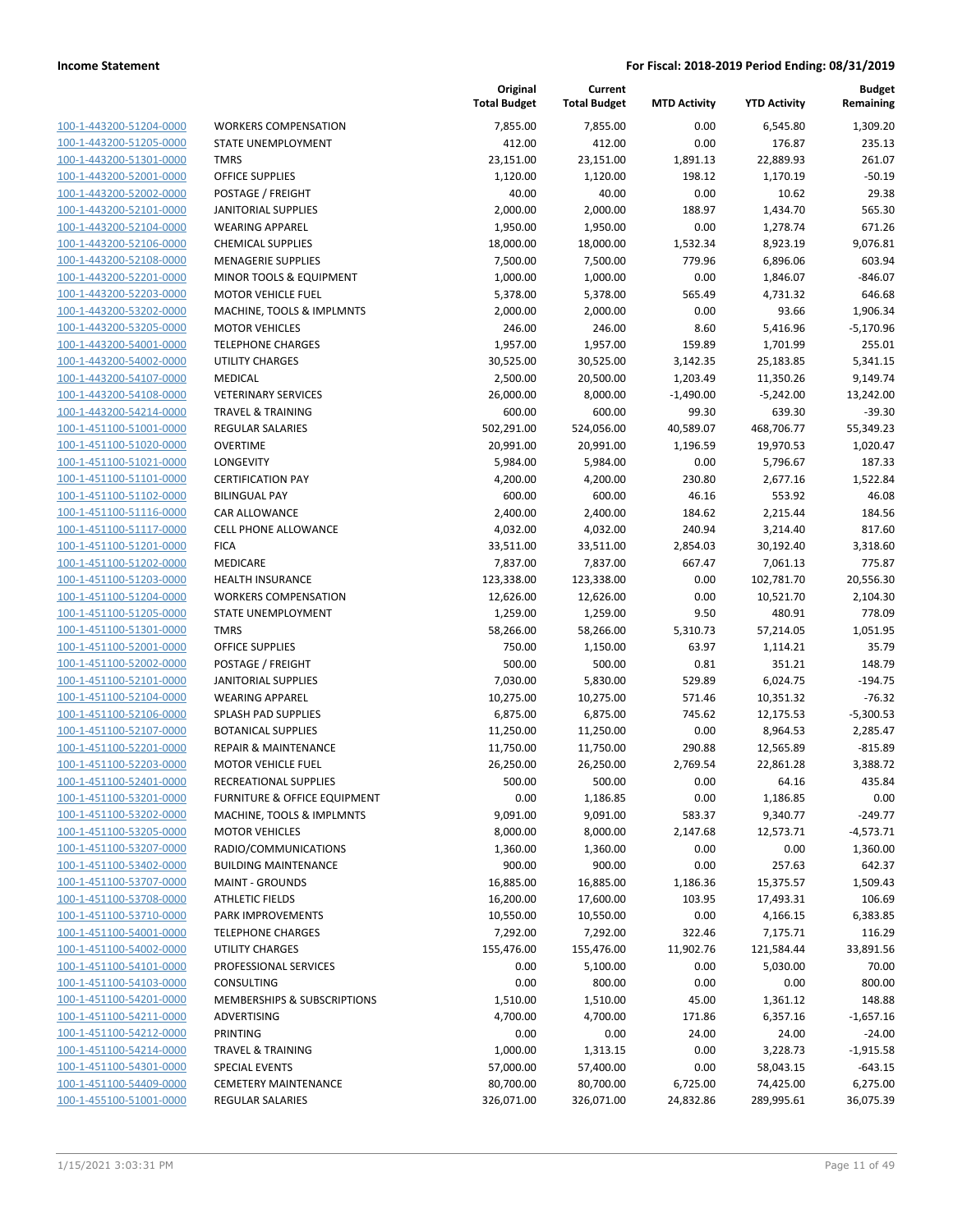|                         |                                 | <b>Total Budget</b> | <b>Total Budget</b> | <b>MTD Activity</b> | <b>YTD Activity</b> | Remaining   |
|-------------------------|---------------------------------|---------------------|---------------------|---------------------|---------------------|-------------|
| 100-1-443200-51204-0000 | <b>WORKERS COMPENSATION</b>     | 7,855.00            | 7,855.00            | 0.00                | 6,545.80            | 1,309.20    |
| 100-1-443200-51205-0000 | STATE UNEMPLOYMENT              | 412.00              | 412.00              | 0.00                | 176.87              | 235.13      |
| 100-1-443200-51301-0000 | <b>TMRS</b>                     | 23,151.00           | 23,151.00           | 1,891.13            | 22,889.93           | 261.07      |
| 100-1-443200-52001-0000 | <b>OFFICE SUPPLIES</b>          | 1,120.00            | 1,120.00            | 198.12              | 1,170.19            | $-50.19$    |
| 100-1-443200-52002-0000 | POSTAGE / FREIGHT               | 40.00               | 40.00               | 0.00                | 10.62               | 29.38       |
| 100-1-443200-52101-0000 | <b>JANITORIAL SUPPLIES</b>      | 2,000.00            | 2,000.00            | 188.97              | 1,434.70            | 565.30      |
| 100-1-443200-52104-0000 | <b>WEARING APPAREL</b>          | 1,950.00            | 1,950.00            | 0.00                | 1,278.74            | 671.26      |
| 100-1-443200-52106-0000 | <b>CHEMICAL SUPPLIES</b>        | 18,000.00           | 18,000.00           | 1,532.34            | 8,923.19            | 9,076.81    |
| 100-1-443200-52108-0000 | <b>MENAGERIE SUPPLIES</b>       | 7,500.00            | 7,500.00            | 779.96              | 6,896.06            | 603.94      |
| 100-1-443200-52201-0000 | MINOR TOOLS & EQUIPMENT         | 1,000.00            | 1,000.00            | 0.00                | 1,846.07            | -846.07     |
| 100-1-443200-52203-0000 | <b>MOTOR VEHICLE FUEL</b>       | 5,378.00            | 5,378.00            | 565.49              | 4,731.32            | 646.68      |
| 100-1-443200-53202-0000 | MACHINE, TOOLS & IMPLMNTS       | 2,000.00            | 2,000.00            | 0.00                | 93.66               | 1,906.34    |
| 100-1-443200-53205-0000 | <b>MOTOR VEHICLES</b>           | 246.00              | 246.00              | 8.60                | 5,416.96            | $-5,170.96$ |
| 100-1-443200-54001-0000 | <b>TELEPHONE CHARGES</b>        | 1,957.00            | 1,957.00            | 159.89              | 1,701.99            | 255.01      |
| 100-1-443200-54002-0000 | UTILITY CHARGES                 | 30,525.00           | 30,525.00           | 3,142.35            | 25,183.85           | 5,341.15    |
| 100-1-443200-54107-0000 | MEDICAL                         | 2,500.00            | 20,500.00           | 1,203.49            | 11,350.26           | 9,149.74    |
| 100-1-443200-54108-0000 | <b>VETERINARY SERVICES</b>      | 26,000.00           | 8,000.00            | $-1,490.00$         | $-5,242.00$         | 13,242.00   |
| 100-1-443200-54214-0000 | <b>TRAVEL &amp; TRAINING</b>    | 600.00              | 600.00              | 99.30               | 639.30              | $-39.30$    |
| 100-1-451100-51001-0000 | <b>REGULAR SALARIES</b>         | 502,291.00          | 524,056.00          | 40,589.07           | 468,706.77          | 55,349.23   |
| 100-1-451100-51020-0000 | <b>OVERTIME</b>                 | 20,991.00           | 20,991.00           | 1,196.59            | 19,970.53           | 1,020.47    |
| 100-1-451100-51021-0000 | LONGEVITY                       | 5,984.00            | 5,984.00            | 0.00                | 5,796.67            | 187.33      |
| 100-1-451100-51101-0000 | <b>CERTIFICATION PAY</b>        | 4,200.00            | 4,200.00            | 230.80              | 2,677.16            | 1,522.84    |
| 100-1-451100-51102-0000 | <b>BILINGUAL PAY</b>            | 600.00              | 600.00              | 46.16               | 553.92              | 46.08       |
| 100-1-451100-51116-0000 | <b>CAR ALLOWANCE</b>            | 2,400.00            | 2,400.00            | 184.62              | 2,215.44            | 184.56      |
| 100-1-451100-51117-0000 | CELL PHONE ALLOWANCE            | 4,032.00            | 4,032.00            | 240.94              | 3,214.40            | 817.60      |
| 100-1-451100-51201-0000 | <b>FICA</b>                     | 33,511.00           | 33,511.00           | 2,854.03            | 30,192.40           | 3,318.60    |
| 100-1-451100-51202-0000 | MEDICARE                        | 7,837.00            | 7,837.00            | 667.47              | 7,061.13            | 775.87      |
| 100-1-451100-51203-0000 | <b>HEALTH INSURANCE</b>         | 123,338.00          | 123,338.00          | 0.00                | 102,781.70          | 20,556.30   |
| 100-1-451100-51204-0000 | <b>WORKERS COMPENSATION</b>     | 12,626.00           | 12,626.00           | 0.00                | 10,521.70           | 2,104.30    |
| 100-1-451100-51205-0000 | STATE UNEMPLOYMENT              | 1,259.00            | 1,259.00            | 9.50                | 480.91              | 778.09      |
| 100-1-451100-51301-0000 | <b>TMRS</b>                     | 58,266.00           | 58,266.00           | 5,310.73            | 57,214.05           | 1,051.95    |
| 100-1-451100-52001-0000 | OFFICE SUPPLIES                 | 750.00              | 1,150.00            | 63.97               | 1,114.21            | 35.79       |
| 100-1-451100-52002-0000 | POSTAGE / FREIGHT               | 500.00              | 500.00              | 0.81                | 351.21              | 148.79      |
| 100-1-451100-52101-0000 | <b>JANITORIAL SUPPLIES</b>      | 7,030.00            | 5,830.00            | 529.89              | 6,024.75            | $-194.75$   |
| 100-1-451100-52104-0000 | <b>WEARING APPAREL</b>          | 10,275.00           | 10,275.00           | 571.46              | 10,351.32           | $-76.32$    |
| 100-1-451100-52106-0000 | SPLASH PAD SUPPLIES             | 6,875.00            | 6,875.00            | 745.62              | 12,175.53           | $-5,300.53$ |
| 100-1-451100-52107-0000 | <b>BOTANICAL SUPPLIES</b>       | 11,250.00           | 11,250.00           | 0.00                | 8,964.53            | 2,285.47    |
| 100-1-451100-52201-0000 | <b>REPAIR &amp; MAINTENANCE</b> | 11,750.00           | 11,750.00           | 290.88              | 12,565.89           | $-815.89$   |
| 100-1-451100-52203-0000 | <b>MOTOR VEHICLE FUEL</b>       | 26,250.00           | 26,250.00           | 2,769.54            | 22,861.28           | 3,388.72    |
| 100-1-451100-52401-0000 | RECREATIONAL SUPPLIES           | 500.00              | 500.00              | 0.00                | 64.16               | 435.84      |
| 100-1-451100-53201-0000 | FURNITURE & OFFICE EQUIPMENT    | 0.00                | 1,186.85            | 0.00                | 1,186.85            | 0.00        |
| 100-1-451100-53202-0000 | MACHINE, TOOLS & IMPLMNTS       | 9,091.00            | 9,091.00            | 583.37              | 9,340.77            | $-249.77$   |
| 100-1-451100-53205-0000 | <b>MOTOR VEHICLES</b>           | 8,000.00            | 8,000.00            | 2,147.68            | 12,573.71           | $-4,573.71$ |
| 100-1-451100-53207-0000 | RADIO/COMMUNICATIONS            | 1,360.00            | 1,360.00            | 0.00                | 0.00                | 1,360.00    |
| 100-1-451100-53402-0000 | <b>BUILDING MAINTENANCE</b>     | 900.00              | 900.00              | 0.00                | 257.63              | 642.37      |
| 100-1-451100-53707-0000 | <b>MAINT - GROUNDS</b>          | 16,885.00           | 16,885.00           | 1,186.36            | 15,375.57           | 1,509.43    |
| 100-1-451100-53708-0000 | <b>ATHLETIC FIELDS</b>          | 16,200.00           | 17,600.00           | 103.95              | 17,493.31           | 106.69      |
| 100-1-451100-53710-0000 | PARK IMPROVEMENTS               | 10,550.00           | 10,550.00           | 0.00                | 4,166.15            | 6,383.85    |
| 100-1-451100-54001-0000 | <b>TELEPHONE CHARGES</b>        | 7,292.00            | 7,292.00            | 322.46              | 7,175.71            | 116.29      |
| 100-1-451100-54002-0000 | UTILITY CHARGES                 | 155,476.00          | 155,476.00          | 11,902.76           | 121,584.44          | 33,891.56   |
| 100-1-451100-54101-0000 | PROFESSIONAL SERVICES           | 0.00                | 5,100.00            | 0.00                | 5,030.00            | 70.00       |
| 100-1-451100-54103-0000 | <b>CONSULTING</b>               | 0.00                | 800.00              | 0.00                | 0.00                | 800.00      |
| 100-1-451100-54201-0000 | MEMBERSHIPS & SUBSCRIPTIONS     | 1,510.00            | 1,510.00            | 45.00               | 1,361.12            | 148.88      |
| 100-1-451100-54211-0000 | ADVERTISING                     | 4,700.00            | 4,700.00            | 171.86              | 6,357.16            | $-1,657.16$ |
| 100-1-451100-54212-0000 | PRINTING                        | 0.00                | 0.00                | 24.00               | 24.00               | $-24.00$    |
| 100-1-451100-54214-0000 | TRAVEL & TRAINING               | 1,000.00            | 1,313.15            | 0.00                | 3,228.73            | $-1,915.58$ |
| 100-1-451100-54301-0000 | <b>SPECIAL EVENTS</b>           | 57,000.00           | 57,400.00           | 0.00                | 58,043.15           | $-643.15$   |
| 100-1-451100-54409-0000 | <b>CEMETERY MAINTENANCE</b>     | 80,700.00           | 80,700.00           | 6,725.00            | 74,425.00           | 6,275.00    |
| 100-1-455100-51001-0000 | REGULAR SALARIES                | 326,071.00          | 326,071.00          | 24,832.86           | 289,995.61          | 36,075.39   |
|                         |                                 |                     |                     |                     |                     |             |

|    | Original<br><b>Total Budget</b> | Current<br><b>Total Budget</b> | <b>MTD Activity</b> | <b>YTD Activity</b>   | <b>Budget</b><br>Remaining |
|----|---------------------------------|--------------------------------|---------------------|-----------------------|----------------------------|
|    | 7,855.00                        | 7,855.00                       | 0.00                | 6,545.80              | 1,309.20                   |
|    | 412.00                          | 412.00                         | 0.00                | 176.87                | 235.13                     |
|    | 23,151.00                       | 23,151.00                      | 1,891.13            | 22,889.93             | 261.07                     |
|    | 1,120.00                        | 1,120.00                       | 198.12              | 1,170.19              | $-50.19$                   |
|    | 40.00                           | 40.00                          | 0.00                | 10.62                 | 29.38                      |
|    | 2,000.00                        | 2,000.00                       | 188.97              | 1,434.70              | 565.30                     |
|    | 1,950.00                        | 1,950.00                       | 0.00                | 1,278.74              | 671.26                     |
|    | 18,000.00                       | 18,000.00                      | 1,532.34            | 8,923.19              | 9,076.81                   |
|    | 7,500.00                        | 7,500.00                       | 779.96              | 6,896.06              | 603.94                     |
|    | 1,000.00                        | 1,000.00                       | 0.00                | 1,846.07              | $-846.07$                  |
|    | 5,378.00                        | 5,378.00                       | 565.49              | 4,731.32              | 646.68                     |
|    | 2,000.00                        | 2,000.00                       | 0.00                | 93.66                 | 1,906.34                   |
|    | 246.00                          | 246.00                         | 8.60                | 5,416.96              | $-5,170.96$                |
|    | 1,957.00                        | 1,957.00                       | 159.89              | 1,701.99              | 255.01                     |
|    | 30,525.00                       | 30,525.00                      | 3,142.35            | 25,183.85             | 5,341.15                   |
|    | 2,500.00                        | 20,500.00                      | 1,203.49            | 11,350.26             | 9,149.74                   |
|    | 26,000.00                       | 8,000.00                       | $-1,490.00$         | $-5,242.00$           | 13,242.00                  |
|    | 600.00                          | 600.00                         | 99.30               | 639.30                | $-39.30$                   |
|    | 502,291.00                      | 524,056.00                     | 40,589.07           | 468,706.77            | 55,349.23                  |
|    | 20,991.00                       | 20,991.00                      | 1,196.59            | 19,970.53             | 1,020.47                   |
|    | 5,984.00                        | 5,984.00                       | 0.00                | 5,796.67              | 187.33                     |
|    | 4,200.00                        | 4,200.00                       | 230.80              | 2,677.16              | 1,522.84                   |
|    | 600.00                          | 600.00                         | 46.16               | 553.92                | 46.08                      |
|    | 2,400.00                        | 2,400.00                       | 184.62              | 2,215.44              | 184.56                     |
|    | 4,032.00                        | 4,032.00                       | 240.94              | 3,214.40              | 817.60                     |
|    | 33,511.00<br>7,837.00           | 33,511.00<br>7,837.00          | 2,854.03<br>667.47  | 30,192.40<br>7,061.13 | 3,318.60<br>775.87         |
|    | 123,338.00                      | 123,338.00                     | 0.00                | 102,781.70            | 20,556.30                  |
|    | 12,626.00                       | 12,626.00                      | 0.00                | 10,521.70             | 2,104.30                   |
|    | 1,259.00                        | 1,259.00                       | 9.50                | 480.91                | 778.09                     |
|    | 58,266.00                       | 58,266.00                      | 5,310.73            | 57,214.05             | 1,051.95                   |
|    | 750.00                          | 1,150.00                       | 63.97               | 1,114.21              | 35.79                      |
|    | 500.00                          | 500.00                         | 0.81                | 351.21                | 148.79                     |
|    | 7,030.00                        | 5,830.00                       | 529.89              | 6,024.75              | $-194.75$                  |
|    | 10,275.00                       | 10,275.00                      | 571.46              | 10,351.32             | $-76.32$                   |
|    | 6,875.00                        | 6,875.00                       | 745.62              | 12,175.53             | $-5,300.53$                |
|    | 11,250.00                       | 11,250.00                      | 0.00                | 8,964.53              | 2,285.47                   |
|    | 11,750.00                       | 11,750.00                      | 290.88              | 12,565.89             | $-815.89$                  |
|    | 26,250.00                       | 26,250.00                      | 2,769.54            | 22,861.28             | 3,388.72                   |
|    | 500.00                          | 500.00                         | 0.00                | 64.16                 | 435.84                     |
| ۷T | 0.00                            | 1,186.85                       | 0.00                | 1,186.85              | 0.00                       |
|    | 9,091.00                        | 9,091.00                       | 583.37              | 9,340.77              | $-249.77$                  |
|    | 8,000.00                        | 8,000.00                       | 2,147.68            | 12,573.71             | $-4,573.71$                |
|    | 1,360.00                        | 1,360.00                       | 0.00                | 0.00                  | 1,360.00                   |
|    | 900.00                          | 900.00                         | 0.00                | 257.63                | 642.37                     |
|    | 16,885.00                       | 16,885.00                      | 1,186.36            | 15,375.57             | 1,509.43                   |
|    | 16,200.00                       | 17,600.00                      | 103.95              | 17,493.31             | 106.69                     |
|    | 10,550.00                       | 10,550.00                      | 0.00                | 4,166.15              | 6,383.85                   |
|    | 7,292.00                        | 7,292.00                       | 322.46              | 7,175.71              | 116.29                     |
|    | 155,476.00                      | 155,476.00                     | 11,902.76           | 121,584.44            | 33,891.56                  |
|    | 0.00                            | 5,100.00                       | 0.00                | 5,030.00              | 70.00                      |
|    | 0.00                            | 800.00                         | 0.00                | 0.00                  | 800.00                     |
| IS | 1,510.00                        | 1,510.00                       | 45.00               | 1,361.12              | 148.88                     |
|    | 4,700.00                        | 4,700.00                       | 171.86              | 6,357.16              | $-1,657.16$                |
|    | 0.00                            | 0.00                           | 24.00               | 24.00                 | $-24.00$                   |
|    | 1,000.00                        | 1,313.15                       | 0.00                | 3,228.73              | $-1,915.58$                |
|    | 57,000.00                       | 57,400.00                      | 0.00                | 58,043.15             | $-643.15$                  |
|    | 80,700.00                       | 80,700.00                      | 6,725.00            | 74,425.00             | 6,275.00                   |
|    | 326 071 00                      | 326 071 00                     | 2483286             | 289 995 61            | 36 075 39                  |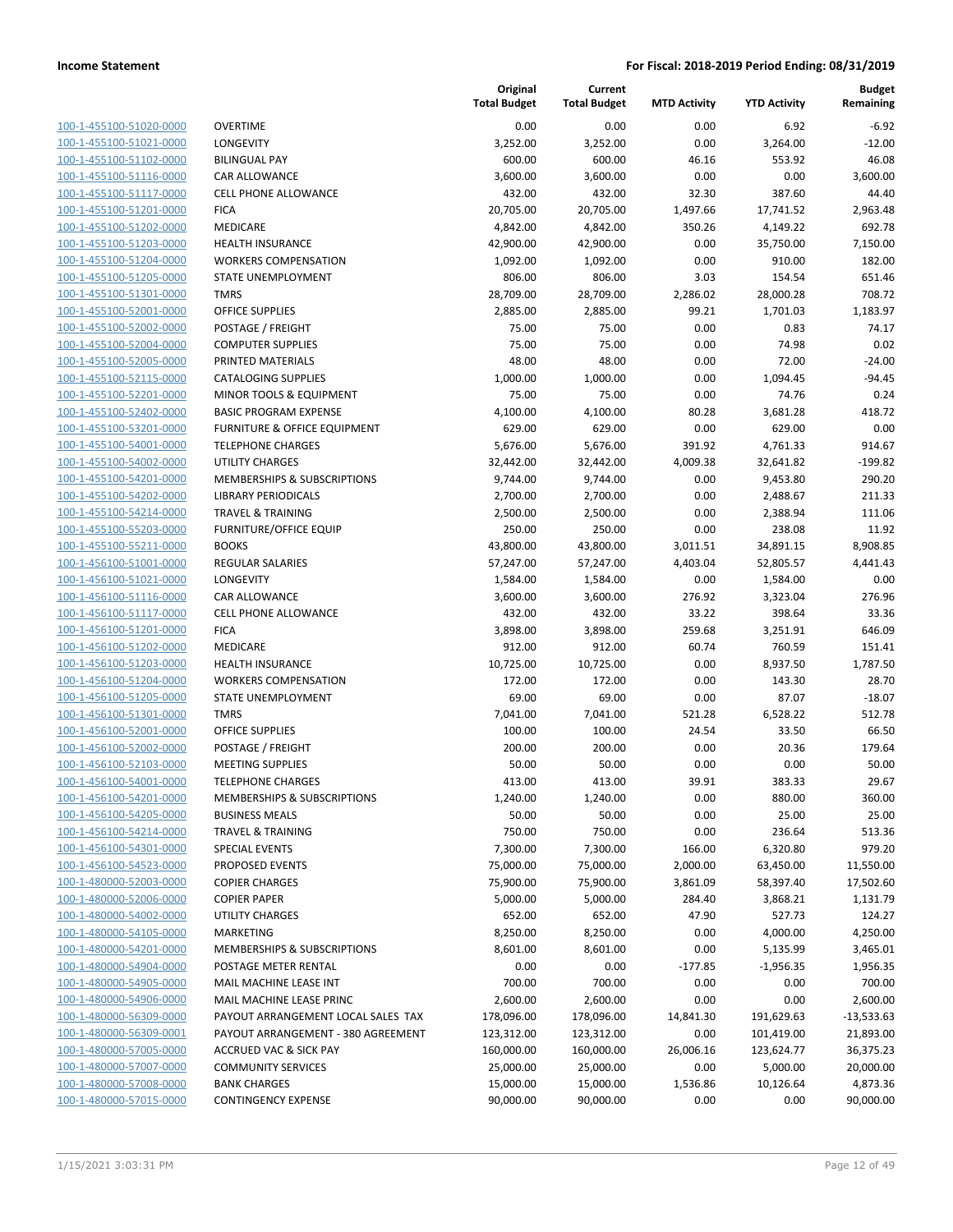| 100-1-455100-51020-0000                                          |
|------------------------------------------------------------------|
| 100-1-455100-51021-0000                                          |
| 100-1-455100-51102-0000                                          |
| <u>100-1-455100-51116-0000</u>                                   |
| 100-1-455100-51117-0000                                          |
| 100-1-455100-51201-0000                                          |
| 100-1-455100-51202-0000                                          |
| 100-1-455100-51203-0000                                          |
| 100-1-455100-51204-0000                                          |
| 100-1-455100-51205-0000                                          |
| 100-1-455100-51301-0000                                          |
| 100-1-455100-52001-0000                                          |
| 100-1-455100-52002-0000                                          |
| 100-1-455100-52004-0000                                          |
| 100-1-455100-52005-0000                                          |
| 100-1-455100-52115-0000                                          |
|                                                                  |
| 100-1-455100-52201-0000                                          |
| 100-1-455100-52402-0000                                          |
| 100-1-455100-53201-0000                                          |
| 100-1-455100-54001-0000                                          |
| 100-1-455100-54002-0000                                          |
| 100-1-455100-54201-0000                                          |
| 100-1-455100-54202-0000                                          |
| 100-1-455100-54214-0000                                          |
| 100-1-455100-55203-0000                                          |
| 100-1-455100-55211-0000                                          |
| 100-1-456100-51001-0000                                          |
| 100-1-456100-51021-0000                                          |
| 100-1-456100-51116-0000                                          |
| 100-1-456100-51117-0000                                          |
| 100-1-456100-51201-0000                                          |
| 100-1-456100-51202-0000                                          |
| 100-1-456100-51203-0000                                          |
| <u>100-1-456100-51204-0000</u>                                   |
| 100-1-456100-51205-0000                                          |
| 100-1-456100-51301-0000                                          |
| 100-1-456100-52001-0000                                          |
|                                                                  |
| 100-1-456100-52002-0000                                          |
| <u>100-1-456100-52103-0000</u>                                   |
| 100-1-456100-54001-0000                                          |
| 100-1-456100-54201-0000                                          |
| <u>100-1-456100-54205-0000</u>                                   |
| 100-1-456100-54214-0000                                          |
| 100-1-456100-54301-0000                                          |
| 100-1-456100-54523-0000                                          |
| <u>100-1-480000-52003-0000</u>                                   |
| 100-1-480000-52006-0000                                          |
| 100-1-480000-54002-0000                                          |
| <u>100-1-480000-54105-0000</u>                                   |
| <u>100-1-480000-54201-0000</u>                                   |
| 100-1-480000-54904-0000                                          |
| 100-1-480000-54905-0000                                          |
| <u>100-1-480000-54906-0000</u>                                   |
| <u>100-1-480000-56309-0000</u>                                   |
| <u>100-1-480000-56309-0001</u>                                   |
| <u>100-1-480000-57005-0000</u>                                   |
| 100-1-480000-57007-0000                                          |
|                                                                  |
| <u>100-1-480000-57008-0000</u><br><u>100-1-480000-57015-0000</u> |
|                                                                  |

|                         |                                         | Original<br><b>Total Budget</b> | Current<br><b>Total Budget</b> | <b>MTD Activity</b> | <b>YTD Activity</b> | <b>Budget</b><br>Remaining |
|-------------------------|-----------------------------------------|---------------------------------|--------------------------------|---------------------|---------------------|----------------------------|
| 100-1-455100-51020-0000 | <b>OVERTIME</b>                         | 0.00                            | 0.00                           | 0.00                | 6.92                | $-6.92$                    |
| 100-1-455100-51021-0000 | <b>LONGEVITY</b>                        | 3,252.00                        | 3,252.00                       | 0.00                | 3,264.00            | $-12.00$                   |
| 100-1-455100-51102-0000 | <b>BILINGUAL PAY</b>                    | 600.00                          | 600.00                         | 46.16               | 553.92              | 46.08                      |
| 100-1-455100-51116-0000 | <b>CAR ALLOWANCE</b>                    | 3,600.00                        | 3,600.00                       | 0.00                | 0.00                | 3,600.00                   |
| 100-1-455100-51117-0000 | CELL PHONE ALLOWANCE                    | 432.00                          | 432.00                         | 32.30               | 387.60              | 44.40                      |
| 100-1-455100-51201-0000 | <b>FICA</b>                             | 20,705.00                       | 20,705.00                      | 1,497.66            | 17,741.52           | 2,963.48                   |
| 100-1-455100-51202-0000 | MEDICARE                                | 4,842.00                        | 4,842.00                       | 350.26              | 4,149.22            | 692.78                     |
| 100-1-455100-51203-0000 | <b>HEALTH INSURANCE</b>                 | 42,900.00                       | 42,900.00                      | 0.00                | 35,750.00           | 7,150.00                   |
| 100-1-455100-51204-0000 | <b>WORKERS COMPENSATION</b>             | 1,092.00                        | 1,092.00                       | 0.00                | 910.00              | 182.00                     |
| 100-1-455100-51205-0000 | STATE UNEMPLOYMENT                      | 806.00                          | 806.00                         | 3.03                | 154.54              | 651.46                     |
| 100-1-455100-51301-0000 | <b>TMRS</b>                             | 28,709.00                       | 28,709.00                      | 2,286.02            | 28,000.28           | 708.72                     |
| 100-1-455100-52001-0000 | <b>OFFICE SUPPLIES</b>                  | 2,885.00                        | 2,885.00                       | 99.21               | 1,701.03            | 1,183.97                   |
| 100-1-455100-52002-0000 | POSTAGE / FREIGHT                       | 75.00                           | 75.00                          | 0.00                | 0.83                | 74.17                      |
| 100-1-455100-52004-0000 | <b>COMPUTER SUPPLIES</b>                | 75.00                           | 75.00                          | 0.00                | 74.98               | 0.02                       |
| 100-1-455100-52005-0000 | PRINTED MATERIALS                       | 48.00                           | 48.00                          | 0.00                | 72.00               | $-24.00$                   |
| 100-1-455100-52115-0000 | <b>CATALOGING SUPPLIES</b>              | 1,000.00                        | 1,000.00                       | 0.00                | 1,094.45            | $-94.45$                   |
| 100-1-455100-52201-0000 | MINOR TOOLS & EQUIPMENT                 | 75.00                           | 75.00                          | 0.00                | 74.76               | 0.24                       |
| 100-1-455100-52402-0000 | <b>BASIC PROGRAM EXPENSE</b>            | 4,100.00                        | 4,100.00                       | 80.28               | 3,681.28            | 418.72                     |
| 100-1-455100-53201-0000 | <b>FURNITURE &amp; OFFICE EQUIPMENT</b> | 629.00                          | 629.00                         | 0.00                | 629.00              | 0.00                       |
| 100-1-455100-54001-0000 | <b>TELEPHONE CHARGES</b>                | 5,676.00                        | 5,676.00                       | 391.92              | 4,761.33            | 914.67                     |
| 100-1-455100-54002-0000 | <b>UTILITY CHARGES</b>                  | 32,442.00                       | 32,442.00                      | 4,009.38            | 32,641.82           | $-199.82$                  |
| 100-1-455100-54201-0000 | <b>MEMBERSHIPS &amp; SUBSCRIPTIONS</b>  | 9,744.00                        | 9,744.00                       | 0.00                | 9,453.80            | 290.20                     |
| 100-1-455100-54202-0000 | <b>LIBRARY PERIODICALS</b>              | 2,700.00                        | 2,700.00                       | 0.00                | 2,488.67            | 211.33                     |
| 100-1-455100-54214-0000 | <b>TRAVEL &amp; TRAINING</b>            | 2,500.00                        | 2,500.00                       | 0.00                | 2,388.94            | 111.06                     |
| 100-1-455100-55203-0000 | <b>FURNITURE/OFFICE EQUIP</b>           | 250.00                          | 250.00                         | 0.00                | 238.08              | 11.92                      |
| 100-1-455100-55211-0000 | <b>BOOKS</b>                            | 43,800.00                       | 43,800.00                      | 3,011.51            | 34,891.15           | 8,908.85                   |
| 100-1-456100-51001-0000 | <b>REGULAR SALARIES</b>                 | 57,247.00                       | 57,247.00                      | 4,403.04            | 52,805.57           | 4,441.43                   |
| 100-1-456100-51021-0000 | LONGEVITY                               | 1,584.00                        | 1,584.00                       | 0.00                | 1,584.00            | 0.00                       |
| 100-1-456100-51116-0000 | CAR ALLOWANCE                           | 3,600.00                        | 3,600.00                       | 276.92              | 3,323.04            | 276.96                     |
| 100-1-456100-51117-0000 | CELL PHONE ALLOWANCE                    | 432.00                          | 432.00                         | 33.22               | 398.64              | 33.36                      |
| 100-1-456100-51201-0000 | <b>FICA</b>                             | 3,898.00                        | 3,898.00                       | 259.68              | 3,251.91            | 646.09                     |
| 100-1-456100-51202-0000 | MEDICARE                                | 912.00                          | 912.00                         | 60.74               | 760.59              | 151.41                     |
| 100-1-456100-51203-0000 | <b>HEALTH INSURANCE</b>                 | 10,725.00                       | 10,725.00                      | 0.00                | 8,937.50            | 1,787.50                   |
| 100-1-456100-51204-0000 | <b>WORKERS COMPENSATION</b>             | 172.00                          | 172.00                         | 0.00                | 143.30              | 28.70                      |
| 100-1-456100-51205-0000 | STATE UNEMPLOYMENT                      | 69.00                           | 69.00                          | 0.00                | 87.07               | $-18.07$                   |
| 100-1-456100-51301-0000 | <b>TMRS</b>                             | 7,041.00                        | 7,041.00                       | 521.28              | 6,528.22            | 512.78                     |
| 100-1-456100-52001-0000 | <b>OFFICE SUPPLIES</b>                  | 100.00                          | 100.00                         | 24.54               | 33.50               | 66.50                      |
| 100-1-456100-52002-0000 | POSTAGE / FREIGHT                       | 200.00                          | 200.00                         | 0.00                | 20.36               | 179.64                     |
| 100-1-456100-52103-0000 | <b>MEETING SUPPLIES</b>                 | 50.00                           | 50.00                          | 0.00                | 0.00                | 50.00                      |
| 100-1-456100-54001-0000 | <b>TELEPHONE CHARGES</b>                | 413.00                          | 413.00                         | 39.91               | 383.33              | 29.67                      |
| 100-1-456100-54201-0000 | <b>MEMBERSHIPS &amp; SUBSCRIPTIONS</b>  | 1,240.00                        | 1,240.00                       | 0.00                | 880.00              | 360.00                     |
| 100-1-456100-54205-0000 | <b>BUSINESS MEALS</b>                   | 50.00                           | 50.00                          | 0.00                | 25.00               | 25.00                      |
| 100-1-456100-54214-0000 | <b>TRAVEL &amp; TRAINING</b>            | 750.00                          | 750.00                         | 0.00                | 236.64              | 513.36                     |
| 100-1-456100-54301-0000 | <b>SPECIAL EVENTS</b>                   | 7,300.00                        | 7,300.00                       | 166.00              | 6,320.80            | 979.20                     |
| 100-1-456100-54523-0000 | PROPOSED EVENTS                         | 75,000.00                       | 75,000.00                      | 2,000.00            | 63,450.00           | 11,550.00                  |
| 100-1-480000-52003-0000 | <b>COPIER CHARGES</b>                   | 75,900.00                       | 75,900.00                      | 3,861.09            | 58,397.40           | 17,502.60                  |
| 100-1-480000-52006-0000 | <b>COPIER PAPER</b>                     | 5,000.00                        | 5,000.00                       | 284.40              | 3,868.21            | 1,131.79                   |
| 100-1-480000-54002-0000 | <b>UTILITY CHARGES</b>                  | 652.00                          | 652.00                         | 47.90               | 527.73              | 124.27                     |
| 100-1-480000-54105-0000 | <b>MARKETING</b>                        | 8,250.00                        | 8,250.00                       | 0.00                | 4,000.00            | 4,250.00                   |
| 100-1-480000-54201-0000 | MEMBERSHIPS & SUBSCRIPTIONS             | 8,601.00                        | 8,601.00                       | 0.00                | 5,135.99            | 3,465.01                   |
| 100-1-480000-54904-0000 | POSTAGE METER RENTAL                    | 0.00                            | 0.00                           | $-177.85$           | $-1,956.35$         | 1,956.35                   |
| 100-1-480000-54905-0000 | MAIL MACHINE LEASE INT                  | 700.00                          | 700.00                         | 0.00                | 0.00                | 700.00                     |
| 100-1-480000-54906-0000 | MAIL MACHINE LEASE PRINC                | 2,600.00                        | 2,600.00                       | 0.00                | 0.00                | 2,600.00                   |
| 100-1-480000-56309-0000 | PAYOUT ARRANGEMENT LOCAL SALES TAX      | 178,096.00                      | 178,096.00                     | 14,841.30           | 191,629.63          | $-13,533.63$               |
| 100-1-480000-56309-0001 | PAYOUT ARRANGEMENT - 380 AGREEMENT      | 123,312.00                      | 123,312.00                     | 0.00                | 101,419.00          | 21,893.00                  |
| 100-1-480000-57005-0000 | <b>ACCRUED VAC &amp; SICK PAY</b>       | 160,000.00                      | 160,000.00                     | 26,006.16           | 123,624.77          | 36,375.23                  |
| 100-1-480000-57007-0000 | <b>COMMUNITY SERVICES</b>               | 25,000.00                       | 25,000.00                      | 0.00                | 5,000.00            | 20,000.00                  |
| 100-1-480000-57008-0000 | <b>BANK CHARGES</b>                     | 15,000.00                       | 15,000.00                      | 1,536.86            | 10,126.64           | 4,873.36                   |
| 100-1-480000-57015-0000 | <b>CONTINGENCY EXPENSE</b>              | 90,000.00                       | 90,000.00                      | 0.00                | 0.00                | 90,000.00                  |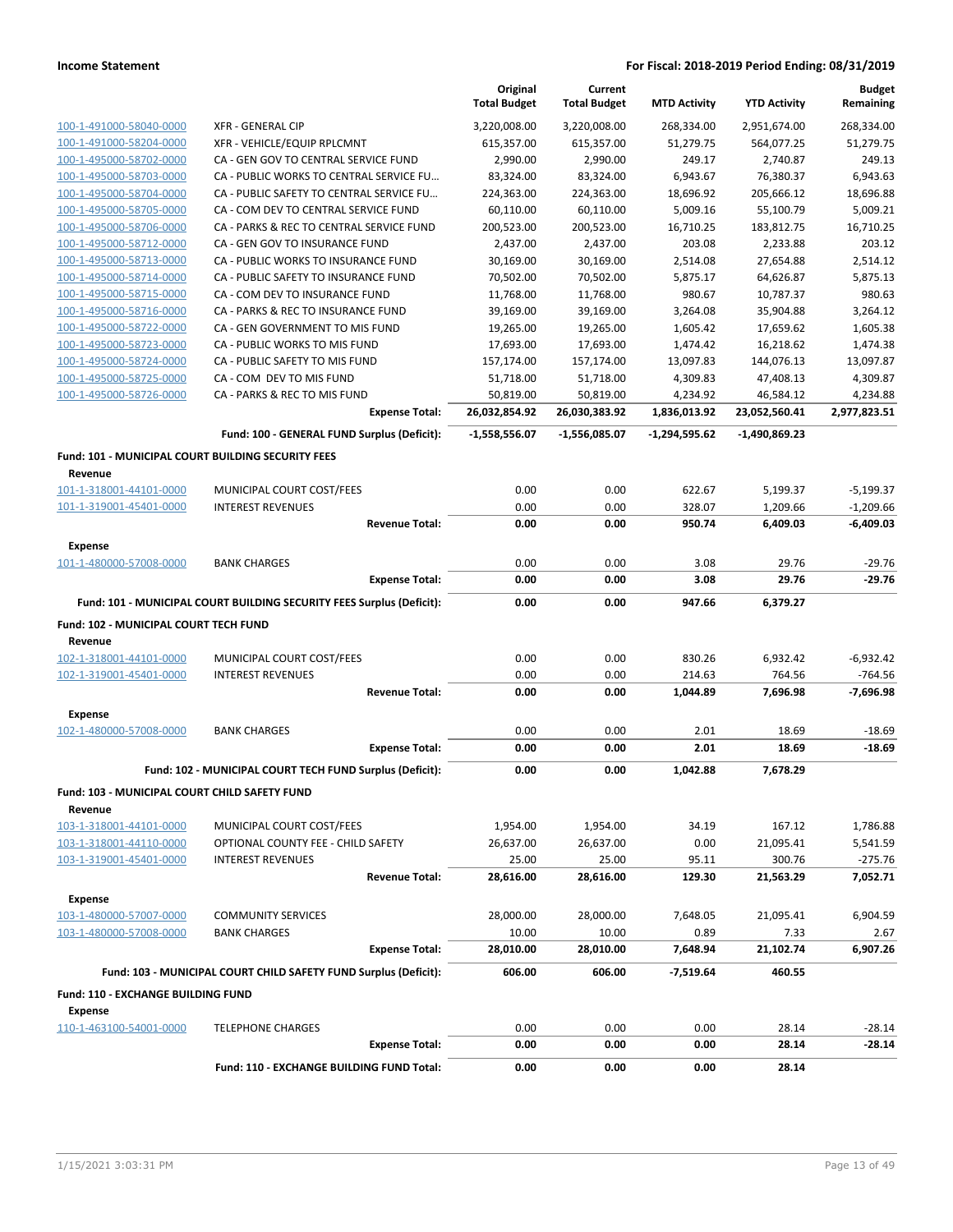|                                                               |                                                                       | Original<br><b>Total Budget</b> | Current<br><b>Total Budget</b> | <b>MTD Activity</b> | <b>YTD Activity</b> | <b>Budget</b><br>Remaining |
|---------------------------------------------------------------|-----------------------------------------------------------------------|---------------------------------|--------------------------------|---------------------|---------------------|----------------------------|
| 100-1-491000-58040-0000                                       | <b>XFR - GENERAL CIP</b>                                              | 3,220,008.00                    | 3,220,008.00                   | 268,334.00          | 2,951,674.00        | 268,334.00                 |
| 100-1-491000-58204-0000                                       | XFR - VEHICLE/EQUIP RPLCMNT                                           | 615,357.00                      | 615,357.00                     | 51,279.75           | 564,077.25          | 51,279.75                  |
| 100-1-495000-58702-0000                                       | CA - GEN GOV TO CENTRAL SERVICE FUND                                  | 2,990.00                        | 2,990.00                       | 249.17              | 2,740.87            | 249.13                     |
| 100-1-495000-58703-0000                                       | CA - PUBLIC WORKS TO CENTRAL SERVICE FU                               | 83,324.00                       | 83,324.00                      | 6,943.67            | 76,380.37           | 6,943.63                   |
| 100-1-495000-58704-0000                                       | CA - PUBLIC SAFETY TO CENTRAL SERVICE FU                              | 224,363.00                      | 224,363.00                     | 18,696.92           | 205,666.12          | 18,696.88                  |
| 100-1-495000-58705-0000                                       | CA - COM DEV TO CENTRAL SERVICE FUND                                  | 60,110.00                       | 60,110.00                      | 5,009.16            | 55,100.79           | 5,009.21                   |
| 100-1-495000-58706-0000                                       | CA - PARKS & REC TO CENTRAL SERVICE FUND                              | 200,523.00                      | 200,523.00                     | 16,710.25           | 183,812.75          | 16,710.25                  |
| 100-1-495000-58712-0000                                       | CA - GEN GOV TO INSURANCE FUND                                        | 2,437.00                        | 2,437.00                       | 203.08              | 2,233.88            | 203.12                     |
| 100-1-495000-58713-0000                                       | CA - PUBLIC WORKS TO INSURANCE FUND                                   | 30,169.00                       | 30,169.00                      | 2,514.08            | 27,654.88           | 2,514.12                   |
| 100-1-495000-58714-0000                                       | CA - PUBLIC SAFETY TO INSURANCE FUND                                  | 70,502.00                       | 70,502.00                      | 5,875.17            | 64,626.87           | 5,875.13                   |
| 100-1-495000-58715-0000                                       | CA - COM DEV TO INSURANCE FUND                                        | 11,768.00                       | 11,768.00                      | 980.67              | 10,787.37           | 980.63                     |
| 100-1-495000-58716-0000                                       | CA - PARKS & REC TO INSURANCE FUND                                    | 39,169.00                       | 39,169.00                      | 3,264.08            | 35,904.88           | 3,264.12                   |
| 100-1-495000-58722-0000                                       | CA - GEN GOVERNMENT TO MIS FUND                                       | 19,265.00                       | 19,265.00                      | 1,605.42            | 17,659.62           | 1,605.38                   |
| 100-1-495000-58723-0000                                       | CA - PUBLIC WORKS TO MIS FUND                                         | 17,693.00                       | 17,693.00                      | 1,474.42            | 16,218.62           | 1,474.38                   |
| 100-1-495000-58724-0000                                       | CA - PUBLIC SAFETY TO MIS FUND                                        | 157,174.00                      | 157,174.00                     | 13,097.83           | 144,076.13          | 13,097.87                  |
| 100-1-495000-58725-0000                                       | CA - COM DEV TO MIS FUND                                              | 51,718.00                       | 51,718.00                      | 4,309.83            | 47,408.13           | 4,309.87                   |
| 100-1-495000-58726-0000                                       | CA - PARKS & REC TO MIS FUND                                          | 50,819.00                       | 50,819.00                      | 4,234.92            | 46,584.12           | 4,234.88                   |
|                                                               | <b>Expense Total:</b>                                                 | 26,032,854.92                   | 26,030,383.92                  | 1,836,013.92        | 23,052,560.41       | 2,977,823.51               |
|                                                               | Fund: 100 - GENERAL FUND Surplus (Deficit):                           | $-1,558,556.07$                 | $-1,556,085.07$                | $-1,294,595.62$     | -1,490,869.23       |                            |
| Fund: 101 - MUNICIPAL COURT BUILDING SECURITY FEES<br>Revenue |                                                                       |                                 |                                |                     |                     |                            |
| 101-1-318001-44101-0000                                       | MUNICIPAL COURT COST/FEES                                             | 0.00                            | 0.00                           | 622.67              | 5,199.37            | $-5,199.37$                |
| 101-1-319001-45401-0000                                       | <b>INTEREST REVENUES</b>                                              | 0.00                            | 0.00                           | 328.07              | 1,209.66            | $-1,209.66$                |
|                                                               | <b>Revenue Total:</b>                                                 | 0.00                            | 0.00                           | 950.74              | 6,409.03            | $-6,409.03$                |
| Expense                                                       |                                                                       |                                 |                                |                     |                     |                            |
| 101-1-480000-57008-0000                                       | <b>BANK CHARGES</b>                                                   | 0.00                            | 0.00                           | 3.08                | 29.76               | $-29.76$                   |
|                                                               | <b>Expense Total:</b>                                                 | 0.00                            | 0.00                           | 3.08                | 29.76               | $-29.76$                   |
|                                                               | Fund: 101 - MUNICIPAL COURT BUILDING SECURITY FEES Surplus (Deficit): | 0.00                            | 0.00                           | 947.66              | 6,379.27            |                            |
| Fund: 102 - MUNICIPAL COURT TECH FUND<br>Revenue              |                                                                       |                                 |                                |                     |                     |                            |
| 102-1-318001-44101-0000                                       | MUNICIPAL COURT COST/FEES                                             | 0.00                            | 0.00                           | 830.26              | 6,932.42            | $-6,932.42$                |
| 102-1-319001-45401-0000                                       | <b>INTEREST REVENUES</b>                                              | 0.00                            | 0.00                           | 214.63              | 764.56              | $-764.56$                  |
|                                                               | <b>Revenue Total:</b>                                                 | 0.00                            | 0.00                           | 1,044.89            | 7,696.98            | $-7,696.98$                |
| <b>Expense</b>                                                |                                                                       |                                 |                                |                     |                     |                            |
| 102-1-480000-57008-0000                                       | <b>BANK CHARGES</b>                                                   | 0.00                            | 0.00                           | 2.01                | 18.69               | $-18.69$                   |
|                                                               | <b>Expense Total:</b>                                                 | 0.00                            | 0.00                           | 2.01                | 18.69               | $-18.69$                   |
|                                                               | Fund: 102 - MUNICIPAL COURT TECH FUND Surplus (Deficit):              | 0.00                            | 0.00                           | 1,042.88            | 7,678.29            |                            |
| Fund: 103 - MUNICIPAL COURT CHILD SAFETY FUND                 |                                                                       |                                 |                                |                     |                     |                            |
| Revenue                                                       |                                                                       |                                 |                                |                     |                     |                            |
| 103-1-318001-44101-0000                                       | MUNICIPAL COURT COST/FEES                                             | 1,954.00                        | 1,954.00                       | 34.19               | 167.12              | 1,786.88                   |
| 103-1-318001-44110-0000                                       | OPTIONAL COUNTY FEE - CHILD SAFETY                                    | 26,637.00                       | 26,637.00                      | 0.00                | 21,095.41           | 5,541.59                   |
| 103-1-319001-45401-0000                                       | <b>INTEREST REVENUES</b>                                              | 25.00                           | 25.00                          | 95.11               | 300.76              | $-275.76$                  |
|                                                               | <b>Revenue Total:</b>                                                 | 28,616.00                       | 28,616.00                      | 129.30              | 21,563.29           | 7,052.71                   |
| <b>Expense</b>                                                |                                                                       |                                 |                                |                     |                     |                            |
| 103-1-480000-57007-0000                                       | <b>COMMUNITY SERVICES</b>                                             | 28,000.00                       | 28,000.00                      | 7,648.05            | 21,095.41           | 6,904.59                   |
| 103-1-480000-57008-0000                                       | <b>BANK CHARGES</b>                                                   | 10.00                           | 10.00                          | 0.89                | 7.33                | 2.67                       |
|                                                               | <b>Expense Total:</b>                                                 | 28,010.00                       | 28,010.00                      | 7,648.94            | 21,102.74           | 6,907.26                   |
|                                                               | Fund: 103 - MUNICIPAL COURT CHILD SAFETY FUND Surplus (Deficit):      | 606.00                          | 606.00                         | $-7,519.64$         | 460.55              |                            |
| Fund: 110 - EXCHANGE BUILDING FUND                            |                                                                       |                                 |                                |                     |                     |                            |
| Expense                                                       |                                                                       |                                 |                                |                     |                     |                            |
| 110-1-463100-54001-0000                                       | <b>TELEPHONE CHARGES</b><br><b>Expense Total:</b>                     | 0.00<br>0.00                    | 0.00<br>0.00                   | 0.00<br>0.00        | 28.14<br>28.14      | $-28.14$<br>$-28.14$       |
|                                                               | Fund: 110 - EXCHANGE BUILDING FUND Total:                             | 0.00                            | 0.00                           | 0.00                | 28.14               |                            |
|                                                               |                                                                       |                                 |                                |                     |                     |                            |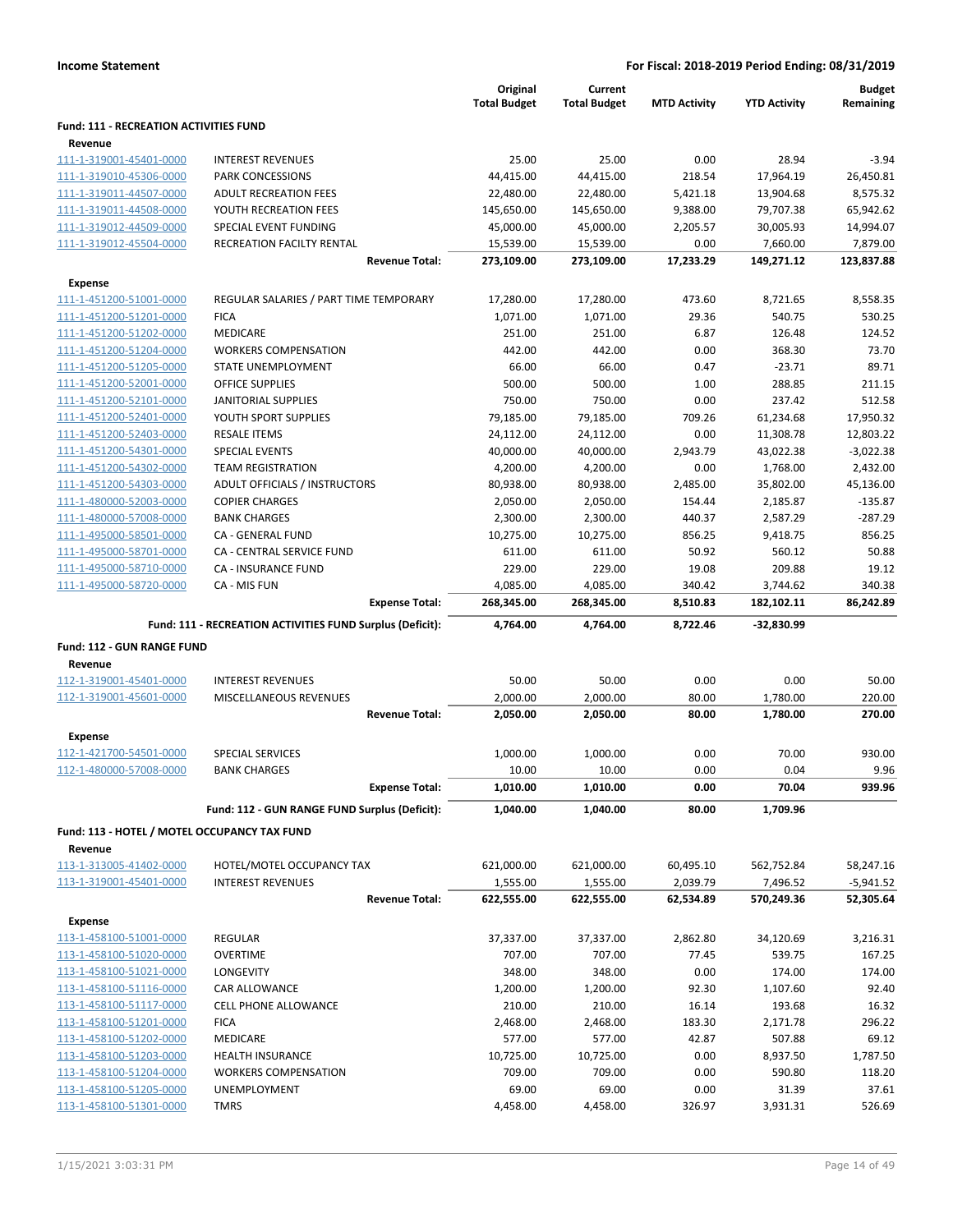|                                                    |                                                           | Original<br><b>Total Budget</b> | Current<br><b>Total Budget</b> | <b>MTD Activity</b> | <b>YTD Activity</b> | <b>Budget</b><br>Remaining |
|----------------------------------------------------|-----------------------------------------------------------|---------------------------------|--------------------------------|---------------------|---------------------|----------------------------|
| <b>Fund: 111 - RECREATION ACTIVITIES FUND</b>      |                                                           |                                 |                                |                     |                     |                            |
| Revenue<br>111-1-319001-45401-0000                 | <b>INTEREST REVENUES</b>                                  | 25.00                           | 25.00                          | 0.00                | 28.94               | $-3.94$                    |
| 111-1-319010-45306-0000                            | PARK CONCESSIONS                                          | 44,415.00                       | 44,415.00                      | 218.54              | 17,964.19           | 26,450.81                  |
| 111-1-319011-44507-0000                            | <b>ADULT RECREATION FEES</b>                              | 22,480.00                       | 22,480.00                      | 5,421.18            | 13,904.68           | 8,575.32                   |
| 111-1-319011-44508-0000                            | YOUTH RECREATION FEES                                     | 145,650.00                      | 145,650.00                     | 9,388.00            | 79,707.38           | 65,942.62                  |
| 111-1-319012-44509-0000                            | SPECIAL EVENT FUNDING                                     | 45,000.00                       | 45,000.00                      | 2,205.57            | 30,005.93           | 14,994.07                  |
| 111-1-319012-45504-0000                            | RECREATION FACILTY RENTAL                                 | 15,539.00                       | 15,539.00                      | 0.00                | 7,660.00            | 7,879.00                   |
|                                                    | <b>Revenue Total:</b>                                     | 273,109.00                      | 273,109.00                     | 17,233.29           | 149,271.12          | 123,837.88                 |
| <b>Expense</b>                                     |                                                           |                                 |                                |                     |                     |                            |
| 111-1-451200-51001-0000                            | REGULAR SALARIES / PART TIME TEMPORARY                    | 17,280.00                       | 17,280.00                      | 473.60              | 8,721.65            | 8,558.35                   |
| 111-1-451200-51201-0000                            | <b>FICA</b>                                               | 1,071.00                        | 1,071.00                       | 29.36               | 540.75              | 530.25                     |
| 111-1-451200-51202-0000                            | MEDICARE                                                  | 251.00                          | 251.00                         | 6.87                | 126.48              | 124.52                     |
| 111-1-451200-51204-0000                            | <b>WORKERS COMPENSATION</b>                               | 442.00                          | 442.00                         | 0.00                | 368.30              | 73.70                      |
| 111-1-451200-51205-0000                            | STATE UNEMPLOYMENT                                        | 66.00                           | 66.00                          | 0.47                | $-23.71$            | 89.71                      |
| 111-1-451200-52001-0000                            | <b>OFFICE SUPPLIES</b>                                    | 500.00                          | 500.00                         | 1.00                | 288.85              | 211.15                     |
| 111-1-451200-52101-0000                            | <b>JANITORIAL SUPPLIES</b>                                | 750.00                          | 750.00                         | 0.00                | 237.42              | 512.58                     |
| 111-1-451200-52401-0000                            | YOUTH SPORT SUPPLIES                                      | 79,185.00                       | 79,185.00                      | 709.26              | 61,234.68           | 17,950.32                  |
| 111-1-451200-52403-0000                            | <b>RESALE ITEMS</b>                                       | 24,112.00                       | 24,112.00                      | 0.00                | 11,308.78           | 12,803.22                  |
| 111-1-451200-54301-0000                            | <b>SPECIAL EVENTS</b>                                     | 40,000.00                       | 40,000.00                      | 2,943.79            | 43,022.38           | $-3,022.38$                |
| 111-1-451200-54302-0000                            | <b>TEAM REGISTRATION</b>                                  | 4,200.00                        | 4,200.00                       | 0.00                | 1,768.00            | 2,432.00                   |
| 111-1-451200-54303-0000                            | ADULT OFFICIALS / INSTRUCTORS                             | 80,938.00                       | 80,938.00                      | 2,485.00            | 35,802.00           | 45,136.00                  |
| 111-1-480000-52003-0000                            | <b>COPIER CHARGES</b>                                     | 2,050.00                        | 2,050.00                       | 154.44              | 2,185.87            | $-135.87$                  |
| 111-1-480000-57008-0000                            | <b>BANK CHARGES</b>                                       | 2,300.00                        | 2,300.00                       | 440.37              | 2,587.29            | $-287.29$                  |
| 111-1-495000-58501-0000                            | CA - GENERAL FUND                                         | 10,275.00                       | 10,275.00                      | 856.25              | 9,418.75            | 856.25                     |
| 111-1-495000-58701-0000                            | CA - CENTRAL SERVICE FUND                                 | 611.00                          | 611.00                         | 50.92               | 560.12              | 50.88                      |
| 111-1-495000-58710-0000                            | CA - INSURANCE FUND                                       |                                 |                                |                     |                     | 19.12                      |
| 111-1-495000-58720-0000                            | CA - MIS FUN                                              | 229.00<br>4,085.00              | 229.00<br>4,085.00             | 19.08<br>340.42     | 209.88<br>3,744.62  | 340.38                     |
|                                                    | <b>Expense Total:</b>                                     | 268,345.00                      | 268,345.00                     | 8,510.83            | 182,102.11          | 86,242.89                  |
|                                                    |                                                           |                                 |                                |                     |                     |                            |
|                                                    | Fund: 111 - RECREATION ACTIVITIES FUND Surplus (Deficit): | 4,764.00                        | 4,764.00                       | 8,722.46            | -32,830.99          |                            |
| Fund: 112 - GUN RANGE FUND                         |                                                           |                                 |                                |                     |                     |                            |
|                                                    |                                                           |                                 |                                |                     |                     |                            |
| Revenue                                            |                                                           |                                 |                                |                     |                     |                            |
| 112-1-319001-45401-0000                            | <b>INTEREST REVENUES</b>                                  | 50.00                           | 50.00                          | 0.00                | 0.00                | 50.00                      |
| 112-1-319001-45601-0000                            | MISCELLANEOUS REVENUES                                    | 2,000.00                        | 2,000.00                       | 80.00               | 1,780.00            | 220.00                     |
|                                                    | <b>Revenue Total:</b>                                     | 2,050.00                        | 2,050.00                       | 80.00               | 1,780.00            | 270.00                     |
| Expense                                            |                                                           |                                 |                                |                     |                     |                            |
| 112-1-421700-54501-0000                            | <b>SPECIAL SERVICES</b>                                   | 1,000.00                        | 1,000.00                       | 0.00                | 70.00               | 930.00                     |
| 112-1-480000-57008-0000                            | <b>BANK CHARGES</b>                                       | 10.00                           | 10.00                          | 0.00                | 0.04                | 9.96                       |
|                                                    | <b>Expense Total:</b>                                     | 1,010.00                        | 1,010.00                       | 0.00                | 70.04               | 939.96                     |
|                                                    | Fund: 112 - GUN RANGE FUND Surplus (Deficit):             | 1,040.00                        | 1,040.00                       | 80.00               | 1,709.96            |                            |
|                                                    |                                                           |                                 |                                |                     |                     |                            |
| Fund: 113 - HOTEL / MOTEL OCCUPANCY TAX FUND       |                                                           |                                 |                                |                     |                     |                            |
| Revenue                                            |                                                           |                                 |                                |                     |                     |                            |
| 113-1-313005-41402-0000                            | HOTEL/MOTEL OCCUPANCY TAX                                 | 621,000.00                      | 621,000.00                     | 60,495.10           | 562,752.84          | 58,247.16                  |
| 113-1-319001-45401-0000                            | <b>INTEREST REVENUES</b>                                  | 1,555.00                        | 1,555.00                       | 2,039.79            | 7,496.52            | $-5,941.52$                |
|                                                    | <b>Revenue Total:</b>                                     | 622,555.00                      | 622,555.00                     | 62,534.89           | 570,249.36          | 52,305.64                  |
| <b>Expense</b>                                     |                                                           |                                 |                                |                     |                     |                            |
| 113-1-458100-51001-0000                            | <b>REGULAR</b>                                            | 37,337.00                       | 37,337.00                      | 2,862.80            | 34,120.69           | 3,216.31                   |
| 113-1-458100-51020-0000                            | <b>OVERTIME</b>                                           | 707.00                          | 707.00                         | 77.45               | 539.75              | 167.25                     |
| 113-1-458100-51021-0000                            | LONGEVITY                                                 | 348.00                          | 348.00                         | 0.00                | 174.00              | 174.00                     |
| 113-1-458100-51116-0000                            | CAR ALLOWANCE                                             | 1,200.00                        | 1,200.00                       | 92.30               | 1,107.60            | 92.40                      |
| 113-1-458100-51117-0000                            | <b>CELL PHONE ALLOWANCE</b>                               | 210.00                          | 210.00                         | 16.14               | 193.68              | 16.32                      |
| 113-1-458100-51201-0000                            | <b>FICA</b>                                               | 2,468.00                        | 2,468.00                       | 183.30              | 2,171.78            | 296.22                     |
| 113-1-458100-51202-0000                            | MEDICARE                                                  | 577.00                          | 577.00                         | 42.87               | 507.88              | 69.12                      |
| 113-1-458100-51203-0000                            | <b>HEALTH INSURANCE</b>                                   | 10,725.00                       | 10,725.00                      | 0.00                | 8,937.50            | 1,787.50                   |
| 113-1-458100-51204-0000                            | <b>WORKERS COMPENSATION</b>                               | 709.00                          | 709.00                         | 0.00                | 590.80              | 118.20                     |
| 113-1-458100-51205-0000<br>113-1-458100-51301-0000 | UNEMPLOYMENT<br>TMRS                                      | 69.00<br>4,458.00               | 69.00<br>4,458.00              | 0.00<br>326.97      | 31.39<br>3,931.31   | 37.61<br>526.69            |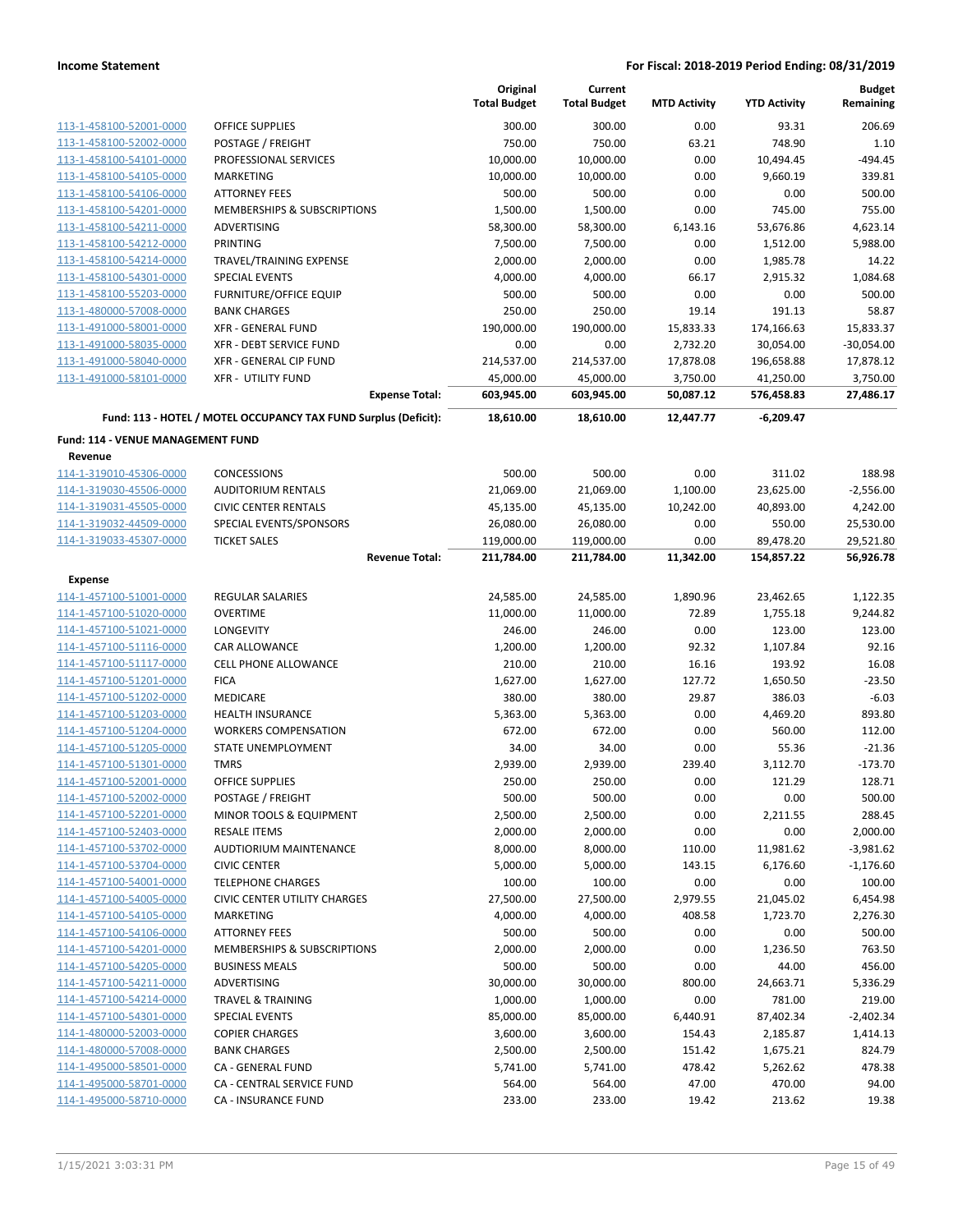|                                                    |                                                                 | Original<br><b>Total Budget</b> | Current<br><b>Total Budget</b> | <b>MTD Activity</b> | <b>YTD Activity</b>     | <b>Budget</b><br>Remaining |
|----------------------------------------------------|-----------------------------------------------------------------|---------------------------------|--------------------------------|---------------------|-------------------------|----------------------------|
| 113-1-458100-52001-0000                            | <b>OFFICE SUPPLIES</b>                                          | 300.00                          | 300.00                         | 0.00                | 93.31                   | 206.69                     |
| 113-1-458100-52002-0000                            | POSTAGE / FREIGHT                                               | 750.00                          | 750.00                         | 63.21               | 748.90                  | 1.10                       |
| 113-1-458100-54101-0000                            | PROFESSIONAL SERVICES                                           | 10,000.00                       | 10,000.00                      | 0.00                | 10,494.45               | $-494.45$                  |
| 113-1-458100-54105-0000                            | <b>MARKETING</b>                                                | 10,000.00                       | 10,000.00                      | 0.00                | 9,660.19                | 339.81                     |
| 113-1-458100-54106-0000                            | <b>ATTORNEY FEES</b>                                            | 500.00                          | 500.00                         | 0.00                | 0.00                    | 500.00                     |
| 113-1-458100-54201-0000                            | MEMBERSHIPS & SUBSCRIPTIONS                                     | 1,500.00                        | 1,500.00                       | 0.00                | 745.00                  | 755.00                     |
| 113-1-458100-54211-0000                            | ADVERTISING                                                     | 58,300.00                       | 58,300.00                      | 6,143.16            | 53,676.86               | 4,623.14                   |
| 113-1-458100-54212-0000                            | PRINTING                                                        | 7,500.00                        | 7,500.00                       | 0.00                | 1,512.00                | 5,988.00                   |
| 113-1-458100-54214-0000                            | TRAVEL/TRAINING EXPENSE                                         | 2,000.00                        | 2,000.00                       | 0.00                | 1,985.78                | 14.22                      |
| 113-1-458100-54301-0000                            | <b>SPECIAL EVENTS</b>                                           | 4,000.00                        | 4,000.00                       | 66.17               | 2,915.32                | 1,084.68                   |
| 113-1-458100-55203-0000                            | <b>FURNITURE/OFFICE EQUIP</b>                                   | 500.00                          | 500.00                         | 0.00                | 0.00                    | 500.00                     |
| 113-1-480000-57008-0000                            | <b>BANK CHARGES</b>                                             | 250.00                          | 250.00                         | 19.14               | 191.13                  | 58.87                      |
| 113-1-491000-58001-0000                            | <b>XFR - GENERAL FUND</b>                                       | 190,000.00                      | 190,000.00                     | 15,833.33           | 174,166.63              | 15,833.37                  |
| 113-1-491000-58035-0000                            | <b>XFR - DEBT SERVICE FUND</b>                                  | 0.00                            | 0.00                           | 2,732.20            | 30,054.00               | $-30,054.00$               |
| 113-1-491000-58040-0000                            | XFR - GENERAL CIP FUND                                          | 214,537.00                      | 214,537.00                     | 17,878.08           | 196,658.88              | 17,878.12                  |
| 113-1-491000-58101-0000                            | <b>XFR - UTILITY FUND</b>                                       | 45,000.00                       | 45,000.00                      | 3,750.00            | 41,250.00               | 3,750.00                   |
|                                                    | <b>Expense Total:</b>                                           | 603,945.00                      | 603,945.00                     | 50,087.12           | 576,458.83              | 27,486.17                  |
|                                                    | Fund: 113 - HOTEL / MOTEL OCCUPANCY TAX FUND Surplus (Deficit): | 18,610.00                       | 18,610.00                      | 12,447.77           | $-6,209.47$             |                            |
| <b>Fund: 114 - VENUE MANAGEMENT FUND</b>           |                                                                 |                                 |                                |                     |                         |                            |
| Revenue                                            |                                                                 |                                 |                                |                     |                         |                            |
| 114-1-319010-45306-0000                            | CONCESSIONS                                                     | 500.00                          | 500.00                         | 0.00                | 311.02                  | 188.98                     |
| 114-1-319030-45506-0000                            | <b>AUDITORIUM RENTALS</b>                                       | 21,069.00                       | 21,069.00                      | 1,100.00            | 23,625.00               | $-2,556.00$                |
| 114-1-319031-45505-0000                            | <b>CIVIC CENTER RENTALS</b>                                     | 45,135.00                       | 45,135.00                      | 10,242.00           | 40,893.00               | 4,242.00                   |
| 114-1-319032-44509-0000                            | SPECIAL EVENTS/SPONSORS                                         | 26,080.00                       | 26,080.00                      | 0.00                | 550.00                  | 25,530.00                  |
| 114-1-319033-45307-0000                            | <b>TICKET SALES</b><br><b>Revenue Total:</b>                    | 119,000.00<br>211,784.00        | 119,000.00<br>211,784.00       | 0.00<br>11,342.00   | 89,478.20<br>154,857.22 | 29,521.80<br>56,926.78     |
|                                                    |                                                                 |                                 |                                |                     |                         |                            |
| <b>Expense</b>                                     |                                                                 |                                 |                                |                     |                         |                            |
| 114-1-457100-51001-0000<br>114-1-457100-51020-0000 | <b>REGULAR SALARIES</b><br><b>OVERTIME</b>                      | 24,585.00                       | 24,585.00                      | 1,890.96<br>72.89   | 23,462.65               | 1,122.35<br>9,244.82       |
| 114-1-457100-51021-0000                            | <b>LONGEVITY</b>                                                | 11,000.00<br>246.00             | 11,000.00<br>246.00            | 0.00                | 1,755.18<br>123.00      | 123.00                     |
| 114-1-457100-51116-0000                            | CAR ALLOWANCE                                                   | 1,200.00                        | 1,200.00                       | 92.32               | 1,107.84                | 92.16                      |
| 114-1-457100-51117-0000                            | CELL PHONE ALLOWANCE                                            | 210.00                          | 210.00                         | 16.16               | 193.92                  | 16.08                      |
| 114-1-457100-51201-0000                            | <b>FICA</b>                                                     | 1,627.00                        | 1,627.00                       | 127.72              | 1,650.50                | $-23.50$                   |
| 114-1-457100-51202-0000                            | <b>MEDICARE</b>                                                 | 380.00                          | 380.00                         | 29.87               | 386.03                  | $-6.03$                    |
| 114-1-457100-51203-0000                            | <b>HEALTH INSURANCE</b>                                         | 5,363.00                        | 5,363.00                       | 0.00                | 4,469.20                | 893.80                     |
| 114-1-457100-51204-0000                            | <b>WORKERS COMPENSATION</b>                                     | 672.00                          | 672.00                         | 0.00                | 560.00                  | 112.00                     |
| 114-1-457100-51205-0000                            | <b>STATE UNEMPLOYMENT</b>                                       | 34.00                           | 34.00                          | 0.00                | 55.36                   | $-21.36$                   |
| 114-1-457100-51301-0000                            | <b>TMRS</b>                                                     | 2,939.00                        | 2,939.00                       | 239.40              | 3,112.70                | $-173.70$                  |
| 114-1-457100-52001-0000                            | OFFICE SUPPLIES                                                 | 250.00                          | 250.00                         | 0.00                | 121.29                  | 128.71                     |
| 114-1-457100-52002-0000                            | POSTAGE / FREIGHT                                               | 500.00                          | 500.00                         | 0.00                | 0.00                    | 500.00                     |
| 114-1-457100-52201-0000                            | MINOR TOOLS & EQUIPMENT                                         | 2,500.00                        | 2,500.00                       | 0.00                | 2,211.55                | 288.45                     |
| 114-1-457100-52403-0000                            | <b>RESALE ITEMS</b>                                             | 2,000.00                        | 2,000.00                       | 0.00                | 0.00                    | 2,000.00                   |
| 114-1-457100-53702-0000                            | <b>AUDTIORIUM MAINTENANCE</b>                                   | 8,000.00                        | 8,000.00                       | 110.00              | 11,981.62               | $-3,981.62$                |
| 114-1-457100-53704-0000                            | <b>CIVIC CENTER</b>                                             | 5,000.00                        | 5,000.00                       | 143.15              | 6,176.60                | $-1,176.60$                |
| 114-1-457100-54001-0000                            | <b>TELEPHONE CHARGES</b>                                        | 100.00                          | 100.00                         | 0.00                | 0.00                    | 100.00                     |
| 114-1-457100-54005-0000                            | <b>CIVIC CENTER UTILITY CHARGES</b>                             | 27,500.00                       | 27,500.00                      | 2,979.55            | 21,045.02               | 6,454.98                   |
| 114-1-457100-54105-0000                            | <b>MARKETING</b>                                                | 4,000.00                        | 4,000.00                       | 408.58              | 1,723.70                | 2,276.30                   |
| 114-1-457100-54106-0000                            | <b>ATTORNEY FEES</b>                                            | 500.00                          | 500.00                         | 0.00                | 0.00                    | 500.00                     |
| 114-1-457100-54201-0000                            | MEMBERSHIPS & SUBSCRIPTIONS                                     | 2,000.00                        | 2,000.00                       | 0.00                | 1,236.50                | 763.50                     |
| 114-1-457100-54205-0000                            | <b>BUSINESS MEALS</b>                                           | 500.00                          | 500.00                         | 0.00                | 44.00                   | 456.00                     |
| 114-1-457100-54211-0000                            | ADVERTISING                                                     | 30,000.00                       | 30,000.00                      | 800.00              | 24,663.71               | 5,336.29                   |
| 114-1-457100-54214-0000                            | <b>TRAVEL &amp; TRAINING</b>                                    | 1,000.00                        | 1,000.00                       | 0.00                | 781.00                  | 219.00                     |
| 114-1-457100-54301-0000                            | <b>SPECIAL EVENTS</b>                                           | 85,000.00                       | 85,000.00                      | 6,440.91            | 87,402.34               | $-2,402.34$                |
| 114-1-480000-52003-0000                            | <b>COPIER CHARGES</b>                                           | 3,600.00                        | 3,600.00                       | 154.43              | 2,185.87                | 1,414.13                   |
| 114-1-480000-57008-0000                            | <b>BANK CHARGES</b>                                             | 2,500.00                        | 2,500.00                       | 151.42              | 1,675.21                | 824.79                     |
| 114-1-495000-58501-0000                            | CA - GENERAL FUND                                               | 5,741.00                        | 5,741.00                       | 478.42              | 5,262.62                | 478.38                     |
| 114-1-495000-58701-0000                            | CA - CENTRAL SERVICE FUND                                       | 564.00                          | 564.00                         | 47.00               | 470.00                  | 94.00                      |
| 114-1-495000-58710-0000                            | CA - INSURANCE FUND                                             | 233.00                          | 233.00                         | 19.42               | 213.62                  | 19.38                      |
|                                                    |                                                                 |                                 |                                |                     |                         |                            |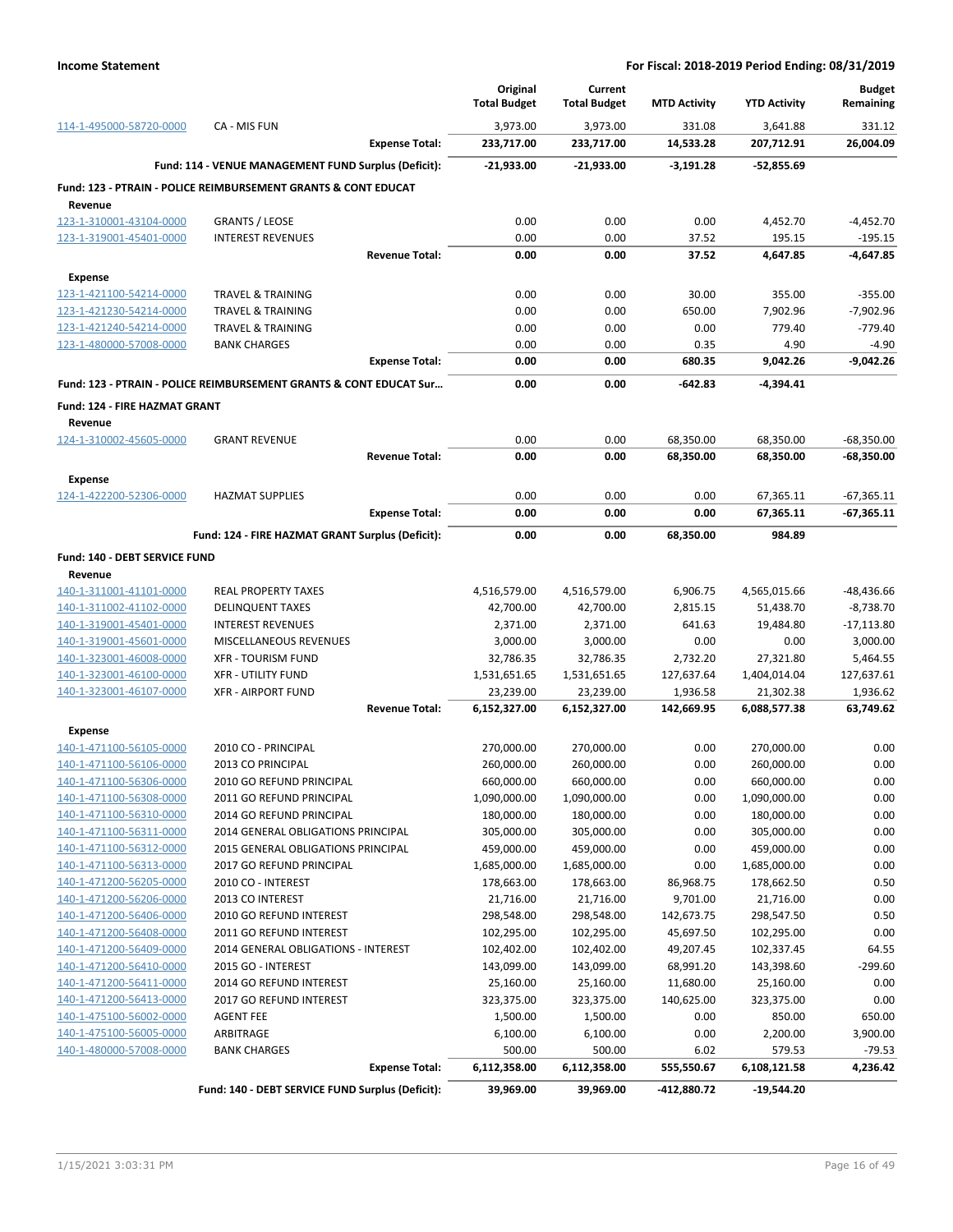|                                                    |                                                                           | Original<br><b>Total Budget</b> | Current<br><b>Total Budget</b> | <b>MTD Activity</b>     | <b>YTD Activity</b>      | <b>Budget</b><br>Remaining |
|----------------------------------------------------|---------------------------------------------------------------------------|---------------------------------|--------------------------------|-------------------------|--------------------------|----------------------------|
| 114-1-495000-58720-0000                            | CA - MIS FUN                                                              | 3,973.00                        | 3,973.00                       | 331.08                  | 3,641.88                 | 331.12                     |
|                                                    | <b>Expense Total:</b>                                                     | 233,717.00                      | 233,717.00                     | 14,533.28               | 207,712.91               | 26,004.09                  |
|                                                    | Fund: 114 - VENUE MANAGEMENT FUND Surplus (Deficit):                      | $-21,933.00$                    | $-21,933.00$                   | $-3,191.28$             | $-52,855.69$             |                            |
|                                                    | <b>Fund: 123 - PTRAIN - POLICE REIMBURSEMENT GRANTS &amp; CONT EDUCAT</b> |                                 |                                |                         |                          |                            |
| Revenue                                            |                                                                           |                                 |                                |                         |                          |                            |
| 123-1-310001-43104-0000                            | <b>GRANTS / LEOSE</b>                                                     | 0.00                            | 0.00                           | 0.00                    | 4,452.70                 | $-4,452.70$                |
| 123-1-319001-45401-0000                            | <b>INTEREST REVENUES</b>                                                  | 0.00                            | 0.00                           | 37.52                   | 195.15                   | $-195.15$                  |
|                                                    | <b>Revenue Total:</b>                                                     | 0.00                            | 0.00                           | 37.52                   | 4,647.85                 | $-4.647.85$                |
| <b>Expense</b>                                     |                                                                           |                                 |                                |                         |                          |                            |
| 123-1-421100-54214-0000                            | <b>TRAVEL &amp; TRAINING</b>                                              | 0.00                            | 0.00                           | 30.00                   | 355.00                   | $-355.00$                  |
| 123-1-421230-54214-0000                            | <b>TRAVEL &amp; TRAINING</b>                                              | 0.00                            | 0.00                           | 650.00                  | 7,902.96                 | $-7,902.96$                |
| 123-1-421240-54214-0000                            | <b>TRAVEL &amp; TRAINING</b>                                              | 0.00                            | 0.00                           | 0.00                    | 779.40                   | $-779.40$                  |
| 123-1-480000-57008-0000                            | <b>BANK CHARGES</b>                                                       | 0.00                            | 0.00                           | 0.35                    | 4.90                     | $-4.90$                    |
|                                                    | <b>Expense Total:</b>                                                     | 0.00                            | 0.00                           | 680.35                  | 9,042.26                 | $-9,042.26$                |
|                                                    | Fund: 123 - PTRAIN - POLICE REIMBURSEMENT GRANTS & CONT EDUCAT Sur        | 0.00                            | 0.00                           | $-642.83$               | $-4,394.41$              |                            |
| Fund: 124 - FIRE HAZMAT GRANT                      |                                                                           |                                 |                                |                         |                          |                            |
| Revenue                                            |                                                                           |                                 |                                |                         |                          |                            |
| 124-1-310002-45605-0000                            | <b>GRANT REVENUE</b>                                                      | 0.00                            | 0.00                           | 68,350.00               | 68,350.00                | $-68,350.00$               |
|                                                    | <b>Revenue Total:</b>                                                     | 0.00                            | 0.00                           | 68,350.00               | 68,350.00                | -68,350.00                 |
| <b>Expense</b>                                     |                                                                           |                                 |                                |                         |                          |                            |
| 124-1-422200-52306-0000                            | <b>HAZMAT SUPPLIES</b>                                                    | 0.00                            | 0.00                           | 0.00                    | 67,365.11                | $-67,365.11$               |
|                                                    | <b>Expense Total:</b>                                                     | 0.00                            | 0.00                           | 0.00                    | 67,365.11                | $-67,365.11$               |
|                                                    | Fund: 124 - FIRE HAZMAT GRANT Surplus (Deficit):                          | 0.00                            | 0.00                           | 68,350.00               | 984.89                   |                            |
|                                                    |                                                                           |                                 |                                |                         |                          |                            |
| Fund: 140 - DEBT SERVICE FUND                      |                                                                           |                                 |                                |                         |                          |                            |
| Revenue<br>140-1-311001-41101-0000                 | <b>REAL PROPERTY TAXES</b>                                                | 4,516,579.00                    | 4,516,579.00                   | 6,906.75                | 4,565,015.66             | $-48,436.66$               |
| 140-1-311002-41102-0000                            | <b>DELINQUENT TAXES</b>                                                   | 42,700.00                       | 42,700.00                      | 2,815.15                | 51,438.70                | $-8,738.70$                |
| 140-1-319001-45401-0000                            | <b>INTEREST REVENUES</b>                                                  | 2,371.00                        | 2,371.00                       | 641.63                  | 19,484.80                | $-17,113.80$               |
| 140-1-319001-45601-0000                            | MISCELLANEOUS REVENUES                                                    | 3,000.00                        | 3,000.00                       | 0.00                    | 0.00                     | 3,000.00                   |
| 140-1-323001-46008-0000                            | <b>XFR - TOURISM FUND</b>                                                 | 32,786.35                       | 32,786.35                      | 2,732.20                | 27,321.80                | 5,464.55                   |
| 140-1-323001-46100-0000                            | <b>XFR - UTILITY FUND</b>                                                 | 1,531,651.65                    | 1,531,651.65                   | 127,637.64              | 1,404,014.04             | 127,637.61                 |
| 140-1-323001-46107-0000                            | <b>XFR - AIRPORT FUND</b>                                                 | 23,239.00                       | 23,239.00                      | 1,936.58                | 21,302.38                | 1,936.62                   |
|                                                    | <b>Revenue Total:</b>                                                     | 6,152,327.00                    | 6,152,327.00                   | 142,669.95              | 6,088,577.38             | 63,749.62                  |
| <b>Expense</b>                                     |                                                                           |                                 |                                |                         |                          |                            |
| 140-1-471100-56105-0000                            | 2010 CO - PRINCIPAL                                                       | 270,000.00                      | 270,000.00                     | 0.00                    | 270,000.00               | 0.00                       |
| 140-1-471100-56106-0000                            | 2013 CO PRINCIPAL                                                         | 260,000.00                      | 260,000.00                     | 0.00                    | 260,000.00               | 0.00                       |
| <u>140-1-471100-56306-0000</u>                     | 2010 GO REFUND PRINCIPAL                                                  | 660,000.00                      | 660,000.00                     | 0.00                    | 660,000.00               | 0.00                       |
| 140-1-471100-56308-0000                            | 2011 GO REFUND PRINCIPAL                                                  | 1,090,000.00                    | 1,090,000.00                   | 0.00                    | 1,090,000.00             | 0.00                       |
| 140-1-471100-56310-0000                            | 2014 GO REFUND PRINCIPAL                                                  | 180,000.00                      | 180,000.00                     | 0.00                    | 180,000.00               | 0.00                       |
| 140-1-471100-56311-0000                            | 2014 GENERAL OBLIGATIONS PRINCIPAL                                        | 305,000.00                      | 305,000.00                     | 0.00                    | 305,000.00               | 0.00                       |
| 140-1-471100-56312-0000                            | 2015 GENERAL OBLIGATIONS PRINCIPAL                                        | 459,000.00                      | 459,000.00                     | 0.00                    | 459,000.00               | 0.00                       |
| 140-1-471100-56313-0000                            | 2017 GO REFUND PRINCIPAL                                                  | 1,685,000.00                    | 1,685,000.00                   | 0.00                    | 1,685,000.00             | 0.00                       |
| 140-1-471200-56205-0000                            | 2010 CO - INTEREST                                                        | 178,663.00                      | 178,663.00                     | 86,968.75               | 178,662.50               | 0.50                       |
| 140-1-471200-56206-0000                            | 2013 CO INTEREST<br>2010 GO REFUND INTEREST                               | 21,716.00                       | 21,716.00                      | 9,701.00                | 21,716.00                | 0.00<br>0.50               |
| 140-1-471200-56406-0000<br>140-1-471200-56408-0000 | 2011 GO REFUND INTEREST                                                   | 298,548.00<br>102,295.00        | 298,548.00<br>102,295.00       | 142,673.75<br>45,697.50 | 298,547.50<br>102,295.00 | 0.00                       |
| 140-1-471200-56409-0000                            | 2014 GENERAL OBLIGATIONS - INTEREST                                       | 102,402.00                      | 102,402.00                     | 49,207.45               | 102,337.45               | 64.55                      |
| 140-1-471200-56410-0000                            | 2015 GO - INTEREST                                                        | 143,099.00                      | 143,099.00                     | 68,991.20               | 143,398.60               | $-299.60$                  |
| 140-1-471200-56411-0000                            | 2014 GO REFUND INTEREST                                                   | 25,160.00                       | 25,160.00                      | 11,680.00               | 25,160.00                | 0.00                       |
| 140-1-471200-56413-0000                            | 2017 GO REFUND INTEREST                                                   | 323,375.00                      | 323,375.00                     | 140,625.00              | 323,375.00               | 0.00                       |
| 140-1-475100-56002-0000                            | <b>AGENT FEE</b>                                                          | 1,500.00                        | 1,500.00                       | 0.00                    | 850.00                   | 650.00                     |
| 140-1-475100-56005-0000                            | ARBITRAGE                                                                 | 6,100.00                        | 6,100.00                       | 0.00                    | 2,200.00                 | 3,900.00                   |
| 140-1-480000-57008-0000                            | <b>BANK CHARGES</b>                                                       | 500.00                          | 500.00                         | 6.02                    | 579.53                   | $-79.53$                   |
|                                                    | <b>Expense Total:</b>                                                     | 6,112,358.00                    | 6,112,358.00                   | 555,550.67              | 6,108,121.58             | 4,236.42                   |
|                                                    | Fund: 140 - DEBT SERVICE FUND Surplus (Deficit):                          | 39,969.00                       | 39,969.00                      | -412,880.72             | $-19,544.20$             |                            |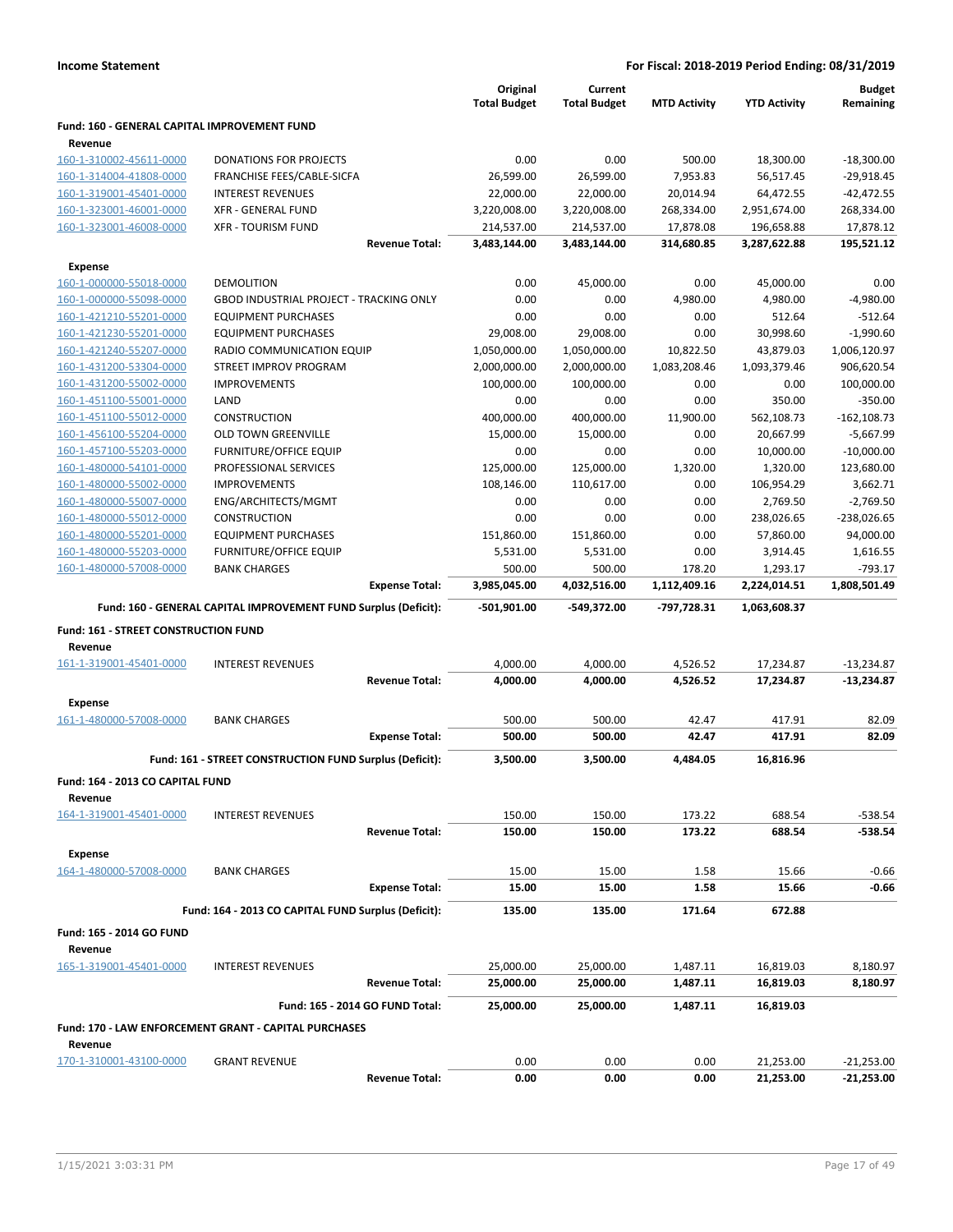|                                                         |                                                                 | Original<br><b>Total Budget</b> | Current<br><b>Total Budget</b> | <b>MTD Activity</b> | <b>YTD Activity</b> | <b>Budget</b><br>Remaining |
|---------------------------------------------------------|-----------------------------------------------------------------|---------------------------------|--------------------------------|---------------------|---------------------|----------------------------|
|                                                         |                                                                 |                                 |                                |                     |                     |                            |
| Fund: 160 - GENERAL CAPITAL IMPROVEMENT FUND<br>Revenue |                                                                 |                                 |                                |                     |                     |                            |
| 160-1-310002-45611-0000                                 | <b>DONATIONS FOR PROJECTS</b>                                   | 0.00                            | 0.00                           | 500.00              | 18,300.00           | $-18,300.00$               |
| 160-1-314004-41808-0000                                 | FRANCHISE FEES/CABLE-SICFA                                      | 26,599.00                       | 26,599.00                      | 7,953.83            | 56,517.45           | $-29,918.45$               |
| 160-1-319001-45401-0000                                 | <b>INTEREST REVENUES</b>                                        | 22,000.00                       | 22,000.00                      | 20,014.94           | 64,472.55           | $-42,472.55$               |
| 160-1-323001-46001-0000                                 | <b>XFR - GENERAL FUND</b>                                       | 3,220,008.00                    | 3,220,008.00                   | 268,334.00          | 2,951,674.00        | 268,334.00                 |
| 160-1-323001-46008-0000                                 | <b>XFR - TOURISM FUND</b>                                       | 214,537.00                      | 214,537.00                     | 17,878.08           | 196,658.88          | 17,878.12                  |
|                                                         | <b>Revenue Total:</b>                                           | 3,483,144.00                    | 3,483,144.00                   | 314,680.85          | 3,287,622.88        | 195,521.12                 |
| <b>Expense</b>                                          |                                                                 |                                 |                                |                     |                     |                            |
| 160-1-000000-55018-0000                                 | <b>DEMOLITION</b>                                               | 0.00                            | 45,000.00                      | 0.00                | 45,000.00           | 0.00                       |
| 160-1-000000-55098-0000                                 | <b>GBOD INDUSTRIAL PROJECT - TRACKING ONLY</b>                  | 0.00                            | 0.00                           | 4,980.00            | 4,980.00            | $-4,980.00$                |
| 160-1-421210-55201-0000                                 | <b>EQUIPMENT PURCHASES</b>                                      | 0.00                            | 0.00                           | 0.00                | 512.64              | $-512.64$                  |
| 160-1-421230-55201-0000                                 | <b>EQUIPMENT PURCHASES</b>                                      | 29,008.00                       | 29,008.00                      | 0.00                | 30,998.60           | $-1,990.60$                |
| 160-1-421240-55207-0000                                 | RADIO COMMUNICATION EQUIP                                       | 1,050,000.00                    | 1,050,000.00                   | 10,822.50           | 43,879.03           | 1,006,120.97               |
| 160-1-431200-53304-0000                                 | STREET IMPROV PROGRAM                                           | 2,000,000.00                    | 2,000,000.00                   | 1,083,208.46        | 1,093,379.46        | 906,620.54                 |
| 160-1-431200-55002-0000                                 | <b>IMPROVEMENTS</b>                                             | 100,000.00                      | 100,000.00                     | 0.00                | 0.00                | 100,000.00                 |
| 160-1-451100-55001-0000                                 | LAND                                                            | 0.00                            | 0.00                           | 0.00                | 350.00              | $-350.00$                  |
| 160-1-451100-55012-0000                                 | <b>CONSTRUCTION</b>                                             | 400,000.00                      | 400,000.00                     | 11,900.00           | 562,108.73          | $-162, 108.73$             |
| 160-1-456100-55204-0000                                 | <b>OLD TOWN GREENVILLE</b>                                      | 15,000.00                       | 15,000.00                      | 0.00                | 20,667.99           | $-5,667.99$                |
| 160-1-457100-55203-0000                                 | <b>FURNITURE/OFFICE EQUIP</b>                                   | 0.00                            | 0.00                           | 0.00                | 10,000.00           | $-10,000.00$               |
| 160-1-480000-54101-0000                                 | PROFESSIONAL SERVICES                                           | 125,000.00                      | 125,000.00                     | 1,320.00            | 1,320.00            | 123,680.00                 |
| 160-1-480000-55002-0000                                 | <b>IMPROVEMENTS</b>                                             | 108,146.00                      | 110,617.00                     | 0.00                | 106,954.29          | 3,662.71                   |
| 160-1-480000-55007-0000                                 | ENG/ARCHITECTS/MGMT                                             | 0.00                            | 0.00                           | 0.00                | 2,769.50            | $-2,769.50$                |
| 160-1-480000-55012-0000                                 | <b>CONSTRUCTION</b>                                             | 0.00                            | 0.00                           | 0.00                | 238,026.65          | $-238,026.65$              |
| 160-1-480000-55201-0000                                 | <b>EQUIPMENT PURCHASES</b>                                      | 151,860.00                      | 151,860.00                     | 0.00                | 57,860.00           | 94,000.00                  |
| 160-1-480000-55203-0000                                 | <b>FURNITURE/OFFICE EQUIP</b>                                   | 5,531.00                        | 5,531.00                       | 0.00                | 3,914.45            | 1,616.55                   |
| 160-1-480000-57008-0000                                 | <b>BANK CHARGES</b>                                             | 500.00                          | 500.00                         | 178.20              | 1,293.17            | $-793.17$                  |
|                                                         | <b>Expense Total:</b>                                           | 3,985,045.00                    | 4,032,516.00                   | 1,112,409.16        | 2,224,014.51        | 1,808,501.49               |
|                                                         |                                                                 |                                 |                                |                     |                     |                            |
|                                                         | Fund: 160 - GENERAL CAPITAL IMPROVEMENT FUND Surplus (Deficit): | $-501,901.00$                   | -549,372.00                    | -797,728.31         | 1,063,608.37        |                            |
| Fund: 161 - STREET CONSTRUCTION FUND                    |                                                                 |                                 |                                |                     |                     |                            |
| Revenue                                                 |                                                                 |                                 |                                |                     |                     |                            |
| 161-1-319001-45401-0000                                 | <b>INTEREST REVENUES</b>                                        | 4,000.00                        | 4,000.00                       | 4,526.52            | 17,234.87           | $-13,234.87$               |
|                                                         | <b>Revenue Total:</b>                                           | 4,000.00                        | 4,000.00                       | 4,526.52            | 17,234.87           | $-13,234.87$               |
| <b>Expense</b>                                          |                                                                 |                                 |                                |                     |                     |                            |
| 161-1-480000-57008-0000                                 | <b>BANK CHARGES</b>                                             | 500.00                          | 500.00                         | 42.47               | 417.91              | 82.09                      |
|                                                         | <b>Expense Total:</b>                                           | 500.00                          | 500.00                         | 42.47               | 417.91              | 82.09                      |
|                                                         | Fund: 161 - STREET CONSTRUCTION FUND Surplus (Deficit):         | 3.500.00                        | 3,500.00                       | 4,484.05            | 16,816.96           |                            |
| Fund: 164 - 2013 CO CAPITAL FUND                        |                                                                 |                                 |                                |                     |                     |                            |
| Revenue                                                 |                                                                 |                                 |                                |                     |                     |                            |
| 164-1-319001-45401-0000                                 | <b>INTEREST REVENUES</b>                                        | 150.00                          | 150.00                         | 173.22              | 688.54              | $-538.54$                  |
|                                                         | <b>Revenue Total:</b>                                           | 150.00                          | 150.00                         | 173.22              | 688.54              | $-538.54$                  |
|                                                         |                                                                 |                                 |                                |                     |                     |                            |
| Expense                                                 |                                                                 |                                 |                                |                     |                     |                            |
| 164-1-480000-57008-0000                                 | <b>BANK CHARGES</b>                                             | 15.00                           | 15.00                          | 1.58                | 15.66               | $-0.66$<br>$-0.66$         |
|                                                         | <b>Expense Total:</b>                                           | 15.00                           | 15.00                          | 1.58                | 15.66               |                            |
|                                                         | Fund: 164 - 2013 CO CAPITAL FUND Surplus (Deficit):             | 135.00                          | 135.00                         | 171.64              | 672.88              |                            |
| Fund: 165 - 2014 GO FUND                                |                                                                 |                                 |                                |                     |                     |                            |
| Revenue                                                 |                                                                 |                                 |                                |                     |                     |                            |
| 165-1-319001-45401-0000                                 | <b>INTEREST REVENUES</b>                                        | 25,000.00                       | 25,000.00                      | 1,487.11            | 16,819.03           | 8,180.97                   |
|                                                         | <b>Revenue Total:</b>                                           | 25,000.00                       | 25,000.00                      | 1,487.11            | 16,819.03           | 8,180.97                   |
|                                                         | Fund: 165 - 2014 GO FUND Total:                                 | 25,000.00                       | 25,000.00                      | 1,487.11            | 16,819.03           |                            |
|                                                         | Fund: 170 - LAW ENFORCEMENT GRANT - CAPITAL PURCHASES           |                                 |                                |                     |                     |                            |
| Revenue                                                 |                                                                 |                                 |                                |                     |                     |                            |
| 170-1-310001-43100-0000                                 | <b>GRANT REVENUE</b>                                            | 0.00                            | 0.00                           | 0.00                | 21,253.00           | $-21,253.00$               |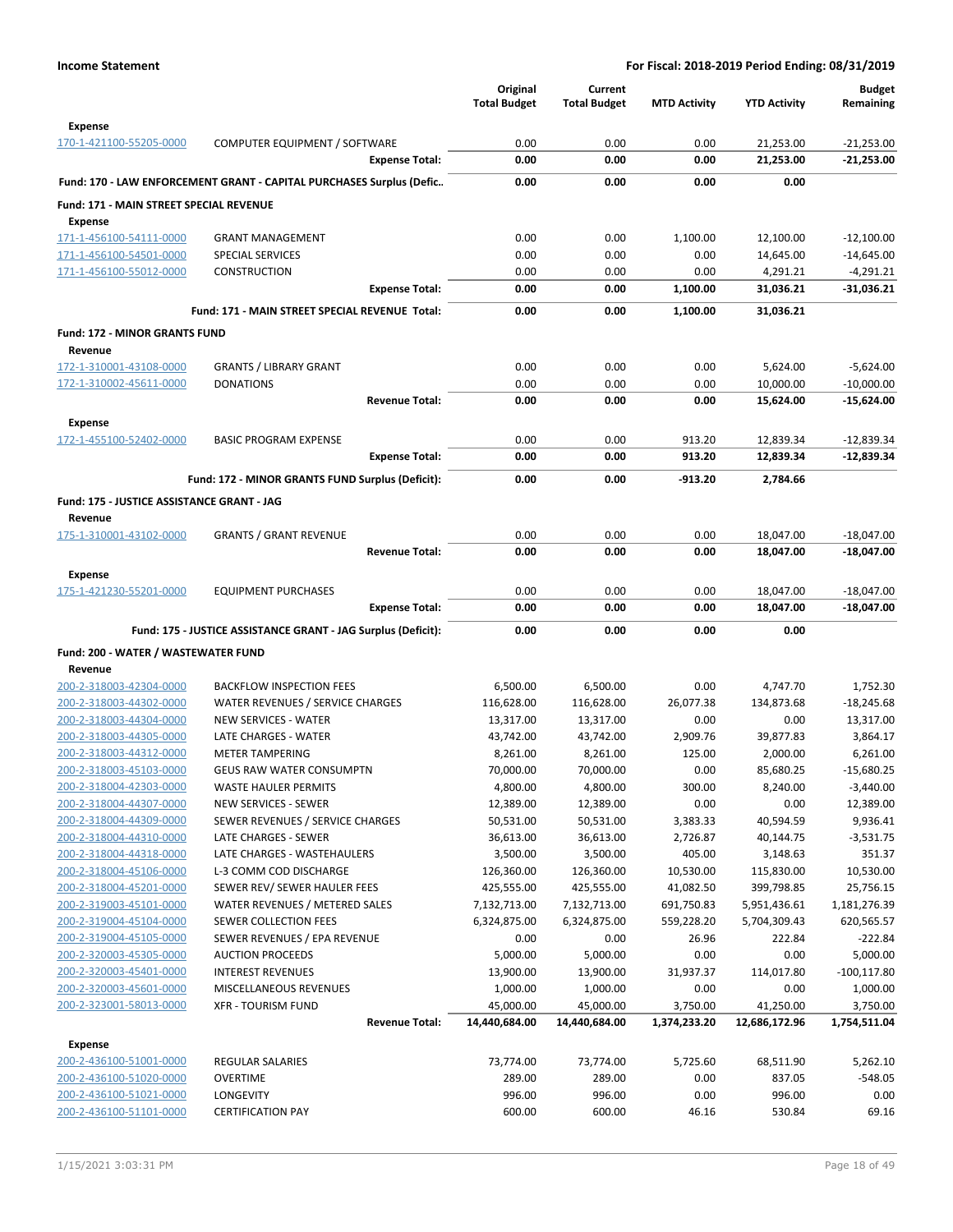|                                                    |                                                                      | Original<br><b>Total Budget</b> | Current<br><b>Total Budget</b> | <b>MTD Activity</b>      | <b>YTD Activity</b>          | <b>Budget</b><br>Remaining |
|----------------------------------------------------|----------------------------------------------------------------------|---------------------------------|--------------------------------|--------------------------|------------------------------|----------------------------|
| <b>Expense</b>                                     |                                                                      |                                 |                                |                          |                              |                            |
| 170-1-421100-55205-0000                            | COMPUTER EQUIPMENT / SOFTWARE                                        | 0.00                            | 0.00                           | 0.00                     | 21,253.00                    | $-21,253.00$               |
|                                                    | <b>Expense Total:</b>                                                | 0.00                            | 0.00                           | 0.00                     | 21,253.00                    | $-21,253.00$               |
|                                                    | Fund: 170 - LAW ENFORCEMENT GRANT - CAPITAL PURCHASES Surplus (Defic | 0.00                            | 0.00                           | 0.00                     | 0.00                         |                            |
| <b>Fund: 171 - MAIN STREET SPECIAL REVENUE</b>     |                                                                      |                                 |                                |                          |                              |                            |
| Expense                                            |                                                                      |                                 |                                |                          |                              |                            |
| 171-1-456100-54111-0000                            | <b>GRANT MANAGEMENT</b>                                              | 0.00                            | 0.00                           | 1,100.00                 | 12,100.00                    | $-12,100.00$               |
| 171-1-456100-54501-0000                            | <b>SPECIAL SERVICES</b>                                              | 0.00                            | 0.00                           | 0.00                     | 14,645.00                    | $-14,645.00$               |
| 171-1-456100-55012-0000                            | <b>CONSTRUCTION</b>                                                  | 0.00                            | 0.00                           | 0.00                     | 4,291.21                     | $-4,291.21$                |
|                                                    | <b>Expense Total:</b>                                                | 0.00                            | 0.00                           | 1,100.00                 | 31,036.21                    | $-31,036.21$               |
|                                                    | Fund: 171 - MAIN STREET SPECIAL REVENUE Total:                       | 0.00                            | 0.00                           | 1,100.00                 | 31,036.21                    |                            |
| <b>Fund: 172 - MINOR GRANTS FUND</b>               |                                                                      |                                 |                                |                          |                              |                            |
| Revenue                                            |                                                                      |                                 |                                |                          |                              |                            |
| 172-1-310001-43108-0000                            | <b>GRANTS / LIBRARY GRANT</b>                                        | 0.00                            | 0.00                           | 0.00                     | 5,624.00                     | $-5,624.00$                |
| 172-1-310002-45611-0000                            | <b>DONATIONS</b>                                                     | 0.00                            | 0.00                           | 0.00                     | 10,000.00                    | $-10,000.00$               |
|                                                    | <b>Revenue Total:</b>                                                | 0.00                            | 0.00                           | 0.00                     | 15,624.00                    | $-15,624.00$               |
| Expense                                            |                                                                      |                                 |                                |                          |                              |                            |
| 172-1-455100-52402-0000                            | <b>BASIC PROGRAM EXPENSE</b>                                         | 0.00                            | 0.00                           | 913.20                   | 12,839.34                    | $-12,839.34$               |
|                                                    | <b>Expense Total:</b>                                                | 0.00                            | 0.00                           | 913.20                   | 12,839.34                    | $-12,839.34$               |
|                                                    | Fund: 172 - MINOR GRANTS FUND Surplus (Deficit):                     | 0.00                            | 0.00                           | $-913.20$                | 2,784.66                     |                            |
| Fund: 175 - JUSTICE ASSISTANCE GRANT - JAG         |                                                                      |                                 |                                |                          |                              |                            |
| Revenue                                            |                                                                      |                                 |                                |                          |                              |                            |
| 175-1-310001-43102-0000                            | <b>GRANTS / GRANT REVENUE</b>                                        | 0.00                            | 0.00                           | 0.00                     | 18,047.00                    | $-18,047.00$               |
|                                                    | <b>Revenue Total:</b>                                                | 0.00                            | 0.00                           | 0.00                     | 18,047.00                    | $-18,047.00$               |
| <b>Expense</b>                                     |                                                                      |                                 |                                |                          |                              |                            |
| 175-1-421230-55201-0000                            | <b>EQUIPMENT PURCHASES</b>                                           | 0.00                            | 0.00                           | 0.00                     | 18,047.00                    | $-18,047.00$               |
|                                                    | <b>Expense Total:</b>                                                | 0.00                            | 0.00                           | 0.00                     | 18,047.00                    | $-18,047.00$               |
|                                                    | Fund: 175 - JUSTICE ASSISTANCE GRANT - JAG Surplus (Deficit):        | 0.00                            | 0.00                           | 0.00                     | 0.00                         |                            |
| Fund: 200 - WATER / WASTEWATER FUND                |                                                                      |                                 |                                |                          |                              |                            |
| Revenue                                            |                                                                      |                                 |                                |                          |                              |                            |
| 200-2-318003-42304-0000                            | <b>BACKFLOW INSPECTION FEES</b>                                      | 6,500.00                        | 6,500.00                       | 0.00                     | 4,747.70                     | 1,752.30                   |
| 200-2-318003-44302-0000                            | WATER REVENUES / SERVICE CHARGES                                     | 116,628.00                      | 116,628.00                     | 26,077.38                | 134,873.68                   | $-18,245.68$               |
| 200-2-318003-44304-0000<br>200-2-318003-44305-0000 | <b>NEW SERVICES - WATER</b><br>LATE CHARGES - WATER                  | 13,317.00<br>43,742.00          | 13,317.00<br>43,742.00         | 0.00<br>2,909.76         | 0.00<br>39,877.83            | 13,317.00<br>3,864.17      |
| 200-2-318003-44312-0000                            | <b>METER TAMPERING</b>                                               | 8,261.00                        | 8,261.00                       | 125.00                   | 2,000.00                     | 6,261.00                   |
| 200-2-318003-45103-0000                            | <b>GEUS RAW WATER CONSUMPTN</b>                                      | 70,000.00                       | 70,000.00                      | 0.00                     | 85,680.25                    | $-15,680.25$               |
| 200-2-318004-42303-0000                            | <b>WASTE HAULER PERMITS</b>                                          | 4,800.00                        | 4,800.00                       | 300.00                   | 8,240.00                     | $-3,440.00$                |
| 200-2-318004-44307-0000                            | <b>NEW SERVICES - SEWER</b>                                          | 12,389.00                       | 12,389.00                      | 0.00                     | 0.00                         | 12,389.00                  |
| 200-2-318004-44309-0000                            | SEWER REVENUES / SERVICE CHARGES                                     | 50,531.00                       | 50,531.00                      | 3,383.33                 | 40,594.59                    | 9,936.41                   |
| 200-2-318004-44310-0000                            | LATE CHARGES - SEWER                                                 | 36,613.00                       | 36,613.00                      | 2,726.87                 | 40,144.75                    | $-3,531.75$                |
| 200-2-318004-44318-0000                            | LATE CHARGES - WASTEHAULERS                                          | 3,500.00                        | 3,500.00                       | 405.00                   | 3,148.63                     | 351.37                     |
| 200-2-318004-45106-0000                            | L-3 COMM COD DISCHARGE                                               | 126,360.00                      | 126,360.00                     | 10,530.00                | 115,830.00                   | 10,530.00                  |
| 200-2-318004-45201-0000                            | SEWER REV/ SEWER HAULER FEES                                         | 425,555.00                      | 425,555.00                     | 41,082.50                | 399,798.85                   | 25,756.15                  |
| 200-2-319003-45101-0000<br>200-2-319004-45104-0000 | WATER REVENUES / METERED SALES<br>SEWER COLLECTION FEES              | 7,132,713.00<br>6,324,875.00    | 7,132,713.00<br>6,324,875.00   | 691,750.83<br>559,228.20 | 5,951,436.61<br>5,704,309.43 | 1,181,276.39<br>620,565.57 |
| 200-2-319004-45105-0000                            | SEWER REVENUES / EPA REVENUE                                         | 0.00                            | 0.00                           | 26.96                    | 222.84                       | $-222.84$                  |
| 200-2-320003-45305-0000                            | <b>AUCTION PROCEEDS</b>                                              | 5,000.00                        | 5,000.00                       | 0.00                     | 0.00                         | 5,000.00                   |
| 200-2-320003-45401-0000                            | <b>INTEREST REVENUES</b>                                             | 13,900.00                       | 13,900.00                      | 31,937.37                | 114,017.80                   | $-100, 117.80$             |
| 200-2-320003-45601-0000                            | MISCELLANEOUS REVENUES                                               | 1,000.00                        | 1,000.00                       | 0.00                     | 0.00                         | 1,000.00                   |
| 200-2-323001-58013-0000                            | <b>XFR - TOURISM FUND</b>                                            | 45,000.00                       | 45,000.00                      | 3,750.00                 | 41,250.00                    | 3,750.00                   |
|                                                    | <b>Revenue Total:</b>                                                | 14,440,684.00                   | 14,440,684.00                  | 1,374,233.20             | 12,686,172.96                | 1,754,511.04               |
| <b>Expense</b>                                     |                                                                      |                                 |                                |                          |                              |                            |
| 200-2-436100-51001-0000                            | <b>REGULAR SALARIES</b>                                              | 73,774.00                       | 73,774.00                      | 5,725.60                 | 68,511.90                    | 5,262.10                   |
| 200-2-436100-51020-0000                            | <b>OVERTIME</b>                                                      | 289.00                          | 289.00                         | 0.00                     | 837.05                       | $-548.05$                  |
| 200-2-436100-51021-0000                            | LONGEVITY                                                            | 996.00                          | 996.00                         | 0.00                     | 996.00                       | 0.00                       |
| 200-2-436100-51101-0000                            | <b>CERTIFICATION PAY</b>                                             | 600.00                          | 600.00                         | 46.16                    | 530.84                       | 69.16                      |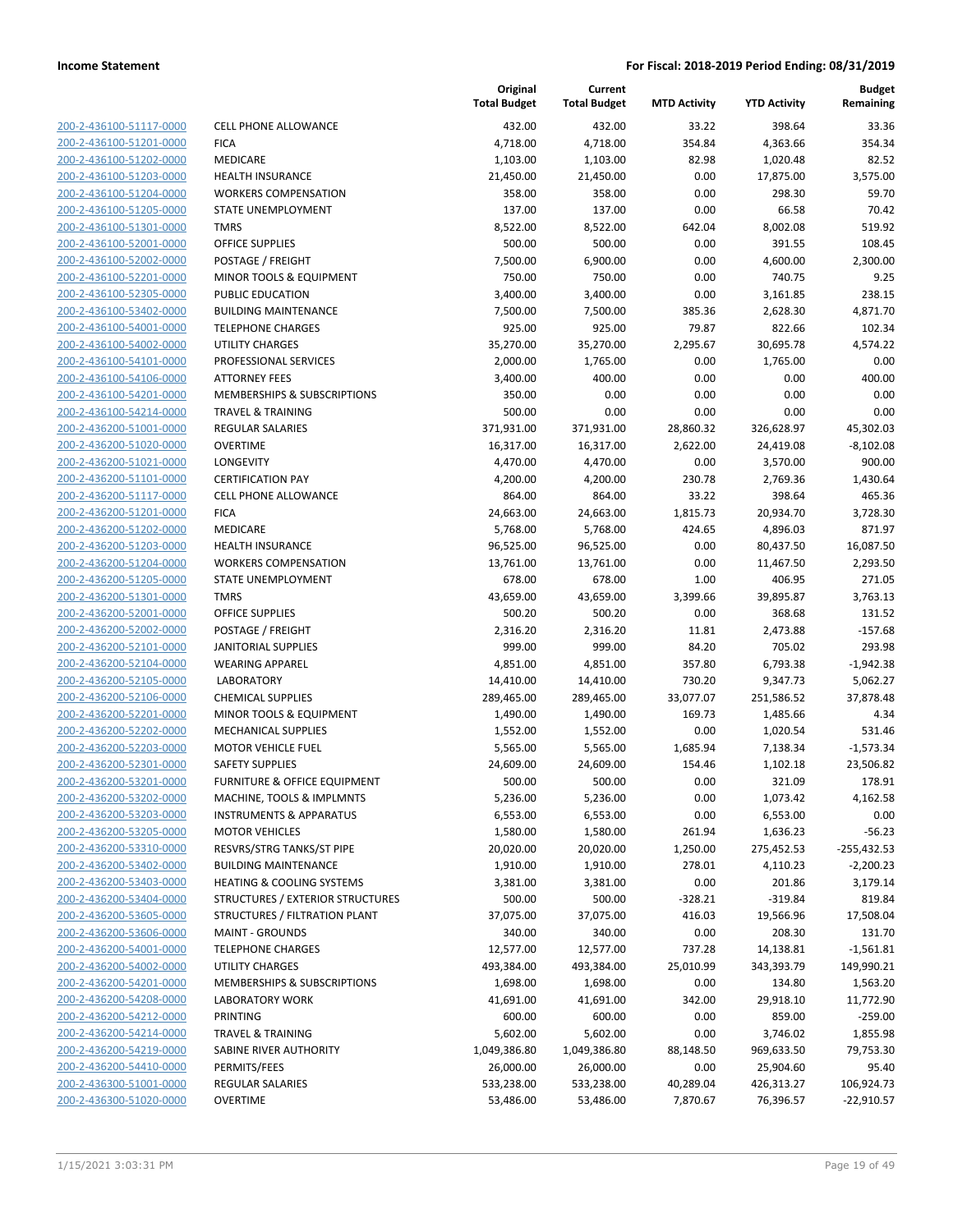| 200-2-436100-51117-0000        |
|--------------------------------|
| 200-2-436100-51201-0000        |
| 200-2-436100-51202-0000        |
| 200-2-436100-51203-0000        |
| 200-2-436100-51204-0000        |
| 200-2-436100-51205-0000        |
| 200-2-436100-51301-0000        |
| 200-2-436100-52001-0000        |
| 200-2-436100-52002-0000        |
| 200-2-436100-52201-0000        |
| 200-2-436100-52305-0000        |
| 200-2-436100-53402-0000        |
| 200-2-436100-54001-0000        |
| 200-2-436100-54002-0000        |
| 200-2-436100-54101-0000        |
| 200-2-436100-54106-0000        |
| 200-2-436100-54201-0000        |
|                                |
| 200-2-436100-54214-0000        |
| 200-2-436200-51001-0000        |
| 200-2-436200-51020-0000        |
| 200-2-436200-51021-0000        |
| 200-2-436200-51101-0000        |
| 200-2-436200-51117-0000        |
| 200-2-436200-51201-0000        |
| 200-2-436200-51202-0000        |
| 200-2-436200-51203-0000        |
| 200-2-436200-51204-0000        |
| 200-2-436200-51205-0000        |
| 200-2-436200-51301-0000        |
| 200-2-436200-52001-0000        |
| 200-2-436200-52002-0000        |
| 200-2-436200-52101-0000        |
| 200-2-436200-52104-0000        |
| 200-2-436200-52105-0000        |
|                                |
| 200-2-436200-52106-0000        |
| 200-2-436200-52201-0000        |
| 200-2-436200-52202-0000        |
| 200-2-436200-52203-0000        |
| 200-2-436200-52301-0000        |
| 200-2-436200-53201-0000        |
| 200-2-436200-53202-0000        |
| <u>200-2-436200-53203-0000</u> |
| 200-2-436200-53205-0000        |
| 200-2-436200-53310-0000        |
| 200-2-436200-53402-0000        |
| 200-2-436200-53403-0000        |
| 200-2-436200-53404-0000        |
| 200-2-436200-53605-0000        |
| <u>200-2-436200-53606-0000</u> |
| <u>200-2-436200-54001-0000</u> |
| 200-2-436200-54002-0000        |
| 200-2-436200-54201-0000        |
|                                |
| 200-2-436200-54208-0000        |
| <u>200-2-436200-54212-0000</u> |
| <u>200-2-436200-54214-0000</u> |
| 200-2-436200-54219-0000        |
| 200-2-436200-54410-0000        |
| 200-2-436300-51001-0000        |
| 200-2-436300-51020-0000        |
|                                |

|                         |                                    | Original<br><b>Total Budget</b> | Current<br><b>Total Budget</b> | <b>MTD Activity</b> | <b>YTD Activity</b> | <b>Budget</b><br>Remaining |
|-------------------------|------------------------------------|---------------------------------|--------------------------------|---------------------|---------------------|----------------------------|
| 200-2-436100-51117-0000 | <b>CELL PHONE ALLOWANCE</b>        | 432.00                          | 432.00                         | 33.22               | 398.64              | 33.36                      |
| 200-2-436100-51201-0000 | <b>FICA</b>                        | 4,718.00                        | 4,718.00                       | 354.84              | 4,363.66            | 354.34                     |
| 200-2-436100-51202-0000 | MEDICARE                           | 1,103.00                        | 1,103.00                       | 82.98               | 1,020.48            | 82.52                      |
| 200-2-436100-51203-0000 | <b>HEALTH INSURANCE</b>            | 21,450.00                       | 21,450.00                      | 0.00                | 17,875.00           | 3,575.00                   |
| 200-2-436100-51204-0000 | <b>WORKERS COMPENSATION</b>        | 358.00                          | 358.00                         | 0.00                | 298.30              | 59.70                      |
| 200-2-436100-51205-0000 | STATE UNEMPLOYMENT                 | 137.00                          | 137.00                         | 0.00                | 66.58               | 70.42                      |
| 200-2-436100-51301-0000 | <b>TMRS</b>                        | 8,522.00                        | 8,522.00                       | 642.04              | 8,002.08            | 519.92                     |
| 200-2-436100-52001-0000 | <b>OFFICE SUPPLIES</b>             | 500.00                          | 500.00                         | 0.00                | 391.55              | 108.45                     |
| 200-2-436100-52002-0000 | POSTAGE / FREIGHT                  | 7,500.00                        | 6,900.00                       | 0.00                | 4,600.00            | 2,300.00                   |
| 200-2-436100-52201-0000 | MINOR TOOLS & EQUIPMENT            | 750.00                          | 750.00                         | 0.00                | 740.75              | 9.25                       |
| 200-2-436100-52305-0000 | PUBLIC EDUCATION                   | 3,400.00                        | 3,400.00                       | 0.00                | 3,161.85            | 238.15                     |
| 200-2-436100-53402-0000 | <b>BUILDING MAINTENANCE</b>        | 7,500.00                        | 7,500.00                       | 385.36              | 2,628.30            | 4,871.70                   |
| 200-2-436100-54001-0000 | <b>TELEPHONE CHARGES</b>           | 925.00                          | 925.00                         | 79.87               | 822.66              | 102.34                     |
| 200-2-436100-54002-0000 | <b>UTILITY CHARGES</b>             | 35,270.00                       | 35,270.00                      | 2,295.67            | 30,695.78           | 4,574.22                   |
| 200-2-436100-54101-0000 | PROFESSIONAL SERVICES              | 2,000.00                        | 1,765.00                       | 0.00                | 1,765.00            | 0.00                       |
| 200-2-436100-54106-0000 | <b>ATTORNEY FEES</b>               | 3,400.00                        | 400.00                         | 0.00                | 0.00                | 400.00                     |
| 200-2-436100-54201-0000 | MEMBERSHIPS & SUBSCRIPTIONS        | 350.00                          | 0.00                           | 0.00                | 0.00                | 0.00                       |
| 200-2-436100-54214-0000 | <b>TRAVEL &amp; TRAINING</b>       | 500.00                          | 0.00                           | 0.00                | 0.00                | 0.00                       |
| 200-2-436200-51001-0000 | <b>REGULAR SALARIES</b>            | 371,931.00                      | 371,931.00                     | 28,860.32           | 326,628.97          | 45,302.03                  |
| 200-2-436200-51020-0000 | <b>OVERTIME</b>                    | 16,317.00                       | 16,317.00                      | 2,622.00            | 24,419.08           | $-8,102.08$                |
| 200-2-436200-51021-0000 | LONGEVITY                          | 4,470.00                        | 4,470.00                       | 0.00                | 3,570.00            | 900.00                     |
| 200-2-436200-51101-0000 | <b>CERTIFICATION PAY</b>           | 4,200.00                        | 4,200.00                       | 230.78              | 2,769.36            | 1,430.64                   |
| 200-2-436200-51117-0000 | <b>CELL PHONE ALLOWANCE</b>        | 864.00                          | 864.00                         | 33.22               | 398.64              | 465.36                     |
| 200-2-436200-51201-0000 | <b>FICA</b>                        | 24,663.00                       | 24,663.00                      | 1,815.73            | 20,934.70           | 3,728.30                   |
| 200-2-436200-51202-0000 | MEDICARE                           | 5,768.00                        | 5,768.00                       | 424.65              | 4,896.03            | 871.97                     |
| 200-2-436200-51203-0000 | <b>HEALTH INSURANCE</b>            | 96,525.00                       | 96,525.00                      | 0.00                | 80,437.50           | 16,087.50                  |
| 200-2-436200-51204-0000 | <b>WORKERS COMPENSATION</b>        | 13,761.00                       | 13,761.00                      | 0.00                | 11,467.50           | 2,293.50                   |
| 200-2-436200-51205-0000 | STATE UNEMPLOYMENT                 | 678.00                          | 678.00                         | 1.00                | 406.95              | 271.05                     |
| 200-2-436200-51301-0000 | <b>TMRS</b>                        | 43,659.00                       | 43,659.00                      | 3,399.66            | 39,895.87           | 3,763.13                   |
| 200-2-436200-52001-0000 | <b>OFFICE SUPPLIES</b>             | 500.20                          | 500.20                         | 0.00                | 368.68              | 131.52                     |
| 200-2-436200-52002-0000 | POSTAGE / FREIGHT                  | 2,316.20                        | 2,316.20                       | 11.81               | 2,473.88            | $-157.68$                  |
| 200-2-436200-52101-0000 | <b>JANITORIAL SUPPLIES</b>         | 999.00                          | 999.00                         | 84.20               | 705.02              | 293.98                     |
| 200-2-436200-52104-0000 | <b>WEARING APPAREL</b>             | 4,851.00                        | 4,851.00                       | 357.80              | 6,793.38            | $-1,942.38$                |
| 200-2-436200-52105-0000 | <b>LABORATORY</b>                  | 14,410.00                       | 14,410.00                      | 730.20              | 9,347.73            | 5,062.27                   |
| 200-2-436200-52106-0000 | <b>CHEMICAL SUPPLIES</b>           | 289,465.00                      | 289,465.00                     | 33,077.07           | 251,586.52          | 37,878.48                  |
| 200-2-436200-52201-0000 | MINOR TOOLS & EQUIPMENT            | 1,490.00                        | 1,490.00                       | 169.73              | 1,485.66            | 4.34                       |
| 200-2-436200-52202-0000 | <b>MECHANICAL SUPPLIES</b>         | 1,552.00                        | 1,552.00                       | 0.00                | 1,020.54            | 531.46                     |
| 200-2-436200-52203-0000 | <b>MOTOR VEHICLE FUEL</b>          | 5,565.00                        | 5,565.00                       | 1,685.94            | 7,138.34            | $-1,573.34$                |
| 200-2-436200-52301-0000 | <b>SAFETY SUPPLIES</b>             | 24,609.00                       | 24,609.00                      | 154.46              | 1,102.18            | 23,506.82                  |
| 200-2-436200-53201-0000 | FURNITURE & OFFICE FOUIPMENT       | 500.00                          | 500.00                         | 0.00                | 321.09              | 178.91                     |
| 200-2-436200-53202-0000 | MACHINE, TOOLS & IMPLMNTS          | 5,236.00                        | 5,236.00                       | 0.00                | 1,073.42            | 4,162.58                   |
| 200-2-436200-53203-0000 | <b>INSTRUMENTS &amp; APPARATUS</b> | 6,553.00                        | 6,553.00                       | 0.00                | 6,553.00            | 0.00                       |
| 200-2-436200-53205-0000 | <b>MOTOR VEHICLES</b>              | 1,580.00                        | 1,580.00                       | 261.94              | 1,636.23            | $-56.23$                   |
| 200-2-436200-53310-0000 | RESVRS/STRG TANKS/ST PIPE          | 20,020.00                       | 20,020.00                      | 1,250.00            | 275,452.53          | $-255,432.53$              |
| 200-2-436200-53402-0000 | <b>BUILDING MAINTENANCE</b>        | 1,910.00                        | 1,910.00                       | 278.01              | 4,110.23            | $-2,200.23$                |
| 200-2-436200-53403-0000 | HEATING & COOLING SYSTEMS          | 3,381.00                        | 3,381.00                       | 0.00                | 201.86              | 3,179.14                   |
| 200-2-436200-53404-0000 | STRUCTURES / EXTERIOR STRUCTURES   | 500.00                          | 500.00                         | $-328.21$           | $-319.84$           | 819.84                     |
| 200-2-436200-53605-0000 | STRUCTURES / FILTRATION PLANT      | 37,075.00                       | 37,075.00                      | 416.03              | 19,566.96           | 17,508.04                  |
| 200-2-436200-53606-0000 | <b>MAINT - GROUNDS</b>             | 340.00                          | 340.00                         | 0.00                | 208.30              | 131.70                     |
| 200-2-436200-54001-0000 | <b>TELEPHONE CHARGES</b>           | 12,577.00                       | 12,577.00                      | 737.28              | 14,138.81           | $-1,561.81$                |
| 200-2-436200-54002-0000 | UTILITY CHARGES                    | 493,384.00                      | 493,384.00                     | 25,010.99           | 343,393.79          | 149,990.21                 |
| 200-2-436200-54201-0000 | MEMBERSHIPS & SUBSCRIPTIONS        | 1,698.00                        | 1,698.00                       | 0.00                | 134.80              | 1,563.20                   |
| 200-2-436200-54208-0000 | <b>LABORATORY WORK</b>             | 41,691.00                       | 41,691.00                      | 342.00              | 29,918.10           | 11,772.90                  |
| 200-2-436200-54212-0000 | <b>PRINTING</b>                    | 600.00                          | 600.00                         | 0.00                | 859.00              | $-259.00$                  |
| 200-2-436200-54214-0000 | <b>TRAVEL &amp; TRAINING</b>       | 5,602.00                        | 5,602.00                       | 0.00                | 3,746.02            | 1,855.98                   |
| 200-2-436200-54219-0000 | SABINE RIVER AUTHORITY             | 1,049,386.80                    | 1,049,386.80                   | 88,148.50           | 969,633.50          | 79,753.30                  |
| 200-2-436200-54410-0000 | PERMITS/FEES                       | 26,000.00                       | 26,000.00                      | 0.00                | 25,904.60           | 95.40                      |
| 200-2-436300-51001-0000 | REGULAR SALARIES                   | 533,238.00                      | 533,238.00                     | 40,289.04           | 426,313.27          | 106,924.73                 |
| 200-2-436300-51020-0000 | <b>OVERTIME</b>                    | 53,486.00                       | 53,486.00                      | 7,870.67            | 76,396.57           | $-22,910.57$               |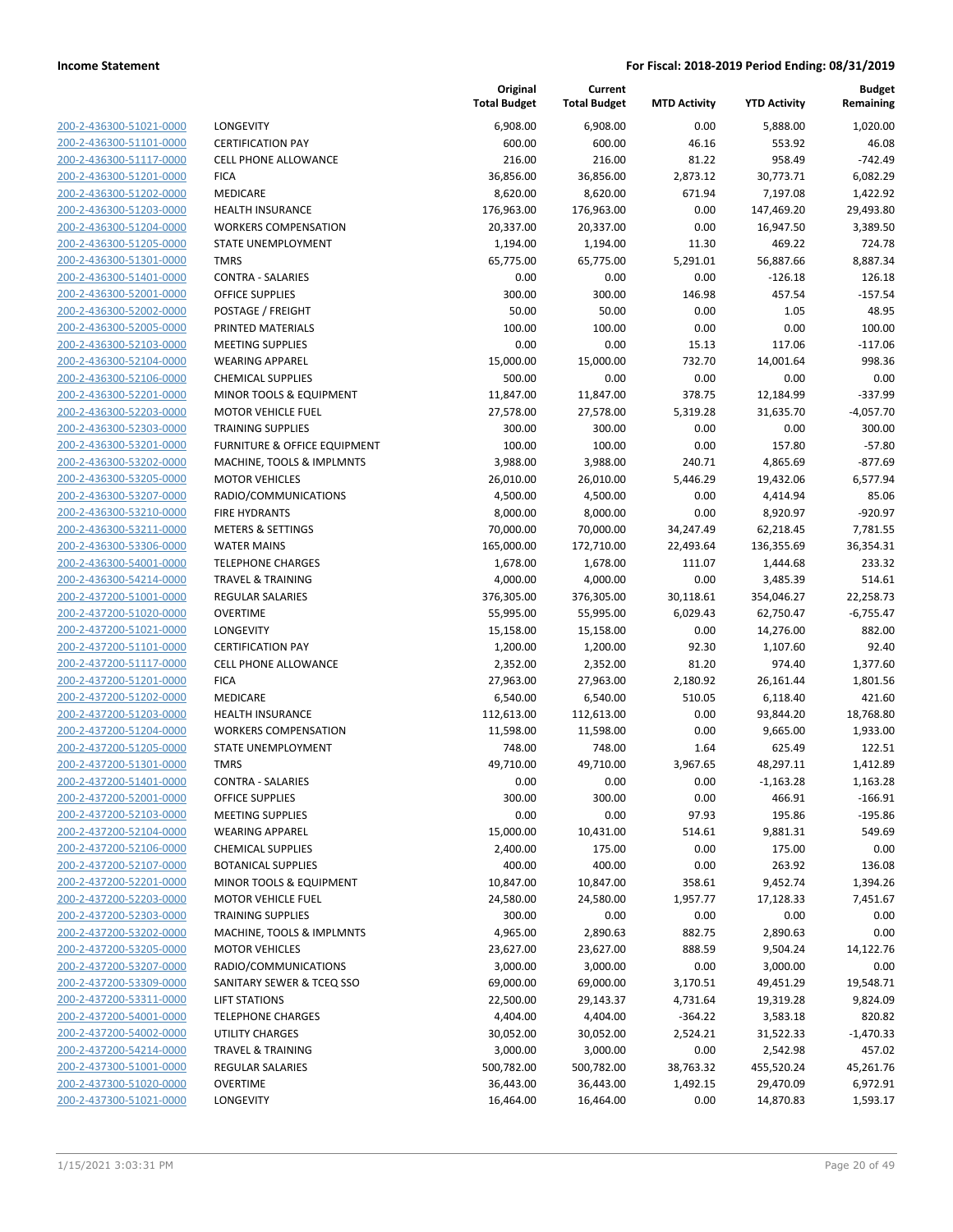**Current**

**Original**

**Budget Remaining**

| 200-2-436300-51021-0000        |
|--------------------------------|
| 200-2-436300-51101-0000        |
| 200-2-436300-51117-0000        |
| 200-2-436300-51201-0000        |
| 200-2-436300-51202-0000        |
| 200-2-436300-51203-0000        |
| 200-2-436300-51204-0000        |
| 200-2-436300-51205-0000        |
| 200-2-436300-51301-0000        |
| 200-2-436300-51401-0000        |
| 200-2-436300-52001-0000        |
| 200-2-436300-52002-0000        |
| 200-2-436300-52005-0000        |
| 200-2-436300-52103-0000        |
| 200-2-436300-52104-0000        |
| 200-2-436300-52106-0000        |
| 200-2-436300-52201-0000        |
| 200-2-436300-52203-0000        |
| 200-2-436300-52303-0000        |
| 200-2-436300-53201-0000        |
| 200-2-436300-53202-0000        |
| 200-2-436300-53205-0000        |
| 200-2-436300-53207-0000        |
| 200-2-436300-53210-0000        |
| 200-2-436300-53211-0000        |
| 200-2-436300-53306-0000        |
| 200-2-436300-54001-0000        |
| 200-2-436300-54214-0000        |
| 200-2-437200-51001-0000        |
| 200-2-437200-51020-0000        |
| 200-2-437200-51021-0000        |
| 200-2-437200-51101-0000        |
| 200-2-437200-51117-0000        |
| 200-2-437200-51201-0000        |
| 200-2-437200-51202-0000        |
| 200-2-437200-51203-0000        |
| 200-2-437200-51204-0000        |
| 200-2-437200-51205-0000        |
| 200-2-437200-51301-0000        |
| 200-2-437200-51401-0000        |
| 200-2-437200-52001-0000        |
| <u>200-2-437200-52103-0000</u> |
| 200-2-437200-52104-0000        |
| 200-2-437200-52106-0000        |
| 200-2-437200-52107-0000        |
| <u>200-2-437200-52201-0000</u> |
| <u>200-2-437200-52203-0000</u> |
| 200-2-437200-52303-0000        |
| 200-2-437200-53202-0000        |
| 200-2-437200-53205-0000        |
| 200-2-437200-53207-0000        |
| 200-2-437200-53309-0000        |
| 200-2-437200-53311-0000        |
| 200-2-437200-54001-0000        |
| 200-2-437200-54002-0000        |
| <u>200-2-437200-54214-0000</u> |
| 200-2-437300-51001-0000        |
| 200-2-437300-51020-0000        |
| 200-2-437300-51021-0000        |
|                                |

|                                                    |                                                          | <b>Total Budget</b>  | <b>Total Budget</b>  | <b>MTD Activity</b> | <b>YTD Activity</b>  | Remaining        |
|----------------------------------------------------|----------------------------------------------------------|----------------------|----------------------|---------------------|----------------------|------------------|
| 200-2-436300-51021-0000                            | LONGEVITY                                                | 6,908.00             | 6,908.00             | 0.00                | 5,888.00             | 1,020.00         |
| 200-2-436300-51101-0000                            | <b>CERTIFICATION PAY</b>                                 | 600.00               | 600.00               | 46.16               | 553.92               | 46.08            |
| 200-2-436300-51117-0000                            | <b>CELL PHONE ALLOWANCE</b>                              | 216.00               | 216.00               | 81.22               | 958.49               | $-742.49$        |
| 200-2-436300-51201-0000                            | <b>FICA</b>                                              | 36,856.00            | 36,856.00            | 2,873.12            | 30,773.71            | 6,082.29         |
| 200-2-436300-51202-0000                            | MEDICARE                                                 | 8,620.00             | 8,620.00             | 671.94              | 7,197.08             | 1,422.92         |
| 200-2-436300-51203-0000                            | <b>HEALTH INSURANCE</b>                                  | 176,963.00           | 176,963.00           | 0.00                | 147,469.20           | 29,493.80        |
| 200-2-436300-51204-0000                            | <b>WORKERS COMPENSATION</b>                              | 20,337.00            | 20,337.00            | 0.00                | 16,947.50            | 3,389.50         |
| 200-2-436300-51205-0000                            | STATE UNEMPLOYMENT                                       | 1,194.00             | 1,194.00             | 11.30               | 469.22               | 724.78           |
| 200-2-436300-51301-0000                            | <b>TMRS</b>                                              | 65,775.00            | 65,775.00            | 5,291.01            | 56,887.66            | 8,887.34         |
| 200-2-436300-51401-0000                            | <b>CONTRA - SALARIES</b>                                 | 0.00                 | 0.00                 | 0.00                | $-126.18$            | 126.18           |
| 200-2-436300-52001-0000                            | <b>OFFICE SUPPLIES</b>                                   | 300.00               | 300.00               | 146.98              | 457.54               | $-157.54$        |
| 200-2-436300-52002-0000                            | POSTAGE / FREIGHT                                        | 50.00                | 50.00                | 0.00                | 1.05                 | 48.95            |
| 200-2-436300-52005-0000                            | PRINTED MATERIALS                                        | 100.00               | 100.00               | 0.00                | 0.00                 | 100.00           |
| 200-2-436300-52103-0000                            | <b>MEETING SUPPLIES</b>                                  | 0.00                 | 0.00                 | 15.13               | 117.06               | $-117.06$        |
| 200-2-436300-52104-0000                            | <b>WEARING APPAREL</b>                                   | 15,000.00            | 15,000.00            | 732.70              | 14,001.64            | 998.36           |
| 200-2-436300-52106-0000                            | <b>CHEMICAL SUPPLIES</b>                                 | 500.00               | 0.00                 | 0.00                | 0.00                 | 0.00             |
| 200-2-436300-52201-0000                            | MINOR TOOLS & EQUIPMENT                                  | 11,847.00            | 11,847.00            | 378.75              | 12,184.99            | $-337.99$        |
| 200-2-436300-52203-0000                            | <b>MOTOR VEHICLE FUEL</b>                                | 27,578.00            | 27,578.00            | 5,319.28            | 31,635.70            | $-4,057.70$      |
| 200-2-436300-52303-0000                            | <b>TRAINING SUPPLIES</b>                                 | 300.00               | 300.00               | 0.00                | 0.00                 | 300.00           |
| 200-2-436300-53201-0000                            | FURNITURE & OFFICE EQUIPMENT                             | 100.00               | 100.00               | 0.00                | 157.80               | $-57.80$         |
| 200-2-436300-53202-0000                            | MACHINE, TOOLS & IMPLMNTS                                | 3,988.00             | 3,988.00             | 240.71              | 4,865.69             | $-877.69$        |
| 200-2-436300-53205-0000                            | <b>MOTOR VEHICLES</b>                                    | 26,010.00            | 26,010.00            | 5,446.29            | 19,432.06            | 6,577.94         |
| 200-2-436300-53207-0000                            | RADIO/COMMUNICATIONS                                     | 4,500.00             | 4,500.00             | 0.00                | 4,414.94             | 85.06            |
| 200-2-436300-53210-0000                            | <b>FIRE HYDRANTS</b>                                     | 8,000.00             | 8,000.00             | 0.00                | 8,920.97             | $-920.97$        |
| 200-2-436300-53211-0000                            | <b>METERS &amp; SETTINGS</b><br><b>WATER MAINS</b>       | 70,000.00            | 70,000.00            | 34,247.49           | 62,218.45            | 7,781.55         |
| 200-2-436300-53306-0000                            |                                                          | 165,000.00           | 172,710.00           | 22,493.64           | 136,355.69           | 36,354.31        |
| 200-2-436300-54001-0000<br>200-2-436300-54214-0000 | <b>TELEPHONE CHARGES</b><br><b>TRAVEL &amp; TRAINING</b> | 1,678.00<br>4,000.00 | 1,678.00<br>4,000.00 | 111.07<br>0.00      | 1,444.68<br>3,485.39 | 233.32<br>514.61 |
| 200-2-437200-51001-0000                            | <b>REGULAR SALARIES</b>                                  | 376,305.00           | 376,305.00           | 30,118.61           | 354,046.27           | 22,258.73        |
| 200-2-437200-51020-0000                            | <b>OVERTIME</b>                                          | 55,995.00            | 55,995.00            | 6,029.43            | 62,750.47            | $-6,755.47$      |
| 200-2-437200-51021-0000                            | LONGEVITY                                                | 15,158.00            | 15,158.00            | 0.00                | 14,276.00            | 882.00           |
| 200-2-437200-51101-0000                            | <b>CERTIFICATION PAY</b>                                 | 1,200.00             | 1,200.00             | 92.30               | 1,107.60             | 92.40            |
| 200-2-437200-51117-0000                            | <b>CELL PHONE ALLOWANCE</b>                              | 2,352.00             | 2,352.00             | 81.20               | 974.40               | 1,377.60         |
| 200-2-437200-51201-0000                            | <b>FICA</b>                                              | 27,963.00            | 27,963.00            | 2,180.92            | 26,161.44            | 1,801.56         |
| 200-2-437200-51202-0000                            | MEDICARE                                                 | 6,540.00             | 6,540.00             | 510.05              | 6,118.40             | 421.60           |
| 200-2-437200-51203-0000                            | <b>HEALTH INSURANCE</b>                                  | 112,613.00           | 112,613.00           | 0.00                | 93,844.20            | 18,768.80        |
| 200-2-437200-51204-0000                            | <b>WORKERS COMPENSATION</b>                              | 11,598.00            | 11,598.00            | 0.00                | 9,665.00             | 1,933.00         |
| 200-2-437200-51205-0000                            | STATE UNEMPLOYMENT                                       | 748.00               | 748.00               | 1.64                | 625.49               | 122.51           |
| 200-2-437200-51301-0000                            | <b>TMRS</b>                                              | 49,710.00            | 49,710.00            | 3,967.65            | 48,297.11            | 1,412.89         |
| 200-2-437200-51401-0000                            | <b>CONTRA - SALARIES</b>                                 | 0.00                 | 0.00                 | 0.00                | $-1,163.28$          | 1,163.28         |
| 200-2-437200-52001-0000                            | <b>OFFICE SUPPLIES</b>                                   | 300.00               | 300.00               | 0.00                | 466.91               | $-166.91$        |
| 200-2-437200-52103-0000                            | <b>MEETING SUPPLIES</b>                                  | 0.00                 | 0.00                 | 97.93               | 195.86               | $-195.86$        |
| 200-2-437200-52104-0000                            | <b>WEARING APPAREL</b>                                   | 15,000.00            | 10,431.00            | 514.61              | 9,881.31             | 549.69           |
| 200-2-437200-52106-0000                            | <b>CHEMICAL SUPPLIES</b>                                 | 2,400.00             | 175.00               | 0.00                | 175.00               | 0.00             |
| 200-2-437200-52107-0000                            | <b>BOTANICAL SUPPLIES</b>                                | 400.00               | 400.00               | 0.00                | 263.92               | 136.08           |
| 200-2-437200-52201-0000                            | MINOR TOOLS & EQUIPMENT                                  | 10,847.00            | 10,847.00            | 358.61              | 9,452.74             | 1,394.26         |
| 200-2-437200-52203-0000                            | <b>MOTOR VEHICLE FUEL</b>                                | 24,580.00            | 24,580.00            | 1,957.77            | 17,128.33            | 7,451.67         |
| 200-2-437200-52303-0000                            | <b>TRAINING SUPPLIES</b>                                 | 300.00               | 0.00                 | 0.00                | 0.00                 | 0.00             |
| 200-2-437200-53202-0000                            | MACHINE, TOOLS & IMPLMNTS                                | 4,965.00             | 2,890.63             | 882.75              | 2,890.63             | 0.00             |
| 200-2-437200-53205-0000                            | <b>MOTOR VEHICLES</b>                                    | 23,627.00            | 23,627.00            | 888.59              | 9,504.24             | 14,122.76        |
| 200-2-437200-53207-0000                            | RADIO/COMMUNICATIONS                                     | 3,000.00             | 3,000.00             | 0.00                | 3,000.00             | 0.00             |
| 200-2-437200-53309-0000                            | SANITARY SEWER & TCEQ SSO                                | 69,000.00            | 69,000.00            | 3,170.51            | 49,451.29            | 19,548.71        |
| 200-2-437200-53311-0000                            | <b>LIFT STATIONS</b>                                     | 22,500.00            | 29,143.37            | 4,731.64            | 19,319.28            | 9,824.09         |
| 200-2-437200-54001-0000                            | <b>TELEPHONE CHARGES</b>                                 | 4,404.00             | 4,404.00             | $-364.22$           | 3,583.18             | 820.82           |
| 200-2-437200-54002-0000                            | UTILITY CHARGES                                          | 30,052.00            | 30,052.00            | 2,524.21            | 31,522.33            | $-1,470.33$      |
| 200-2-437200-54214-0000                            | <b>TRAVEL &amp; TRAINING</b>                             | 3,000.00             | 3,000.00             | 0.00                | 2,542.98             | 457.02           |
| 200-2-437300-51001-0000                            | <b>REGULAR SALARIES</b>                                  | 500,782.00           | 500,782.00           | 38,763.32           | 455,520.24           | 45,261.76        |
| 200-2-437300-51020-0000                            | <b>OVERTIME</b>                                          | 36,443.00            | 36,443.00            | 1,492.15            | 29,470.09            | 6,972.91         |
| 200-2-437300-51021-0000                            | LONGEVITY                                                | 16,464.00            | 16,464.00            | 0.00                | 14,870.83            | 1,593.17         |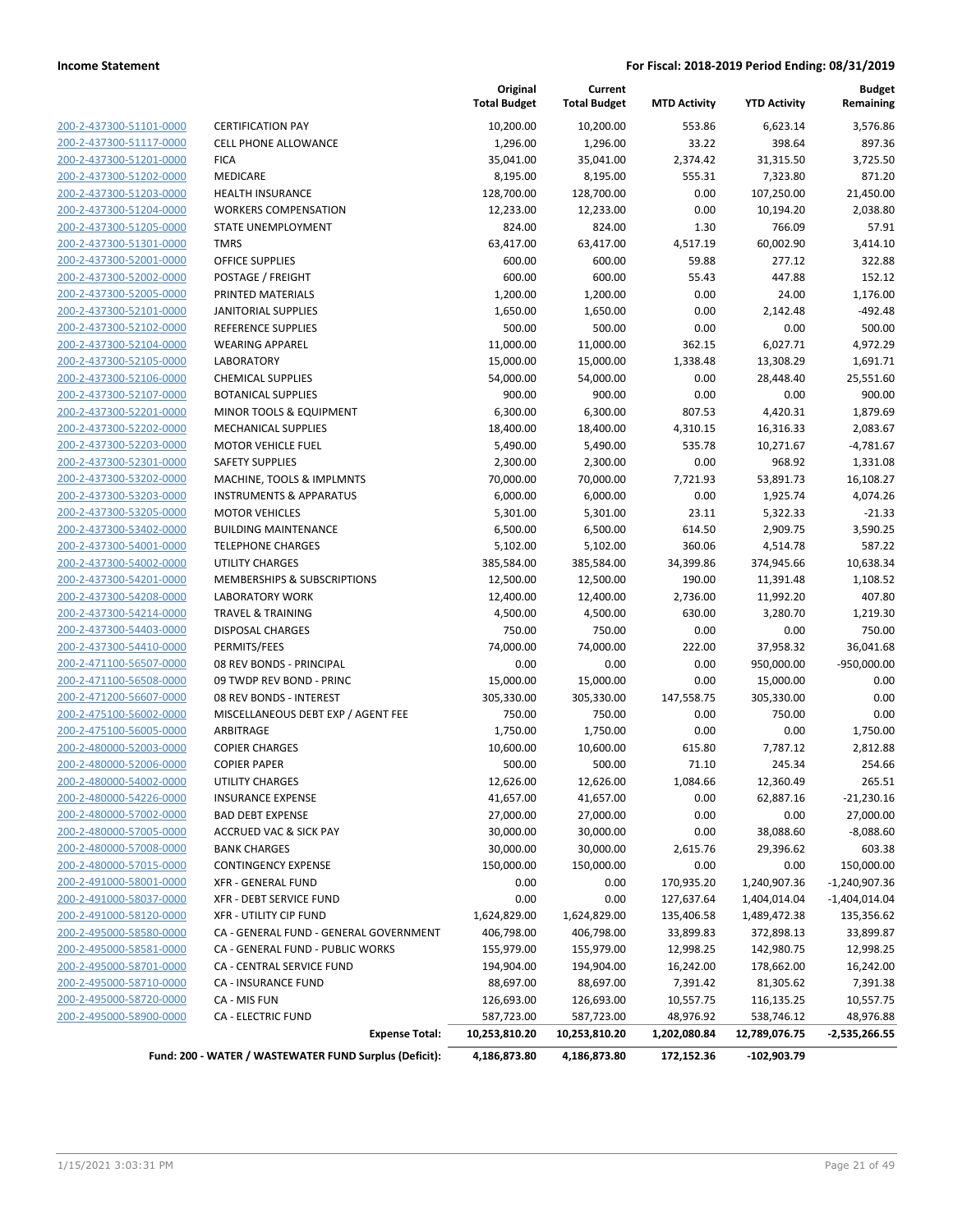| 200-2-437300-51101-0000        |
|--------------------------------|
| 200-2-437300-51117-0000        |
| 200-2-437300-51201-0000        |
| 200-2-437300-51202-0000        |
| 200-2-437300-51203-0000        |
| 200-2-437300-51204-0000        |
| 200-2-437300-51205-0000        |
| 200-2-437300-51301-0000        |
| 200-2-437300-52001-0000        |
| <u>200-2-437300-52002-0000</u> |
| 200-2-437300-52005-0000        |
| 200-2-437300-52101-0000        |
| 200-2-437300-52102-0000        |
| 200-2-437300-52104-0000        |
| <u>200-2-437300-52105-0000</u> |
| 200-2-437300-52106-0000        |
| 200-2-437300-52107-0000        |
| 200-2-437300-52201-0000        |
| 200-2-437300-52202-0000        |
| 200-2-437300-52203-0000        |
| 200-2-437300-52301-0000        |
| 200-2-437300-53202-0000        |
| 200-2-437300-53203-0000        |
| 200-2-437300-53205-0000        |
| 200-2-437300-53402-0000        |
| 200-2-437300-54001-0000        |
| 200-2-437300-54002-0000        |
| 200-2-437300-54201-0000        |
| 200-2-437300-54208-0000        |
| 200-2-437300-54214-0000        |
|                                |
| 200-2-437300-54403-0000        |
| 200-2-437300-54410-0000        |
| 200-2-471100-56507-0000        |
| 200-2-471100-56508-0000        |
| 200-2-471200-56607-0000        |
| 200-2-475100-56002-0000        |
| 200-2-475100-56005-0000        |
| 200-2-480000-52003-0000        |
| 200-2-480000-52006-0000        |
| 200-2-480000-54002-0000        |
| 200-2-480000-54226-0000        |
| <u>200-2-480000-57002-0000</u> |
| 200-2-480000-57005-0000        |
| 200-2-480000-57008-0000        |
| <u>200-2-480000-57015-0000</u> |
| 200-2-491000-58001-0000        |
| <u>200-2-491000-58037-0000</u> |
| 200-2-491000-58120-0000        |
| 200-2-495000-58580-0000        |
| 200-2-495000-58581-0000        |
| <u>200-2-495000-58701-0000</u> |
| 200-2-495000-58710-0000        |
| 200-2-495000-58720-0000        |
| 200-2-495000-58900-0000        |
|                                |

|                         |                                        | Original<br><b>Total Budget</b> | Current<br><b>Total Budget</b> | <b>MTD Activity</b> | <b>YTD Activity</b> | <b>Budget</b><br>Remaining |
|-------------------------|----------------------------------------|---------------------------------|--------------------------------|---------------------|---------------------|----------------------------|
| 200-2-437300-51101-0000 | <b>CERTIFICATION PAY</b>               | 10,200.00                       | 10,200.00                      | 553.86              | 6,623.14            | 3,576.86                   |
| 200-2-437300-51117-0000 | <b>CELL PHONE ALLOWANCE</b>            | 1,296.00                        | 1,296.00                       | 33.22               | 398.64              | 897.36                     |
| 200-2-437300-51201-0000 | <b>FICA</b>                            | 35,041.00                       | 35,041.00                      | 2,374.42            | 31,315.50           | 3,725.50                   |
| 200-2-437300-51202-0000 | <b>MEDICARE</b>                        | 8,195.00                        | 8,195.00                       | 555.31              | 7,323.80            | 871.20                     |
| 200-2-437300-51203-0000 | <b>HEALTH INSURANCE</b>                | 128,700.00                      | 128,700.00                     | 0.00                | 107,250.00          | 21,450.00                  |
| 200-2-437300-51204-0000 | <b>WORKERS COMPENSATION</b>            | 12,233.00                       | 12,233.00                      | 0.00                | 10,194.20           | 2,038.80                   |
| 200-2-437300-51205-0000 | STATE UNEMPLOYMENT                     | 824.00                          | 824.00                         | 1.30                | 766.09              | 57.91                      |
| 200-2-437300-51301-0000 | <b>TMRS</b>                            | 63,417.00                       | 63,417.00                      | 4,517.19            | 60,002.90           | 3,414.10                   |
| 200-2-437300-52001-0000 | <b>OFFICE SUPPLIES</b>                 | 600.00                          | 600.00                         | 59.88               | 277.12              | 322.88                     |
| 200-2-437300-52002-0000 | POSTAGE / FREIGHT                      | 600.00                          | 600.00                         | 55.43               | 447.88              | 152.12                     |
| 200-2-437300-52005-0000 | PRINTED MATERIALS                      | 1,200.00                        | 1,200.00                       | 0.00                | 24.00               | 1,176.00                   |
| 200-2-437300-52101-0000 | <b>JANITORIAL SUPPLIES</b>             | 1,650.00                        | 1,650.00                       | 0.00                | 2,142.48            | $-492.48$                  |
| 200-2-437300-52102-0000 | REFERENCE SUPPLIES                     | 500.00                          | 500.00                         | 0.00                | 0.00                | 500.00                     |
| 200-2-437300-52104-0000 | <b>WEARING APPAREL</b>                 | 11,000.00                       | 11,000.00                      | 362.15              | 6,027.71            | 4,972.29                   |
| 200-2-437300-52105-0000 | <b>LABORATORY</b>                      | 15,000.00                       | 15,000.00                      | 1,338.48            | 13,308.29           | 1,691.71                   |
| 200-2-437300-52106-0000 | <b>CHEMICAL SUPPLIES</b>               | 54,000.00                       | 54,000.00                      | 0.00                | 28,448.40           | 25,551.60                  |
| 200-2-437300-52107-0000 | <b>BOTANICAL SUPPLIES</b>              | 900.00                          | 900.00                         | 0.00                | 0.00                | 900.00                     |
| 200-2-437300-52201-0000 | MINOR TOOLS & EQUIPMENT                | 6,300.00                        | 6,300.00                       | 807.53              | 4,420.31            | 1,879.69                   |
| 200-2-437300-52202-0000 | <b>MECHANICAL SUPPLIES</b>             | 18,400.00                       | 18,400.00                      | 4,310.15            | 16,316.33           | 2,083.67                   |
| 200-2-437300-52203-0000 | <b>MOTOR VEHICLE FUEL</b>              | 5,490.00                        | 5,490.00                       | 535.78              | 10,271.67           | $-4,781.67$                |
| 200-2-437300-52301-0000 | <b>SAFETY SUPPLIES</b>                 | 2,300.00                        | 2,300.00                       | 0.00                | 968.92              | 1,331.08                   |
| 200-2-437300-53202-0000 | MACHINE, TOOLS & IMPLMNTS              | 70,000.00                       | 70,000.00                      | 7,721.93            | 53,891.73           | 16,108.27                  |
| 200-2-437300-53203-0000 | <b>INSTRUMENTS &amp; APPARATUS</b>     | 6,000.00                        | 6,000.00                       | 0.00                | 1,925.74            | 4,074.26                   |
| 200-2-437300-53205-0000 | <b>MOTOR VEHICLES</b>                  | 5,301.00                        | 5,301.00                       | 23.11               | 5,322.33            | $-21.33$                   |
| 200-2-437300-53402-0000 | <b>BUILDING MAINTENANCE</b>            | 6,500.00                        | 6,500.00                       | 614.50              | 2,909.75            | 3,590.25                   |
| 200-2-437300-54001-0000 | <b>TELEPHONE CHARGES</b>               | 5,102.00                        | 5,102.00                       | 360.06              | 4,514.78            | 587.22                     |
| 200-2-437300-54002-0000 | UTILITY CHARGES                        | 385,584.00                      | 385,584.00                     | 34,399.86           | 374,945.66          | 10,638.34                  |
| 200-2-437300-54201-0000 | <b>MEMBERSHIPS &amp; SUBSCRIPTIONS</b> | 12,500.00                       | 12,500.00                      | 190.00              | 11,391.48           | 1,108.52                   |
| 200-2-437300-54208-0000 | <b>LABORATORY WORK</b>                 | 12,400.00                       | 12,400.00                      | 2,736.00            | 11,992.20           | 407.80                     |
| 200-2-437300-54214-0000 | <b>TRAVEL &amp; TRAINING</b>           | 4,500.00                        | 4,500.00                       | 630.00              | 3,280.70            | 1,219.30                   |
| 200-2-437300-54403-0000 | <b>DISPOSAL CHARGES</b>                | 750.00                          | 750.00                         | 0.00                | 0.00                | 750.00                     |
| 200-2-437300-54410-0000 | PERMITS/FEES                           | 74,000.00                       | 74,000.00                      | 222.00              | 37,958.32           | 36,041.68                  |
| 200-2-471100-56507-0000 | 08 REV BONDS - PRINCIPAL               | 0.00                            | 0.00                           | 0.00                | 950,000.00          | $-950,000.00$              |
| 200-2-471100-56508-0000 | 09 TWDP REV BOND - PRINC               | 15,000.00                       | 15,000.00                      | 0.00                | 15,000.00           | 0.00                       |
| 200-2-471200-56607-0000 | 08 REV BONDS - INTEREST                | 305,330.00                      | 305,330.00                     | 147,558.75          | 305,330.00          | 0.00                       |
| 200-2-475100-56002-0000 | MISCELLANEOUS DEBT EXP / AGENT FEE     | 750.00                          | 750.00                         | 0.00                | 750.00              | 0.00                       |
| 200-2-475100-56005-0000 | ARBITRAGE                              | 1,750.00                        | 1,750.00                       | 0.00                | 0.00                | 1,750.00                   |
| 200-2-480000-52003-0000 | <b>COPIER CHARGES</b>                  | 10,600.00                       | 10,600.00                      | 615.80              | 7,787.12            | 2,812.88                   |
| 200-2-480000-52006-0000 | <b>COPIER PAPER</b>                    | 500.00                          | 500.00                         | 71.10               | 245.34              | 254.66                     |
| 200-2-480000-54002-0000 | UTILITY CHARGES                        | 12,626.00                       | 12,626.00                      | 1,084.66            | 12,360.49           | 265.51                     |
| 200-2-480000-54226-0000 | <b>INSURANCE EXPENSE</b>               | 41,657.00                       | 41,657.00                      | 0.00                | 62,887.16           | $-21,230.16$               |
| 200-2-480000-57002-0000 | <b>BAD DEBT EXPENSE</b>                | 27,000.00                       | 27,000.00                      | 0.00                | 0.00                | 27,000.00                  |
| 200-2-480000-57005-0000 | <b>ACCRUED VAC &amp; SICK PAY</b>      | 30,000.00                       | 30,000.00                      | 0.00                | 38,088.60           | $-8,088.60$                |
| 200-2-480000-57008-0000 | <b>BANK CHARGES</b>                    | 30,000.00                       | 30,000.00                      | 2,615.76            | 29,396.62           | 603.38                     |
| 200-2-480000-57015-0000 | <b>CONTINGENCY EXPENSE</b>             | 150,000.00                      | 150,000.00                     | 0.00                | 0.00                | 150,000.00                 |
| 200-2-491000-58001-0000 | XFR - GENERAL FUND                     | 0.00                            | 0.00                           | 170,935.20          | 1,240,907.36        | $-1,240,907.36$            |
| 200-2-491000-58037-0000 | <b>XFR - DEBT SERVICE FUND</b>         | 0.00                            | 0.00                           | 127,637.64          | 1,404,014.04        | $-1,404,014.04$            |
| 200-2-491000-58120-0000 | XFR - UTILITY CIP FUND                 | 1,624,829.00                    | 1,624,829.00                   | 135,406.58          | 1,489,472.38        | 135,356.62                 |
| 200-2-495000-58580-0000 | CA - GENERAL FUND - GENERAL GOVERNMENT | 406,798.00                      | 406,798.00                     | 33,899.83           | 372,898.13          | 33,899.87                  |
| 200-2-495000-58581-0000 | CA - GENERAL FUND - PUBLIC WORKS       | 155,979.00                      | 155,979.00                     | 12,998.25           | 142,980.75          | 12,998.25                  |
| 200-2-495000-58701-0000 | CA - CENTRAL SERVICE FUND              | 194,904.00                      | 194,904.00                     | 16,242.00           | 178,662.00          | 16,242.00                  |
| 200-2-495000-58710-0000 | CA - INSURANCE FUND                    | 88,697.00                       | 88,697.00                      | 7,391.42            | 81,305.62           | 7,391.38                   |
| 200-2-495000-58720-0000 | CA - MIS FUN                           | 126,693.00                      | 126,693.00                     | 10,557.75           | 116,135.25          | 10,557.75                  |
| 200-2-495000-58900-0000 | <b>CA - ELECTRIC FUND</b>              | 587,723.00                      | 587,723.00                     | 48,976.92           | 538,746.12          | 48,976.88                  |
|                         | <b>Expense Total:</b>                  | 10,253,810.20                   | 10,253,810.20                  | 1,202,080.84        | 12,789,076.75       | -2,535,266.55              |

**Fund: 200 - WATER / WASTEWATER FUND Surplus (Deficit): 4,186,873.80 4,186,873.80 172,152.36 -102,903.79**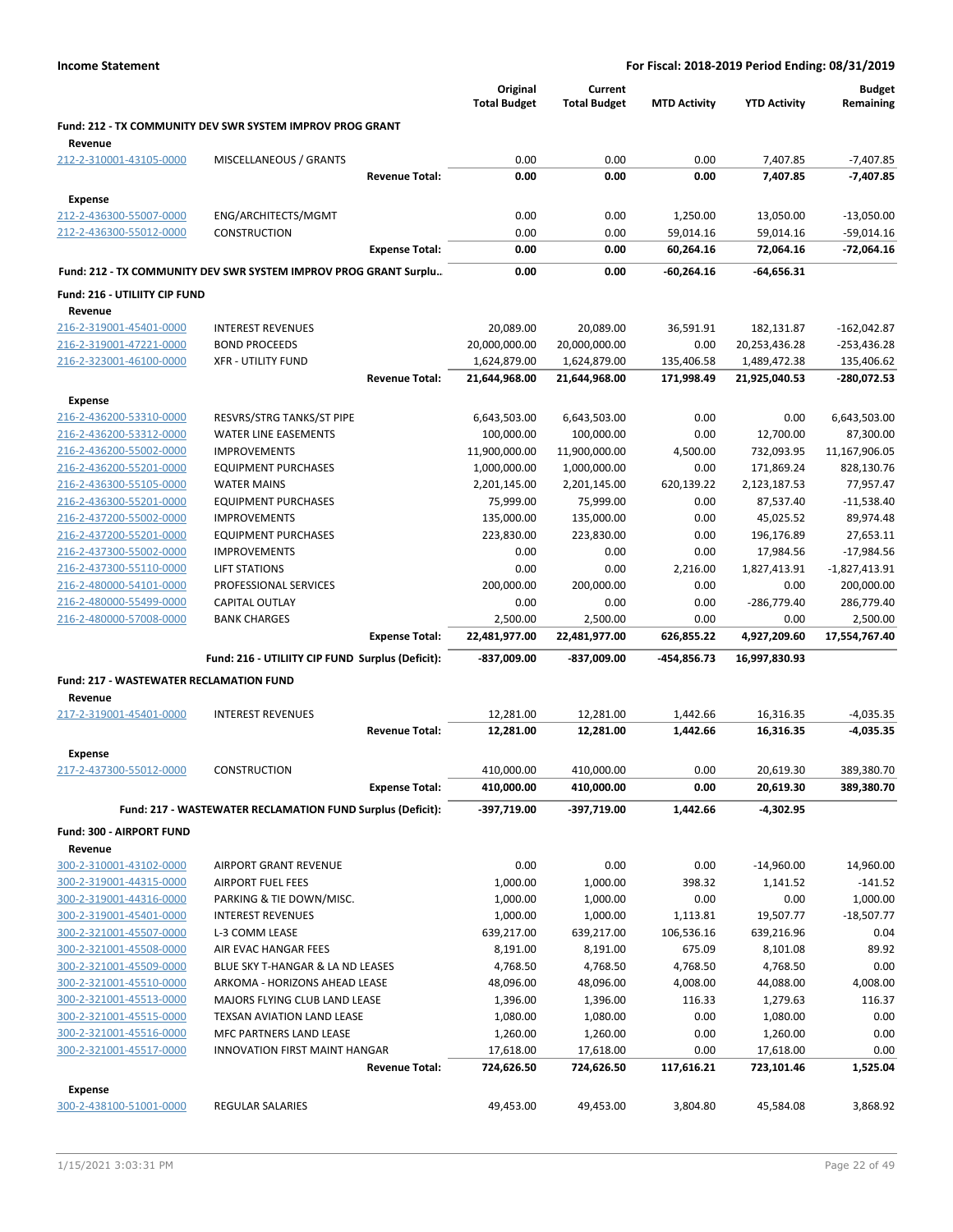|                                                           |                                                                  |                       | Original<br><b>Total Budget</b> | Current<br><b>Total Budget</b> | <b>MTD Activity</b> | <b>YTD Activity</b> | <b>Budget</b><br>Remaining |
|-----------------------------------------------------------|------------------------------------------------------------------|-----------------------|---------------------------------|--------------------------------|---------------------|---------------------|----------------------------|
| Revenue                                                   | Fund: 212 - TX COMMUNITY DEV SWR SYSTEM IMPROV PROG GRANT        |                       |                                 |                                |                     |                     |                            |
| 212-2-310001-43105-0000                                   | MISCELLANEOUS / GRANTS                                           |                       | 0.00                            | 0.00                           | 0.00                | 7,407.85            | $-7,407.85$                |
|                                                           |                                                                  | <b>Revenue Total:</b> | 0.00                            | 0.00                           | 0.00                | 7,407.85            | -7,407.85                  |
| <b>Expense</b>                                            |                                                                  |                       |                                 |                                |                     |                     |                            |
| 212-2-436300-55007-0000                                   | ENG/ARCHITECTS/MGMT                                              |                       | 0.00                            | 0.00                           | 1,250.00            | 13,050.00           | $-13,050.00$               |
| 212-2-436300-55012-0000                                   | CONSTRUCTION                                                     |                       | 0.00                            | 0.00                           | 59,014.16           | 59,014.16           | $-59,014.16$               |
|                                                           |                                                                  | <b>Expense Total:</b> | 0.00                            | 0.00                           | 60,264.16           | 72,064.16           | -72,064.16                 |
|                                                           | Fund: 212 - TX COMMUNITY DEV SWR SYSTEM IMPROV PROG GRANT Surplu |                       | 0.00                            | 0.00                           | -60,264.16          | $-64,656.31$        |                            |
| Fund: 216 - UTILIITY CIP FUND                             |                                                                  |                       |                                 |                                |                     |                     |                            |
| Revenue                                                   |                                                                  |                       |                                 |                                |                     |                     |                            |
| 216-2-319001-45401-0000                                   | <b>INTEREST REVENUES</b>                                         |                       | 20,089.00                       | 20,089.00                      | 36,591.91           | 182,131.87          | $-162,042.87$              |
| 216-2-319001-47221-0000                                   | <b>BOND PROCEEDS</b>                                             |                       | 20,000,000.00                   | 20,000,000.00                  | 0.00                | 20,253,436.28       | $-253,436.28$              |
| 216-2-323001-46100-0000                                   | <b>XFR - UTILITY FUND</b>                                        |                       | 1,624,879.00                    | 1,624,879.00                   | 135,406.58          | 1,489,472.38        | 135,406.62                 |
|                                                           |                                                                  | <b>Revenue Total:</b> | 21,644,968.00                   | 21,644,968.00                  | 171,998.49          | 21,925,040.53       | -280,072.53                |
| <b>Expense</b>                                            |                                                                  |                       |                                 |                                |                     |                     |                            |
| 216-2-436200-53310-0000                                   | RESVRS/STRG TANKS/ST PIPE                                        |                       | 6,643,503.00                    | 6,643,503.00                   | 0.00                | 0.00                | 6,643,503.00               |
| 216-2-436200-53312-0000                                   | <b>WATER LINE EASEMENTS</b>                                      |                       | 100,000.00                      | 100,000.00                     | 0.00                | 12,700.00           | 87,300.00                  |
| 216-2-436200-55002-0000                                   | <b>IMPROVEMENTS</b>                                              |                       | 11,900,000.00                   | 11,900,000.00                  | 4,500.00            | 732,093.95          | 11,167,906.05              |
| 216-2-436200-55201-0000                                   | <b>EQUIPMENT PURCHASES</b>                                       |                       | 1,000,000.00                    | 1,000,000.00                   | 0.00                | 171,869.24          | 828,130.76                 |
| 216-2-436300-55105-0000                                   | <b>WATER MAINS</b>                                               |                       | 2,201,145.00                    | 2,201,145.00                   | 620,139.22          | 2,123,187.53        | 77,957.47                  |
| 216-2-436300-55201-0000                                   | <b>EQUIPMENT PURCHASES</b>                                       |                       | 75,999.00                       | 75,999.00                      | 0.00                | 87,537.40           | $-11,538.40$               |
| 216-2-437200-55002-0000                                   | <b>IMPROVEMENTS</b>                                              |                       | 135,000.00                      | 135,000.00                     | 0.00                | 45,025.52           | 89,974.48                  |
| 216-2-437200-55201-0000                                   | <b>EQUIPMENT PURCHASES</b>                                       |                       | 223,830.00                      | 223,830.00                     | 0.00                | 196,176.89          | 27,653.11                  |
| 216-2-437300-55002-0000                                   | <b>IMPROVEMENTS</b>                                              |                       | 0.00                            | 0.00                           | 0.00                | 17,984.56           | $-17,984.56$               |
| 216-2-437300-55110-0000                                   | <b>LIFT STATIONS</b>                                             |                       | 0.00                            | 0.00                           | 2,216.00            | 1,827,413.91        | $-1,827,413.91$            |
| 216-2-480000-54101-0000                                   | PROFESSIONAL SERVICES                                            |                       | 200,000.00                      | 200,000.00                     | 0.00                | 0.00                | 200,000.00                 |
| 216-2-480000-55499-0000                                   | CAPITAL OUTLAY                                                   |                       | 0.00                            | 0.00                           | 0.00                | -286,779.40         | 286,779.40                 |
| 216-2-480000-57008-0000                                   | <b>BANK CHARGES</b>                                              |                       | 2,500.00                        | 2,500.00                       | 0.00                | 0.00                | 2,500.00                   |
|                                                           |                                                                  | <b>Expense Total:</b> | 22,481,977.00                   | 22,481,977.00                  | 626,855.22          | 4,927,209.60        | 17,554,767.40              |
|                                                           | Fund: 216 - UTILIITY CIP FUND Surplus (Deficit):                 |                       | -837,009.00                     | -837,009.00                    | -454,856.73         | 16,997,830.93       |                            |
| <b>Fund: 217 - WASTEWATER RECLAMATION FUND</b><br>Revenue |                                                                  |                       |                                 |                                |                     |                     |                            |
| 217-2-319001-45401-0000                                   | <b>INTEREST REVENUES</b>                                         |                       | 12,281.00                       | 12,281.00                      | 1,442.66            | 16,316.35           | $-4,035.35$                |
|                                                           |                                                                  | <b>Revenue Total:</b> | 12,281.00                       | 12,281.00                      | 1,442.66            | 16,316.35           | -4,035.35                  |
| Expense                                                   |                                                                  |                       |                                 |                                |                     |                     |                            |
| 217-2-437300-55012-0000                                   | <b>CONSTRUCTION</b>                                              |                       | 410,000.00                      | 410,000.00                     | 0.00                | 20,619.30           | 389,380.70                 |
|                                                           |                                                                  | <b>Expense Total:</b> | 410,000.00                      | 410,000.00                     | 0.00                | 20,619.30           | 389,380.70                 |
|                                                           | Fund: 217 - WASTEWATER RECLAMATION FUND Surplus (Deficit):       |                       | -397,719.00                     | -397,719.00                    | 1,442.66            | -4,302.95           |                            |
| Fund: 300 - AIRPORT FUND                                  |                                                                  |                       |                                 |                                |                     |                     |                            |
| Revenue                                                   |                                                                  |                       |                                 |                                |                     |                     |                            |
| 300-2-310001-43102-0000                                   | <b>AIRPORT GRANT REVENUE</b>                                     |                       | 0.00                            | 0.00                           | 0.00                | $-14,960.00$        | 14,960.00                  |
| 300-2-319001-44315-0000                                   | <b>AIRPORT FUEL FEES</b>                                         |                       | 1,000.00                        | 1,000.00                       | 398.32              | 1,141.52            | $-141.52$                  |
| 300-2-319001-44316-0000                                   | PARKING & TIE DOWN/MISC.                                         |                       | 1,000.00                        | 1,000.00                       | 0.00                | 0.00                | 1,000.00                   |
| 300-2-319001-45401-0000                                   | <b>INTEREST REVENUES</b>                                         |                       | 1,000.00                        | 1,000.00                       | 1,113.81            | 19,507.77           | $-18,507.77$               |
| 300-2-321001-45507-0000                                   | L-3 COMM LEASE                                                   |                       | 639,217.00                      | 639,217.00                     | 106,536.16          | 639,216.96          | 0.04                       |
| 300-2-321001-45508-0000                                   | AIR EVAC HANGAR FEES                                             |                       | 8,191.00                        | 8,191.00                       | 675.09              | 8,101.08            | 89.92                      |
| 300-2-321001-45509-0000                                   | BLUE SKY T-HANGAR & LA ND LEASES                                 |                       | 4,768.50                        | 4,768.50                       | 4,768.50            | 4,768.50            | 0.00                       |
| 300-2-321001-45510-0000                                   | ARKOMA - HORIZONS AHEAD LEASE                                    |                       | 48,096.00                       | 48,096.00                      | 4,008.00            | 44,088.00           | 4,008.00                   |
| 300-2-321001-45513-0000                                   | MAJORS FLYING CLUB LAND LEASE                                    |                       | 1,396.00                        | 1,396.00                       | 116.33              | 1,279.63            | 116.37                     |
| 300-2-321001-45515-0000                                   | TEXSAN AVIATION LAND LEASE                                       |                       | 1,080.00                        | 1,080.00                       | 0.00                | 1,080.00            | 0.00                       |
| 300-2-321001-45516-0000                                   | MFC PARTNERS LAND LEASE                                          |                       | 1,260.00                        | 1,260.00                       | 0.00                | 1,260.00            | 0.00                       |
| 300-2-321001-45517-0000                                   | <b>INNOVATION FIRST MAINT HANGAR</b>                             |                       | 17,618.00                       | 17,618.00                      | 0.00                | 17,618.00           | 0.00                       |
|                                                           |                                                                  | <b>Revenue Total:</b> | 724,626.50                      | 724,626.50                     | 117,616.21          | 723,101.46          | 1,525.04                   |
| <b>Expense</b>                                            |                                                                  |                       |                                 |                                |                     |                     |                            |
| 300-2-438100-51001-0000                                   | <b>REGULAR SALARIES</b>                                          |                       | 49,453.00                       | 49,453.00                      | 3,804.80            | 45,584.08           | 3,868.92                   |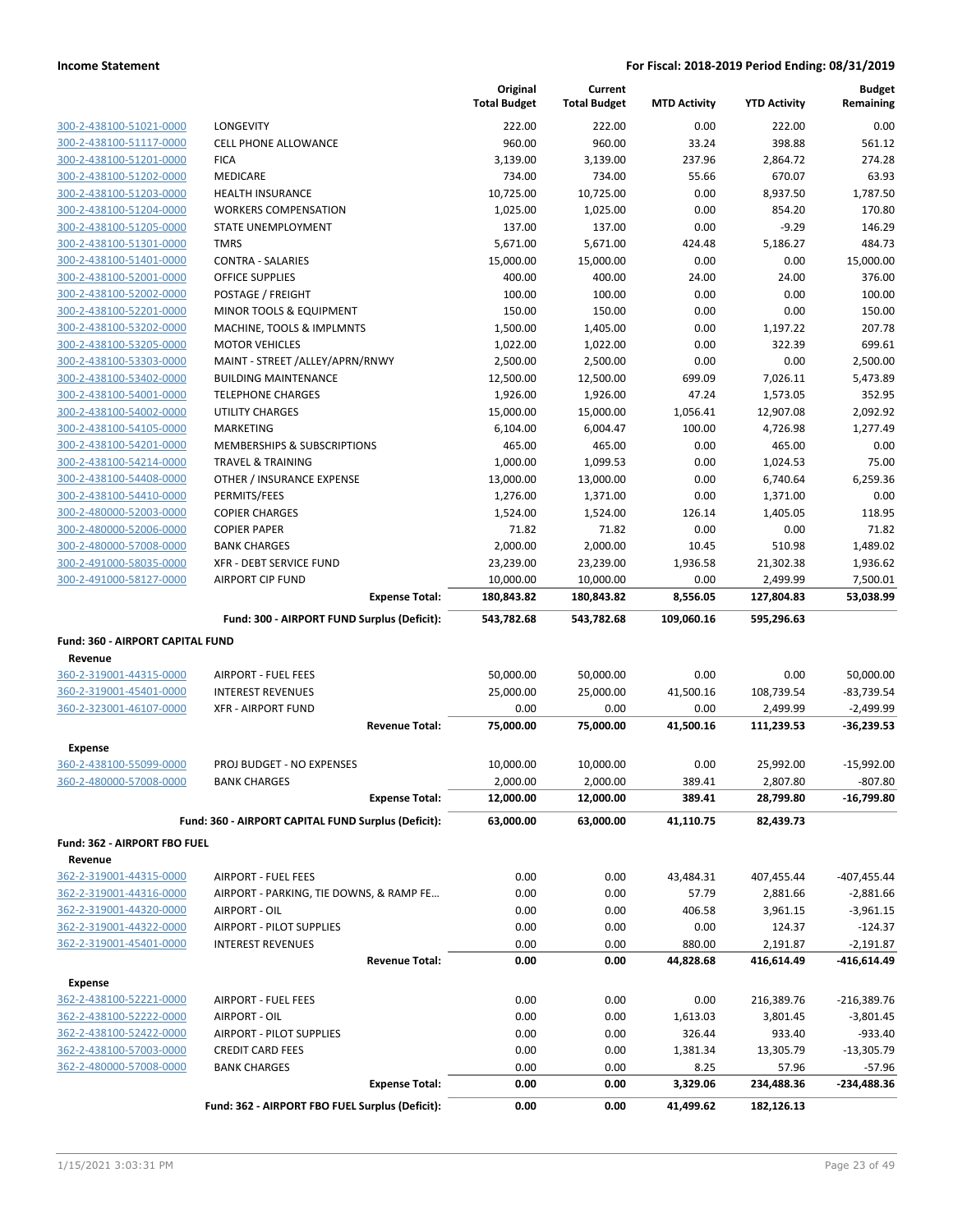|                                                    |                                                         | Original<br><b>Total Budget</b> | Current<br><b>Total Budget</b> | <b>MTD Activity</b> | <b>YTD Activity</b>  | <b>Budget</b><br>Remaining |
|----------------------------------------------------|---------------------------------------------------------|---------------------------------|--------------------------------|---------------------|----------------------|----------------------------|
| 300-2-438100-51021-0000                            | LONGEVITY                                               | 222.00                          | 222.00                         | 0.00                | 222.00               | 0.00                       |
| 300-2-438100-51117-0000                            | <b>CELL PHONE ALLOWANCE</b>                             | 960.00                          | 960.00                         | 33.24               | 398.88               | 561.12                     |
| 300-2-438100-51201-0000                            | <b>FICA</b>                                             | 3,139.00                        | 3,139.00                       | 237.96              | 2,864.72             | 274.28                     |
| 300-2-438100-51202-0000                            | <b>MEDICARE</b>                                         | 734.00                          | 734.00                         | 55.66               | 670.07               | 63.93                      |
| 300-2-438100-51203-0000                            | <b>HEALTH INSURANCE</b>                                 | 10,725.00                       | 10,725.00                      | 0.00                | 8,937.50             | 1.787.50                   |
| 300-2-438100-51204-0000                            | <b>WORKERS COMPENSATION</b>                             | 1,025.00                        | 1,025.00                       | 0.00                | 854.20               | 170.80                     |
| 300-2-438100-51205-0000                            | STATE UNEMPLOYMENT                                      | 137.00                          | 137.00                         | 0.00                | $-9.29$              | 146.29                     |
| 300-2-438100-51301-0000                            | <b>TMRS</b>                                             | 5,671.00                        | 5,671.00                       | 424.48              | 5,186.27             | 484.73                     |
| 300-2-438100-51401-0000                            | <b>CONTRA - SALARIES</b>                                | 15,000.00                       | 15,000.00                      | 0.00                | 0.00                 | 15,000.00                  |
| 300-2-438100-52001-0000                            | <b>OFFICE SUPPLIES</b>                                  | 400.00                          | 400.00                         | 24.00               | 24.00                | 376.00                     |
| 300-2-438100-52002-0000                            | POSTAGE / FREIGHT                                       | 100.00                          | 100.00                         | 0.00                | 0.00                 | 100.00                     |
| 300-2-438100-52201-0000                            | MINOR TOOLS & EQUIPMENT                                 | 150.00                          | 150.00                         | 0.00                | 0.00                 | 150.00                     |
| 300-2-438100-53202-0000                            | MACHINE, TOOLS & IMPLMNTS                               | 1,500.00                        | 1,405.00                       | 0.00                | 1,197.22             | 207.78                     |
| 300-2-438100-53205-0000                            | <b>MOTOR VEHICLES</b>                                   | 1,022.00                        | 1,022.00                       | 0.00                | 322.39               | 699.61                     |
| 300-2-438100-53303-0000                            | MAINT - STREET /ALLEY/APRN/RNWY                         | 2,500.00                        | 2,500.00                       | 0.00<br>699.09      | 0.00                 | 2,500.00                   |
| 300-2-438100-53402-0000                            | <b>BUILDING MAINTENANCE</b><br><b>TELEPHONE CHARGES</b> | 12,500.00                       | 12,500.00                      | 47.24               | 7,026.11<br>1,573.05 | 5,473.89<br>352.95         |
| 300-2-438100-54001-0000<br>300-2-438100-54002-0000 | UTILITY CHARGES                                         | 1,926.00<br>15,000.00           | 1,926.00<br>15,000.00          | 1,056.41            | 12,907.08            | 2,092.92                   |
| 300-2-438100-54105-0000                            | MARKETING                                               | 6,104.00                        | 6,004.47                       | 100.00              | 4,726.98             | 1,277.49                   |
| 300-2-438100-54201-0000                            | MEMBERSHIPS & SUBSCRIPTIONS                             | 465.00                          | 465.00                         | 0.00                | 465.00               | 0.00                       |
| 300-2-438100-54214-0000                            | <b>TRAVEL &amp; TRAINING</b>                            | 1,000.00                        | 1,099.53                       | 0.00                | 1,024.53             | 75.00                      |
| 300-2-438100-54408-0000                            | OTHER / INSURANCE EXPENSE                               | 13,000.00                       | 13,000.00                      | 0.00                | 6,740.64             | 6,259.36                   |
| 300-2-438100-54410-0000                            | PERMITS/FEES                                            | 1,276.00                        | 1,371.00                       | 0.00                | 1,371.00             | 0.00                       |
| 300-2-480000-52003-0000                            | <b>COPIER CHARGES</b>                                   | 1,524.00                        | 1,524.00                       | 126.14              | 1,405.05             | 118.95                     |
| 300-2-480000-52006-0000                            | <b>COPIER PAPER</b>                                     | 71.82                           | 71.82                          | 0.00                | 0.00                 | 71.82                      |
| 300-2-480000-57008-0000                            | <b>BANK CHARGES</b>                                     | 2,000.00                        | 2,000.00                       | 10.45               | 510.98               | 1,489.02                   |
| 300-2-491000-58035-0000                            | XFR - DEBT SERVICE FUND                                 | 23,239.00                       | 23,239.00                      | 1,936.58            | 21,302.38            | 1,936.62                   |
| 300-2-491000-58127-0000                            | <b>AIRPORT CIP FUND</b>                                 | 10,000.00                       | 10,000.00                      | 0.00                | 2,499.99             | 7,500.01                   |
|                                                    | <b>Expense Total:</b>                                   | 180,843.82                      | 180,843.82                     | 8,556.05            | 127,804.83           | 53,038.99                  |
|                                                    | Fund: 300 - AIRPORT FUND Surplus (Deficit):             | 543,782.68                      | 543,782.68                     | 109,060.16          | 595,296.63           |                            |
| Fund: 360 - AIRPORT CAPITAL FUND                   |                                                         |                                 |                                |                     |                      |                            |
| Revenue                                            |                                                         |                                 |                                |                     |                      |                            |
| 360-2-319001-44315-0000                            | <b>AIRPORT - FUEL FEES</b>                              | 50,000.00                       | 50,000.00                      | 0.00                | 0.00                 | 50,000.00                  |
| 360-2-319001-45401-0000                            | <b>INTEREST REVENUES</b>                                | 25,000.00                       | 25,000.00                      | 41,500.16           | 108,739.54           | $-83,739.54$               |
| 360-2-323001-46107-0000                            | <b>XFR - AIRPORT FUND</b>                               | 0.00                            | 0.00                           | 0.00                | 2,499.99             | $-2,499.99$                |
|                                                    | <b>Revenue Total:</b>                                   | 75,000.00                       | 75,000.00                      | 41,500.16           | 111,239.53           | $-36,239.53$               |
| <b>Expense</b>                                     |                                                         |                                 |                                |                     |                      |                            |
| 360-2-438100-55099-0000                            | PROJ BUDGET - NO EXPENSES                               | 10,000.00                       | 10,000.00                      | 0.00                | 25,992.00            | $-15,992.00$               |
| 360-2-480000-57008-0000                            | <b>BANK CHARGES</b>                                     | 2,000.00                        | 2,000.00                       | 389.41              | 2,807.80             | $-807.80$                  |
|                                                    | <b>Expense Total:</b>                                   | 12,000.00                       | 12,000.00                      | 389.41              | 28,799.80            | -16,799.80                 |
|                                                    | Fund: 360 - AIRPORT CAPITAL FUND Surplus (Deficit):     | 63,000.00                       | 63,000.00                      | 41,110.75           | 82,439.73            |                            |
| Fund: 362 - AIRPORT FBO FUEL                       |                                                         |                                 |                                |                     |                      |                            |
| Revenue                                            |                                                         |                                 |                                |                     |                      |                            |
| 362-2-319001-44315-0000                            | <b>AIRPORT - FUEL FEES</b>                              | 0.00                            | 0.00                           | 43,484.31           | 407,455.44           | $-407,455.44$              |
| 362-2-319001-44316-0000                            | AIRPORT - PARKING, TIE DOWNS, & RAMP FE                 | 0.00                            | 0.00                           | 57.79               | 2,881.66             | $-2,881.66$                |
| 362-2-319001-44320-0000                            | AIRPORT - OIL                                           | 0.00                            | 0.00                           | 406.58              | 3,961.15             | $-3,961.15$                |
| 362-2-319001-44322-0000                            | AIRPORT - PILOT SUPPLIES                                | 0.00                            | 0.00                           | 0.00                | 124.37               | $-124.37$                  |
| 362-2-319001-45401-0000                            | <b>INTEREST REVENUES</b><br><b>Revenue Total:</b>       | 0.00<br>0.00                    | 0.00<br>0.00                   | 880.00              | 2,191.87             | $-2,191.87$                |
|                                                    |                                                         |                                 |                                | 44,828.68           | 416,614.49           | -416,614.49                |
| <b>Expense</b>                                     |                                                         |                                 |                                |                     |                      |                            |
| 362-2-438100-52221-0000                            | <b>AIRPORT - FUEL FEES</b>                              | 0.00                            | 0.00                           | 0.00                | 216,389.76           | $-216,389.76$              |
| 362-2-438100-52222-0000                            | AIRPORT - OIL                                           | 0.00                            | 0.00                           | 1,613.03            | 3,801.45             | $-3,801.45$                |
| 362-2-438100-52422-0000                            | AIRPORT - PILOT SUPPLIES                                | 0.00                            | 0.00                           | 326.44              | 933.40               | $-933.40$                  |
| 362-2-438100-57003-0000                            | <b>CREDIT CARD FEES</b>                                 | 0.00                            | 0.00                           | 1,381.34            | 13,305.79            | $-13,305.79$               |
| 362-2-480000-57008-0000                            | <b>BANK CHARGES</b><br><b>Expense Total:</b>            | 0.00                            | 0.00                           | 8.25                | 57.96<br>234,488.36  | $-57.96$<br>-234,488.36    |
|                                                    |                                                         | 0.00                            | 0.00                           | 3,329.06            |                      |                            |
|                                                    | Fund: 362 - AIRPORT FBO FUEL Surplus (Deficit):         | 0.00                            | 0.00                           | 41,499.62           | 182,126.13           |                            |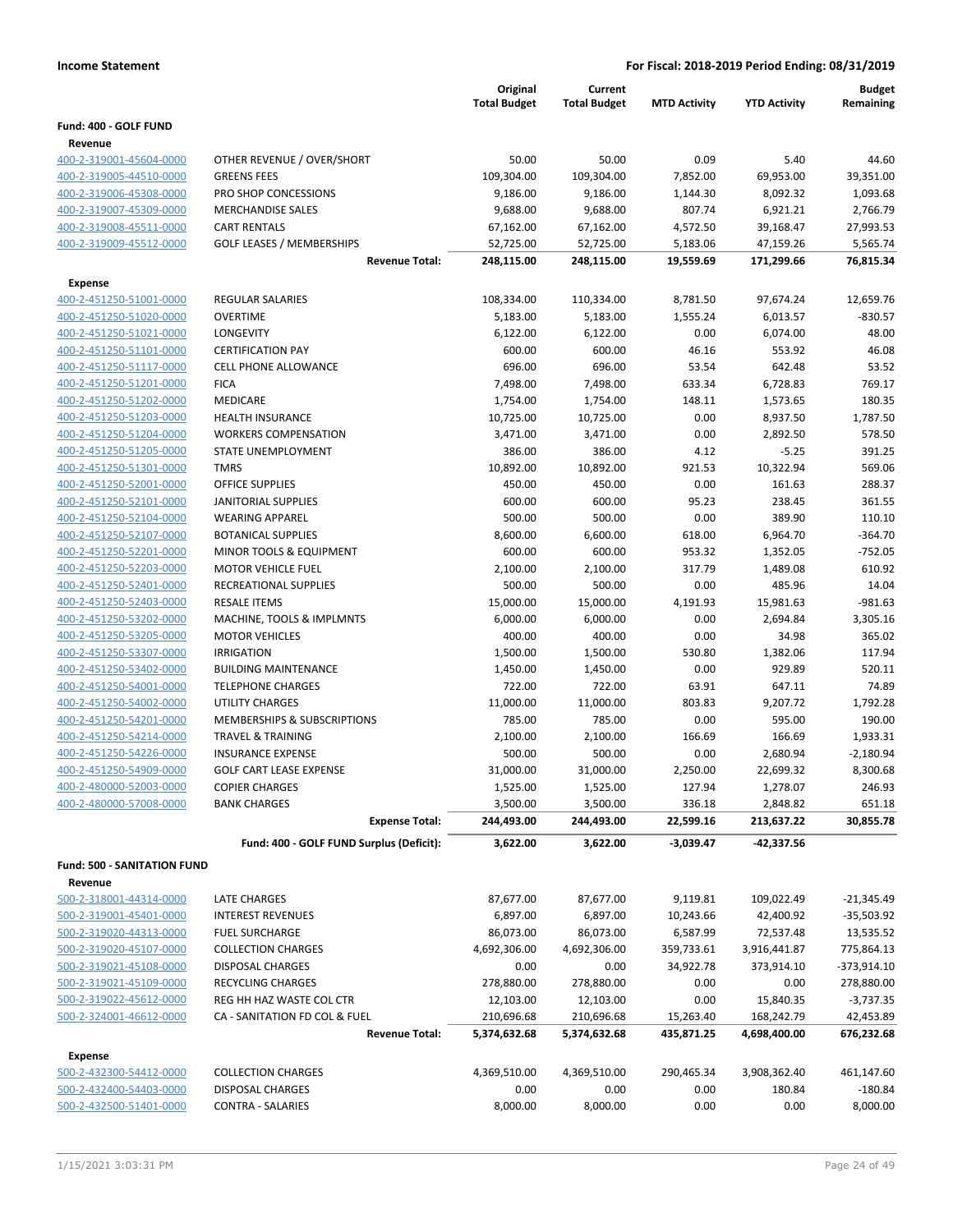|                                                    |                                                             | Original            | Current             |                     |                     | <b>Budget</b>           |
|----------------------------------------------------|-------------------------------------------------------------|---------------------|---------------------|---------------------|---------------------|-------------------------|
|                                                    |                                                             | <b>Total Budget</b> | <b>Total Budget</b> | <b>MTD Activity</b> | <b>YTD Activity</b> | Remaining               |
| Fund: 400 - GOLF FUND                              |                                                             |                     |                     |                     |                     |                         |
| Revenue                                            |                                                             |                     |                     |                     |                     |                         |
| 400-2-319001-45604-0000                            | OTHER REVENUE / OVER/SHORT                                  | 50.00               | 50.00               | 0.09                | 5.40                | 44.60                   |
| 400-2-319005-44510-0000                            | <b>GREENS FEES</b>                                          | 109,304.00          | 109,304.00          | 7,852.00            | 69,953.00           | 39,351.00               |
| 400-2-319006-45308-0000                            | PRO SHOP CONCESSIONS                                        | 9,186.00            | 9,186.00            | 1,144.30            | 8,092.32            | 1,093.68                |
| 400-2-319007-45309-0000                            | <b>MERCHANDISE SALES</b>                                    | 9,688.00            | 9,688.00            | 807.74              | 6,921.21            | 2,766.79                |
| 400-2-319008-45511-0000                            | <b>CART RENTALS</b>                                         | 67,162.00           | 67,162.00           | 4,572.50            | 39,168.47           | 27,993.53               |
| 400-2-319009-45512-0000                            | <b>GOLF LEASES / MEMBERSHIPS</b>                            | 52,725.00           | 52,725.00           | 5,183.06            | 47,159.26           | 5,565.74                |
|                                                    | <b>Revenue Total:</b>                                       | 248,115.00          | 248,115.00          | 19,559.69           | 171,299.66          | 76,815.34               |
| <b>Expense</b>                                     |                                                             |                     |                     |                     |                     |                         |
| 400-2-451250-51001-0000                            | <b>REGULAR SALARIES</b>                                     | 108,334.00          | 110,334.00          | 8,781.50            | 97,674.24           | 12,659.76               |
| 400-2-451250-51020-0000                            | <b>OVERTIME</b>                                             | 5,183.00            | 5,183.00            | 1,555.24            | 6,013.57            | $-830.57$               |
| 400-2-451250-51021-0000                            | LONGEVITY                                                   | 6,122.00            | 6,122.00            | 0.00                | 6,074.00            | 48.00                   |
| 400-2-451250-51101-0000                            | <b>CERTIFICATION PAY</b>                                    | 600.00              | 600.00              | 46.16               | 553.92              | 46.08                   |
| 400-2-451250-51117-0000                            | <b>CELL PHONE ALLOWANCE</b>                                 | 696.00              | 696.00              | 53.54               | 642.48              | 53.52                   |
| 400-2-451250-51201-0000                            | <b>FICA</b>                                                 | 7,498.00            | 7,498.00            | 633.34              | 6,728.83            | 769.17                  |
| 400-2-451250-51202-0000                            | MEDICARE                                                    | 1,754.00            | 1,754.00            | 148.11              | 1,573.65            | 180.35                  |
| 400-2-451250-51203-0000                            | HEALTH INSURANCE                                            | 10,725.00           | 10,725.00           | 0.00                | 8,937.50            | 1,787.50                |
| 400-2-451250-51204-0000                            | <b>WORKERS COMPENSATION</b>                                 | 3,471.00            | 3,471.00            | 0.00                | 2,892.50            | 578.50                  |
| 400-2-451250-51205-0000                            | STATE UNEMPLOYMENT                                          | 386.00              | 386.00              | 4.12                | $-5.25$             | 391.25                  |
| 400-2-451250-51301-0000                            | <b>TMRS</b>                                                 | 10,892.00           | 10,892.00           | 921.53              | 10,322.94           | 569.06                  |
| 400-2-451250-52001-0000                            | <b>OFFICE SUPPLIES</b>                                      | 450.00              | 450.00              | 0.00                | 161.63              | 288.37                  |
| 400-2-451250-52101-0000                            | <b>JANITORIAL SUPPLIES</b>                                  | 600.00              | 600.00              | 95.23               | 238.45              | 361.55                  |
| 400-2-451250-52104-0000                            | <b>WEARING APPAREL</b>                                      | 500.00              | 500.00              | 0.00                | 389.90              | 110.10                  |
| 400-2-451250-52107-0000                            | <b>BOTANICAL SUPPLIES</b>                                   | 8,600.00            | 6,600.00            | 618.00              | 6,964.70            | $-364.70$               |
| 400-2-451250-52201-0000                            | MINOR TOOLS & EQUIPMENT                                     | 600.00              | 600.00              | 953.32              | 1,352.05            | $-752.05$               |
| 400-2-451250-52203-0000                            | <b>MOTOR VEHICLE FUEL</b>                                   | 2,100.00            | 2,100.00            | 317.79              | 1,489.08            | 610.92                  |
| 400-2-451250-52401-0000                            | RECREATIONAL SUPPLIES                                       | 500.00              | 500.00              | 0.00                | 485.96              | 14.04                   |
| 400-2-451250-52403-0000                            | <b>RESALE ITEMS</b>                                         | 15,000.00           | 15,000.00           | 4,191.93            | 15,981.63           | $-981.63$               |
| 400-2-451250-53202-0000                            | MACHINE, TOOLS & IMPLMNTS                                   | 6,000.00            | 6,000.00            | 0.00                | 2,694.84            | 3,305.16                |
| 400-2-451250-53205-0000                            | <b>MOTOR VEHICLES</b>                                       | 400.00              | 400.00              | 0.00                | 34.98               | 365.02                  |
| 400-2-451250-53307-0000                            | <b>IRRIGATION</b>                                           | 1,500.00            | 1,500.00            | 530.80              | 1,382.06            | 117.94                  |
| 400-2-451250-53402-0000                            | <b>BUILDING MAINTENANCE</b><br><b>TELEPHONE CHARGES</b>     | 1,450.00            | 1,450.00            | 0.00                | 929.89              | 520.11                  |
| 400-2-451250-54001-0000                            |                                                             | 722.00              | 722.00              | 63.91               | 647.11              | 74.89                   |
| 400-2-451250-54002-0000                            | UTILITY CHARGES                                             | 11,000.00           | 11,000.00           | 803.83              | 9,207.72            | 1,792.28                |
| 400-2-451250-54201-0000<br>400-2-451250-54214-0000 | MEMBERSHIPS & SUBSCRIPTIONS<br><b>TRAVEL &amp; TRAINING</b> | 785.00              | 785.00              | 0.00<br>166.69      | 595.00<br>166.69    | 190.00                  |
| 400-2-451250-54226-0000                            | <b>INSURANCE EXPENSE</b>                                    | 2,100.00<br>500.00  | 2,100.00<br>500.00  | 0.00                | 2,680.94            | 1,933.31<br>$-2,180.94$ |
| 400-2-451250-54909-0000                            | <b>GOLF CART LEASE EXPENSE</b>                              | 31.000.00           | 31,000.00           | 2,250.00            | 22,699.32           | 8,300.68                |
| 400-2-480000-52003-0000                            | <b>COPIER CHARGES</b>                                       | 1,525.00            | 1,525.00            | 127.94              | 1,278.07            | 246.93                  |
| 400-2-480000-57008-0000                            | <b>BANK CHARGES</b>                                         | 3,500.00            | 3,500.00            | 336.18              | 2,848.82            | 651.18                  |
|                                                    | <b>Expense Total:</b>                                       | 244,493.00          | 244,493.00          | 22,599.16           | 213,637.22          | 30,855.78               |
|                                                    |                                                             |                     |                     |                     |                     |                         |
|                                                    | Fund: 400 - GOLF FUND Surplus (Deficit):                    | 3,622.00            | 3,622.00            | $-3,039.47$         | -42,337.56          |                         |
| <b>Fund: 500 - SANITATION FUND</b>                 |                                                             |                     |                     |                     |                     |                         |
| Revenue                                            |                                                             |                     |                     |                     |                     |                         |
| 500-2-318001-44314-0000                            | LATE CHARGES                                                | 87,677.00           | 87,677.00           | 9,119.81            | 109,022.49          | $-21,345.49$            |
| 500-2-319001-45401-0000                            | <b>INTEREST REVENUES</b>                                    | 6,897.00            | 6,897.00            | 10,243.66           | 42,400.92           | $-35,503.92$            |
| 500-2-319020-44313-0000                            | <b>FUEL SURCHARGE</b>                                       | 86,073.00           | 86,073.00           | 6,587.99            | 72,537.48           | 13,535.52               |
| 500-2-319020-45107-0000                            | <b>COLLECTION CHARGES</b>                                   | 4,692,306.00        | 4,692,306.00        | 359,733.61          | 3,916,441.87        | 775,864.13              |
| 500-2-319021-45108-0000                            | DISPOSAL CHARGES                                            | 0.00                | 0.00                | 34,922.78           | 373,914.10          | -373,914.10             |
| 500-2-319021-45109-0000                            | RECYCLING CHARGES                                           | 278,880.00          | 278,880.00          | 0.00                | 0.00                | 278,880.00              |
| 500-2-319022-45612-0000                            | REG HH HAZ WASTE COL CTR                                    | 12,103.00           | 12,103.00           | 0.00                | 15,840.35           | $-3,737.35$             |
| 500-2-324001-46612-0000                            | CA - SANITATION FD COL & FUEL                               | 210,696.68          | 210,696.68          | 15,263.40           | 168,242.79          | 42,453.89               |
|                                                    | <b>Revenue Total:</b>                                       | 5,374,632.68        | 5,374,632.68        | 435,871.25          | 4,698,400.00        | 676,232.68              |
| <b>Expense</b>                                     |                                                             |                     |                     |                     |                     |                         |
| 500-2-432300-54412-0000                            | <b>COLLECTION CHARGES</b>                                   | 4,369,510.00        | 4,369,510.00        | 290,465.34          | 3,908,362.40        | 461,147.60              |
| 500-2-432400-54403-0000                            | DISPOSAL CHARGES                                            | 0.00                | 0.00                | 0.00                | 180.84              | $-180.84$               |
| 500-2-432500-51401-0000                            | <b>CONTRA - SALARIES</b>                                    | 8,000.00            | 8,000.00            | 0.00                | 0.00                | 8,000.00                |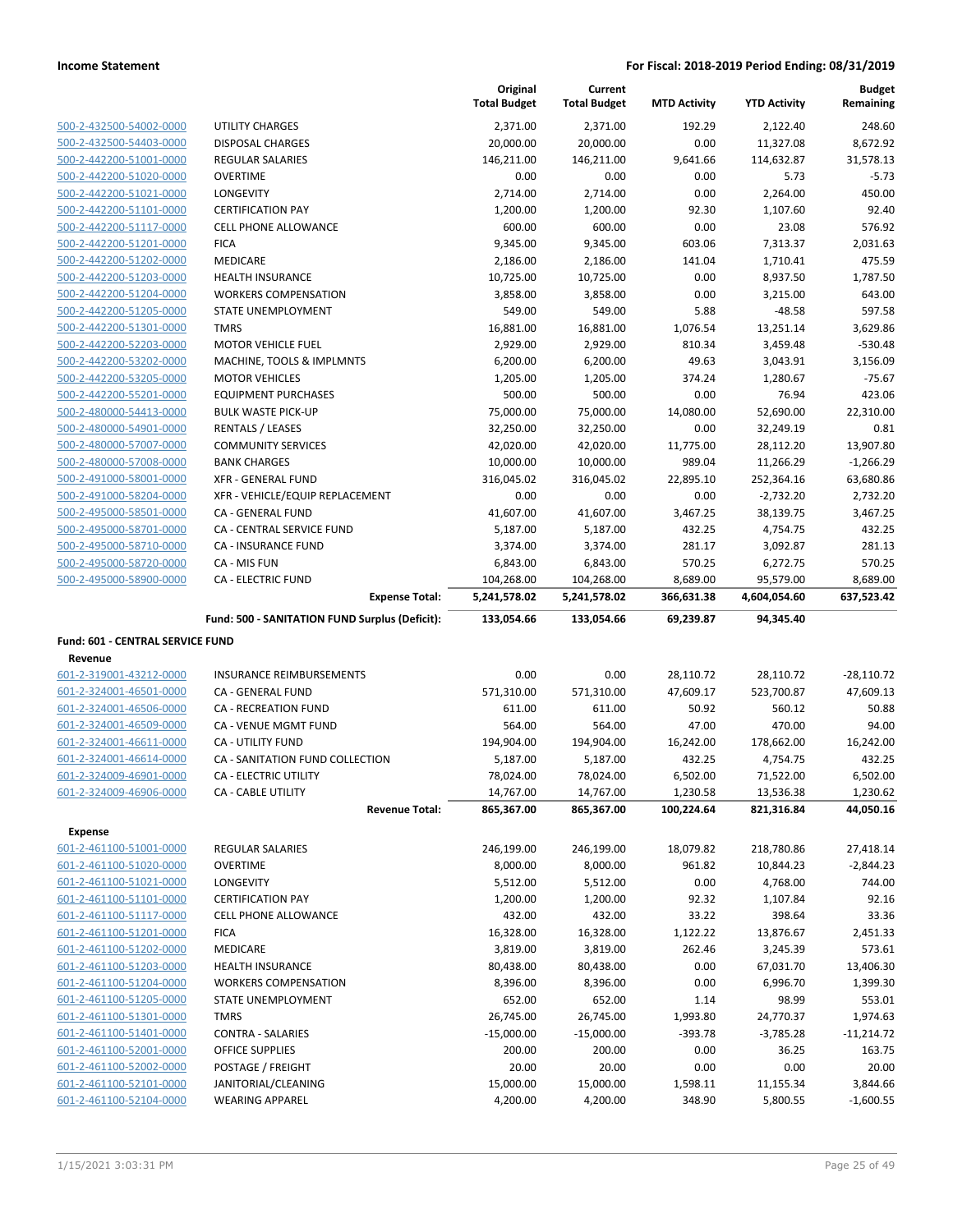|                                                    |                                                        | Original<br><b>Total Budget</b> | Current<br><b>Total Budget</b> | <b>MTD Activity</b> | <b>YTD Activity</b>     | <b>Budget</b><br>Remaining |
|----------------------------------------------------|--------------------------------------------------------|---------------------------------|--------------------------------|---------------------|-------------------------|----------------------------|
| 500-2-432500-54002-0000                            | UTILITY CHARGES                                        | 2,371.00                        | 2,371.00                       | 192.29              | 2,122.40                | 248.60                     |
| 500-2-432500-54403-0000                            | <b>DISPOSAL CHARGES</b>                                | 20,000.00                       | 20,000.00                      | 0.00                | 11,327.08               | 8,672.92                   |
| 500-2-442200-51001-0000                            | REGULAR SALARIES                                       | 146,211.00                      | 146,211.00                     | 9,641.66            | 114,632.87              | 31,578.13                  |
| 500-2-442200-51020-0000                            | <b>OVERTIME</b>                                        | 0.00                            | 0.00                           | 0.00                | 5.73                    | $-5.73$                    |
| 500-2-442200-51021-0000                            | <b>LONGEVITY</b>                                       | 2,714.00                        | 2,714.00                       | 0.00                | 2,264.00                | 450.00                     |
| 500-2-442200-51101-0000                            | <b>CERTIFICATION PAY</b>                               | 1,200.00                        | 1,200.00                       | 92.30               | 1,107.60                | 92.40                      |
| 500-2-442200-51117-0000                            | <b>CELL PHONE ALLOWANCE</b>                            | 600.00                          | 600.00                         | 0.00                | 23.08                   | 576.92                     |
| 500-2-442200-51201-0000                            | <b>FICA</b>                                            | 9,345.00                        | 9,345.00                       | 603.06              | 7,313.37                | 2,031.63                   |
| 500-2-442200-51202-0000                            | MEDICARE                                               | 2,186.00                        | 2,186.00                       | 141.04              | 1,710.41                | 475.59                     |
| 500-2-442200-51203-0000                            | <b>HEALTH INSURANCE</b>                                | 10,725.00                       | 10,725.00                      | 0.00                | 8,937.50                | 1,787.50                   |
| 500-2-442200-51204-0000                            | <b>WORKERS COMPENSATION</b>                            | 3,858.00                        | 3,858.00                       | 0.00                | 3,215.00                | 643.00                     |
| 500-2-442200-51205-0000                            | STATE UNEMPLOYMENT                                     | 549.00                          | 549.00                         | 5.88                | $-48.58$                | 597.58                     |
| 500-2-442200-51301-0000                            | <b>TMRS</b>                                            | 16,881.00                       | 16,881.00                      | 1,076.54            | 13,251.14               | 3,629.86                   |
| 500-2-442200-52203-0000                            | <b>MOTOR VEHICLE FUEL</b>                              | 2,929.00                        | 2,929.00                       | 810.34              | 3,459.48                | $-530.48$                  |
| 500-2-442200-53202-0000                            | MACHINE, TOOLS & IMPLMNTS                              | 6,200.00                        | 6,200.00                       | 49.63               | 3,043.91                | 3,156.09                   |
| 500-2-442200-53205-0000                            | <b>MOTOR VEHICLES</b>                                  | 1,205.00                        | 1,205.00                       | 374.24              | 1,280.67                | $-75.67$                   |
| 500-2-442200-55201-0000                            | <b>EQUIPMENT PURCHASES</b>                             | 500.00                          | 500.00                         | 0.00                | 76.94                   | 423.06                     |
| 500-2-480000-54413-0000                            | <b>BULK WASTE PICK-UP</b>                              | 75,000.00                       | 75,000.00                      | 14,080.00           | 52,690.00               | 22,310.00                  |
| 500-2-480000-54901-0000                            | RENTALS / LEASES                                       | 32,250.00                       | 32,250.00                      | 0.00                | 32,249.19               | 0.81<br>13,907.80          |
| 500-2-480000-57007-0000<br>500-2-480000-57008-0000 | <b>COMMUNITY SERVICES</b><br><b>BANK CHARGES</b>       | 42,020.00                       | 42,020.00                      | 11,775.00<br>989.04 | 28,112.20               | $-1,266.29$                |
| 500-2-491000-58001-0000                            | <b>XFR - GENERAL FUND</b>                              | 10,000.00<br>316,045.02         | 10,000.00<br>316,045.02        | 22,895.10           | 11,266.29<br>252,364.16 | 63,680.86                  |
| 500-2-491000-58204-0000                            | XFR - VEHICLE/EQUIP REPLACEMENT                        | 0.00                            | 0.00                           | 0.00                | $-2,732.20$             | 2,732.20                   |
| 500-2-495000-58501-0000                            | <b>CA - GENERAL FUND</b>                               | 41,607.00                       | 41,607.00                      | 3,467.25            | 38,139.75               | 3,467.25                   |
| 500-2-495000-58701-0000                            | CA - CENTRAL SERVICE FUND                              | 5,187.00                        | 5,187.00                       | 432.25              | 4,754.75                | 432.25                     |
| 500-2-495000-58710-0000                            | CA - INSURANCE FUND                                    | 3,374.00                        | 3,374.00                       | 281.17              | 3,092.87                | 281.13                     |
| 500-2-495000-58720-0000                            | CA - MIS FUN                                           | 6,843.00                        | 6,843.00                       | 570.25              | 6,272.75                | 570.25                     |
|                                                    | <b>CA - ELECTRIC FUND</b>                              | 104,268.00                      | 104,268.00                     | 8,689.00            | 95,579.00               | 8,689.00                   |
|                                                    |                                                        |                                 |                                |                     |                         |                            |
| 500-2-495000-58900-0000                            | <b>Expense Total:</b>                                  | 5,241,578.02                    | 5,241,578.02                   | 366,631.38          | 4,604,054.60            | 637,523.42                 |
|                                                    | Fund: 500 - SANITATION FUND Surplus (Deficit):         | 133,054.66                      | 133,054.66                     | 69,239.87           | 94,345.40               |                            |
| Fund: 601 - CENTRAL SERVICE FUND                   |                                                        |                                 |                                |                     |                         |                            |
| Revenue                                            |                                                        |                                 |                                |                     |                         |                            |
| 601-2-319001-43212-0000                            | <b>INSURANCE REIMBURSEMENTS</b>                        | 0.00                            | 0.00                           | 28,110.72           | 28,110.72               | $-28,110.72$               |
| 601-2-324001-46501-0000                            | CA - GENERAL FUND                                      | 571,310.00                      | 571,310.00                     | 47,609.17           | 523,700.87              | 47,609.13                  |
| 601-2-324001-46506-0000                            | <b>CA - RECREATION FUND</b>                            | 611.00                          | 611.00                         | 50.92               | 560.12                  | 50.88                      |
| 601-2-324001-46509-0000                            | CA - VENUE MGMT FUND                                   | 564.00                          | 564.00                         | 47.00               | 470.00                  | 94.00                      |
| 601-2-324001-46611-0000                            | CA - UTILITY FUND                                      | 194,904.00                      | 194,904.00                     | 16,242.00           | 178,662.00              | 16,242.00                  |
| 601-2-324001-46614-0000                            | CA - SANITATION FUND COLLECTION                        | 5,187.00                        | 5,187.00                       | 432.25              | 4,754.75                | 432.25                     |
| 601-2-324009-46901-0000                            | CA - ELECTRIC UTILITY                                  | 78,024.00                       | 78,024.00                      | 6,502.00            | 71,522.00               | 6.502.00                   |
| 601-2-324009-46906-0000                            | CA - CABLE UTILITY                                     | 14,767.00                       | 14,767.00                      | 1,230.58            | 13,536.38               | 1,230.62                   |
|                                                    | <b>Revenue Total:</b>                                  | 865,367.00                      | 865,367.00                     | 100,224.64          | 821,316.84              | 44,050.16                  |
| <b>Expense</b>                                     |                                                        |                                 |                                |                     |                         |                            |
| 601-2-461100-51001-0000                            | <b>REGULAR SALARIES</b>                                | 246,199.00                      | 246,199.00                     | 18,079.82           | 218,780.86              | 27,418.14                  |
| 601-2-461100-51020-0000                            | <b>OVERTIME</b>                                        | 8,000.00                        | 8,000.00                       | 961.82              | 10,844.23               | $-2,844.23$                |
| 601-2-461100-51021-0000                            | LONGEVITY                                              | 5,512.00                        | 5,512.00                       | 0.00                | 4,768.00                | 744.00                     |
| 601-2-461100-51101-0000                            | <b>CERTIFICATION PAY</b>                               | 1,200.00                        | 1,200.00                       | 92.32               | 1,107.84                | 92.16                      |
| 601-2-461100-51117-0000                            | <b>CELL PHONE ALLOWANCE</b>                            | 432.00                          | 432.00                         | 33.22               | 398.64                  | 33.36                      |
| 601-2-461100-51201-0000                            | <b>FICA</b>                                            | 16,328.00                       | 16,328.00                      | 1,122.22            | 13,876.67               | 2,451.33                   |
| 601-2-461100-51202-0000                            | MEDICARE                                               | 3,819.00                        | 3,819.00                       | 262.46              | 3,245.39                | 573.61                     |
| 601-2-461100-51203-0000<br>601-2-461100-51204-0000 | <b>HEALTH INSURANCE</b><br><b>WORKERS COMPENSATION</b> | 80,438.00<br>8,396.00           | 80,438.00                      | 0.00<br>0.00        | 67,031.70<br>6,996.70   | 13,406.30<br>1,399.30      |
| 601-2-461100-51205-0000                            | STATE UNEMPLOYMENT                                     | 652.00                          | 8,396.00<br>652.00             | 1.14                | 98.99                   | 553.01                     |
| 601-2-461100-51301-0000                            | <b>TMRS</b>                                            | 26,745.00                       | 26,745.00                      | 1,993.80            | 24,770.37               | 1,974.63                   |
| 601-2-461100-51401-0000                            | <b>CONTRA - SALARIES</b>                               | $-15,000.00$                    | $-15,000.00$                   | $-393.78$           | $-3,785.28$             | $-11,214.72$               |
| 601-2-461100-52001-0000                            | OFFICE SUPPLIES                                        | 200.00                          | 200.00                         | 0.00                | 36.25                   | 163.75                     |
| 601-2-461100-52002-0000                            | POSTAGE / FREIGHT                                      | 20.00                           | 20.00                          | 0.00                | 0.00                    | 20.00                      |
| 601-2-461100-52101-0000                            | JANITORIAL/CLEANING                                    | 15,000.00                       | 15,000.00                      | 1,598.11            | 11,155.34               | 3,844.66                   |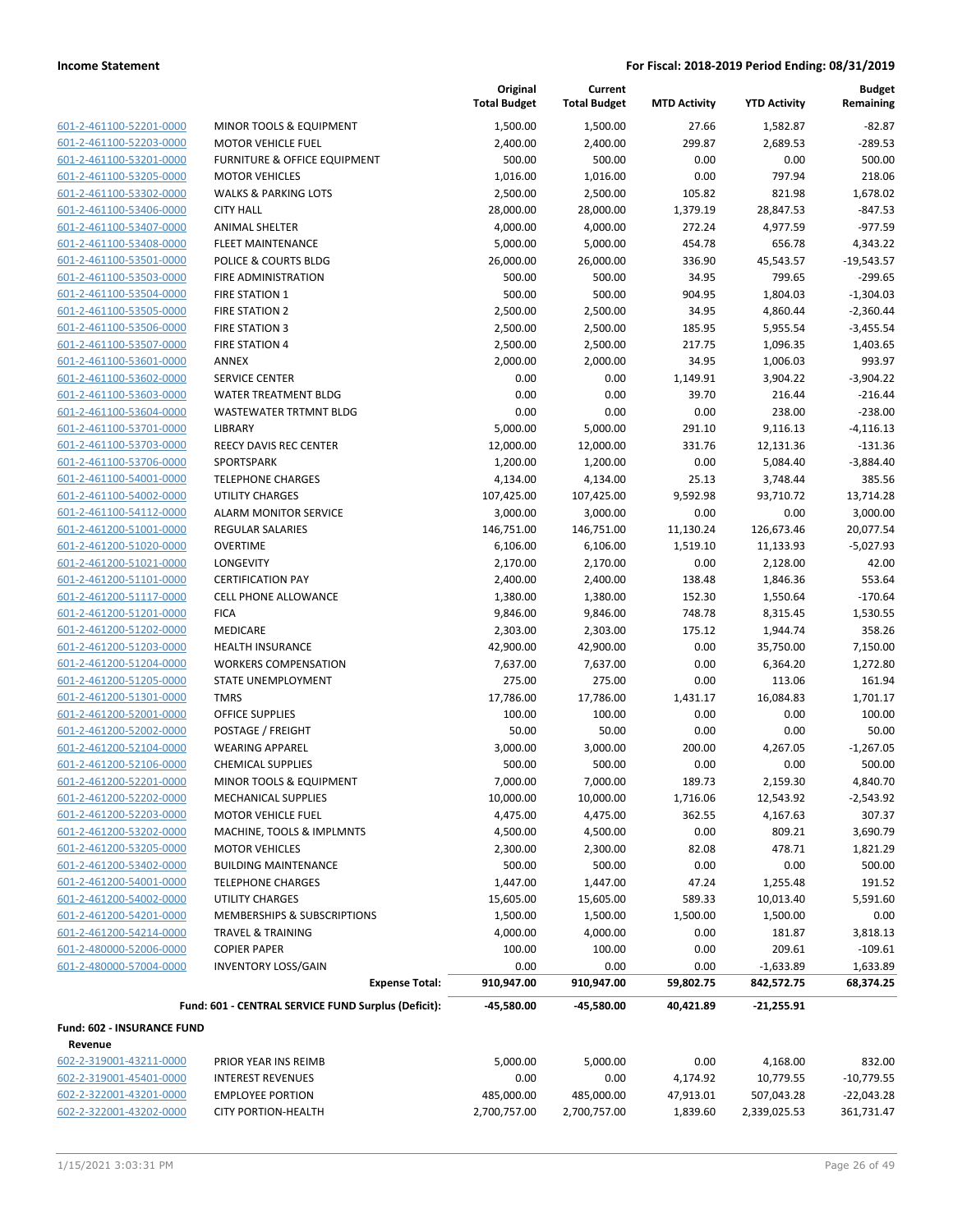| 601-2-461100-52201-0000         |
|---------------------------------|
| 601-2-461100-52203-0000         |
| 601-2-461100-53201-0000         |
| 601-2-461100-53205-0000         |
| 601-2-461100-53302-0000         |
| 601-2-461100-53406-0000         |
| 601-2-461100-53407-0000         |
| <u>601-2-461100-53408-0000</u>  |
| 601-2-461100-53501-0000         |
| 601-2-461100-53503-0000         |
| 601-2-461100-53504-0000         |
| 601-2-461100-53505-0000         |
| 601-2-461100-53506-0000         |
| 601-2-461100-53507-0000         |
| 601-2-461100-53601-0000         |
| 601-2-461100-53602-0000         |
| 601-2-461100-53603-0000         |
| <u>601-2-461100-53604-0000</u>  |
| 601-2-461100-53701-0000         |
| 601-2-461100-53703-0000         |
| 601-2-461100-53706-0000         |
| 601-2-461100-54001-0000         |
| <u>601-2-461100-54002-0000</u>  |
| 601-2-461100-54112-0000         |
| 601-2-461200-51001-0000         |
| 601-2-461200-51020-0000         |
| 601-2-461200-51021-0000         |
| 601-2-461200-51101-0000         |
| 601-2-461200-51117-0000         |
| 601-2-461200-51201-0000         |
| 601-2-461200-51202-0000         |
| 601-2-461200-51203-0000         |
| 601-2-461200-51204-0000         |
| <u>601-2-461200-51205-0000</u>  |
| 601-2-461200-51301-0000         |
| 601-2-461200-52001-0000         |
| 601-2-461200-52002-0000         |
| 601-2-461200-52104-0000         |
| 601-2-461200-52106-0000         |
| 2-461200-52201-0000-<br>$601 -$ |
| 601-2-461200-52202-0000         |
| 601-2-461200-52203-0000         |
| 601-2-461200-53202-0000         |
| 601-2-461200-53205-0000         |
| 601-2-461200-53402-0000         |
| 601-2-461200-54001-0000         |
| 601-2-461200-54002-0000         |
| 601-2-461200-54201-0000         |
| 601-2-461200-54214-0000         |
| 601-2-480000-52006-0000         |
| 601-2-480000-57004-0000         |
|                                 |

|                            |                                                     | Original<br><b>Total Budget</b> | Current<br><b>Total Budget</b> | <b>MTD Activity</b> | <b>YTD Activity</b> | <b>Budget</b><br>Remaining |
|----------------------------|-----------------------------------------------------|---------------------------------|--------------------------------|---------------------|---------------------|----------------------------|
| 601-2-461100-52201-0000    | MINOR TOOLS & EQUIPMENT                             | 1,500.00                        | 1,500.00                       | 27.66               | 1,582.87            | $-82.87$                   |
| 601-2-461100-52203-0000    | <b>MOTOR VEHICLE FUEL</b>                           | 2,400.00                        | 2,400.00                       | 299.87              | 2,689.53            | $-289.53$                  |
| 601-2-461100-53201-0000    | FURNITURE & OFFICE EQUIPMENT                        | 500.00                          | 500.00                         | 0.00                | 0.00                | 500.00                     |
| 601-2-461100-53205-0000    | <b>MOTOR VEHICLES</b>                               | 1,016.00                        | 1,016.00                       | 0.00                | 797.94              | 218.06                     |
| 601-2-461100-53302-0000    | <b>WALKS &amp; PARKING LOTS</b>                     | 2,500.00                        | 2,500.00                       | 105.82              | 821.98              | 1,678.02                   |
| 601-2-461100-53406-0000    | <b>CITY HALL</b>                                    | 28,000.00                       | 28,000.00                      | 1,379.19            | 28,847.53           | $-847.53$                  |
| 601-2-461100-53407-0000    | <b>ANIMAL SHELTER</b>                               | 4,000.00                        | 4,000.00                       | 272.24              | 4,977.59            | $-977.59$                  |
| 601-2-461100-53408-0000    | <b>FLEET MAINTENANCE</b>                            | 5,000.00                        | 5,000.00                       | 454.78              | 656.78              | 4,343.22                   |
| 601-2-461100-53501-0000    | POLICE & COURTS BLDG                                | 26,000.00                       | 26,000.00                      | 336.90              | 45,543.57           | $-19,543.57$               |
| 601-2-461100-53503-0000    | FIRE ADMINISTRATION                                 | 500.00                          | 500.00                         | 34.95               | 799.65              | -299.65                    |
| 601-2-461100-53504-0000    | <b>FIRE STATION 1</b>                               | 500.00                          | 500.00                         | 904.95              | 1,804.03            | $-1,304.03$                |
| 601-2-461100-53505-0000    | <b>FIRE STATION 2</b>                               | 2,500.00                        | 2,500.00                       | 34.95               | 4,860.44            | $-2,360.44$                |
| 601-2-461100-53506-0000    | <b>FIRE STATION 3</b>                               | 2,500.00                        | 2,500.00                       | 185.95              | 5,955.54            | $-3,455.54$                |
| 601-2-461100-53507-0000    | <b>FIRE STATION 4</b>                               | 2,500.00                        | 2,500.00                       | 217.75              | 1,096.35            | 1,403.65                   |
| 601-2-461100-53601-0000    | ANNEX                                               | 2,000.00                        | 2,000.00                       | 34.95               | 1,006.03            | 993.97                     |
| 601-2-461100-53602-0000    | <b>SERVICE CENTER</b>                               | 0.00                            | 0.00                           | 1,149.91            | 3,904.22            | $-3,904.22$                |
| 601-2-461100-53603-0000    | <b>WATER TREATMENT BLDG</b>                         | 0.00                            | 0.00                           | 39.70               | 216.44              | $-216.44$                  |
| 601-2-461100-53604-0000    | <b>WASTEWATER TRTMNT BLDG</b>                       | 0.00                            | 0.00                           | 0.00                | 238.00              | $-238.00$                  |
| 601-2-461100-53701-0000    | <b>LIBRARY</b>                                      | 5,000.00                        | 5,000.00                       | 291.10              | 9,116.13            | $-4,116.13$                |
| 601-2-461100-53703-0000    | <b>REECY DAVIS REC CENTER</b>                       | 12,000.00                       | 12,000.00                      | 331.76              | 12,131.36           | $-131.36$                  |
| 601-2-461100-53706-0000    | SPORTSPARK                                          | 1,200.00                        | 1,200.00                       | 0.00                | 5,084.40            | $-3,884.40$                |
| 601-2-461100-54001-0000    | <b>TELEPHONE CHARGES</b>                            | 4,134.00                        | 4,134.00                       | 25.13               | 3,748.44            | 385.56                     |
| 601-2-461100-54002-0000    | <b>UTILITY CHARGES</b>                              | 107,425.00                      | 107,425.00                     | 9,592.98            | 93,710.72           | 13,714.28                  |
| 601-2-461100-54112-0000    | <b>ALARM MONITOR SERVICE</b>                        | 3,000.00                        | 3,000.00                       | 0.00                | 0.00                | 3,000.00                   |
| 601-2-461200-51001-0000    | <b>REGULAR SALARIES</b>                             | 146,751.00                      | 146,751.00                     | 11,130.24           | 126,673.46          | 20,077.54                  |
| 601-2-461200-51020-0000    | <b>OVERTIME</b>                                     | 6,106.00                        | 6,106.00                       | 1,519.10            | 11,133.93           | $-5,027.93$                |
| 601-2-461200-51021-0000    | LONGEVITY                                           | 2,170.00                        | 2,170.00                       | 0.00                | 2,128.00            | 42.00                      |
| 601-2-461200-51101-0000    | <b>CERTIFICATION PAY</b>                            | 2,400.00                        | 2,400.00                       | 138.48              | 1,846.36            | 553.64                     |
| 601-2-461200-51117-0000    | <b>CELL PHONE ALLOWANCE</b>                         | 1,380.00                        | 1,380.00                       | 152.30              | 1,550.64            | $-170.64$                  |
| 601-2-461200-51201-0000    | <b>FICA</b>                                         | 9,846.00                        | 9,846.00                       | 748.78              | 8,315.45            | 1,530.55                   |
| 601-2-461200-51202-0000    | MEDICARE                                            | 2,303.00                        | 2,303.00                       | 175.12              | 1,944.74            | 358.26                     |
| 601-2-461200-51203-0000    | <b>HEALTH INSURANCE</b>                             | 42,900.00                       | 42,900.00                      | 0.00                | 35,750.00           | 7,150.00                   |
| 601-2-461200-51204-0000    | <b>WORKERS COMPENSATION</b>                         | 7,637.00                        | 7,637.00                       | 0.00                | 6,364.20            | 1,272.80                   |
| 601-2-461200-51205-0000    | STATE UNEMPLOYMENT                                  | 275.00                          | 275.00                         | 0.00                | 113.06              | 161.94                     |
| 601-2-461200-51301-0000    | <b>TMRS</b>                                         | 17,786.00                       | 17,786.00                      | 1,431.17            | 16,084.83           | 1,701.17                   |
| 601-2-461200-52001-0000    | <b>OFFICE SUPPLIES</b>                              | 100.00                          | 100.00                         | 0.00                | 0.00                | 100.00                     |
| 601-2-461200-52002-0000    | POSTAGE / FREIGHT                                   | 50.00                           | 50.00                          | 0.00                | 0.00                | 50.00                      |
| 601-2-461200-52104-0000    | <b>WEARING APPAREL</b>                              | 3,000.00                        | 3,000.00                       | 200.00              | 4,267.05            | $-1,267.05$                |
| 601-2-461200-52106-0000    | <b>CHEMICAL SUPPLIES</b>                            | 500.00                          | 500.00                         | 0.00                | 0.00                | 500.00                     |
| 601-2-461200-52201-0000    | MINOR TOOLS & EQUIPMENT                             | 7,000.00                        | 7,000.00                       | 189.73              | 2,159.30            | 4,840.70                   |
| 601-2-461200-52202-0000    | <b>MECHANICAL SUPPLIES</b>                          | 10,000.00                       | 10,000.00                      | 1,716.06            | 12,543.92           | $-2,543.92$                |
| 601-2-461200-52203-0000    | <b>MOTOR VEHICLE FUEL</b>                           | 4,475.00                        | 4,475.00                       | 362.55              | 4,167.63            | 307.37                     |
| 601-2-461200-53202-0000    | MACHINE, TOOLS & IMPLMNTS                           | 4,500.00                        | 4,500.00                       | 0.00                | 809.21              | 3,690.79                   |
| 601-2-461200-53205-0000    | <b>MOTOR VEHICLES</b>                               | 2,300.00                        | 2,300.00                       | 82.08               | 478.71              | 1,821.29                   |
| 601-2-461200-53402-0000    | <b>BUILDING MAINTENANCE</b>                         | 500.00                          | 500.00                         | 0.00                | 0.00                | 500.00                     |
| 601-2-461200-54001-0000    | <b>TELEPHONE CHARGES</b>                            | 1,447.00                        | 1,447.00                       | 47.24               | 1,255.48            | 191.52                     |
| 601-2-461200-54002-0000    | UTILITY CHARGES                                     | 15,605.00                       | 15,605.00                      | 589.33              | 10,013.40           | 5,591.60                   |
| 601-2-461200-54201-0000    | MEMBERSHIPS & SUBSCRIPTIONS                         | 1,500.00                        | 1,500.00                       | 1,500.00            | 1,500.00            | 0.00                       |
| 601-2-461200-54214-0000    | <b>TRAVEL &amp; TRAINING</b>                        | 4,000.00                        | 4,000.00                       | 0.00                | 181.87              | 3,818.13                   |
| 601-2-480000-52006-0000    | <b>COPIER PAPER</b>                                 | 100.00                          | 100.00                         | 0.00                | 209.61              | $-109.61$                  |
| 601-2-480000-57004-0000    | <b>INVENTORY LOSS/GAIN</b>                          | 0.00                            | 0.00                           | 0.00                | $-1,633.89$         | 1,633.89                   |
|                            | <b>Expense Total:</b>                               | 910,947.00                      | 910,947.00                     | 59,802.75           | 842,572.75          | 68,374.25                  |
|                            | Fund: 601 - CENTRAL SERVICE FUND Surplus (Deficit): | -45,580.00                      | -45,580.00                     | 40,421.89           | $-21,255.91$        |                            |
| Fund: 602 - INSURANCE FUND |                                                     |                                 |                                |                     |                     |                            |
| Revenue                    |                                                     |                                 |                                |                     |                     |                            |
| 602-2-319001-43211-0000    | PRIOR YEAR INS REIMB                                | 5,000.00                        | 5,000.00                       | 0.00                | 4,168.00            | 832.00                     |
| 602-2-319001-45401-0000    | <b>INTEREST REVENUES</b>                            | 0.00                            | 0.00                           | 4,174.92            | 10,779.55           | $-10,779.55$               |

602-2-322001-43201-0000 EMPLOYEE PORTION 485,000.00 485,000.00 47,913.01 507,043.28 -22,043.28 602-2-322001-43202-0000 CITY PORTION-HEALTH 2,700,757.00 2,700,757.00 1,839.60 2,339,025.53 361,731.47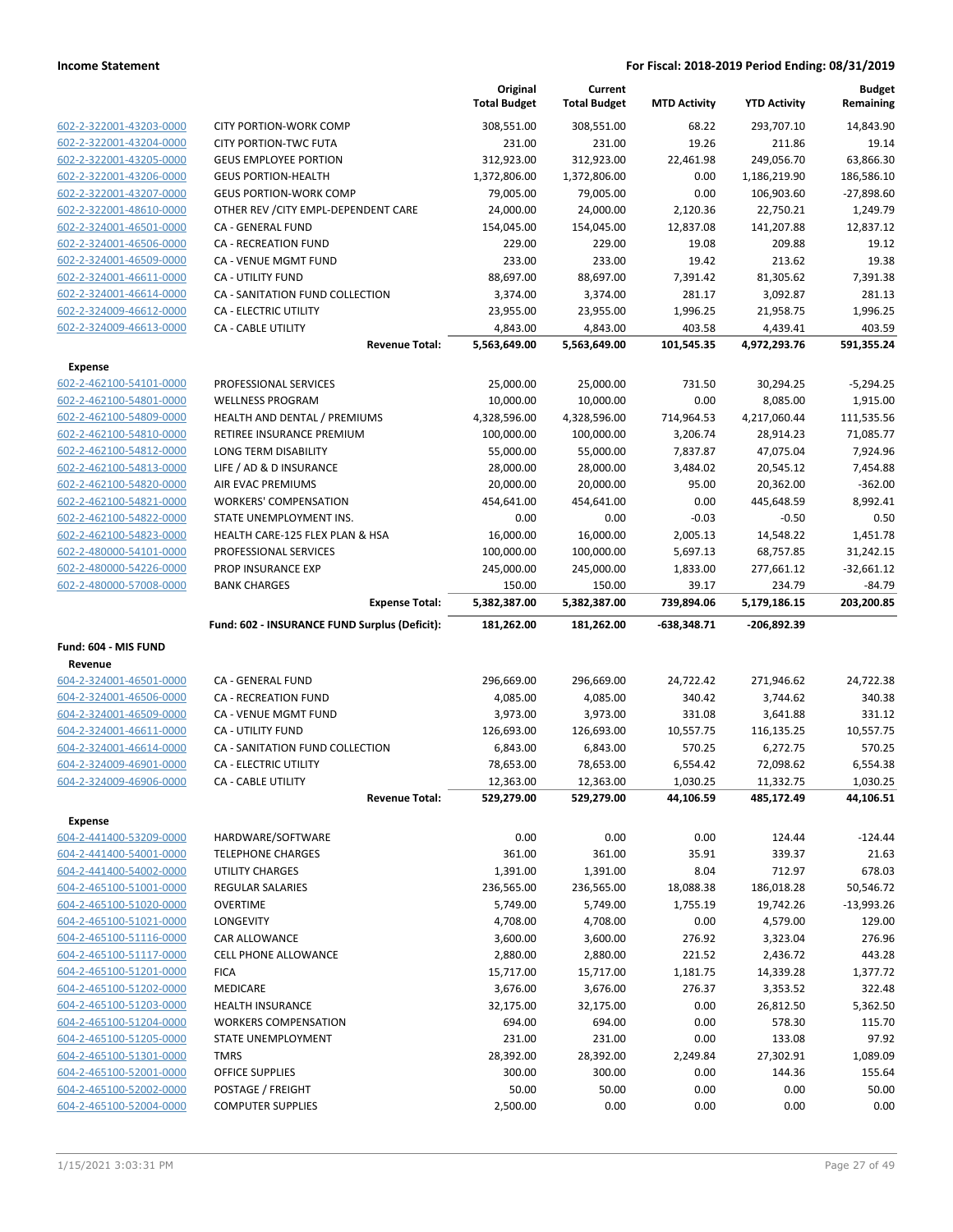|                                                    |                                                    | Original<br><b>Total Budget</b> | Current<br><b>Total Budget</b> | <b>MTD Activity</b>  | <b>YTD Activity</b>      | <b>Budget</b><br>Remaining |
|----------------------------------------------------|----------------------------------------------------|---------------------------------|--------------------------------|----------------------|--------------------------|----------------------------|
| 602-2-322001-43203-0000                            | <b>CITY PORTION-WORK COMP</b>                      | 308,551.00                      | 308,551.00                     | 68.22                | 293,707.10               | 14,843.90                  |
| 602-2-322001-43204-0000                            | <b>CITY PORTION-TWC FUTA</b>                       | 231.00                          | 231.00                         | 19.26                | 211.86                   | 19.14                      |
| 602-2-322001-43205-0000                            | <b>GEUS EMPLOYEE PORTION</b>                       | 312,923.00                      | 312,923.00                     | 22,461.98            | 249,056.70               | 63,866.30                  |
| 602-2-322001-43206-0000                            | <b>GEUS PORTION-HEALTH</b>                         | 1,372,806.00                    | 1,372,806.00                   | 0.00                 | 1,186,219.90             | 186,586.10                 |
| 602-2-322001-43207-0000                            | <b>GEUS PORTION-WORK COMP</b>                      | 79,005.00                       | 79,005.00                      | 0.00                 | 106,903.60               | $-27,898.60$               |
| 602-2-322001-48610-0000                            | OTHER REV / CITY EMPL-DEPENDENT CARE               | 24,000.00                       | 24,000.00                      | 2,120.36             | 22,750.21                | 1,249.79                   |
| 602-2-324001-46501-0000                            | CA - GENERAL FUND                                  | 154,045.00                      | 154,045.00                     | 12,837.08            | 141,207.88               | 12,837.12                  |
| 602-2-324001-46506-0000                            | <b>CA - RECREATION FUND</b>                        | 229.00                          | 229.00                         | 19.08                | 209.88                   | 19.12                      |
| 602-2-324001-46509-0000                            | CA - VENUE MGMT FUND                               | 233.00                          | 233.00                         | 19.42                | 213.62                   | 19.38                      |
| 602-2-324001-46611-0000                            | <b>CA - UTILITY FUND</b>                           | 88,697.00                       | 88,697.00                      | 7,391.42             | 81,305.62                | 7,391.38                   |
| 602-2-324001-46614-0000                            | CA - SANITATION FUND COLLECTION                    | 3,374.00                        | 3,374.00                       | 281.17               | 3,092.87                 | 281.13                     |
| 602-2-324009-46612-0000                            | CA - ELECTRIC UTILITY                              | 23,955.00                       | 23,955.00                      | 1,996.25             | 21,958.75                | 1,996.25                   |
| 602-2-324009-46613-0000                            | <b>CA - CABLE UTILITY</b><br><b>Revenue Total:</b> | 4,843.00<br>5,563,649.00        | 4,843.00<br>5,563,649.00       | 403.58<br>101,545.35 | 4,439.41<br>4,972,293.76 | 403.59<br>591,355.24       |
|                                                    |                                                    |                                 |                                |                      |                          |                            |
| <b>Expense</b><br>602-2-462100-54101-0000          | PROFESSIONAL SERVICES                              | 25,000.00                       | 25,000.00                      | 731.50               | 30,294.25                | $-5,294.25$                |
| 602-2-462100-54801-0000                            | <b>WELLNESS PROGRAM</b>                            | 10,000.00                       | 10,000.00                      | 0.00                 | 8,085.00                 | 1,915.00                   |
| 602-2-462100-54809-0000                            | HEALTH AND DENTAL / PREMIUMS                       | 4,328,596.00                    | 4,328,596.00                   | 714,964.53           | 4,217,060.44             | 111,535.56                 |
| 602-2-462100-54810-0000                            | RETIREE INSURANCE PREMIUM                          | 100,000.00                      | 100,000.00                     | 3,206.74             | 28,914.23                | 71,085.77                  |
| 602-2-462100-54812-0000                            | LONG TERM DISABILITY                               | 55,000.00                       | 55,000.00                      | 7,837.87             | 47,075.04                | 7,924.96                   |
| 602-2-462100-54813-0000                            | LIFE / AD & D INSURANCE                            | 28,000.00                       | 28,000.00                      | 3,484.02             | 20,545.12                | 7,454.88                   |
| 602-2-462100-54820-0000                            | AIR EVAC PREMIUMS                                  | 20,000.00                       | 20,000.00                      | 95.00                | 20,362.00                | $-362.00$                  |
| 602-2-462100-54821-0000                            | <b>WORKERS' COMPENSATION</b>                       | 454,641.00                      | 454,641.00                     | 0.00                 | 445,648.59               | 8,992.41                   |
| 602-2-462100-54822-0000                            | STATE UNEMPLOYMENT INS.                            | 0.00                            | 0.00                           | $-0.03$              | $-0.50$                  | 0.50                       |
| 602-2-462100-54823-0000                            | HEALTH CARE-125 FLEX PLAN & HSA                    | 16,000.00                       | 16,000.00                      | 2,005.13             | 14,548.22                | 1,451.78                   |
| 602-2-480000-54101-0000                            | PROFESSIONAL SERVICES                              | 100,000.00                      | 100,000.00                     | 5,697.13             | 68,757.85                | 31,242.15                  |
| 602-2-480000-54226-0000                            | PROP INSURANCE EXP                                 | 245,000.00                      | 245,000.00                     | 1,833.00             | 277,661.12               | $-32,661.12$               |
| 602-2-480000-57008-0000                            | <b>BANK CHARGES</b>                                | 150.00                          | 150.00                         | 39.17                | 234.79                   | $-84.79$                   |
|                                                    | <b>Expense Total:</b>                              | 5,382,387.00                    | 5,382,387.00                   | 739,894.06           | 5,179,186.15             | 203,200.85                 |
|                                                    | Fund: 602 - INSURANCE FUND Surplus (Deficit):      | 181,262.00                      | 181,262.00                     | $-638,348.71$        | -206,892.39              |                            |
| Fund: 604 - MIS FUND                               |                                                    |                                 |                                |                      |                          |                            |
| Revenue                                            |                                                    |                                 |                                |                      |                          |                            |
| 604-2-324001-46501-0000                            | CA - GENERAL FUND                                  | 296,669.00                      | 296,669.00                     | 24,722.42            | 271,946.62               | 24,722.38                  |
| 604-2-324001-46506-0000                            | CA - RECREATION FUND                               | 4,085.00                        | 4,085.00                       | 340.42               | 3,744.62                 | 340.38                     |
| 604-2-324001-46509-0000                            | CA - VENUE MGMT FUND                               | 3,973.00                        | 3,973.00                       | 331.08               | 3,641.88                 | 331.12                     |
| 604-2-324001-46611-0000                            | <b>CA - UTILITY FUND</b>                           | 126,693.00                      | 126,693.00                     | 10,557.75            | 116,135.25               | 10,557.75                  |
| 604-2-324001-46614-0000                            | CA - SANITATION FUND COLLECTION                    | 6,843.00                        | 6,843.00                       | 570.25               | 6,272.75                 | 570.25                     |
| 604-2-324009-46901-0000                            | <b>CA - ELECTRIC UTILITY</b>                       | 78,653.00                       | 78,653.00                      | 6,554.42             | 72,098.62                | 6,554.38                   |
| 604-2-324009-46906-0000                            | CA - CABLE UTILITY                                 | 12,363.00                       | 12,363.00                      | 1,030.25             | 11,332.75                | 1,030.25                   |
|                                                    | <b>Revenue Total:</b>                              | 529,279.00                      | 529,279.00                     | 44,106.59            | 485,172.49               | 44,106.51                  |
| <b>Expense</b>                                     |                                                    |                                 |                                |                      |                          |                            |
| 604-2-441400-53209-0000                            | HARDWARE/SOFTWARE                                  | 0.00                            | 0.00                           | 0.00                 | 124.44                   | $-124.44$                  |
| 604-2-441400-54001-0000                            | <b>TELEPHONE CHARGES</b>                           | 361.00                          | 361.00                         | 35.91                | 339.37                   | 21.63                      |
| 604-2-441400-54002-0000                            | <b>UTILITY CHARGES</b>                             | 1,391.00                        | 1,391.00                       | 8.04                 | 712.97                   | 678.03                     |
| 604-2-465100-51001-0000                            | <b>REGULAR SALARIES</b>                            | 236,565.00                      | 236,565.00                     | 18,088.38            | 186,018.28               | 50,546.72                  |
| 604-2-465100-51020-0000<br>604-2-465100-51021-0000 | <b>OVERTIME</b><br>LONGEVITY                       | 5,749.00                        | 5,749.00                       | 1,755.19<br>0.00     | 19,742.26                | $-13,993.26$<br>129.00     |
| 604-2-465100-51116-0000                            | CAR ALLOWANCE                                      | 4,708.00<br>3,600.00            | 4,708.00<br>3,600.00           | 276.92               | 4,579.00<br>3,323.04     | 276.96                     |
| 604-2-465100-51117-0000                            | CELL PHONE ALLOWANCE                               | 2,880.00                        | 2,880.00                       | 221.52               | 2,436.72                 | 443.28                     |
| 604-2-465100-51201-0000                            | <b>FICA</b>                                        | 15,717.00                       | 15,717.00                      | 1,181.75             | 14,339.28                | 1,377.72                   |
| 604-2-465100-51202-0000                            | <b>MEDICARE</b>                                    | 3,676.00                        | 3,676.00                       | 276.37               | 3,353.52                 | 322.48                     |
| 604-2-465100-51203-0000                            | <b>HEALTH INSURANCE</b>                            | 32,175.00                       | 32,175.00                      | 0.00                 | 26,812.50                | 5,362.50                   |
| 604-2-465100-51204-0000                            | <b>WORKERS COMPENSATION</b>                        | 694.00                          | 694.00                         | 0.00                 | 578.30                   | 115.70                     |
| 604-2-465100-51205-0000                            | STATE UNEMPLOYMENT                                 | 231.00                          | 231.00                         | 0.00                 | 133.08                   | 97.92                      |
| 604-2-465100-51301-0000                            |                                                    |                                 |                                |                      |                          | 1,089.09                   |
|                                                    |                                                    |                                 |                                |                      |                          |                            |
|                                                    | <b>TMRS</b>                                        | 28,392.00                       | 28,392.00                      | 2,249.84             | 27,302.91                |                            |
| 604-2-465100-52001-0000                            | <b>OFFICE SUPPLIES</b>                             | 300.00                          | 300.00                         | 0.00                 | 144.36                   | 155.64                     |
| 604-2-465100-52002-0000<br>604-2-465100-52004-0000 | POSTAGE / FREIGHT<br><b>COMPUTER SUPPLIES</b>      | 50.00<br>2,500.00               | 50.00<br>0.00                  | 0.00<br>0.00         | 0.00<br>0.00             | 50.00<br>0.00              |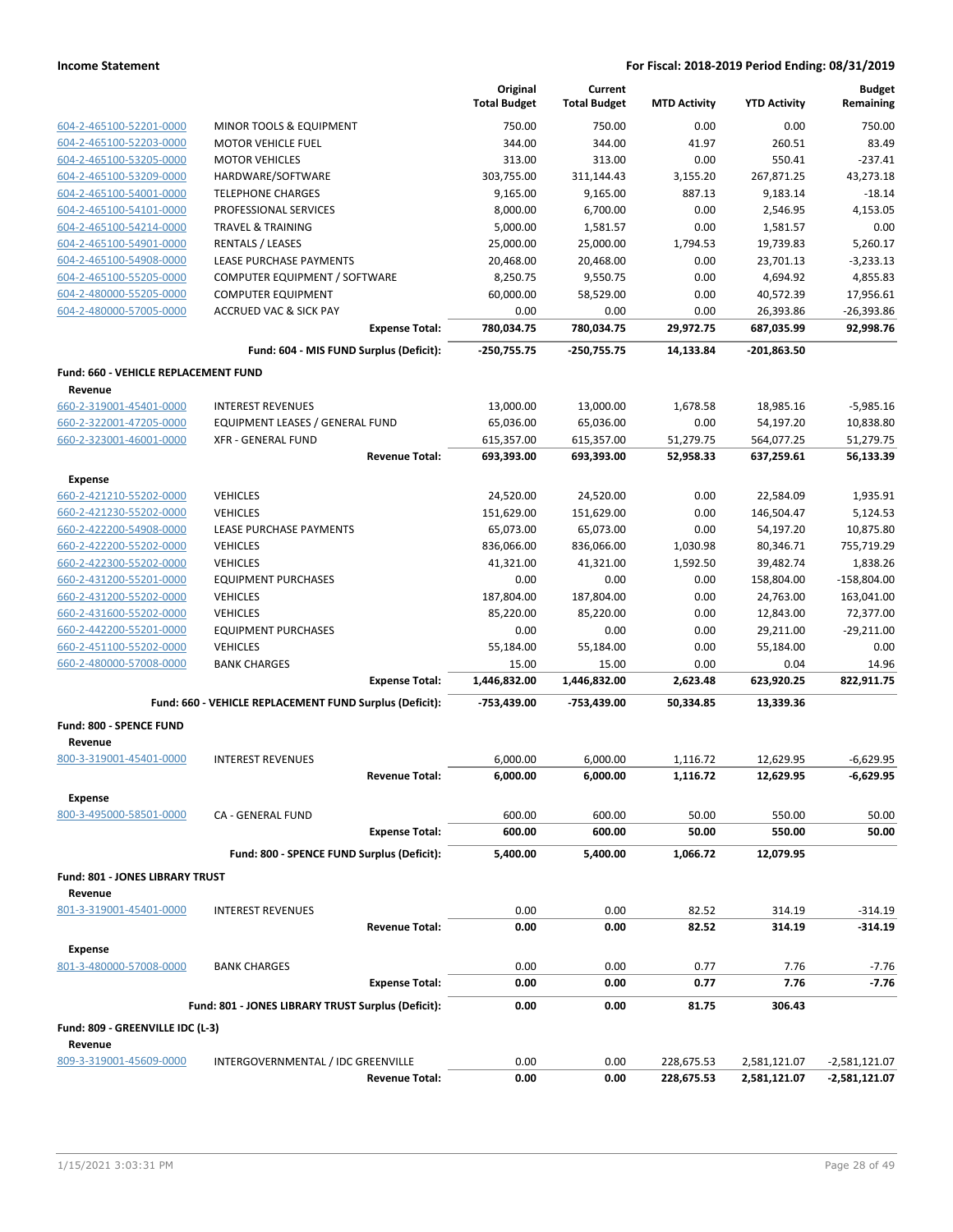|                                                    |                                                            | Original<br><b>Total Budget</b> | Current             |                     |                         | <b>Budget</b>             |
|----------------------------------------------------|------------------------------------------------------------|---------------------------------|---------------------|---------------------|-------------------------|---------------------------|
|                                                    |                                                            |                                 | <b>Total Budget</b> | <b>MTD Activity</b> | <b>YTD Activity</b>     | Remaining                 |
| 604-2-465100-52201-0000                            | MINOR TOOLS & EQUIPMENT                                    | 750.00                          | 750.00              | 0.00                | 0.00                    | 750.00                    |
| 604-2-465100-52203-0000                            | <b>MOTOR VEHICLE FUEL</b>                                  | 344.00                          | 344.00              | 41.97               | 260.51                  | 83.49                     |
| 604-2-465100-53205-0000                            | <b>MOTOR VEHICLES</b>                                      | 313.00                          | 313.00              | 0.00                | 550.41                  | $-237.41$                 |
| 604-2-465100-53209-0000                            | HARDWARE/SOFTWARE                                          | 303,755.00                      | 311,144.43          | 3,155.20            | 267,871.25              | 43,273.18                 |
| 604-2-465100-54001-0000                            | <b>TELEPHONE CHARGES</b>                                   | 9,165.00                        | 9,165.00            | 887.13              | 9,183.14                | $-18.14$                  |
| 604-2-465100-54101-0000                            | PROFESSIONAL SERVICES                                      | 8,000.00                        | 6,700.00            | 0.00                | 2,546.95                | 4,153.05                  |
| 604-2-465100-54214-0000                            | <b>TRAVEL &amp; TRAINING</b>                               | 5,000.00                        | 1,581.57            | 0.00                | 1,581.57                | 0.00                      |
| 604-2-465100-54901-0000                            | RENTALS / LEASES                                           | 25,000.00                       | 25,000.00           | 1,794.53            | 19,739.83               | 5,260.17                  |
| 604-2-465100-54908-0000                            | LEASE PURCHASE PAYMENTS                                    | 20,468.00                       | 20,468.00           | 0.00                | 23,701.13               | $-3,233.13$               |
| 604-2-465100-55205-0000                            | COMPUTER EQUIPMENT / SOFTWARE                              | 8,250.75                        | 9,550.75            | 0.00                | 4,694.92                | 4,855.83                  |
| 604-2-480000-55205-0000                            | <b>COMPUTER EQUIPMENT</b>                                  | 60,000.00                       | 58,529.00           | 0.00                | 40,572.39               | 17,956.61                 |
| 604-2-480000-57005-0000                            | <b>ACCRUED VAC &amp; SICK PAY</b><br><b>Expense Total:</b> | 0.00<br>780,034.75              | 0.00<br>780,034.75  | 0.00<br>29,972.75   | 26,393.86<br>687,035.99 | $-26,393.86$<br>92,998.76 |
|                                                    |                                                            |                                 |                     |                     |                         |                           |
|                                                    | Fund: 604 - MIS FUND Surplus (Deficit):                    | -250,755.75                     | $-250,755.75$       | 14,133.84           | -201,863.50             |                           |
| <b>Fund: 660 - VEHICLE REPLACEMENT FUND</b>        |                                                            |                                 |                     |                     |                         |                           |
| Revenue                                            |                                                            |                                 |                     |                     |                         |                           |
| 660-2-319001-45401-0000                            | <b>INTEREST REVENUES</b>                                   | 13,000.00                       | 13,000.00           | 1,678.58            | 18,985.16               | $-5,985.16$               |
| 660-2-322001-47205-0000                            | EQUIPMENT LEASES / GENERAL FUND                            | 65,036.00                       | 65,036.00           | 0.00                | 54,197.20               | 10,838.80                 |
| 660-2-323001-46001-0000                            | <b>XFR - GENERAL FUND</b><br><b>Revenue Total:</b>         | 615,357.00                      | 615,357.00          | 51,279.75           | 564,077.25              | 51,279.75                 |
|                                                    |                                                            | 693,393.00                      | 693,393.00          | 52,958.33           | 637,259.61              | 56,133.39                 |
| <b>Expense</b>                                     |                                                            |                                 |                     |                     |                         |                           |
| 660-2-421210-55202-0000                            | <b>VEHICLES</b>                                            | 24,520.00                       | 24,520.00           | 0.00                | 22,584.09               | 1,935.91                  |
| 660-2-421230-55202-0000                            | <b>VEHICLES</b>                                            | 151,629.00                      | 151,629.00          | 0.00                | 146,504.47              | 5,124.53                  |
| 660-2-422200-54908-0000                            | <b>LEASE PURCHASE PAYMENTS</b>                             | 65,073.00                       | 65,073.00           | 0.00                | 54,197.20               | 10,875.80                 |
| 660-2-422200-55202-0000                            | <b>VEHICLES</b>                                            | 836,066.00                      | 836,066.00          | 1,030.98            | 80,346.71               | 755,719.29                |
| 660-2-422300-55202-0000                            | <b>VEHICLES</b>                                            | 41,321.00                       | 41,321.00           | 1,592.50            | 39,482.74               | 1,838.26                  |
| 660-2-431200-55201-0000                            | <b>EQUIPMENT PURCHASES</b>                                 | 0.00                            | 0.00                | 0.00                | 158,804.00              | $-158,804.00$             |
| 660-2-431200-55202-0000                            | <b>VEHICLES</b><br><b>VEHICLES</b>                         | 187,804.00                      | 187,804.00          | 0.00<br>0.00        | 24,763.00               | 163,041.00<br>72,377.00   |
| 660-2-431600-55202-0000                            |                                                            | 85,220.00                       | 85,220.00           |                     | 12,843.00               | $-29,211.00$              |
| 660-2-442200-55201-0000                            | <b>EQUIPMENT PURCHASES</b><br><b>VEHICLES</b>              | 0.00                            | 0.00                | 0.00<br>0.00        | 29,211.00               |                           |
| 660-2-451100-55202-0000<br>660-2-480000-57008-0000 | <b>BANK CHARGES</b>                                        | 55,184.00<br>15.00              | 55,184.00<br>15.00  | 0.00                | 55,184.00<br>0.04       | 0.00<br>14.96             |
|                                                    | <b>Expense Total:</b>                                      | 1,446,832.00                    | 1,446,832.00        | 2,623.48            | 623,920.25              | 822,911.75                |
|                                                    | Fund: 660 - VEHICLE REPLACEMENT FUND Surplus (Deficit):    | -753,439.00                     | -753,439.00         | 50,334.85           | 13,339.36               |                           |
|                                                    |                                                            |                                 |                     |                     |                         |                           |
| Fund: 800 - SPENCE FUND                            |                                                            |                                 |                     |                     |                         |                           |
| Revenue<br>800-3-319001-45401-0000                 | <b>INTEREST REVENUES</b>                                   | 6.000.00                        | 6,000.00            | 1,116.72            | 12,629.95               | $-6,629.95$               |
|                                                    |                                                            |                                 |                     |                     | 12,629.95               | $-6,629.95$               |
|                                                    | <b>Revenue Total:</b>                                      | 6,000.00                        | 6,000.00            | 1,116.72            |                         |                           |
| <b>Expense</b><br>800-3-495000-58501-0000          | CA - GENERAL FUND                                          | 600.00                          | 600.00              | 50.00               | 550.00                  | 50.00                     |
|                                                    | <b>Expense Total:</b>                                      | 600.00                          | 600.00              | 50.00               | 550.00                  | 50.00                     |
|                                                    | Fund: 800 - SPENCE FUND Surplus (Deficit):                 | 5,400.00                        | 5,400.00            | 1,066.72            | 12,079.95               |                           |
|                                                    |                                                            |                                 |                     |                     |                         |                           |
| Fund: 801 - JONES LIBRARY TRUST                    |                                                            |                                 |                     |                     |                         |                           |
| Revenue<br>801-3-319001-45401-0000                 | <b>INTEREST REVENUES</b>                                   | 0.00                            | 0.00                | 82.52               | 314.19                  | $-314.19$                 |
|                                                    | <b>Revenue Total:</b>                                      | 0.00                            | 0.00                | 82.52               | 314.19                  | $-314.19$                 |
|                                                    |                                                            |                                 |                     |                     |                         |                           |
| <b>Expense</b>                                     |                                                            |                                 |                     |                     |                         |                           |
| 801-3-480000-57008-0000                            | <b>BANK CHARGES</b><br><b>Expense Total:</b>               | 0.00<br>0.00                    | 0.00<br>0.00        | 0.77<br>0.77        | 7.76<br>7.76            | $-7.76$<br>$-7.76$        |
|                                                    |                                                            |                                 |                     |                     |                         |                           |
|                                                    | Fund: 801 - JONES LIBRARY TRUST Surplus (Deficit):         | 0.00                            | 0.00                | 81.75               | 306.43                  |                           |
| Fund: 809 - GREENVILLE IDC (L-3)                   |                                                            |                                 |                     |                     |                         |                           |
| Revenue                                            |                                                            |                                 |                     |                     |                         |                           |
| 809-3-319001-45609-0000                            | INTERGOVERNMENTAL / IDC GREENVILLE                         | 0.00                            | 0.00                | 228,675.53          | 2,581,121.07            | -2,581,121.07             |
|                                                    | <b>Revenue Total:</b>                                      | 0.00                            | 0.00                | 228,675.53          | 2,581,121.07            | -2,581,121.07             |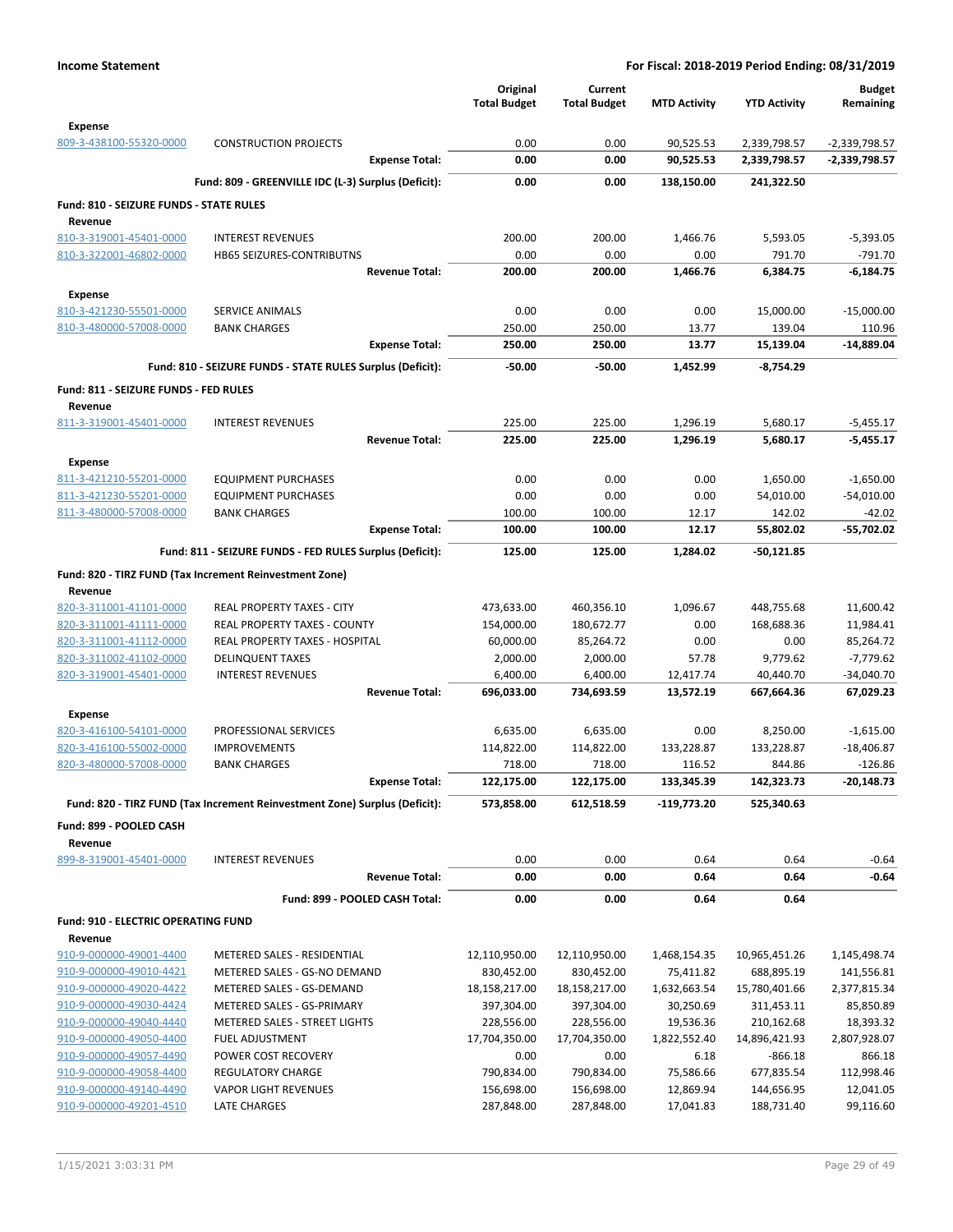| Expense<br>809-3-438100-55320-0000<br><b>CONSTRUCTION PROJECTS</b><br>0.00<br>0.00<br>90,525.53<br>2,339,798.57<br>0.00<br>90,525.53<br>2,339,798.57<br><b>Expense Total:</b><br>0.00<br>Fund: 809 - GREENVILLE IDC (L-3) Surplus (Deficit):<br>0.00<br>0.00<br>241,322.50<br>138,150.00<br>Fund: 810 - SEIZURE FUNDS - STATE RULES<br>Revenue<br>810-3-319001-45401-0000<br><b>INTEREST REVENUES</b><br>200.00<br>200.00<br>5,593.05<br>1,466.76<br>810-3-322001-46802-0000<br>0.00<br>0.00<br>0.00<br>791.70<br><b>HB65 SEIZURES-CONTRIBUTNS</b><br><b>Revenue Total:</b><br>200.00<br>200.00<br>1,466.76<br>6,384.75<br><b>Expense</b><br>810-3-421230-55501-0000<br><b>SERVICE ANIMALS</b><br>0.00<br>0.00<br>0.00<br>15,000.00<br>810-3-480000-57008-0000<br>250.00<br>250.00<br>13.77<br>139.04<br><b>BANK CHARGES</b><br><b>Expense Total:</b><br>250.00<br>250.00<br>13.77<br>15,139.04<br>Fund: 810 - SEIZURE FUNDS - STATE RULES Surplus (Deficit):<br>$-50.00$<br>$-50.00$<br>1,452.99<br>-8,754.29<br>Fund: 811 - SEIZURE FUNDS - FED RULES<br>Revenue<br><b>INTEREST REVENUES</b><br>811-3-319001-45401-0000<br>225.00<br>225.00<br>1,296.19<br>5,680.17<br><b>Revenue Total:</b><br>225.00<br>225.00<br>1,296.19<br>5,680.17<br><b>Expense</b><br>811-3-421210-55201-0000<br>0.00<br>0.00<br>0.00<br><b>EQUIPMENT PURCHASES</b><br>1,650.00<br>811-3-421230-55201-0000<br><b>EQUIPMENT PURCHASES</b><br>0.00<br>0.00<br>0.00<br>54,010.00<br>811-3-480000-57008-0000<br>100.00<br>100.00<br>12.17<br>142.02<br><b>BANK CHARGES</b><br><b>Expense Total:</b><br>12.17<br>55,802.02<br>100.00<br>100.00<br>Fund: 811 - SEIZURE FUNDS - FED RULES Surplus (Deficit):<br>125.00<br>125.00<br>1,284.02<br>-50,121.85<br>Fund: 820 - TIRZ FUND (Tax Increment Reinvestment Zone)<br>Revenue<br>820-3-311001-41101-0000<br>REAL PROPERTY TAXES - CITY<br>473,633.00<br>460,356.10<br>1,096.67<br>448,755.68<br>820-3-311001-41111-0000<br>REAL PROPERTY TAXES - COUNTY<br>180,672.77<br>0.00<br>168,688.36<br>154,000.00 | $-2,339,798.57$<br>-2,339,798.57<br>$-5,393.05$<br>$-791.70$ |
|---------------------------------------------------------------------------------------------------------------------------------------------------------------------------------------------------------------------------------------------------------------------------------------------------------------------------------------------------------------------------------------------------------------------------------------------------------------------------------------------------------------------------------------------------------------------------------------------------------------------------------------------------------------------------------------------------------------------------------------------------------------------------------------------------------------------------------------------------------------------------------------------------------------------------------------------------------------------------------------------------------------------------------------------------------------------------------------------------------------------------------------------------------------------------------------------------------------------------------------------------------------------------------------------------------------------------------------------------------------------------------------------------------------------------------------------------------------------------------------------------------------------------------------------------------------------------------------------------------------------------------------------------------------------------------------------------------------------------------------------------------------------------------------------------------------------------------------------------------------------------------------------------------------------------------------------------------------------------------------------------------------------------------|--------------------------------------------------------------|
|                                                                                                                                                                                                                                                                                                                                                                                                                                                                                                                                                                                                                                                                                                                                                                                                                                                                                                                                                                                                                                                                                                                                                                                                                                                                                                                                                                                                                                                                                                                                                                                                                                                                                                                                                                                                                                                                                                                                                                                                                                 |                                                              |
|                                                                                                                                                                                                                                                                                                                                                                                                                                                                                                                                                                                                                                                                                                                                                                                                                                                                                                                                                                                                                                                                                                                                                                                                                                                                                                                                                                                                                                                                                                                                                                                                                                                                                                                                                                                                                                                                                                                                                                                                                                 |                                                              |
|                                                                                                                                                                                                                                                                                                                                                                                                                                                                                                                                                                                                                                                                                                                                                                                                                                                                                                                                                                                                                                                                                                                                                                                                                                                                                                                                                                                                                                                                                                                                                                                                                                                                                                                                                                                                                                                                                                                                                                                                                                 |                                                              |
|                                                                                                                                                                                                                                                                                                                                                                                                                                                                                                                                                                                                                                                                                                                                                                                                                                                                                                                                                                                                                                                                                                                                                                                                                                                                                                                                                                                                                                                                                                                                                                                                                                                                                                                                                                                                                                                                                                                                                                                                                                 |                                                              |
|                                                                                                                                                                                                                                                                                                                                                                                                                                                                                                                                                                                                                                                                                                                                                                                                                                                                                                                                                                                                                                                                                                                                                                                                                                                                                                                                                                                                                                                                                                                                                                                                                                                                                                                                                                                                                                                                                                                                                                                                                                 |                                                              |
|                                                                                                                                                                                                                                                                                                                                                                                                                                                                                                                                                                                                                                                                                                                                                                                                                                                                                                                                                                                                                                                                                                                                                                                                                                                                                                                                                                                                                                                                                                                                                                                                                                                                                                                                                                                                                                                                                                                                                                                                                                 |                                                              |
|                                                                                                                                                                                                                                                                                                                                                                                                                                                                                                                                                                                                                                                                                                                                                                                                                                                                                                                                                                                                                                                                                                                                                                                                                                                                                                                                                                                                                                                                                                                                                                                                                                                                                                                                                                                                                                                                                                                                                                                                                                 |                                                              |
|                                                                                                                                                                                                                                                                                                                                                                                                                                                                                                                                                                                                                                                                                                                                                                                                                                                                                                                                                                                                                                                                                                                                                                                                                                                                                                                                                                                                                                                                                                                                                                                                                                                                                                                                                                                                                                                                                                                                                                                                                                 | -6,184.75                                                    |
|                                                                                                                                                                                                                                                                                                                                                                                                                                                                                                                                                                                                                                                                                                                                                                                                                                                                                                                                                                                                                                                                                                                                                                                                                                                                                                                                                                                                                                                                                                                                                                                                                                                                                                                                                                                                                                                                                                                                                                                                                                 |                                                              |
|                                                                                                                                                                                                                                                                                                                                                                                                                                                                                                                                                                                                                                                                                                                                                                                                                                                                                                                                                                                                                                                                                                                                                                                                                                                                                                                                                                                                                                                                                                                                                                                                                                                                                                                                                                                                                                                                                                                                                                                                                                 | $-15,000.00$                                                 |
|                                                                                                                                                                                                                                                                                                                                                                                                                                                                                                                                                                                                                                                                                                                                                                                                                                                                                                                                                                                                                                                                                                                                                                                                                                                                                                                                                                                                                                                                                                                                                                                                                                                                                                                                                                                                                                                                                                                                                                                                                                 | 110.96                                                       |
|                                                                                                                                                                                                                                                                                                                                                                                                                                                                                                                                                                                                                                                                                                                                                                                                                                                                                                                                                                                                                                                                                                                                                                                                                                                                                                                                                                                                                                                                                                                                                                                                                                                                                                                                                                                                                                                                                                                                                                                                                                 | $-14,889.04$                                                 |
|                                                                                                                                                                                                                                                                                                                                                                                                                                                                                                                                                                                                                                                                                                                                                                                                                                                                                                                                                                                                                                                                                                                                                                                                                                                                                                                                                                                                                                                                                                                                                                                                                                                                                                                                                                                                                                                                                                                                                                                                                                 |                                                              |
|                                                                                                                                                                                                                                                                                                                                                                                                                                                                                                                                                                                                                                                                                                                                                                                                                                                                                                                                                                                                                                                                                                                                                                                                                                                                                                                                                                                                                                                                                                                                                                                                                                                                                                                                                                                                                                                                                                                                                                                                                                 |                                                              |
|                                                                                                                                                                                                                                                                                                                                                                                                                                                                                                                                                                                                                                                                                                                                                                                                                                                                                                                                                                                                                                                                                                                                                                                                                                                                                                                                                                                                                                                                                                                                                                                                                                                                                                                                                                                                                                                                                                                                                                                                                                 |                                                              |
|                                                                                                                                                                                                                                                                                                                                                                                                                                                                                                                                                                                                                                                                                                                                                                                                                                                                                                                                                                                                                                                                                                                                                                                                                                                                                                                                                                                                                                                                                                                                                                                                                                                                                                                                                                                                                                                                                                                                                                                                                                 | $-5,455.17$                                                  |
|                                                                                                                                                                                                                                                                                                                                                                                                                                                                                                                                                                                                                                                                                                                                                                                                                                                                                                                                                                                                                                                                                                                                                                                                                                                                                                                                                                                                                                                                                                                                                                                                                                                                                                                                                                                                                                                                                                                                                                                                                                 | $-5,455.17$                                                  |
|                                                                                                                                                                                                                                                                                                                                                                                                                                                                                                                                                                                                                                                                                                                                                                                                                                                                                                                                                                                                                                                                                                                                                                                                                                                                                                                                                                                                                                                                                                                                                                                                                                                                                                                                                                                                                                                                                                                                                                                                                                 |                                                              |
|                                                                                                                                                                                                                                                                                                                                                                                                                                                                                                                                                                                                                                                                                                                                                                                                                                                                                                                                                                                                                                                                                                                                                                                                                                                                                                                                                                                                                                                                                                                                                                                                                                                                                                                                                                                                                                                                                                                                                                                                                                 | $-1,650.00$                                                  |
|                                                                                                                                                                                                                                                                                                                                                                                                                                                                                                                                                                                                                                                                                                                                                                                                                                                                                                                                                                                                                                                                                                                                                                                                                                                                                                                                                                                                                                                                                                                                                                                                                                                                                                                                                                                                                                                                                                                                                                                                                                 | $-54,010.00$                                                 |
|                                                                                                                                                                                                                                                                                                                                                                                                                                                                                                                                                                                                                                                                                                                                                                                                                                                                                                                                                                                                                                                                                                                                                                                                                                                                                                                                                                                                                                                                                                                                                                                                                                                                                                                                                                                                                                                                                                                                                                                                                                 | -42.02                                                       |
|                                                                                                                                                                                                                                                                                                                                                                                                                                                                                                                                                                                                                                                                                                                                                                                                                                                                                                                                                                                                                                                                                                                                                                                                                                                                                                                                                                                                                                                                                                                                                                                                                                                                                                                                                                                                                                                                                                                                                                                                                                 | $-55,702.02$                                                 |
|                                                                                                                                                                                                                                                                                                                                                                                                                                                                                                                                                                                                                                                                                                                                                                                                                                                                                                                                                                                                                                                                                                                                                                                                                                                                                                                                                                                                                                                                                                                                                                                                                                                                                                                                                                                                                                                                                                                                                                                                                                 |                                                              |
|                                                                                                                                                                                                                                                                                                                                                                                                                                                                                                                                                                                                                                                                                                                                                                                                                                                                                                                                                                                                                                                                                                                                                                                                                                                                                                                                                                                                                                                                                                                                                                                                                                                                                                                                                                                                                                                                                                                                                                                                                                 |                                                              |
|                                                                                                                                                                                                                                                                                                                                                                                                                                                                                                                                                                                                                                                                                                                                                                                                                                                                                                                                                                                                                                                                                                                                                                                                                                                                                                                                                                                                                                                                                                                                                                                                                                                                                                                                                                                                                                                                                                                                                                                                                                 |                                                              |
|                                                                                                                                                                                                                                                                                                                                                                                                                                                                                                                                                                                                                                                                                                                                                                                                                                                                                                                                                                                                                                                                                                                                                                                                                                                                                                                                                                                                                                                                                                                                                                                                                                                                                                                                                                                                                                                                                                                                                                                                                                 | 11,600.42                                                    |
|                                                                                                                                                                                                                                                                                                                                                                                                                                                                                                                                                                                                                                                                                                                                                                                                                                                                                                                                                                                                                                                                                                                                                                                                                                                                                                                                                                                                                                                                                                                                                                                                                                                                                                                                                                                                                                                                                                                                                                                                                                 | 11,984.41                                                    |
| 820-3-311001-41112-0000<br>REAL PROPERTY TAXES - HOSPITAL<br>60,000.00<br>0.00<br>85,264.72<br>0.00                                                                                                                                                                                                                                                                                                                                                                                                                                                                                                                                                                                                                                                                                                                                                                                                                                                                                                                                                                                                                                                                                                                                                                                                                                                                                                                                                                                                                                                                                                                                                                                                                                                                                                                                                                                                                                                                                                                             | 85,264.72                                                    |
| 820-3-311002-41102-0000<br><b>DELINQUENT TAXES</b><br>2,000.00<br>2,000.00<br>57.78<br>9,779.62                                                                                                                                                                                                                                                                                                                                                                                                                                                                                                                                                                                                                                                                                                                                                                                                                                                                                                                                                                                                                                                                                                                                                                                                                                                                                                                                                                                                                                                                                                                                                                                                                                                                                                                                                                                                                                                                                                                                 | $-7,779.62$                                                  |
| 820-3-319001-45401-0000<br><b>INTEREST REVENUES</b><br>6,400.00<br>6,400.00<br>12,417.74<br>40,440.70                                                                                                                                                                                                                                                                                                                                                                                                                                                                                                                                                                                                                                                                                                                                                                                                                                                                                                                                                                                                                                                                                                                                                                                                                                                                                                                                                                                                                                                                                                                                                                                                                                                                                                                                                                                                                                                                                                                           | $-34,040.70$                                                 |
| <b>Revenue Total:</b><br>696,033.00<br>734,693.59<br>13,572.19<br>667,664.36                                                                                                                                                                                                                                                                                                                                                                                                                                                                                                                                                                                                                                                                                                                                                                                                                                                                                                                                                                                                                                                                                                                                                                                                                                                                                                                                                                                                                                                                                                                                                                                                                                                                                                                                                                                                                                                                                                                                                    | 67,029.23                                                    |
| <b>Expense</b>                                                                                                                                                                                                                                                                                                                                                                                                                                                                                                                                                                                                                                                                                                                                                                                                                                                                                                                                                                                                                                                                                                                                                                                                                                                                                                                                                                                                                                                                                                                                                                                                                                                                                                                                                                                                                                                                                                                                                                                                                  |                                                              |
| 820-3-416100-54101-0000<br>PROFESSIONAL SERVICES<br>0.00<br>8,250.00<br>6,635.00<br>6,635.00                                                                                                                                                                                                                                                                                                                                                                                                                                                                                                                                                                                                                                                                                                                                                                                                                                                                                                                                                                                                                                                                                                                                                                                                                                                                                                                                                                                                                                                                                                                                                                                                                                                                                                                                                                                                                                                                                                                                    | $-1,615.00$                                                  |
| 820-3-416100-55002-0000<br><b>IMPROVEMENTS</b><br>114,822.00<br>114,822.00<br>133,228.87<br>133,228.87                                                                                                                                                                                                                                                                                                                                                                                                                                                                                                                                                                                                                                                                                                                                                                                                                                                                                                                                                                                                                                                                                                                                                                                                                                                                                                                                                                                                                                                                                                                                                                                                                                                                                                                                                                                                                                                                                                                          | $-18,406.87$                                                 |
| 820-3-480000-57008-0000<br><b>BANK CHARGES</b><br>718.00<br>718.00<br>116.52<br>844.86                                                                                                                                                                                                                                                                                                                                                                                                                                                                                                                                                                                                                                                                                                                                                                                                                                                                                                                                                                                                                                                                                                                                                                                                                                                                                                                                                                                                                                                                                                                                                                                                                                                                                                                                                                                                                                                                                                                                          | $-126.86$                                                    |
| 122,175.00<br>122,175.00<br>133,345.39<br>142,323.73<br>Expense Total:                                                                                                                                                                                                                                                                                                                                                                                                                                                                                                                                                                                                                                                                                                                                                                                                                                                                                                                                                                                                                                                                                                                                                                                                                                                                                                                                                                                                                                                                                                                                                                                                                                                                                                                                                                                                                                                                                                                                                          | -20,148.73                                                   |
| Fund: 820 - TIRZ FUND (Tax Increment Reinvestment Zone) Surplus (Deficit):<br>573,858.00<br>612,518.59<br>-119,773.20<br>525,340.63                                                                                                                                                                                                                                                                                                                                                                                                                                                                                                                                                                                                                                                                                                                                                                                                                                                                                                                                                                                                                                                                                                                                                                                                                                                                                                                                                                                                                                                                                                                                                                                                                                                                                                                                                                                                                                                                                             |                                                              |
| Fund: 899 - POOLED CASH                                                                                                                                                                                                                                                                                                                                                                                                                                                                                                                                                                                                                                                                                                                                                                                                                                                                                                                                                                                                                                                                                                                                                                                                                                                                                                                                                                                                                                                                                                                                                                                                                                                                                                                                                                                                                                                                                                                                                                                                         |                                                              |
| Revenue                                                                                                                                                                                                                                                                                                                                                                                                                                                                                                                                                                                                                                                                                                                                                                                                                                                                                                                                                                                                                                                                                                                                                                                                                                                                                                                                                                                                                                                                                                                                                                                                                                                                                                                                                                                                                                                                                                                                                                                                                         |                                                              |
| 899-8-319001-45401-0000<br>0.00<br>0.00<br>0.64<br>0.64<br><b>INTEREST REVENUES</b>                                                                                                                                                                                                                                                                                                                                                                                                                                                                                                                                                                                                                                                                                                                                                                                                                                                                                                                                                                                                                                                                                                                                                                                                                                                                                                                                                                                                                                                                                                                                                                                                                                                                                                                                                                                                                                                                                                                                             | $-0.64$                                                      |
| <b>Revenue Total:</b><br>0.00<br>0.00<br>0.64<br>0.64                                                                                                                                                                                                                                                                                                                                                                                                                                                                                                                                                                                                                                                                                                                                                                                                                                                                                                                                                                                                                                                                                                                                                                                                                                                                                                                                                                                                                                                                                                                                                                                                                                                                                                                                                                                                                                                                                                                                                                           | $-0.64$                                                      |
| Fund: 899 - POOLED CASH Total:<br>0.00<br>0.00<br>0.64<br>0.64                                                                                                                                                                                                                                                                                                                                                                                                                                                                                                                                                                                                                                                                                                                                                                                                                                                                                                                                                                                                                                                                                                                                                                                                                                                                                                                                                                                                                                                                                                                                                                                                                                                                                                                                                                                                                                                                                                                                                                  |                                                              |
| Fund: 910 - ELECTRIC OPERATING FUND                                                                                                                                                                                                                                                                                                                                                                                                                                                                                                                                                                                                                                                                                                                                                                                                                                                                                                                                                                                                                                                                                                                                                                                                                                                                                                                                                                                                                                                                                                                                                                                                                                                                                                                                                                                                                                                                                                                                                                                             |                                                              |
| Revenue                                                                                                                                                                                                                                                                                                                                                                                                                                                                                                                                                                                                                                                                                                                                                                                                                                                                                                                                                                                                                                                                                                                                                                                                                                                                                                                                                                                                                                                                                                                                                                                                                                                                                                                                                                                                                                                                                                                                                                                                                         |                                                              |
| 910-9-000000-49001-4400<br>METERED SALES - RESIDENTIAL<br>12,110,950.00<br>12,110,950.00<br>1,468,154.35<br>10,965,451.26                                                                                                                                                                                                                                                                                                                                                                                                                                                                                                                                                                                                                                                                                                                                                                                                                                                                                                                                                                                                                                                                                                                                                                                                                                                                                                                                                                                                                                                                                                                                                                                                                                                                                                                                                                                                                                                                                                       | 1,145,498.74                                                 |
| 910-9-000000-49010-4421<br>METERED SALES - GS-NO DEMAND<br>830,452.00<br>830,452.00<br>75,411.82<br>688,895.19                                                                                                                                                                                                                                                                                                                                                                                                                                                                                                                                                                                                                                                                                                                                                                                                                                                                                                                                                                                                                                                                                                                                                                                                                                                                                                                                                                                                                                                                                                                                                                                                                                                                                                                                                                                                                                                                                                                  | 141,556.81                                                   |
| 910-9-000000-49020-4422<br>METERED SALES - GS-DEMAND<br>18,158,217.00<br>18,158,217.00<br>1,632,663.54<br>15,780,401.66                                                                                                                                                                                                                                                                                                                                                                                                                                                                                                                                                                                                                                                                                                                                                                                                                                                                                                                                                                                                                                                                                                                                                                                                                                                                                                                                                                                                                                                                                                                                                                                                                                                                                                                                                                                                                                                                                                         | 2,377,815.34                                                 |
| METERED SALES - GS-PRIMARY<br>910-9-000000-49030-4424<br>397,304.00<br>397,304.00<br>30,250.69<br>311,453.11<br>910-9-000000-49040-4440                                                                                                                                                                                                                                                                                                                                                                                                                                                                                                                                                                                                                                                                                                                                                                                                                                                                                                                                                                                                                                                                                                                                                                                                                                                                                                                                                                                                                                                                                                                                                                                                                                                                                                                                                                                                                                                                                         | 85,850.89                                                    |
| METERED SALES - STREET LIGHTS<br>228,556.00<br>228,556.00<br>19,536.36<br>210,162.68<br>910-9-000000-49050-4400<br>17,704,350.00<br>17,704,350.00<br>14,896,421.93<br><b>FUEL ADJUSTMENT</b><br>1,822,552.40                                                                                                                                                                                                                                                                                                                                                                                                                                                                                                                                                                                                                                                                                                                                                                                                                                                                                                                                                                                                                                                                                                                                                                                                                                                                                                                                                                                                                                                                                                                                                                                                                                                                                                                                                                                                                    | 18,393.32<br>2,807,928.07                                    |
| POWER COST RECOVERY<br>0.00<br>6.18<br>$-866.18$<br>910-9-000000-49057-4490<br>0.00                                                                                                                                                                                                                                                                                                                                                                                                                                                                                                                                                                                                                                                                                                                                                                                                                                                                                                                                                                                                                                                                                                                                                                                                                                                                                                                                                                                                                                                                                                                                                                                                                                                                                                                                                                                                                                                                                                                                             | 866.18                                                       |
| 910-9-000000-49058-4400<br><b>REGULATORY CHARGE</b><br>790,834.00<br>790,834.00<br>75,586.66<br>677,835.54                                                                                                                                                                                                                                                                                                                                                                                                                                                                                                                                                                                                                                                                                                                                                                                                                                                                                                                                                                                                                                                                                                                                                                                                                                                                                                                                                                                                                                                                                                                                                                                                                                                                                                                                                                                                                                                                                                                      | 112,998.46                                                   |
| 910-9-000000-49140-4490<br><b>VAPOR LIGHT REVENUES</b><br>156,698.00<br>156,698.00<br>12,869.94<br>144,656.95                                                                                                                                                                                                                                                                                                                                                                                                                                                                                                                                                                                                                                                                                                                                                                                                                                                                                                                                                                                                                                                                                                                                                                                                                                                                                                                                                                                                                                                                                                                                                                                                                                                                                                                                                                                                                                                                                                                   | 12,041.05                                                    |
| 910-9-000000-49201-4510<br>LATE CHARGES<br>287,848.00<br>287,848.00<br>17,041.83<br>188,731.40                                                                                                                                                                                                                                                                                                                                                                                                                                                                                                                                                                                                                                                                                                                                                                                                                                                                                                                                                                                                                                                                                                                                                                                                                                                                                                                                                                                                                                                                                                                                                                                                                                                                                                                                                                                                                                                                                                                                  |                                                              |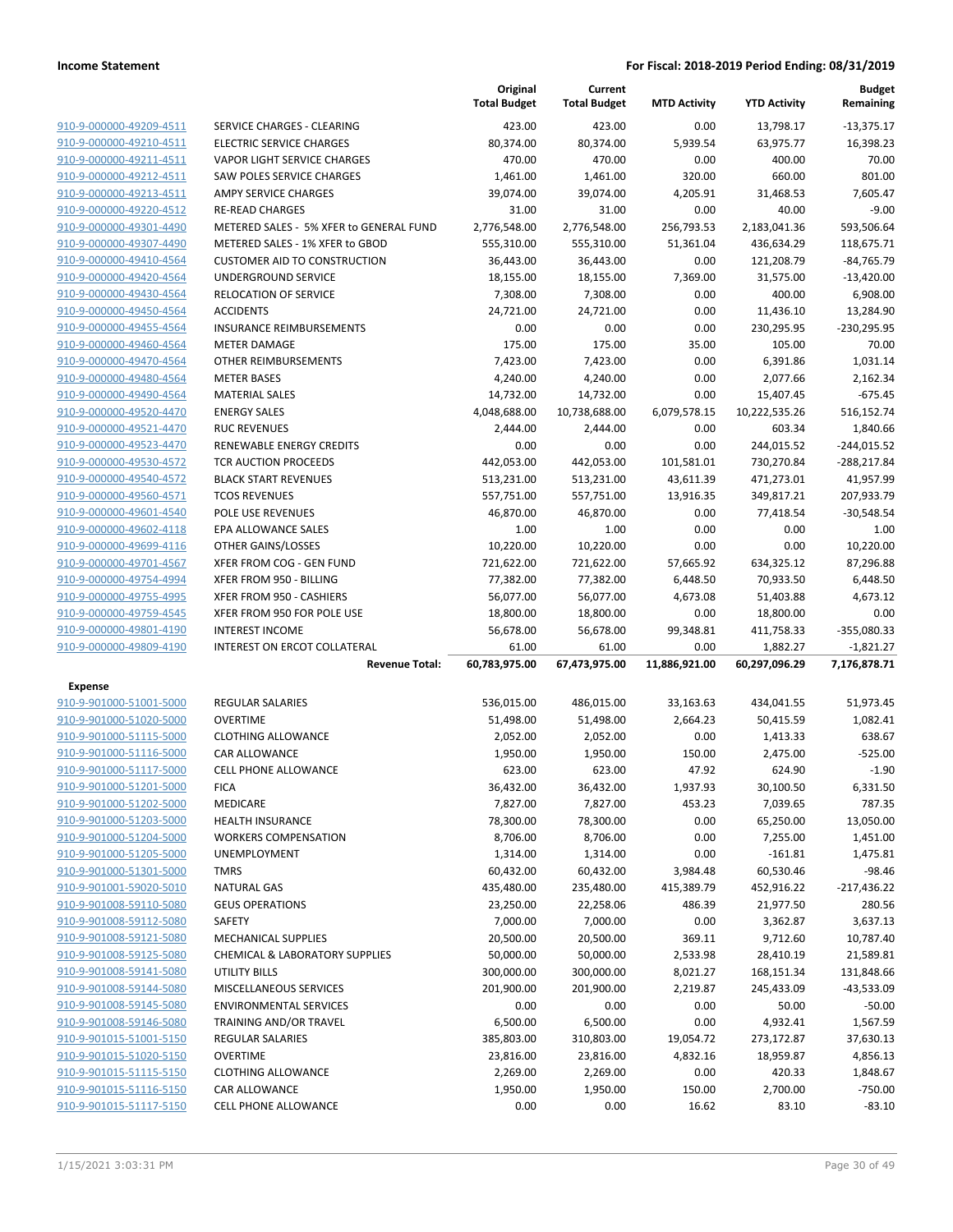|                                                    |                                                     | Original<br><b>Total Budget</b> | Current<br><b>Total Budget</b> | <b>MTD Activity</b> | <b>YTD Activity</b>    | <b>Budget</b><br>Remaining |
|----------------------------------------------------|-----------------------------------------------------|---------------------------------|--------------------------------|---------------------|------------------------|----------------------------|
| 910-9-000000-49209-4511                            | SERVICE CHARGES - CLEARING                          | 423.00                          | 423.00                         | 0.00                | 13,798.17              | $-13,375.17$               |
| 910-9-000000-49210-4511                            | <b>ELECTRIC SERVICE CHARGES</b>                     | 80,374.00                       | 80,374.00                      | 5,939.54            | 63,975.77              | 16,398.23                  |
| 910-9-000000-49211-4511                            | VAPOR LIGHT SERVICE CHARGES                         | 470.00                          | 470.00                         | 0.00                | 400.00                 | 70.00                      |
| 910-9-000000-49212-4511                            | SAW POLES SERVICE CHARGES                           | 1,461.00                        | 1,461.00                       | 320.00              | 660.00                 | 801.00                     |
| 910-9-000000-49213-4511                            | <b>AMPY SERVICE CHARGES</b>                         | 39,074.00                       | 39,074.00                      | 4,205.91            | 31,468.53              | 7.605.47                   |
| 910-9-000000-49220-4512                            | <b>RE-READ CHARGES</b>                              | 31.00                           | 31.00                          | 0.00                | 40.00                  | $-9.00$                    |
| 910-9-000000-49301-4490                            | METERED SALES - 5% XFER to GENERAL FUND             | 2,776,548.00                    | 2,776,548.00                   | 256,793.53          | 2,183,041.36           | 593,506.64                 |
| 910-9-000000-49307-4490                            | METERED SALES - 1% XFER to GBOD                     | 555,310.00                      | 555,310.00                     | 51,361.04           | 436,634.29             | 118,675.71                 |
| 910-9-000000-49410-4564                            | <b>CUSTOMER AID TO CONSTRUCTION</b>                 | 36,443.00                       | 36,443.00                      | 0.00                | 121,208.79             | $-84,765.79$               |
| 910-9-000000-49420-4564                            | UNDERGROUND SERVICE                                 | 18,155.00                       | 18,155.00                      | 7,369.00            | 31,575.00              | $-13,420.00$               |
| 910-9-000000-49430-4564                            | <b>RELOCATION OF SERVICE</b>                        | 7,308.00                        | 7,308.00                       | 0.00                | 400.00                 | 6,908.00                   |
| 910-9-000000-49450-4564                            | <b>ACCIDENTS</b>                                    | 24,721.00                       | 24,721.00                      | 0.00                | 11,436.10              | 13,284.90                  |
| 910-9-000000-49455-4564                            | <b>INSURANCE REIMBURSEMENTS</b>                     | 0.00                            | 0.00                           | 0.00                | 230,295.95             | -230,295.95                |
| 910-9-000000-49460-4564                            | <b>METER DAMAGE</b>                                 | 175.00                          | 175.00                         | 35.00               | 105.00                 | 70.00                      |
| 910-9-000000-49470-4564                            | OTHER REIMBURSEMENTS                                | 7,423.00                        | 7,423.00                       | 0.00                | 6,391.86               | 1,031.14                   |
| 910-9-000000-49480-4564                            | <b>METER BASES</b>                                  | 4,240.00                        | 4,240.00                       | 0.00                | 2,077.66               | 2,162.34                   |
| 910-9-000000-49490-4564                            | <b>MATERIAL SALES</b>                               | 14,732.00                       | 14,732.00                      | 0.00                | 15,407.45              | $-675.45$                  |
| 910-9-000000-49520-4470                            | <b>ENERGY SALES</b>                                 | 4,048,688.00                    | 10,738,688.00                  | 6,079,578.15        | 10,222,535.26          | 516,152.74                 |
| 910-9-000000-49521-4470                            | <b>RUC REVENUES</b>                                 | 2,444.00                        | 2,444.00                       | 0.00                | 603.34                 | 1,840.66                   |
| 910-9-000000-49523-4470                            | RENEWABLE ENERGY CREDITS                            | 0.00                            | 0.00                           | 0.00                | 244,015.52             | $-244,015.52$              |
| 910-9-000000-49530-4572                            | <b>TCR AUCTION PROCEEDS</b>                         | 442,053.00                      | 442,053.00                     | 101,581.01          | 730,270.84             | -288,217.84                |
| 910-9-000000-49540-4572                            | <b>BLACK START REVENUES</b>                         | 513,231.00                      | 513,231.00                     | 43,611.39           | 471,273.01             | 41,957.99                  |
| 910-9-000000-49560-4571                            | <b>TCOS REVENUES</b>                                | 557,751.00                      | 557,751.00                     | 13,916.35           | 349,817.21             | 207,933.79                 |
| 910-9-000000-49601-4540                            | <b>POLE USE REVENUES</b>                            | 46,870.00                       | 46,870.00                      | 0.00                | 77,418.54              | $-30,548.54$               |
| 910-9-000000-49602-4118                            | EPA ALLOWANCE SALES                                 | 1.00                            | 1.00                           | 0.00                | 0.00                   | 1.00                       |
| 910-9-000000-49699-4116                            | OTHER GAINS/LOSSES                                  | 10,220.00                       | 10,220.00                      | 0.00                | 0.00                   | 10,220.00                  |
| 910-9-000000-49701-4567                            | XFER FROM COG - GEN FUND                            | 721,622.00                      | 721,622.00                     | 57,665.92           | 634,325.12             | 87,296.88                  |
| 910-9-000000-49754-4994<br>910-9-000000-49755-4995 | XFER FROM 950 - BILLING<br>XFER FROM 950 - CASHIERS | 77,382.00                       | 77,382.00                      | 6,448.50            | 70,933.50              | 6,448.50                   |
| 910-9-000000-49759-4545                            | XFER FROM 950 FOR POLE USE                          | 56,077.00<br>18,800.00          | 56,077.00<br>18,800.00         | 4,673.08<br>0.00    | 51,403.88<br>18,800.00 | 4,673.12<br>0.00           |
| 910-9-000000-49801-4190                            | <b>INTEREST INCOME</b>                              | 56,678.00                       | 56,678.00                      | 99,348.81           | 411,758.33             | $-355,080.33$              |
| 910-9-000000-49809-4190                            | INTEREST ON ERCOT COLLATERAL                        | 61.00                           | 61.00                          | 0.00                | 1,882.27               | $-1,821.27$                |
|                                                    | <b>Revenue Total:</b>                               | 60,783,975.00                   | 67,473,975.00                  | 11,886,921.00       | 60,297,096.29          | 7,176,878.71               |
| <b>Expense</b>                                     |                                                     |                                 |                                |                     |                        |                            |
| 910-9-901000-51001-5000                            | <b>REGULAR SALARIES</b>                             | 536,015.00                      | 486,015.00                     | 33,163.63           | 434,041.55             | 51,973.45                  |
| 910-9-901000-51020-5000                            | <b>OVERTIME</b>                                     | 51,498.00                       | 51,498.00                      | 2,664.23            | 50,415.59              | 1,082.41                   |
| 910-9-901000-51115-5000                            | <b>CLOTHING ALLOWANCE</b>                           | 2,052.00                        | 2,052.00                       | 0.00                | 1,413.33               | 638.67                     |
| 910-9-901000-51116-5000                            | <b>CAR ALLOWANCE</b>                                | 1,950.00                        | 1,950.00                       | 150.00              | 2,475.00               | $-525.00$                  |
| 910-9-901000-51117-5000                            | <b>CELL PHONE ALLOWANCE</b>                         | 623.00                          | 623.00                         | 47.92               | 624.90                 | $-1.90$                    |
| 910-9-901000-51201-5000                            | <b>FICA</b>                                         | 36,432.00                       | 36,432.00                      | 1,937.93            | 30,100.50              | 6,331.50                   |
| 910-9-901000-51202-5000                            | MEDICARE                                            | 7,827.00                        | 7,827.00                       | 453.23              | 7,039.65               | 787.35                     |
| 910-9-901000-51203-5000                            | <b>HEALTH INSURANCE</b>                             | 78,300.00                       | 78,300.00                      | 0.00                | 65,250.00              | 13,050.00                  |
| 910-9-901000-51204-5000                            | <b>WORKERS COMPENSATION</b>                         | 8,706.00                        | 8,706.00                       | 0.00                | 7,255.00               | 1,451.00                   |
| 910-9-901000-51205-5000                            | <b>UNEMPLOYMENT</b>                                 | 1,314.00                        | 1,314.00                       | 0.00                | $-161.81$              | 1,475.81                   |
| 910-9-901000-51301-5000                            | <b>TMRS</b>                                         | 60,432.00                       | 60,432.00                      | 3,984.48            | 60,530.46              | $-98.46$                   |
| 910-9-901001-59020-5010                            | <b>NATURAL GAS</b>                                  | 435,480.00                      | 235,480.00                     | 415,389.79          | 452,916.22             | $-217,436.22$              |
| 910-9-901008-59110-5080                            | <b>GEUS OPERATIONS</b>                              | 23,250.00                       | 22,258.06                      | 486.39              | 21,977.50              | 280.56                     |
| 910-9-901008-59112-5080                            | SAFETY                                              | 7,000.00                        | 7,000.00                       | 0.00                | 3,362.87               | 3,637.13                   |
| 910-9-901008-59121-5080                            | <b>MECHANICAL SUPPLIES</b>                          | 20,500.00                       | 20,500.00                      | 369.11              | 9,712.60               | 10,787.40                  |
| 910-9-901008-59125-5080                            | CHEMICAL & LABORATORY SUPPLIES                      | 50,000.00                       | 50,000.00                      | 2,533.98            | 28,410.19              | 21,589.81                  |
| 910-9-901008-59141-5080                            | <b>UTILITY BILLS</b>                                | 300,000.00                      | 300,000.00                     | 8,021.27            | 168,151.34             | 131,848.66                 |
| 910-9-901008-59144-5080                            | MISCELLANEOUS SERVICES                              | 201,900.00                      | 201,900.00                     | 2,219.87            | 245,433.09             | $-43,533.09$               |
| 910-9-901008-59145-5080                            | <b>ENVIRONMENTAL SERVICES</b>                       | 0.00                            | 0.00                           | 0.00                | 50.00                  | $-50.00$                   |
| 910-9-901008-59146-5080                            | TRAINING AND/OR TRAVEL                              | 6,500.00                        | 6,500.00                       | 0.00                | 4,932.41               | 1,567.59                   |
| 910-9-901015-51001-5150                            | <b>REGULAR SALARIES</b>                             | 385,803.00                      | 310,803.00                     | 19,054.72           | 273,172.87             | 37,630.13                  |
| 910-9-901015-51020-5150                            | <b>OVERTIME</b>                                     | 23,816.00                       | 23,816.00                      | 4,832.16            | 18,959.87              | 4,856.13                   |
| 910-9-901015-51115-5150                            | <b>CLOTHING ALLOWANCE</b>                           | 2,269.00                        | 2,269.00                       | 0.00                | 420.33                 | 1,848.67                   |
| 910-9-901015-51116-5150                            | CAR ALLOWANCE                                       | 1,950.00                        | 1,950.00                       | 150.00              | 2,700.00               | $-750.00$                  |
| 910-9-901015-51117-5150                            | <b>CELL PHONE ALLOWANCE</b>                         | 0.00                            | 0.00                           | 16.62               | 83.10                  | $-83.10$                   |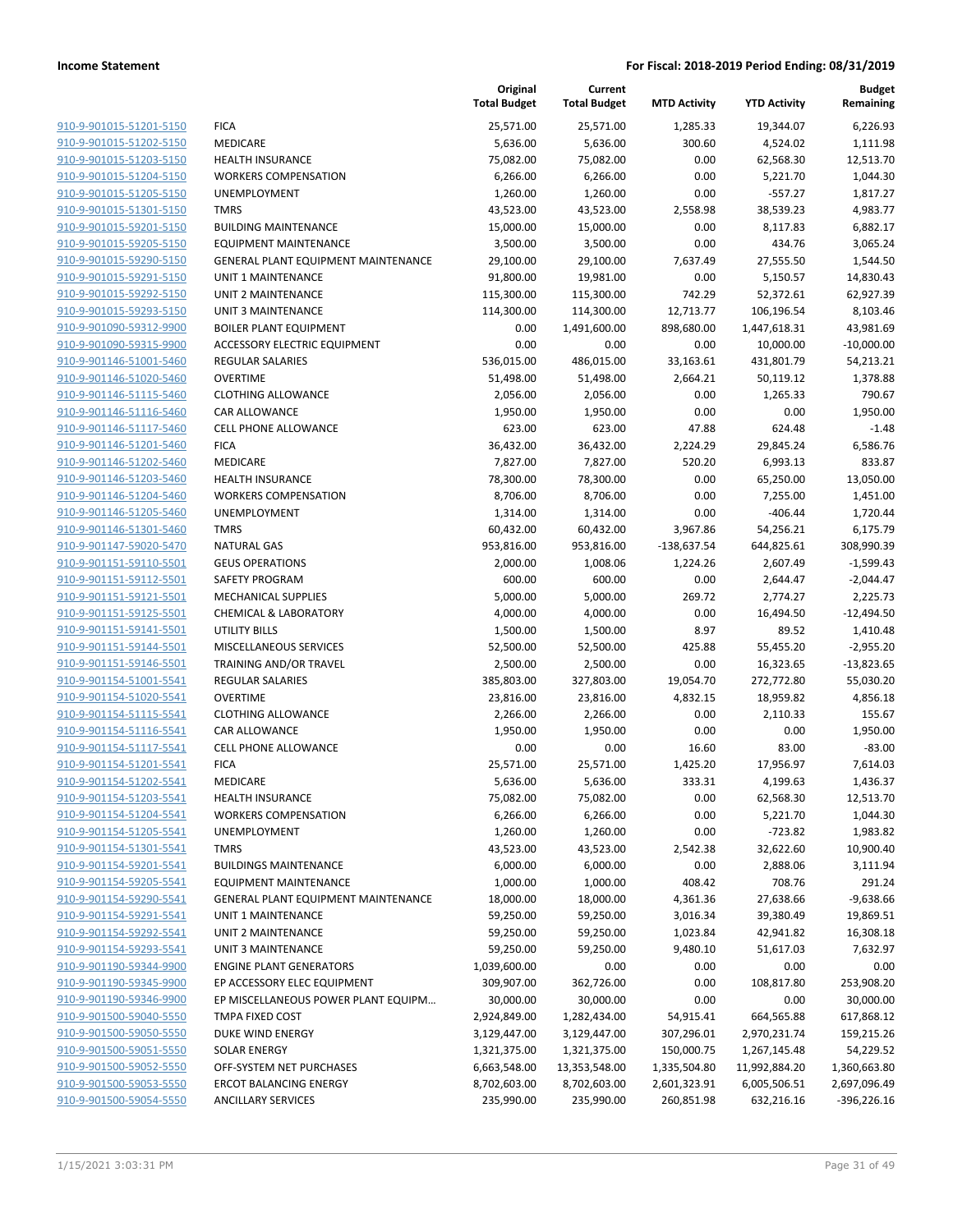|                                                    |                                              | Original<br><b>Total Budget</b> | Current<br><b>Total Budget</b> | <b>MTD Activity</b> | <b>YTD Activity</b> | Budget<br>Remaining |
|----------------------------------------------------|----------------------------------------------|---------------------------------|--------------------------------|---------------------|---------------------|---------------------|
| 910-9-901015-51201-5150                            | <b>FICA</b>                                  | 25,571.00                       | 25,571.00                      | 1,285.33            | 19,344.07           | 6,226.93            |
| 910-9-901015-51202-5150                            | MEDICARE                                     | 5,636.00                        | 5,636.00                       | 300.60              | 4,524.02            | 1,111.98            |
| 910-9-901015-51203-5150                            | <b>HEALTH INSURANCE</b>                      | 75,082.00                       | 75,082.00                      | 0.00                | 62,568.30           | 12,513.70           |
| 910-9-901015-51204-5150                            | <b>WORKERS COMPENSATION</b>                  | 6,266.00                        | 6,266.00                       | 0.00                | 5,221.70            | 1,044.30            |
| 910-9-901015-51205-5150                            | <b>UNEMPLOYMENT</b>                          | 1,260.00                        | 1,260.00                       | 0.00                | $-557.27$           | 1,817.27            |
| 910-9-901015-51301-5150                            | <b>TMRS</b>                                  | 43,523.00                       | 43,523.00                      | 2,558.98            | 38,539.23           | 4,983.77            |
| 910-9-901015-59201-5150                            | <b>BUILDING MAINTENANCE</b>                  | 15,000.00                       | 15,000.00                      | 0.00                | 8,117.83            | 6,882.17            |
| 910-9-901015-59205-5150                            | <b>EQUIPMENT MAINTENANCE</b>                 | 3,500.00                        | 3,500.00                       | 0.00                | 434.76              | 3,065.24            |
| 910-9-901015-59290-5150                            | GENERAL PLANT EQUIPMENT MAINTENANCE          | 29,100.00                       | 29,100.00                      | 7,637.49            | 27,555.50           | 1,544.50            |
| 910-9-901015-59291-5150                            | <b>UNIT 1 MAINTENANCE</b>                    | 91,800.00                       | 19,981.00                      | 0.00                | 5,150.57            | 14,830.43           |
| 910-9-901015-59292-5150                            | UNIT 2 MAINTENANCE                           | 115,300.00                      | 115,300.00                     | 742.29              | 52,372.61           | 62,927.39           |
| 910-9-901015-59293-5150                            | <b>UNIT 3 MAINTENANCE</b>                    | 114,300.00                      | 114,300.00                     | 12,713.77           | 106,196.54          | 8,103.46            |
| 910-9-901090-59312-9900                            | <b>BOILER PLANT EQUIPMENT</b>                | 0.00                            | 1,491,600.00                   | 898,680.00          | 1,447,618.31        | 43,981.69           |
| 910-9-901090-59315-9900                            | <b>ACCESSORY ELECTRIC EQUIPMENT</b>          | 0.00                            | 0.00                           | 0.00                | 10,000.00           | $-10,000.00$        |
| 910-9-901146-51001-5460                            | <b>REGULAR SALARIES</b>                      | 536,015.00                      | 486,015.00                     | 33,163.61           | 431,801.79          | 54,213.21           |
| 910-9-901146-51020-5460                            | <b>OVERTIME</b><br><b>CLOTHING ALLOWANCE</b> | 51,498.00                       | 51,498.00                      | 2,664.21            | 50,119.12           | 1,378.88            |
| 910-9-901146-51115-5460                            |                                              | 2,056.00                        | 2,056.00                       | 0.00                | 1,265.33            | 790.67              |
| 910-9-901146-51116-5460<br>910-9-901146-51117-5460 | CAR ALLOWANCE                                | 1,950.00                        | 1,950.00                       | 0.00<br>47.88       | 0.00                | 1,950.00            |
| 910-9-901146-51201-5460                            | <b>CELL PHONE ALLOWANCE</b><br><b>FICA</b>   | 623.00<br>36,432.00             | 623.00<br>36,432.00            | 2,224.29            | 624.48<br>29,845.24 | $-1.48$<br>6,586.76 |
| 910-9-901146-51202-5460                            | MEDICARE                                     | 7,827.00                        | 7,827.00                       | 520.20              | 6,993.13            | 833.87              |
| 910-9-901146-51203-5460                            | <b>HEALTH INSURANCE</b>                      | 78,300.00                       | 78,300.00                      | 0.00                | 65,250.00           | 13,050.00           |
| 910-9-901146-51204-5460                            | <b>WORKERS COMPENSATION</b>                  | 8,706.00                        | 8,706.00                       | 0.00                | 7,255.00            | 1,451.00            |
| 910-9-901146-51205-5460                            | UNEMPLOYMENT                                 | 1,314.00                        | 1,314.00                       | 0.00                | $-406.44$           | 1,720.44            |
| 910-9-901146-51301-5460                            | <b>TMRS</b>                                  | 60,432.00                       | 60,432.00                      | 3,967.86            | 54,256.21           | 6,175.79            |
| 910-9-901147-59020-5470                            | <b>NATURAL GAS</b>                           | 953,816.00                      | 953,816.00                     | $-138,637.54$       | 644,825.61          | 308,990.39          |
| 910-9-901151-59110-5501                            | <b>GEUS OPERATIONS</b>                       | 2,000.00                        | 1,008.06                       | 1,224.26            | 2,607.49            | $-1,599.43$         |
| 910-9-901151-59112-5501                            | SAFETY PROGRAM                               | 600.00                          | 600.00                         | 0.00                | 2,644.47            | $-2,044.47$         |
| 910-9-901151-59121-5501                            | <b>MECHANICAL SUPPLIES</b>                   | 5,000.00                        | 5,000.00                       | 269.72              | 2,774.27            | 2,225.73            |
| 910-9-901151-59125-5501                            | <b>CHEMICAL &amp; LABORATORY</b>             | 4,000.00                        | 4,000.00                       | 0.00                | 16,494.50           | $-12,494.50$        |
| 910-9-901151-59141-5501                            | <b>UTILITY BILLS</b>                         | 1,500.00                        | 1,500.00                       | 8.97                | 89.52               | 1,410.48            |
| 910-9-901151-59144-5501                            | MISCELLANEOUS SERVICES                       | 52,500.00                       | 52,500.00                      | 425.88              | 55,455.20           | $-2,955.20$         |
| 910-9-901151-59146-5501                            | TRAINING AND/OR TRAVEL                       | 2,500.00                        | 2,500.00                       | 0.00                | 16,323.65           | $-13,823.65$        |
| 910-9-901154-51001-5541                            | <b>REGULAR SALARIES</b>                      | 385,803.00                      | 327,803.00                     | 19,054.70           | 272,772.80          | 55,030.20           |
| 910-9-901154-51020-5541                            | <b>OVERTIME</b>                              | 23,816.00                       | 23,816.00                      | 4,832.15            | 18,959.82           | 4,856.18            |
| 910-9-901154-51115-5541                            | <b>CLOTHING ALLOWANCE</b>                    | 2,266.00                        | 2,266.00                       | 0.00                | 2,110.33            | 155.67              |
| 910-9-901154-51116-5541                            | CAR ALLOWANCE                                | 1,950.00                        | 1,950.00                       | 0.00                | 0.00                | 1,950.00            |
| 910-9-901154-51117-5541                            | <b>CELL PHONE ALLOWANCE</b>                  | 0.00                            | 0.00                           | 16.60               | 83.00               | $-83.00$            |
| 910-9-901154-51201-5541                            | <b>FICA</b>                                  | 25,571.00                       | 25,571.00                      | 1,425.20            | 17,956.97           | 7,614.03            |
| 910-9-901154-51202-5541                            | MEDICARE                                     | 5,636.00                        | 5,636.00                       | 333.31              | 4,199.63            | 1,436.37            |
| 910-9-901154-51203-5541                            | <b>HEALTH INSURANCE</b>                      | 75,082.00                       | 75,082.00                      | 0.00                | 62,568.30           | 12,513.70           |
| 910-9-901154-51204-5541                            | <b>WORKERS COMPENSATION</b>                  | 6,266.00                        | 6,266.00                       | 0.00                | 5,221.70            | 1,044.30            |
| 910-9-901154-51205-5541                            | UNEMPLOYMENT                                 | 1,260.00                        | 1,260.00                       | 0.00                | $-723.82$           | 1,983.82            |
| 910-9-901154-51301-5541                            | <b>TMRS</b>                                  | 43,523.00                       | 43,523.00                      | 2,542.38            | 32,622.60           | 10,900.40           |
| 910-9-901154-59201-5541                            | <b>BUILDINGS MAINTENANCE</b>                 | 6,000.00                        | 6,000.00                       | 0.00                | 2,888.06            | 3,111.94            |
| 910-9-901154-59205-5541                            | EQUIPMENT MAINTENANCE                        | 1,000.00                        | 1,000.00                       | 408.42              | 708.76              | 291.24              |
| 910-9-901154-59290-5541                            | GENERAL PLANT EQUIPMENT MAINTENANCE          | 18,000.00                       | 18,000.00                      | 4,361.36            | 27,638.66           | $-9,638.66$         |
| 910-9-901154-59291-5541                            | UNIT 1 MAINTENANCE                           | 59,250.00                       | 59,250.00                      | 3,016.34            | 39,380.49           | 19,869.51           |
| 910-9-901154-59292-5541                            | UNIT 2 MAINTENANCE                           | 59,250.00                       | 59,250.00                      | 1,023.84            | 42,941.82           | 16,308.18           |
| 910-9-901154-59293-5541                            | <b>UNIT 3 MAINTENANCE</b>                    | 59,250.00                       | 59,250.00                      | 9,480.10            | 51,617.03           | 7,632.97            |
| 910-9-901190-59344-9900                            | <b>ENGINE PLANT GENERATORS</b>               | 1,039,600.00                    | 0.00                           | 0.00                | 0.00                | 0.00                |
| 910-9-901190-59345-9900                            | EP ACCESSORY ELEC EQUIPMENT                  | 309,907.00                      | 362,726.00                     | 0.00                | 108,817.80          | 253,908.20          |
| 910-9-901190-59346-9900                            | EP MISCELLANEOUS POWER PLANT EQUIPM          | 30,000.00                       | 30,000.00                      | 0.00                | 0.00                | 30,000.00           |
| 910-9-901500-59040-5550                            | TMPA FIXED COST                              | 2,924,849.00                    | 1,282,434.00                   | 54,915.41           | 664,565.88          | 617,868.12          |
| 910-9-901500-59050-5550                            | DUKE WIND ENERGY                             | 3,129,447.00                    | 3,129,447.00                   | 307,296.01          | 2,970,231.74        | 159,215.26          |
| 910-9-901500-59051-5550                            | <b>SOLAR ENERGY</b>                          | 1,321,375.00                    | 1,321,375.00                   | 150,000.75          | 1,267,145.48        | 54,229.52           |
| 910-9-901500-59052-5550                            | OFF-SYSTEM NET PURCHASES                     | 6,663,548.00                    | 13,353,548.00                  | 1,335,504.80        | 11,992,884.20       | 1,360,663.80        |
| 910-9-901500-59053-5550                            | <b>ERCOT BALANCING ENERGY</b>                | 8,702,603.00                    | 8,702,603.00                   | 2,601,323.91        | 6,005,506.51        | 2,697,096.49        |
| 910-9-901500-59054-5550                            | <b>ANCILLARY SERVICES</b>                    | 235,990.00                      | 235,990.00                     | 260,851.98          | 632,216.16          | $-396,226.16$       |
|                                                    |                                              |                                 |                                |                     |                     |                     |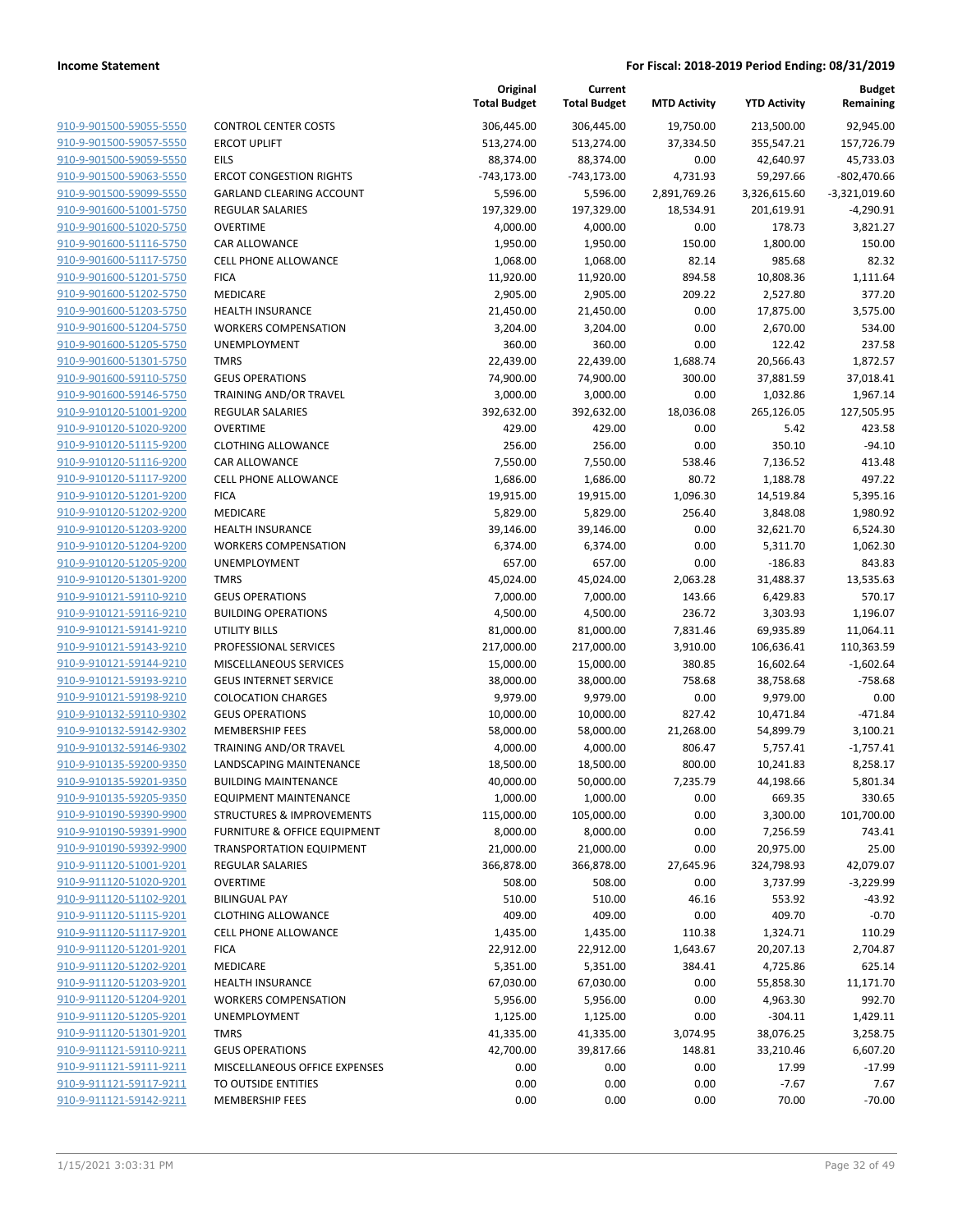**Current**

**Original**

**Budget Remaining**

|                         |                                         | <b>Total Budget</b> | <b>Total Budget</b> | <b>MTD Activity</b> | <b>YTD Activity</b> | Remaining       |
|-------------------------|-----------------------------------------|---------------------|---------------------|---------------------|---------------------|-----------------|
| 910-9-901500-59055-5550 | <b>CONTROL CENTER COSTS</b>             | 306,445.00          | 306,445.00          | 19,750.00           | 213,500.00          | 92,945.00       |
| 910-9-901500-59057-5550 | <b>ERCOT UPLIFT</b>                     | 513,274.00          | 513,274.00          | 37,334.50           | 355,547.21          | 157,726.79      |
| 910-9-901500-59059-5550 | <b>EILS</b>                             | 88,374.00           | 88,374.00           | 0.00                | 42,640.97           | 45,733.03       |
| 910-9-901500-59063-5550 | <b>ERCOT CONGESTION RIGHTS</b>          | $-743,173.00$       | $-743,173.00$       | 4,731.93            | 59,297.66           | $-802,470.66$   |
| 910-9-901500-59099-5550 | <b>GARLAND CLEARING ACCOUNT</b>         | 5,596.00            | 5,596.00            | 2,891,769.26        | 3,326,615.60        | $-3,321,019.60$ |
| 910-9-901600-51001-5750 | <b>REGULAR SALARIES</b>                 | 197,329.00          | 197,329.00          | 18,534.91           | 201,619.91          | $-4,290.91$     |
| 910-9-901600-51020-5750 | <b>OVERTIME</b>                         | 4,000.00            | 4,000.00            | 0.00                | 178.73              | 3,821.27        |
| 910-9-901600-51116-5750 | <b>CAR ALLOWANCE</b>                    | 1,950.00            | 1,950.00            | 150.00              | 1,800.00            | 150.00          |
| 910-9-901600-51117-5750 | <b>CELL PHONE ALLOWANCE</b>             | 1,068.00            | 1,068.00            | 82.14               | 985.68              | 82.32           |
| 910-9-901600-51201-5750 | <b>FICA</b>                             | 11,920.00           | 11,920.00           | 894.58              | 10,808.36           | 1,111.64        |
| 910-9-901600-51202-5750 | MEDICARE                                | 2,905.00            | 2,905.00            | 209.22              | 2,527.80            | 377.20          |
| 910-9-901600-51203-5750 | HEALTH INSURANCE                        | 21,450.00           | 21,450.00           | 0.00                | 17,875.00           | 3,575.00        |
| 910-9-901600-51204-5750 | <b>WORKERS COMPENSATION</b>             | 3,204.00            | 3,204.00            | 0.00                | 2,670.00            | 534.00          |
| 910-9-901600-51205-5750 | UNEMPLOYMENT                            | 360.00              | 360.00              | 0.00                | 122.42              | 237.58          |
| 910-9-901600-51301-5750 | <b>TMRS</b>                             | 22,439.00           | 22,439.00           | 1,688.74            | 20,566.43           | 1,872.57        |
| 910-9-901600-59110-5750 | <b>GEUS OPERATIONS</b>                  | 74,900.00           | 74,900.00           | 300.00              | 37,881.59           | 37,018.41       |
| 910-9-901600-59146-5750 | TRAINING AND/OR TRAVEL                  | 3,000.00            | 3,000.00            | 0.00                | 1,032.86            | 1,967.14        |
| 910-9-910120-51001-9200 | <b>REGULAR SALARIES</b>                 | 392,632.00          | 392,632.00          | 18,036.08           | 265,126.05          | 127,505.95      |
| 910-9-910120-51020-9200 | <b>OVERTIME</b>                         | 429.00              | 429.00              | 0.00                | 5.42                | 423.58          |
| 910-9-910120-51115-9200 | <b>CLOTHING ALLOWANCE</b>               | 256.00              | 256.00              | 0.00                | 350.10              | $-94.10$        |
| 910-9-910120-51116-9200 | CAR ALLOWANCE                           | 7,550.00            | 7,550.00            | 538.46              | 7,136.52            | 413.48          |
| 910-9-910120-51117-9200 | CELL PHONE ALLOWANCE                    | 1,686.00            | 1,686.00            | 80.72               | 1,188.78            | 497.22          |
| 910-9-910120-51201-9200 | <b>FICA</b>                             | 19,915.00           | 19,915.00           | 1,096.30            | 14,519.84           | 5,395.16        |
| 910-9-910120-51202-9200 | MEDICARE                                | 5,829.00            | 5,829.00            | 256.40              | 3,848.08            | 1,980.92        |
| 910-9-910120-51203-9200 | <b>HEALTH INSURANCE</b>                 | 39,146.00           | 39,146.00           | 0.00                | 32,621.70           | 6,524.30        |
| 910-9-910120-51204-9200 | <b>WORKERS COMPENSATION</b>             | 6,374.00            | 6,374.00            | 0.00                | 5,311.70            | 1,062.30        |
| 910-9-910120-51205-9200 | UNEMPLOYMENT                            | 657.00              | 657.00              | 0.00                | $-186.83$           | 843.83          |
| 910-9-910120-51301-9200 | <b>TMRS</b>                             | 45,024.00           | 45,024.00           | 2,063.28            | 31,488.37           | 13,535.63       |
| 910-9-910121-59110-9210 | <b>GEUS OPERATIONS</b>                  | 7,000.00            | 7,000.00            | 143.66              | 6,429.83            | 570.17          |
| 910-9-910121-59116-9210 | <b>BUILDING OPERATIONS</b>              | 4,500.00            | 4,500.00            | 236.72              | 3,303.93            | 1,196.07        |
| 910-9-910121-59141-9210 | <b>UTILITY BILLS</b>                    | 81,000.00           | 81,000.00           | 7,831.46            | 69,935.89           | 11,064.11       |
| 910-9-910121-59143-9210 | PROFESSIONAL SERVICES                   | 217,000.00          | 217,000.00          | 3,910.00            | 106,636.41          | 110,363.59      |
| 910-9-910121-59144-9210 | MISCELLANEOUS SERVICES                  | 15,000.00           | 15,000.00           | 380.85              | 16,602.64           | $-1,602.64$     |
| 910-9-910121-59193-9210 | <b>GEUS INTERNET SERVICE</b>            | 38,000.00           | 38,000.00           | 758.68              | 38,758.68           | $-758.68$       |
| 910-9-910121-59198-9210 | <b>COLOCATION CHARGES</b>               | 9,979.00            | 9,979.00            | 0.00                | 9,979.00            | 0.00            |
| 910-9-910132-59110-9302 | <b>GEUS OPERATIONS</b>                  | 10,000.00           | 10,000.00           | 827.42              | 10,471.84           | $-471.84$       |
| 910-9-910132-59142-9302 | <b>MEMBERSHIP FEES</b>                  | 58,000.00           | 58,000.00           | 21,268.00           | 54,899.79           | 3,100.21        |
| 910-9-910132-59146-9302 | <b>TRAINING AND/OR TRAVEL</b>           | 4,000.00            | 4,000.00            | 806.47              | 5,757.41            | $-1,757.41$     |
| 910-9-910135-59200-9350 | <b>LANDSCAPING MAINTENANCE</b>          | 18,500.00           | 18,500.00           | 800.00              | 10,241.83           | 8,258.17        |
| 910-9-910135-59201-9350 | <b>BUILDING MAINTENANCE</b>             | 40,000.00           | 50,000.00           | 7,235.79            | 44,198.66           | 5,801.34        |
| 910-9-910135-59205-9350 | <b>EQUIPMENT MAINTENANCE</b>            | 1,000.00            | 1,000.00            | 0.00                | 669.35              | 330.65          |
| 910-9-910190-59390-9900 | <b>STRUCTURES &amp; IMPROVEMENTS</b>    | 115,000.00          | 105,000.00          | 0.00                | 3,300.00            | 101,700.00      |
| 910-9-910190-59391-9900 | <b>FURNITURE &amp; OFFICE EQUIPMENT</b> | 8,000.00            | 8,000.00            | 0.00                | 7,256.59            | 743.41          |
| 910-9-910190-59392-9900 | <b>TRANSPORTATION EQUIPMENT</b>         | 21,000.00           | 21,000.00           | 0.00                | 20,975.00           | 25.00           |
| 910-9-911120-51001-9201 | <b>REGULAR SALARIES</b>                 | 366,878.00          | 366,878.00          | 27,645.96           | 324,798.93          | 42,079.07       |
| 910-9-911120-51020-9201 | <b>OVERTIME</b>                         | 508.00              | 508.00              | 0.00                | 3,737.99            | $-3,229.99$     |
| 910-9-911120-51102-9201 | <b>BILINGUAL PAY</b>                    | 510.00              | 510.00              | 46.16               | 553.92              | $-43.92$        |
| 910-9-911120-51115-9201 | <b>CLOTHING ALLOWANCE</b>               | 409.00              | 409.00              | 0.00                | 409.70              | $-0.70$         |
| 910-9-911120-51117-9201 | <b>CELL PHONE ALLOWANCE</b>             | 1,435.00            | 1,435.00            | 110.38              | 1,324.71            | 110.29          |
| 910-9-911120-51201-9201 | <b>FICA</b>                             | 22,912.00           | 22,912.00           | 1,643.67            | 20,207.13           | 2,704.87        |
| 910-9-911120-51202-9201 | <b>MEDICARE</b>                         | 5,351.00            | 5,351.00            | 384.41              | 4,725.86            | 625.14          |
| 910-9-911120-51203-9201 | <b>HEALTH INSURANCE</b>                 | 67,030.00           | 67,030.00           | 0.00                | 55,858.30           | 11,171.70       |
| 910-9-911120-51204-9201 | <b>WORKERS COMPENSATION</b>             | 5,956.00            | 5,956.00            | 0.00                | 4,963.30            | 992.70          |
| 910-9-911120-51205-9201 | UNEMPLOYMENT                            | 1,125.00            | 1,125.00            | 0.00                | $-304.11$           | 1,429.11        |
| 910-9-911120-51301-9201 | <b>TMRS</b>                             | 41,335.00           | 41,335.00           | 3,074.95            | 38,076.25           | 3,258.75        |
| 910-9-911121-59110-9211 | <b>GEUS OPERATIONS</b>                  | 42,700.00           | 39,817.66           | 148.81              | 33,210.46           | 6,607.20        |
| 910-9-911121-59111-9211 | MISCELLANEOUS OFFICE EXPENSES           | 0.00                | 0.00                | 0.00                | 17.99               | $-17.99$        |
| 910-9-911121-59117-9211 | TO OUTSIDE ENTITIES                     | 0.00                | 0.00                | 0.00                | $-7.67$             | 7.67            |
| 910-9-911121-59142-9211 | <b>MEMBERSHIP FEES</b>                  | 0.00                | 0.00                | 0.00                | 70.00               | $-70.00$        |
|                         |                                         |                     |                     |                     |                     |                 |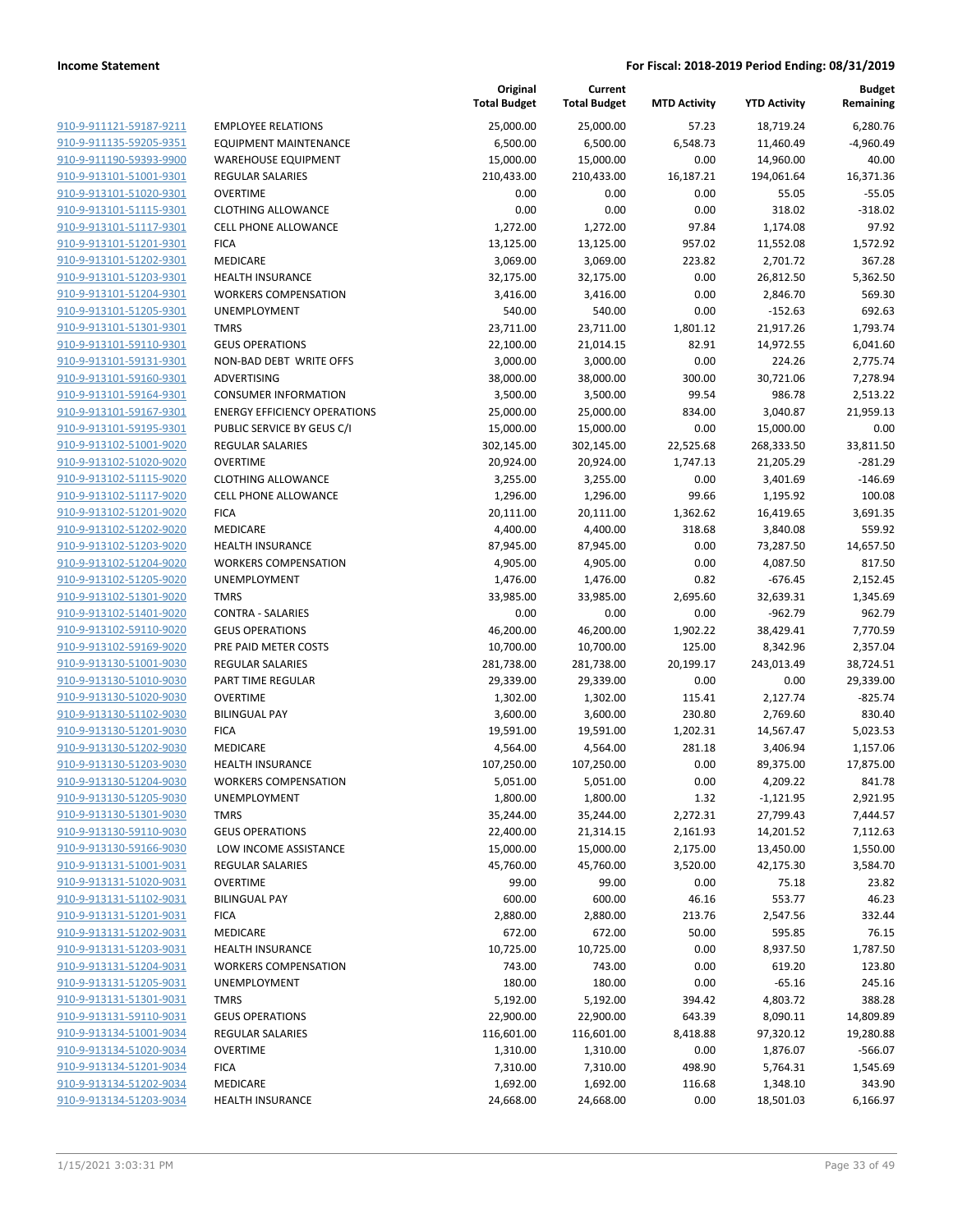|                                                    |                                     | Original<br><b>Total Budget</b> | Current<br><b>Total Budget</b> | <b>MTD Activity</b> | <b>YTD Activity</b>    | <b>Budget</b><br>Remaining |
|----------------------------------------------------|-------------------------------------|---------------------------------|--------------------------------|---------------------|------------------------|----------------------------|
| 910-9-911121-59187-9211                            | <b>EMPLOYEE RELATIONS</b>           | 25,000.00                       | 25,000.00                      | 57.23               | 18,719.24              | 6,280.76                   |
| 910-9-911135-59205-9351                            | <b>EQUIPMENT MAINTENANCE</b>        | 6,500.00                        | 6,500.00                       | 6,548.73            | 11,460.49              | $-4,960.49$                |
| 910-9-911190-59393-9900                            | <b>WAREHOUSE EQUIPMENT</b>          | 15,000.00                       | 15,000.00                      | 0.00                | 14,960.00              | 40.00                      |
| 910-9-913101-51001-9301                            | <b>REGULAR SALARIES</b>             | 210,433.00                      | 210,433.00                     | 16,187.21           | 194,061.64             | 16,371.36                  |
| 910-9-913101-51020-9301                            | <b>OVERTIME</b>                     | 0.00                            | 0.00                           | 0.00                | 55.05                  | $-55.05$                   |
| 910-9-913101-51115-9301                            | <b>CLOTHING ALLOWANCE</b>           | 0.00                            | 0.00                           | 0.00                | 318.02                 | $-318.02$                  |
| 910-9-913101-51117-9301                            | CELL PHONE ALLOWANCE                | 1,272.00                        | 1,272.00                       | 97.84               | 1,174.08               | 97.92                      |
| 910-9-913101-51201-9301                            | <b>FICA</b>                         | 13,125.00                       | 13,125.00                      | 957.02              | 11,552.08              | 1,572.92                   |
| 910-9-913101-51202-9301                            | MEDICARE                            | 3,069.00                        | 3,069.00                       | 223.82              | 2,701.72               | 367.28                     |
| 910-9-913101-51203-9301                            | <b>HEALTH INSURANCE</b>             | 32,175.00                       | 32,175.00                      | 0.00                | 26,812.50              | 5,362.50                   |
| 910-9-913101-51204-9301                            | <b>WORKERS COMPENSATION</b>         | 3,416.00                        | 3,416.00                       | 0.00                | 2,846.70               | 569.30                     |
| 910-9-913101-51205-9301                            | UNEMPLOYMENT                        | 540.00                          | 540.00                         | 0.00                | $-152.63$              | 692.63                     |
| 910-9-913101-51301-9301                            | <b>TMRS</b>                         | 23,711.00                       | 23,711.00                      | 1,801.12            | 21,917.26              | 1,793.74                   |
| 910-9-913101-59110-9301                            | <b>GEUS OPERATIONS</b>              | 22,100.00                       | 21,014.15                      | 82.91               | 14,972.55              | 6,041.60                   |
| 910-9-913101-59131-9301                            | NON-BAD DEBT WRITE OFFS             | 3,000.00                        | 3,000.00                       | 0.00                | 224.26                 | 2,775.74                   |
| 910-9-913101-59160-9301                            | ADVERTISING                         | 38,000.00                       | 38,000.00                      | 300.00              | 30,721.06              | 7,278.94                   |
| 910-9-913101-59164-9301                            | <b>CONSUMER INFORMATION</b>         | 3,500.00                        | 3,500.00                       | 99.54               | 986.78                 | 2,513.22                   |
| 910-9-913101-59167-9301                            | <b>ENERGY EFFICIENCY OPERATIONS</b> | 25,000.00                       | 25,000.00                      | 834.00              | 3,040.87               | 21,959.13                  |
| 910-9-913101-59195-9301                            | PUBLIC SERVICE BY GEUS C/I          | 15,000.00                       | 15,000.00                      | 0.00                | 15,000.00              | 0.00                       |
| 910-9-913102-51001-9020                            | REGULAR SALARIES                    | 302,145.00                      | 302,145.00                     | 22,525.68           | 268,333.50             | 33,811.50                  |
| 910-9-913102-51020-9020                            | <b>OVERTIME</b>                     | 20,924.00                       | 20,924.00                      | 1,747.13            | 21,205.29              | $-281.29$                  |
| 910-9-913102-51115-9020                            | <b>CLOTHING ALLOWANCE</b>           | 3,255.00                        | 3,255.00                       | 0.00                | 3,401.69               | $-146.69$                  |
| 910-9-913102-51117-9020                            | <b>CELL PHONE ALLOWANCE</b>         | 1,296.00                        | 1,296.00                       | 99.66               | 1,195.92               | 100.08                     |
| 910-9-913102-51201-9020                            | <b>FICA</b>                         | 20,111.00                       | 20,111.00                      | 1,362.62            | 16,419.65              | 3,691.35                   |
| 910-9-913102-51202-9020                            | MEDICARE                            | 4,400.00                        | 4,400.00                       | 318.68              | 3,840.08               | 559.92                     |
| 910-9-913102-51203-9020                            | <b>HEALTH INSURANCE</b>             | 87,945.00                       | 87,945.00                      | 0.00                | 73,287.50              | 14,657.50                  |
| 910-9-913102-51204-9020                            | <b>WORKERS COMPENSATION</b>         | 4,905.00                        | 4,905.00                       | 0.00                | 4,087.50               | 817.50                     |
| 910-9-913102-51205-9020<br>910-9-913102-51301-9020 | <b>UNEMPLOYMENT</b><br><b>TMRS</b>  | 1,476.00                        | 1,476.00                       | 0.82                | $-676.45$              | 2,152.45                   |
| 910-9-913102-51401-9020                            | <b>CONTRA - SALARIES</b>            | 33,985.00<br>0.00               | 33,985.00<br>0.00              | 2,695.60<br>0.00    | 32,639.31<br>$-962.79$ | 1,345.69<br>962.79         |
| 910-9-913102-59110-9020                            | <b>GEUS OPERATIONS</b>              | 46,200.00                       | 46,200.00                      | 1,902.22            | 38,429.41              | 7,770.59                   |
| 910-9-913102-59169-9020                            | PRE PAID METER COSTS                | 10,700.00                       | 10,700.00                      | 125.00              | 8,342.96               | 2,357.04                   |
| 910-9-913130-51001-9030                            | REGULAR SALARIES                    | 281,738.00                      | 281,738.00                     | 20,199.17           | 243,013.49             | 38,724.51                  |
| 910-9-913130-51010-9030                            | PART TIME REGULAR                   | 29,339.00                       | 29,339.00                      | 0.00                | 0.00                   | 29,339.00                  |
| 910-9-913130-51020-9030                            | <b>OVERTIME</b>                     | 1,302.00                        | 1,302.00                       | 115.41              | 2,127.74               | $-825.74$                  |
| 910-9-913130-51102-9030                            | <b>BILINGUAL PAY</b>                | 3,600.00                        | 3,600.00                       | 230.80              | 2,769.60               | 830.40                     |
| 910-9-913130-51201-9030                            | <b>FICA</b>                         | 19,591.00                       | 19,591.00                      | 1,202.31            | 14,567.47              | 5,023.53                   |
| 910-9-913130-51202-9030                            | MEDICARE                            | 4,564.00                        | 4,564.00                       | 281.18              | 3,406.94               | 1,157.06                   |
| 910-9-913130-51203-9030                            | <b>HEALTH INSURANCE</b>             | 107,250.00                      | 107,250.00                     | 0.00                | 89,375.00              | 17,875.00                  |
| 910-9-913130-51204-9030                            | <b>WORKERS COMPENSATION</b>         | 5,051.00                        | 5,051.00                       | 0.00                | 4,209.22               | 841.78                     |
| 910-9-913130-51205-9030                            | UNEMPLOYMENT                        | 1,800.00                        | 1,800.00                       | 1.32                | -1,121.95              | 2,921.95                   |
| 910-9-913130-51301-9030                            | <b>TMRS</b>                         | 35,244.00                       | 35,244.00                      | 2,272.31            | 27,799.43              | 7,444.57                   |
| 910-9-913130-59110-9030                            | <b>GEUS OPERATIONS</b>              | 22,400.00                       | 21,314.15                      | 2,161.93            | 14,201.52              | 7,112.63                   |
| 910-9-913130-59166-9030                            | LOW INCOME ASSISTANCE               | 15,000.00                       | 15,000.00                      | 2,175.00            | 13,450.00              | 1,550.00                   |
| 910-9-913131-51001-9031                            | <b>REGULAR SALARIES</b>             | 45,760.00                       | 45,760.00                      | 3,520.00            | 42,175.30              | 3,584.70                   |
| 910-9-913131-51020-9031                            | <b>OVERTIME</b>                     | 99.00                           | 99.00                          | 0.00                | 75.18                  | 23.82                      |
| 910-9-913131-51102-9031                            | <b>BILINGUAL PAY</b>                | 600.00                          | 600.00                         | 46.16               | 553.77                 | 46.23                      |
| 910-9-913131-51201-9031                            | <b>FICA</b>                         | 2,880.00                        | 2,880.00                       | 213.76              | 2,547.56               | 332.44                     |
| 910-9-913131-51202-9031                            | MEDICARE                            | 672.00                          | 672.00                         | 50.00               | 595.85                 | 76.15                      |
| 910-9-913131-51203-9031                            | <b>HEALTH INSURANCE</b>             | 10,725.00                       | 10,725.00                      | 0.00                | 8,937.50               | 1,787.50                   |
| 910-9-913131-51204-9031                            | <b>WORKERS COMPENSATION</b>         | 743.00                          | 743.00                         | 0.00                | 619.20                 | 123.80                     |
| 910-9-913131-51205-9031                            | UNEMPLOYMENT                        | 180.00                          | 180.00                         | 0.00                | $-65.16$               | 245.16                     |
| 910-9-913131-51301-9031                            | <b>TMRS</b>                         | 5,192.00                        | 5,192.00                       | 394.42              | 4,803.72               | 388.28                     |
| 910-9-913131-59110-9031                            | <b>GEUS OPERATIONS</b>              | 22,900.00                       | 22,900.00                      | 643.39              | 8,090.11               | 14,809.89                  |
| 910-9-913134-51001-9034                            | REGULAR SALARIES                    | 116,601.00                      | 116,601.00                     | 8,418.88            | 97,320.12              | 19,280.88                  |
| 910-9-913134-51020-9034                            | <b>OVERTIME</b>                     | 1,310.00                        | 1,310.00                       | 0.00                | 1,876.07               | $-566.07$                  |
| 910-9-913134-51201-9034                            | <b>FICA</b>                         | 7,310.00                        | 7,310.00                       | 498.90              | 5,764.31               | 1,545.69                   |
| 910-9-913134-51202-9034                            | MEDICARE                            | 1,692.00                        | 1,692.00                       | 116.68              | 1,348.10               | 343.90                     |
| 910-9-913134-51203-9034                            | <b>HEALTH INSURANCE</b>             | 24,668.00                       | 24,668.00                      | 0.00                | 18,501.03              | 6,166.97                   |
|                                                    |                                     |                                 |                                |                     |                        |                            |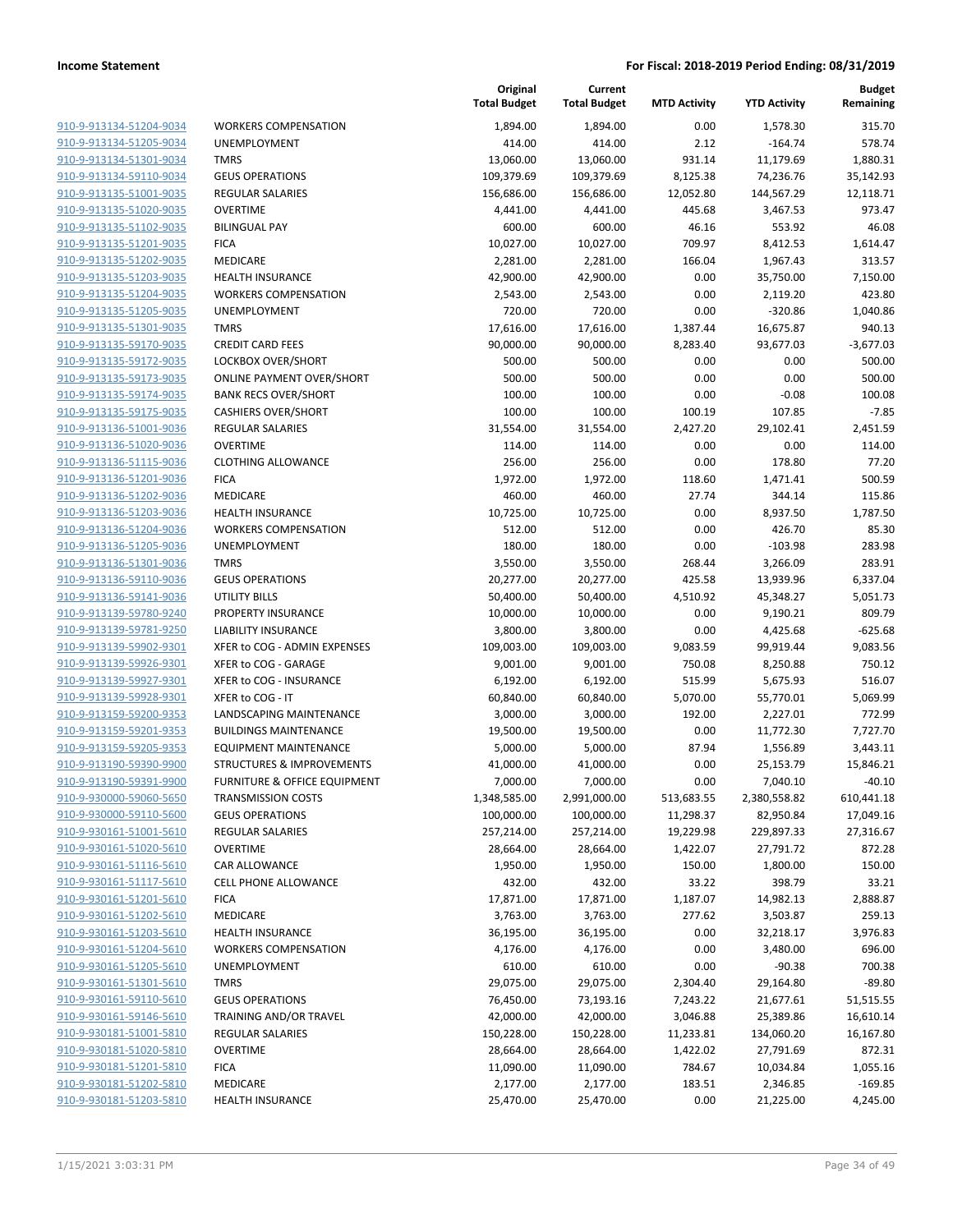| 910-9-913134-51204-9034        |
|--------------------------------|
| 910-9-913134-51205-9034        |
| 910-9-913134-51301-9034        |
| 910-9-913134-59110-9034        |
| <u>910-9-913135-51001-9035</u> |
| 910-9-913135-51020-9035        |
| 910-9-913135-51102-9035        |
| 910-9-913135-51201-9035        |
| 910-9-913135-51202-9035        |
| 910-9-913135-51203-9035        |
| 910-9-913135-51204-9035        |
| 910-9-913135-51205-9035        |
| 910-9-913135-51301-9035        |
| 910-9-913135-59170-9035        |
| <u>910-9-913135-59172-9035</u> |
| 910-9-913135-59173-9035        |
| 910-9-913135-59174-9035        |
| 910-9-913135-59175-9035        |
| 910-9-913136-51001-9036        |
| <u>910-9-913136-51020-9036</u> |
| 910-9-913136-51115-9036        |
| 910-9-913136-51201-9036        |
| 910-9-913136-51202-9036        |
| 910-9-913136-51203-9036        |
| <u>910-9-913136-51204-9036</u> |
| 910-9-913136-51205-9036        |
| 910-9-913136-51301-9036        |
| 910-9-913136-59110-9036        |
| 910-9-913136-59141-9036        |
| <u>910-9-913139-59780-9240</u> |
| 910-9-913139-59781-9250        |
| 910-9-913139-59902-9301        |
| 910-9-913139-59926-9301        |
| 910-9-913139-59927-9301        |
| <u>910-9-913139-59928-9301</u> |
| 910-9-913159-59200-9353        |
| 910-9-913159-59201-9353        |
| 910-9-913159-59205-9353        |
| 910-9-913190-59390-9900        |
|                                |
| 910-9-913190-59391-9900        |
| 910-9-930000-59060-5650        |
| 910-9-930000-59110-5600        |
| 910-9-930161-51001-5610        |
| <u>910-9-930161-51020-5610</u> |
| <u>910-9-930161-51116-5610</u> |
| <u>910-9-930161-51117-5610</u> |
| <u>910-9-930161-51201-5610</u> |
| 910-9-930161-51202-5610        |
| <u>910-9-930161-51203-5610</u> |
| 910-9-930161-51204-5610        |
| <u>910-9-930161-51205-5610</u> |
| 910-9-930161-51301-5610        |
| 910-9-930161-59110-5610        |
| <u>910-9-930161-59146-5610</u> |
| <u>910-9-930181-51001-5810</u> |
| <u>910-9-930181-51020-5810</u> |
| <u>910-9-930181-51201-5810</u> |
| 910-9-930181-51202-5810        |
| 910-9-930181-51203-5810        |
|                                |

|                                                    |                                                        | Original<br><b>Total Budget</b> | Current<br><b>Total Budget</b> | <b>MTD Activity</b>  | <b>YTD Activity</b>    | <b>Budget</b><br>Remaining |
|----------------------------------------------------|--------------------------------------------------------|---------------------------------|--------------------------------|----------------------|------------------------|----------------------------|
| 910-9-913134-51204-9034                            | <b>WORKERS COMPENSATION</b>                            | 1,894.00                        | 1,894.00                       | 0.00                 | 1,578.30               | 315.70                     |
| 910-9-913134-51205-9034                            | UNEMPLOYMENT                                           | 414.00                          | 414.00                         | 2.12                 | $-164.74$              | 578.74                     |
| 910-9-913134-51301-9034                            | <b>TMRS</b>                                            | 13,060.00                       | 13,060.00                      | 931.14               | 11,179.69              | 1,880.31                   |
| 910-9-913134-59110-9034                            | <b>GEUS OPERATIONS</b>                                 | 109,379.69                      | 109,379.69                     | 8,125.38             | 74,236.76              | 35,142.93                  |
| 910-9-913135-51001-9035                            | REGULAR SALARIES                                       | 156,686.00                      | 156,686.00                     | 12,052.80            | 144,567.29             | 12,118.71                  |
| 910-9-913135-51020-9035                            | <b>OVERTIME</b>                                        | 4,441.00                        | 4,441.00                       | 445.68               | 3,467.53               | 973.47                     |
| 910-9-913135-51102-9035                            | <b>BILINGUAL PAY</b>                                   | 600.00                          | 600.00                         | 46.16                | 553.92                 | 46.08                      |
| 910-9-913135-51201-9035                            | <b>FICA</b>                                            | 10,027.00                       | 10,027.00                      | 709.97               | 8,412.53               | 1,614.47                   |
| 910-9-913135-51202-9035                            | MEDICARE                                               | 2,281.00                        | 2,281.00                       | 166.04               | 1,967.43               | 313.57                     |
| 910-9-913135-51203-9035                            | <b>HEALTH INSURANCE</b>                                | 42,900.00                       | 42,900.00                      | 0.00                 | 35,750.00              | 7,150.00                   |
| 910-9-913135-51204-9035                            | <b>WORKERS COMPENSATION</b>                            | 2,543.00                        | 2,543.00                       | 0.00                 | 2,119.20               | 423.80                     |
| 910-9-913135-51205-9035                            | UNEMPLOYMENT                                           | 720.00                          | 720.00                         | 0.00                 | $-320.86$              | 1,040.86                   |
| 910-9-913135-51301-9035                            | <b>TMRS</b>                                            | 17,616.00                       | 17,616.00                      | 1,387.44             | 16,675.87              | 940.13                     |
| 910-9-913135-59170-9035                            | <b>CREDIT CARD FEES</b>                                | 90,000.00                       | 90,000.00                      | 8,283.40             | 93,677.03              | $-3,677.03$                |
| 910-9-913135-59172-9035                            | LOCKBOX OVER/SHORT                                     | 500.00                          | 500.00                         | 0.00                 | 0.00                   | 500.00                     |
| 910-9-913135-59173-9035                            | <b>ONLINE PAYMENT OVER/SHORT</b>                       | 500.00                          | 500.00                         | 0.00                 | 0.00                   | 500.00                     |
| 910-9-913135-59174-9035                            | <b>BANK RECS OVER/SHORT</b>                            | 100.00                          | 100.00                         | 0.00                 | $-0.08$                | 100.08                     |
| 910-9-913135-59175-9035                            | <b>CASHIERS OVER/SHORT</b>                             | 100.00                          | 100.00                         | 100.19               | 107.85                 | $-7.85$                    |
| 910-9-913136-51001-9036                            | <b>REGULAR SALARIES</b>                                | 31,554.00                       | 31,554.00                      | 2,427.20             | 29,102.41              | 2,451.59                   |
| 910-9-913136-51020-9036                            | <b>OVERTIME</b>                                        | 114.00                          | 114.00                         | 0.00                 | 0.00                   | 114.00                     |
| 910-9-913136-51115-9036                            | <b>CLOTHING ALLOWANCE</b>                              | 256.00                          | 256.00                         | 0.00                 | 178.80                 | 77.20                      |
| 910-9-913136-51201-9036                            | <b>FICA</b>                                            | 1,972.00                        | 1,972.00                       | 118.60               | 1,471.41               | 500.59                     |
| 910-9-913136-51202-9036<br>910-9-913136-51203-9036 | MEDICARE                                               | 460.00                          | 460.00                         | 27.74                | 344.14                 | 115.86                     |
|                                                    | <b>HEALTH INSURANCE</b><br><b>WORKERS COMPENSATION</b> | 10,725.00<br>512.00             | 10,725.00<br>512.00            | 0.00<br>0.00         | 8,937.50<br>426.70     | 1,787.50                   |
| 910-9-913136-51204-9036<br>910-9-913136-51205-9036 | UNEMPLOYMENT                                           | 180.00                          | 180.00                         | 0.00                 | $-103.98$              | 85.30<br>283.98            |
| 910-9-913136-51301-9036                            | <b>TMRS</b>                                            | 3,550.00                        | 3,550.00                       | 268.44               | 3,266.09               | 283.91                     |
| 910-9-913136-59110-9036                            | <b>GEUS OPERATIONS</b>                                 | 20,277.00                       | 20,277.00                      | 425.58               | 13,939.96              | 6,337.04                   |
| 910-9-913136-59141-9036                            | <b>UTILITY BILLS</b>                                   | 50,400.00                       | 50,400.00                      | 4,510.92             | 45,348.27              | 5,051.73                   |
| 910-9-913139-59780-9240                            | PROPERTY INSURANCE                                     | 10,000.00                       | 10,000.00                      | 0.00                 | 9,190.21               | 809.79                     |
| 910-9-913139-59781-9250                            | LIABILITY INSURANCE                                    | 3,800.00                        | 3,800.00                       | 0.00                 | 4,425.68               | $-625.68$                  |
| 910-9-913139-59902-9301                            | XFER to COG - ADMIN EXPENSES                           | 109,003.00                      | 109,003.00                     | 9,083.59             | 99,919.44              | 9,083.56                   |
| 910-9-913139-59926-9301                            | XFER to COG - GARAGE                                   | 9,001.00                        | 9,001.00                       | 750.08               | 8,250.88               | 750.12                     |
| 910-9-913139-59927-9301                            | XFER to COG - INSURANCE                                | 6,192.00                        | 6,192.00                       | 515.99               | 5,675.93               | 516.07                     |
| 910-9-913139-59928-9301                            | XFER to COG - IT                                       | 60,840.00                       | 60,840.00                      | 5,070.00             | 55,770.01              | 5,069.99                   |
| 910-9-913159-59200-9353                            | LANDSCAPING MAINTENANCE                                | 3,000.00                        | 3,000.00                       | 192.00               | 2,227.01               | 772.99                     |
| 910-9-913159-59201-9353                            | <b>BUILDINGS MAINTENANCE</b>                           | 19,500.00                       | 19,500.00                      | 0.00                 | 11,772.30              | 7,727.70                   |
| 910-9-913159-59205-9353                            | <b>EQUIPMENT MAINTENANCE</b>                           | 5,000.00                        | 5,000.00                       | 87.94                | 1,556.89               | 3,443.11                   |
| 910-9-913190-59390-9900                            | <b>STRUCTURES &amp; IMPROVEMENTS</b>                   | 41,000.00                       | 41,000.00                      | 0.00                 | 25,153.79              | 15,846.21                  |
| 910-9-913190-59391-9900                            | <b>FURNITURE &amp; OFFICE EQUIPMENT</b>                | 7,000.00                        | 7,000.00                       | 0.00                 | 7,040.10               | $-40.10$                   |
| 910-9-930000-59060-5650                            | <b>TRANSMISSION COSTS</b>                              | 1,348,585.00                    | 2,991,000.00                   | 513,683.55           | 2,380,558.82           | 610,441.18                 |
| 910-9-930000-59110-5600                            | <b>GEUS OPERATIONS</b>                                 | 100,000.00                      | 100,000.00                     | 11,298.37            | 82,950.84              | 17,049.16                  |
| 910-9-930161-51001-5610                            | <b>REGULAR SALARIES</b>                                | 257,214.00                      | 257,214.00                     | 19,229.98            | 229,897.33             | 27,316.67                  |
| 910-9-930161-51020-5610                            | <b>OVERTIME</b>                                        | 28,664.00                       | 28,664.00                      | 1,422.07             | 27,791.72              | 872.28                     |
| 910-9-930161-51116-5610                            | CAR ALLOWANCE                                          | 1,950.00                        | 1,950.00                       | 150.00               | 1,800.00               | 150.00                     |
| 910-9-930161-51117-5610                            | CELL PHONE ALLOWANCE                                   | 432.00                          | 432.00                         | 33.22                | 398.79                 | 33.21                      |
| 910-9-930161-51201-5610                            | <b>FICA</b>                                            | 17,871.00                       | 17,871.00                      | 1,187.07             | 14,982.13              | 2,888.87                   |
| 910-9-930161-51202-5610                            | MEDICARE                                               | 3,763.00                        | 3,763.00                       | 277.62               | 3,503.87               | 259.13                     |
| 910-9-930161-51203-5610                            | <b>HEALTH INSURANCE</b>                                | 36,195.00                       | 36,195.00                      | 0.00                 | 32,218.17              | 3,976.83                   |
| 910-9-930161-51204-5610                            | <b>WORKERS COMPENSATION</b>                            | 4,176.00                        | 4,176.00                       | 0.00                 | 3,480.00               | 696.00                     |
| 910-9-930161-51205-5610                            | UNEMPLOYMENT                                           | 610.00                          | 610.00                         | 0.00                 | $-90.38$               | 700.38                     |
| 910-9-930161-51301-5610<br>910-9-930161-59110-5610 | <b>TMRS</b><br><b>GEUS OPERATIONS</b>                  | 29,075.00<br>76,450.00          | 29,075.00<br>73,193.16         | 2,304.40<br>7,243.22 | 29,164.80<br>21,677.61 | $-89.80$<br>51,515.55      |
| 910-9-930161-59146-5610                            | TRAINING AND/OR TRAVEL                                 | 42,000.00                       | 42,000.00                      | 3,046.88             | 25,389.86              | 16,610.14                  |
| 910-9-930181-51001-5810                            | REGULAR SALARIES                                       | 150,228.00                      | 150,228.00                     | 11,233.81            | 134,060.20             | 16,167.80                  |
| 910-9-930181-51020-5810                            | <b>OVERTIME</b>                                        | 28,664.00                       | 28,664.00                      | 1,422.02             | 27,791.69              | 872.31                     |
| 910-9-930181-51201-5810                            | <b>FICA</b>                                            | 11,090.00                       | 11,090.00                      | 784.67               | 10,034.84              | 1,055.16                   |
| 910-9-930181-51202-5810                            | MEDICARE                                               | 2,177.00                        | 2,177.00                       | 183.51               | 2,346.85               | $-169.85$                  |
| 910-9-930181-51203-5810                            | HEALTH INSURANCE                                       | 25,470.00                       | 25,470.00                      | 0.00                 | 21,225.00              | 4,245.00                   |
|                                                    |                                                        |                                 |                                |                      |                        |                            |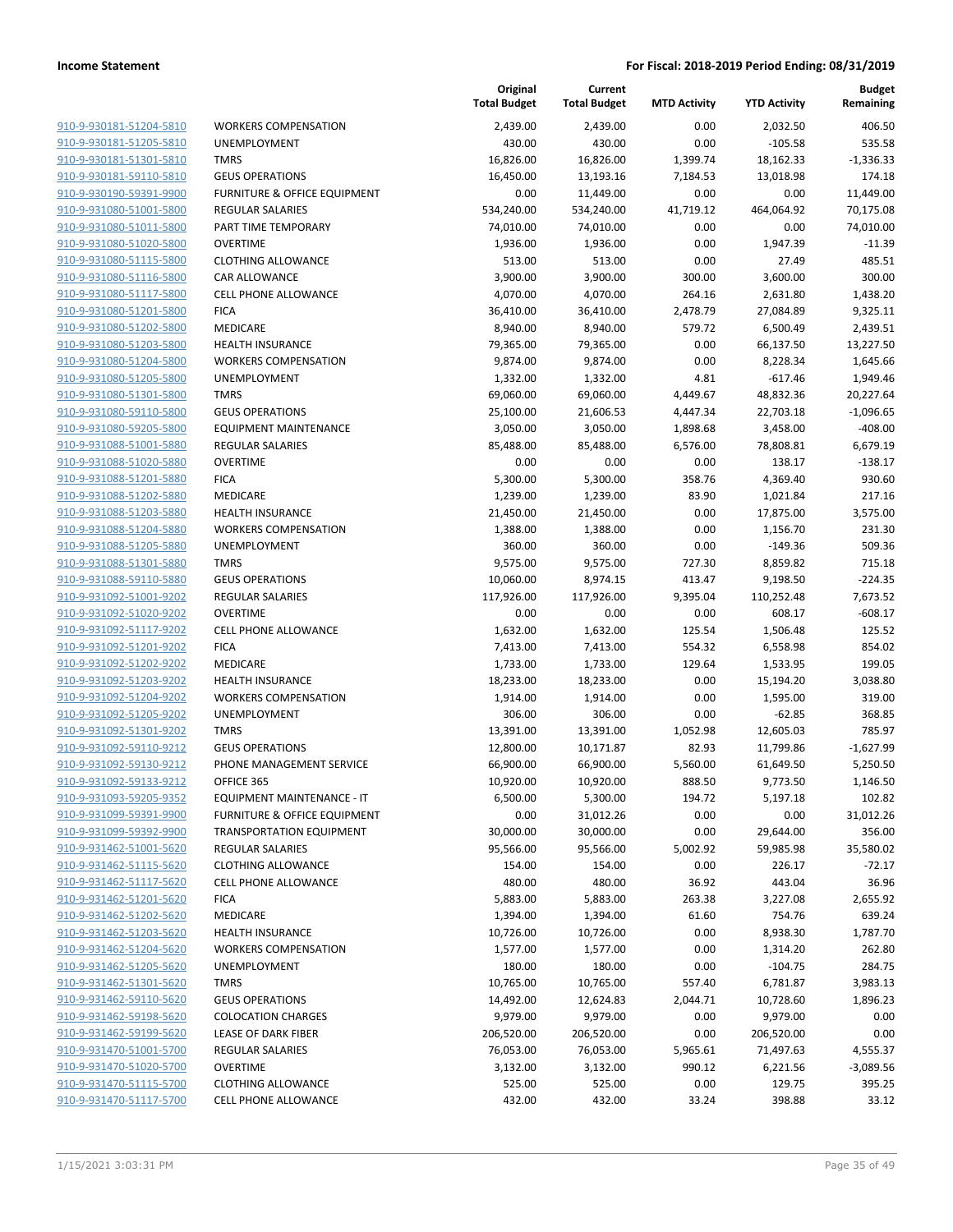|                         |                                         | Original<br><b>Total Budget</b> | Current<br><b>Total Budget</b> | <b>MTD Activity</b> | <b>YTD Activity</b> | <b>Budget</b><br>Remaining |
|-------------------------|-----------------------------------------|---------------------------------|--------------------------------|---------------------|---------------------|----------------------------|
| 910-9-930181-51204-5810 | <b>WORKERS COMPENSATION</b>             | 2,439.00                        | 2,439.00                       | 0.00                | 2,032.50            | 406.50                     |
| 910-9-930181-51205-5810 | <b>UNEMPLOYMENT</b>                     | 430.00                          | 430.00                         | 0.00                | $-105.58$           | 535.58                     |
| 910-9-930181-51301-5810 | <b>TMRS</b>                             | 16,826.00                       | 16,826.00                      | 1,399.74            | 18,162.33           | $-1,336.33$                |
| 910-9-930181-59110-5810 | <b>GEUS OPERATIONS</b>                  | 16,450.00                       | 13,193.16                      | 7,184.53            | 13,018.98           | 174.18                     |
| 910-9-930190-59391-9900 | FURNITURE & OFFICE EQUIPMENT            | 0.00                            | 11,449.00                      | 0.00                | 0.00                | 11,449.00                  |
| 910-9-931080-51001-5800 | <b>REGULAR SALARIES</b>                 | 534,240.00                      | 534,240.00                     | 41,719.12           | 464,064.92          | 70,175.08                  |
| 910-9-931080-51011-5800 | PART TIME TEMPORARY                     | 74,010.00                       | 74,010.00                      | 0.00                | 0.00                | 74,010.00                  |
| 910-9-931080-51020-5800 | <b>OVERTIME</b>                         | 1,936.00                        | 1,936.00                       | 0.00                | 1,947.39            | $-11.39$                   |
| 910-9-931080-51115-5800 | <b>CLOTHING ALLOWANCE</b>               | 513.00                          | 513.00                         | 0.00                | 27.49               | 485.51                     |
| 910-9-931080-51116-5800 | <b>CAR ALLOWANCE</b>                    | 3,900.00                        | 3,900.00                       | 300.00              | 3,600.00            | 300.00                     |
| 910-9-931080-51117-5800 | <b>CELL PHONE ALLOWANCE</b>             | 4,070.00                        | 4,070.00                       | 264.16              | 2,631.80            | 1,438.20                   |
| 910-9-931080-51201-5800 | <b>FICA</b>                             | 36,410.00                       | 36,410.00                      | 2,478.79            | 27,084.89           | 9,325.11                   |
| 910-9-931080-51202-5800 | MEDICARE                                | 8,940.00                        | 8,940.00                       | 579.72              | 6,500.49            | 2,439.51                   |
| 910-9-931080-51203-5800 | <b>HEALTH INSURANCE</b>                 | 79,365.00                       | 79,365.00                      | 0.00                | 66,137.50           | 13,227.50                  |
| 910-9-931080-51204-5800 | <b>WORKERS COMPENSATION</b>             | 9,874.00                        | 9,874.00                       | 0.00                | 8,228.34            | 1,645.66                   |
| 910-9-931080-51205-5800 | <b>UNEMPLOYMENT</b>                     | 1,332.00                        | 1,332.00                       | 4.81                | $-617.46$           | 1,949.46                   |
| 910-9-931080-51301-5800 | <b>TMRS</b>                             | 69,060.00                       | 69,060.00                      | 4,449.67            | 48,832.36           | 20,227.64                  |
| 910-9-931080-59110-5800 | <b>GEUS OPERATIONS</b>                  | 25,100.00                       | 21,606.53                      | 4,447.34            | 22,703.18           | $-1,096.65$                |
| 910-9-931080-59205-5800 | <b>EQUIPMENT MAINTENANCE</b>            | 3,050.00                        | 3,050.00                       | 1,898.68            | 3,458.00            | $-408.00$                  |
| 910-9-931088-51001-5880 | <b>REGULAR SALARIES</b>                 | 85,488.00                       | 85,488.00                      | 6,576.00            | 78,808.81           | 6,679.19                   |
| 910-9-931088-51020-5880 | <b>OVERTIME</b>                         | 0.00                            | 0.00                           | 0.00                | 138.17              | $-138.17$                  |
| 910-9-931088-51201-5880 | <b>FICA</b>                             | 5,300.00                        | 5,300.00                       | 358.76              | 4,369.40            | 930.60                     |
| 910-9-931088-51202-5880 | <b>MEDICARE</b>                         | 1,239.00                        | 1,239.00                       | 83.90               | 1,021.84            | 217.16                     |
| 910-9-931088-51203-5880 | <b>HEALTH INSURANCE</b>                 | 21,450.00                       | 21,450.00                      | 0.00                | 17,875.00           | 3,575.00                   |
| 910-9-931088-51204-5880 | <b>WORKERS COMPENSATION</b>             | 1,388.00                        | 1,388.00                       | 0.00                | 1,156.70            | 231.30                     |
| 910-9-931088-51205-5880 | <b>UNEMPLOYMENT</b>                     | 360.00                          | 360.00                         | 0.00                | $-149.36$           | 509.36                     |
| 910-9-931088-51301-5880 | <b>TMRS</b>                             | 9,575.00                        | 9,575.00                       | 727.30              | 8,859.82            | 715.18                     |
| 910-9-931088-59110-5880 | <b>GEUS OPERATIONS</b>                  | 10,060.00                       | 8,974.15                       | 413.47              | 9,198.50            | $-224.35$                  |
| 910-9-931092-51001-9202 | <b>REGULAR SALARIES</b>                 | 117,926.00                      | 117,926.00                     | 9,395.04            | 110,252.48          | 7,673.52                   |
| 910-9-931092-51020-9202 | <b>OVERTIME</b>                         | 0.00                            | 0.00                           | 0.00                | 608.17              | $-608.17$                  |
| 910-9-931092-51117-9202 | CELL PHONE ALLOWANCE                    | 1,632.00                        | 1,632.00                       | 125.54              | 1,506.48            | 125.52                     |
| 910-9-931092-51201-9202 | <b>FICA</b>                             | 7,413.00                        | 7,413.00                       | 554.32              | 6,558.98            | 854.02                     |
| 910-9-931092-51202-9202 | MEDICARE                                | 1,733.00                        | 1,733.00                       | 129.64              | 1,533.95            | 199.05                     |
| 910-9-931092-51203-9202 | <b>HEALTH INSURANCE</b>                 | 18,233.00                       | 18,233.00                      | 0.00                | 15,194.20           | 3,038.80                   |
| 910-9-931092-51204-9202 | <b>WORKERS COMPENSATION</b>             | 1,914.00                        | 1,914.00                       | 0.00                | 1,595.00            | 319.00                     |
| 910-9-931092-51205-9202 | <b>UNEMPLOYMENT</b>                     | 306.00                          | 306.00                         | 0.00                | $-62.85$            | 368.85                     |
| 910-9-931092-51301-9202 | <b>TMRS</b>                             | 13,391.00                       | 13,391.00                      | 1,052.98            | 12,605.03           | 785.97                     |
| 910-9-931092-59110-9212 | <b>GEUS OPERATIONS</b>                  | 12,800.00                       | 10,171.87                      | 82.93               | 11,799.86           | $-1,627.99$                |
| 910-9-931092-59130-9212 | PHONE MANAGEMENT SERVICE                | 66,900.00                       | 66,900.00                      | 5,560.00            | 61,649.50           | 5,250.50                   |
| 910-9-931092-59133-9212 | OFFICE 365                              | 10,920.00                       | 10,920.00                      | 888.50              | 9,773.50            | 1,146.50                   |
| 910-9-931093-59205-9352 | EQUIPMENT MAINTENANCE - IT              | 6,500.00                        | 5,300.00                       | 194.72              | 5,197.18            | 102.82                     |
| 910-9-931099-59391-9900 | <b>FURNITURE &amp; OFFICE EQUIPMENT</b> | 0.00                            | 31,012.26                      | 0.00                | 0.00                | 31,012.26                  |
| 910-9-931099-59392-9900 | <b>TRANSPORTATION EQUIPMENT</b>         | 30,000.00                       | 30,000.00                      | 0.00                | 29,644.00           | 356.00                     |
| 910-9-931462-51001-5620 | <b>REGULAR SALARIES</b>                 | 95,566.00                       | 95,566.00                      | 5,002.92            | 59,985.98           | 35,580.02                  |
| 910-9-931462-51115-5620 | <b>CLOTHING ALLOWANCE</b>               | 154.00                          | 154.00                         | 0.00                | 226.17              | $-72.17$                   |
| 910-9-931462-51117-5620 | <b>CELL PHONE ALLOWANCE</b>             | 480.00                          | 480.00                         | 36.92               | 443.04              | 36.96                      |
| 910-9-931462-51201-5620 | <b>FICA</b>                             | 5,883.00                        | 5,883.00                       | 263.38              | 3,227.08            | 2,655.92                   |
| 910-9-931462-51202-5620 | <b>MEDICARE</b>                         | 1,394.00                        | 1,394.00                       | 61.60               | 754.76              | 639.24                     |
| 910-9-931462-51203-5620 | <b>HEALTH INSURANCE</b>                 | 10,726.00                       | 10,726.00                      | 0.00                | 8,938.30            | 1,787.70                   |
| 910-9-931462-51204-5620 | <b>WORKERS COMPENSATION</b>             | 1,577.00                        | 1,577.00                       | 0.00                | 1,314.20            | 262.80                     |
| 910-9-931462-51205-5620 | <b>UNEMPLOYMENT</b>                     | 180.00                          | 180.00                         | 0.00                | $-104.75$           | 284.75                     |
| 910-9-931462-51301-5620 | <b>TMRS</b>                             | 10,765.00                       | 10,765.00                      | 557.40              | 6,781.87            | 3,983.13                   |
| 910-9-931462-59110-5620 | <b>GEUS OPERATIONS</b>                  | 14,492.00                       | 12,624.83                      | 2,044.71            | 10,728.60           | 1,896.23                   |
| 910-9-931462-59198-5620 | <b>COLOCATION CHARGES</b>               | 9,979.00                        | 9,979.00                       | 0.00                | 9,979.00            | 0.00                       |
| 910-9-931462-59199-5620 | LEASE OF DARK FIBER                     | 206,520.00                      | 206,520.00                     | 0.00                | 206,520.00          | 0.00                       |
| 910-9-931470-51001-5700 | REGULAR SALARIES                        | 76,053.00                       | 76,053.00                      | 5,965.61            | 71,497.63           | 4,555.37                   |
| 910-9-931470-51020-5700 | <b>OVERTIME</b>                         | 3,132.00                        | 3,132.00                       | 990.12              | 6,221.56            | $-3,089.56$                |
| 910-9-931470-51115-5700 | <b>CLOTHING ALLOWANCE</b>               | 525.00                          | 525.00                         | 0.00                | 129.75              | 395.25                     |
| 910-9-931470-51117-5700 | <b>CELL PHONE ALLOWANCE</b>             | 432.00                          | 432.00                         | 33.24               | 398.88              | 33.12                      |
|                         |                                         |                                 |                                |                     |                     |                            |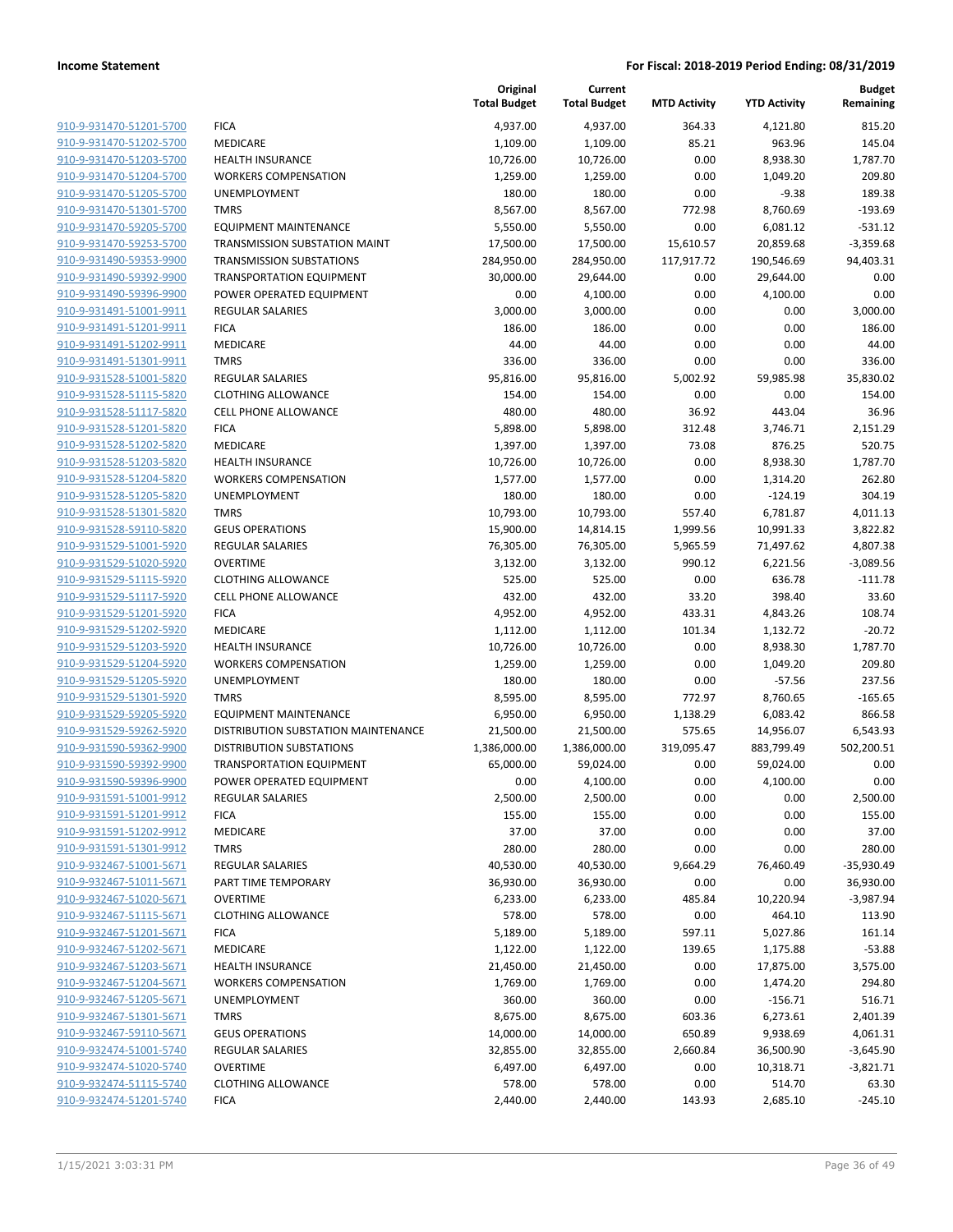|                                                    |                                        | Original<br><b>Total Budget</b> | Current<br><b>Total Budget</b> | <b>MTD Activity</b> | <b>YTD Activity</b>  | <b>Budget</b><br>Remaining |
|----------------------------------------------------|----------------------------------------|---------------------------------|--------------------------------|---------------------|----------------------|----------------------------|
| 910-9-931470-51201-5700                            | <b>FICA</b>                            | 4,937.00                        | 4,937.00                       | 364.33              | 4,121.80             | 815.20                     |
| 910-9-931470-51202-5700                            | MEDICARE                               | 1,109.00                        | 1,109.00                       | 85.21               | 963.96               | 145.04                     |
| 910-9-931470-51203-5700                            | <b>HEALTH INSURANCE</b>                | 10,726.00                       | 10,726.00                      | 0.00                | 8,938.30             | 1,787.70                   |
| 910-9-931470-51204-5700                            | <b>WORKERS COMPENSATION</b>            | 1,259.00                        | 1,259.00                       | 0.00                | 1,049.20             | 209.80                     |
| 910-9-931470-51205-5700                            | <b>UNEMPLOYMENT</b>                    | 180.00                          | 180.00                         | 0.00                | $-9.38$              | 189.38                     |
| 910-9-931470-51301-5700                            | <b>TMRS</b>                            | 8,567.00                        | 8,567.00                       | 772.98              | 8,760.69             | $-193.69$                  |
| 910-9-931470-59205-5700                            | <b>EQUIPMENT MAINTENANCE</b>           | 5,550.00                        | 5,550.00                       | 0.00                | 6,081.12             | $-531.12$                  |
| 910-9-931470-59253-5700                            | TRANSMISSION SUBSTATION MAINT          | 17,500.00                       | 17,500.00                      | 15,610.57           | 20,859.68            | $-3,359.68$                |
| 910-9-931490-59353-9900                            | <b>TRANSMISSION SUBSTATIONS</b>        | 284,950.00                      | 284,950.00                     | 117,917.72          | 190,546.69           | 94,403.31                  |
| 910-9-931490-59392-9900                            | <b>TRANSPORTATION EQUIPMENT</b>        | 30,000.00                       | 29,644.00                      | 0.00                | 29,644.00            | 0.00                       |
| 910-9-931490-59396-9900                            | POWER OPERATED EQUIPMENT               | 0.00                            | 4,100.00                       | 0.00                | 4,100.00             | 0.00                       |
| 910-9-931491-51001-9911                            | <b>REGULAR SALARIES</b>                | 3,000.00                        | 3,000.00                       | 0.00                | 0.00                 | 3,000.00                   |
| 910-9-931491-51201-9911                            | <b>FICA</b>                            | 186.00                          | 186.00                         | 0.00                | 0.00                 | 186.00                     |
| 910-9-931491-51202-9911                            | <b>MEDICARE</b>                        | 44.00                           | 44.00                          | 0.00                | 0.00                 | 44.00                      |
| 910-9-931491-51301-9911                            | <b>TMRS</b>                            | 336.00                          | 336.00                         | 0.00                | 0.00                 | 336.00                     |
| 910-9-931528-51001-5820                            | REGULAR SALARIES                       | 95,816.00                       | 95,816.00                      | 5,002.92            | 59,985.98            | 35,830.02                  |
| 910-9-931528-51115-5820                            | <b>CLOTHING ALLOWANCE</b>              | 154.00                          | 154.00                         | 0.00                | 0.00                 | 154.00                     |
| 910-9-931528-51117-5820                            | <b>CELL PHONE ALLOWANCE</b>            | 480.00                          | 480.00                         | 36.92               | 443.04               | 36.96                      |
| 910-9-931528-51201-5820                            | <b>FICA</b>                            | 5,898.00                        | 5,898.00                       | 312.48              | 3,746.71             | 2,151.29                   |
| 910-9-931528-51202-5820                            | MEDICARE                               | 1,397.00                        | 1,397.00                       | 73.08               | 876.25               | 520.75                     |
| 910-9-931528-51203-5820                            | <b>HEALTH INSURANCE</b>                | 10,726.00                       | 10,726.00                      | 0.00                | 8,938.30             | 1,787.70                   |
| 910-9-931528-51204-5820                            | <b>WORKERS COMPENSATION</b>            | 1,577.00                        | 1,577.00                       | 0.00                | 1,314.20             | 262.80                     |
| 910-9-931528-51205-5820                            | UNEMPLOYMENT                           | 180.00                          | 180.00                         | 0.00                | $-124.19$            | 304.19                     |
| 910-9-931528-51301-5820                            | <b>TMRS</b>                            | 10,793.00                       | 10,793.00                      | 557.40              | 6,781.87             | 4,011.13                   |
| 910-9-931528-59110-5820                            | <b>GEUS OPERATIONS</b>                 | 15,900.00                       | 14,814.15                      | 1,999.56            | 10,991.33            | 3,822.82                   |
| 910-9-931529-51001-5920                            | REGULAR SALARIES                       | 76,305.00                       | 76,305.00                      | 5,965.59            | 71,497.62            | 4,807.38                   |
| 910-9-931529-51020-5920                            | <b>OVERTIME</b>                        | 3,132.00                        | 3,132.00                       | 990.12              | 6,221.56             | $-3,089.56$                |
| 910-9-931529-51115-5920                            | <b>CLOTHING ALLOWANCE</b>              | 525.00                          | 525.00                         | 0.00                | 636.78               | $-111.78$                  |
| 910-9-931529-51117-5920                            | <b>CELL PHONE ALLOWANCE</b>            | 432.00                          | 432.00                         | 33.20               | 398.40               | 33.60                      |
| 910-9-931529-51201-5920                            | <b>FICA</b>                            | 4,952.00                        | 4,952.00                       | 433.31              | 4,843.26             | 108.74                     |
| 910-9-931529-51202-5920                            | MEDICARE                               | 1,112.00                        | 1,112.00                       | 101.34              | 1,132.72             | $-20.72$                   |
| 910-9-931529-51203-5920                            | <b>HEALTH INSURANCE</b>                | 10,726.00                       | 10,726.00                      | 0.00                | 8,938.30             | 1,787.70                   |
| 910-9-931529-51204-5920                            | <b>WORKERS COMPENSATION</b>            | 1,259.00                        | 1,259.00                       | 0.00                | 1,049.20             | 209.80                     |
| 910-9-931529-51205-5920                            | UNEMPLOYMENT                           | 180.00                          | 180.00                         | 0.00                | $-57.56$             | 237.56                     |
| 910-9-931529-51301-5920                            | <b>TMRS</b>                            | 8,595.00                        | 8,595.00                       | 772.97              | 8,760.65             | $-165.65$                  |
| 910-9-931529-59205-5920                            | <b>EQUIPMENT MAINTENANCE</b>           | 6,950.00                        | 6,950.00                       | 1,138.29            | 6,083.42             | 866.58                     |
| 910-9-931529-59262-5920                            | DISTRIBUTION SUBSTATION MAINTENANCE    | 21,500.00                       | 21,500.00                      | 575.65              | 14,956.07            | 6,543.93                   |
| 910-9-931590-59362-9900                            | <b>DISTRIBUTION SUBSTATIONS</b>        | 1,386,000.00                    | 1,386,000.00                   | 319,095.47          | 883,799.49           | 502,200.51                 |
| 910-9-931590-59392-9900                            | <b>TRANSPORTATION EQUIPMENT</b>        | 65,000.00                       | 59,024.00                      | 0.00                | 59,024.00            | 0.00                       |
| 910-9-931590-59396-9900                            | POWER OPERATED EQUIPMENT               | 0.00                            | 4,100.00                       | 0.00                | 4,100.00             | 0.00                       |
| 910-9-931591-51001-9912                            | REGULAR SALARIES                       | 2,500.00                        | 2,500.00                       | 0.00                | 0.00                 | 2,500.00                   |
| 910-9-931591-51201-9912                            | <b>FICA</b>                            | 155.00                          | 155.00                         | 0.00                | 0.00                 | 155.00                     |
| 910-9-931591-51202-9912                            | MEDICARE                               | 37.00                           | 37.00                          | 0.00                | 0.00                 | 37.00                      |
| 910-9-931591-51301-9912                            | <b>TMRS</b>                            | 280.00                          | 280.00                         | 0.00                | 0.00                 | 280.00                     |
| 910-9-932467-51001-5671                            | <b>REGULAR SALARIES</b>                | 40,530.00                       | 40,530.00<br>36,930.00         | 9,664.29            | 76,460.49            | $-35,930.49$               |
| 910-9-932467-51011-5671<br>910-9-932467-51020-5671 | PART TIME TEMPORARY<br><b>OVERTIME</b> | 36,930.00<br>6,233.00           |                                | 0.00                | 0.00                 | 36,930.00                  |
| 910-9-932467-51115-5671                            | <b>CLOTHING ALLOWANCE</b>              |                                 | 6,233.00                       | 485.84              | 10,220.94            | $-3,987.94$<br>113.90      |
| 910-9-932467-51201-5671                            | <b>FICA</b>                            | 578.00                          | 578.00                         | 0.00                | 464.10<br>5,027.86   |                            |
| 910-9-932467-51202-5671                            | <b>MEDICARE</b>                        | 5,189.00<br>1,122.00            | 5,189.00<br>1,122.00           | 597.11<br>139.65    |                      | 161.14<br>$-53.88$         |
|                                                    | <b>HEALTH INSURANCE</b>                |                                 |                                |                     | 1,175.88             |                            |
| 910-9-932467-51203-5671<br>910-9-932467-51204-5671 | <b>WORKERS COMPENSATION</b>            | 21,450.00<br>1,769.00           | 21,450.00<br>1,769.00          | 0.00<br>0.00        | 17,875.00            | 3,575.00<br>294.80         |
| 910-9-932467-51205-5671                            | UNEMPLOYMENT                           |                                 |                                |                     | 1,474.20             | 516.71                     |
| 910-9-932467-51301-5671                            | <b>TMRS</b>                            | 360.00                          | 360.00                         | 0.00                | $-156.71$            |                            |
| 910-9-932467-59110-5671                            | <b>GEUS OPERATIONS</b>                 | 8,675.00                        | 8,675.00                       | 603.36<br>650.89    | 6,273.61<br>9,938.69 | 2,401.39<br>4,061.31       |
|                                                    |                                        | 14,000.00                       | 14,000.00                      |                     |                      |                            |
| 910-9-932474-51001-5740<br>910-9-932474-51020-5740 | REGULAR SALARIES<br><b>OVERTIME</b>    | 32,855.00                       | 32,855.00                      | 2,660.84            | 36,500.90            | $-3,645.90$                |
|                                                    |                                        | 6,497.00                        | 6,497.00                       | 0.00                | 10,318.71            | $-3,821.71$                |
| 910-9-932474-51115-5740<br>910-9-932474-51201-5740 | <b>CLOTHING ALLOWANCE</b>              | 578.00                          | 578.00                         | 0.00                | 514.70               | 63.30                      |
|                                                    | <b>FICA</b>                            | 2,440.00                        | 2,440.00                       | 143.93              | 2,685.10             | $-245.10$                  |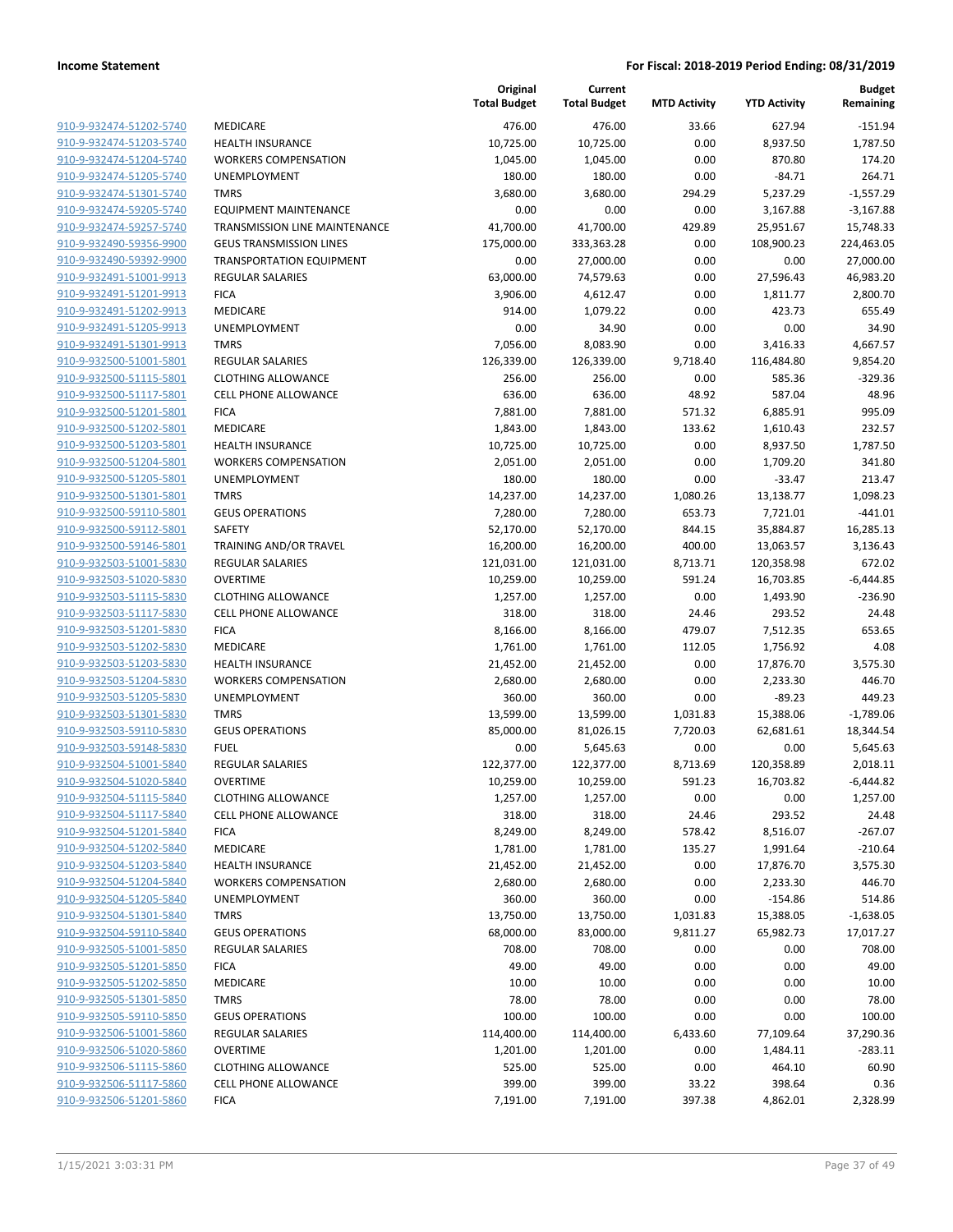|                                                    |                                                   | Original<br><b>Total Budget</b> | Current<br><b>Total Budget</b> | <b>MTD Activity</b>  | <b>YTD Activity</b> | <b>Budget</b><br>Remaining |
|----------------------------------------------------|---------------------------------------------------|---------------------------------|--------------------------------|----------------------|---------------------|----------------------------|
| 910-9-932474-51202-5740                            | <b>MEDICARE</b>                                   | 476.00                          | 476.00                         | 33.66                | 627.94              | $-151.94$                  |
| 910-9-932474-51203-5740                            | <b>HEALTH INSURANCE</b>                           | 10,725.00                       | 10,725.00                      | 0.00                 | 8,937.50            | 1,787.50                   |
| 910-9-932474-51204-5740                            | <b>WORKERS COMPENSATION</b>                       | 1,045.00                        | 1,045.00                       | 0.00                 | 870.80              | 174.20                     |
| 910-9-932474-51205-5740                            | <b>UNEMPLOYMENT</b>                               | 180.00                          | 180.00                         | 0.00                 | $-84.71$            | 264.71                     |
| 910-9-932474-51301-5740                            | <b>TMRS</b>                                       | 3,680.00                        | 3,680.00                       | 294.29               | 5,237.29            | $-1,557.29$                |
| 910-9-932474-59205-5740                            | <b>EQUIPMENT MAINTENANCE</b>                      | 0.00                            | 0.00                           | 0.00                 | 3,167.88            | $-3,167.88$                |
| 910-9-932474-59257-5740                            | TRANSMISSION LINE MAINTENANCE                     | 41,700.00                       | 41,700.00                      | 429.89               | 25,951.67           | 15,748.33                  |
| 910-9-932490-59356-9900                            | <b>GEUS TRANSMISSION LINES</b>                    | 175,000.00                      | 333,363.28                     | 0.00                 | 108,900.23          | 224,463.05                 |
| 910-9-932490-59392-9900                            | <b>TRANSPORTATION EQUIPMENT</b>                   | 0.00                            | 27,000.00                      | 0.00                 | 0.00                | 27,000.00                  |
| 910-9-932491-51001-9913                            | <b>REGULAR SALARIES</b>                           | 63,000.00                       | 74,579.63                      | 0.00                 | 27,596.43           | 46,983.20                  |
| 910-9-932491-51201-9913                            | <b>FICA</b>                                       | 3,906.00                        | 4,612.47                       | 0.00                 | 1,811.77            | 2,800.70                   |
| 910-9-932491-51202-9913                            | MEDICARE                                          | 914.00                          | 1,079.22                       | 0.00                 | 423.73              | 655.49                     |
| 910-9-932491-51205-9913                            | <b>UNEMPLOYMENT</b>                               | 0.00                            | 34.90                          | 0.00                 | 0.00                | 34.90                      |
| 910-9-932491-51301-9913                            | <b>TMRS</b>                                       | 7,056.00                        | 8,083.90                       | 0.00                 | 3,416.33            | 4,667.57                   |
| 910-9-932500-51001-5801                            | <b>REGULAR SALARIES</b>                           | 126,339.00                      | 126,339.00                     | 9,718.40             | 116,484.80          | 9,854.20                   |
| 910-9-932500-51115-5801                            | <b>CLOTHING ALLOWANCE</b>                         | 256.00                          | 256.00                         | 0.00                 | 585.36              | $-329.36$                  |
| 910-9-932500-51117-5801                            | <b>CELL PHONE ALLOWANCE</b>                       | 636.00                          | 636.00                         | 48.92                | 587.04              | 48.96                      |
| 910-9-932500-51201-5801                            | <b>FICA</b>                                       | 7,881.00                        | 7,881.00                       | 571.32               | 6,885.91            | 995.09                     |
| 910-9-932500-51202-5801                            | MEDICARE                                          | 1,843.00                        | 1,843.00                       | 133.62               | 1,610.43            | 232.57                     |
| 910-9-932500-51203-5801                            | <b>HEALTH INSURANCE</b>                           | 10,725.00                       | 10,725.00                      | 0.00                 | 8,937.50            | 1,787.50                   |
| 910-9-932500-51204-5801                            | <b>WORKERS COMPENSATION</b>                       | 2,051.00                        | 2,051.00                       | 0.00                 | 1,709.20            | 341.80                     |
| 910-9-932500-51205-5801                            | <b>UNEMPLOYMENT</b>                               | 180.00                          | 180.00                         | 0.00                 | $-33.47$            | 213.47                     |
| 910-9-932500-51301-5801                            | <b>TMRS</b>                                       | 14,237.00                       | 14,237.00                      | 1,080.26             | 13,138.77           | 1,098.23                   |
| 910-9-932500-59110-5801                            | <b>GEUS OPERATIONS</b>                            | 7,280.00                        | 7,280.00                       | 653.73               | 7,721.01            | $-441.01$                  |
| 910-9-932500-59112-5801                            | <b>SAFETY</b>                                     | 52,170.00                       | 52,170.00                      | 844.15               | 35,884.87           | 16,285.13                  |
| 910-9-932500-59146-5801                            | TRAINING AND/OR TRAVEL                            | 16,200.00                       | 16,200.00                      | 400.00               | 13,063.57           | 3,136.43                   |
| 910-9-932503-51001-5830                            | <b>REGULAR SALARIES</b>                           | 121,031.00                      | 121,031.00                     | 8,713.71             | 120,358.98          | 672.02                     |
| 910-9-932503-51020-5830                            | <b>OVERTIME</b>                                   | 10,259.00                       | 10,259.00                      | 591.24               | 16,703.85           | $-6,444.85$                |
| 910-9-932503-51115-5830                            | <b>CLOTHING ALLOWANCE</b>                         | 1,257.00                        | 1,257.00                       | 0.00                 | 1,493.90            | $-236.90$                  |
| 910-9-932503-51117-5830                            | <b>CELL PHONE ALLOWANCE</b>                       | 318.00                          | 318.00                         | 24.46                | 293.52              | 24.48                      |
| 910-9-932503-51201-5830                            | <b>FICA</b>                                       | 8,166.00                        | 8,166.00                       | 479.07               | 7,512.35            | 653.65                     |
| 910-9-932503-51202-5830                            | MEDICARE                                          | 1,761.00                        | 1,761.00                       | 112.05               | 1,756.92            | 4.08                       |
| 910-9-932503-51203-5830                            | <b>HEALTH INSURANCE</b>                           | 21,452.00                       | 21,452.00                      | 0.00                 | 17,876.70           | 3,575.30                   |
| 910-9-932503-51204-5830                            | <b>WORKERS COMPENSATION</b>                       | 2,680.00                        | 2,680.00                       | 0.00                 | 2,233.30            | 446.70                     |
| 910-9-932503-51205-5830                            | UNEMPLOYMENT                                      | 360.00                          | 360.00                         | 0.00                 | $-89.23$            | 449.23                     |
| 910-9-932503-51301-5830                            | <b>TMRS</b>                                       | 13,599.00                       | 13,599.00                      | 1,031.83             | 15,388.06           | $-1,789.06$                |
| 910-9-932503-59110-5830                            | <b>GEUS OPERATIONS</b>                            | 85,000.00                       | 81,026.15                      | 7,720.03             | 62,681.61           | 18,344.54                  |
| 910-9-932503-59148-5830                            | <b>FUEL</b>                                       | 0.00                            | 5,645.63                       | 0.00                 | 0.00                | 5,645.63                   |
| 910-9-932504-51001-5840                            | <b>REGULAR SALARIES</b>                           | 122,377.00                      | 122,377.00                     | 8,713.69             | 120,358.89          | 2,018.11                   |
| 910-9-932504-51020-5840                            | <b>OVERTIME</b>                                   | 10,259.00                       | 10,259.00                      | 591.23               | 16,703.82           | $-6,444.82$                |
| 910-9-932504-51115-5840                            | <b>CLOTHING ALLOWANCE</b>                         | 1,257.00                        | 1,257.00                       | 0.00                 | 0.00                | 1,257.00                   |
| 910-9-932504-51117-5840                            | <b>CELL PHONE ALLOWANCE</b>                       | 318.00                          | 318.00                         | 24.46                | 293.52              | 24.48                      |
| 910-9-932504-51201-5840                            | <b>FICA</b>                                       | 8,249.00                        | 8,249.00                       | 578.42               | 8,516.07            | $-267.07$                  |
| 910-9-932504-51202-5840                            | MEDICARE                                          | 1,781.00                        | 1,781.00                       | 135.27               | 1,991.64            | $-210.64$                  |
| 910-9-932504-51203-5840                            | <b>HEALTH INSURANCE</b>                           | 21,452.00                       | 21,452.00                      | 0.00                 | 17,876.70           | 3,575.30                   |
| 910-9-932504-51204-5840<br>910-9-932504-51205-5840 | <b>WORKERS COMPENSATION</b>                       | 2,680.00                        | 2,680.00                       | 0.00                 | 2,233.30            | 446.70                     |
|                                                    | <b>UNEMPLOYMENT</b>                               | 360.00                          | 360.00                         | 0.00                 | $-154.86$           | 514.86<br>$-1,638.05$      |
| 910-9-932504-51301-5840<br>910-9-932504-59110-5840 | <b>TMRS</b><br><b>GEUS OPERATIONS</b>             | 13,750.00<br>68,000.00          | 13,750.00                      | 1,031.83<br>9,811.27 | 15,388.05           |                            |
| 910-9-932505-51001-5850                            |                                                   | 708.00                          | 83,000.00<br>708.00            | 0.00                 | 65,982.73<br>0.00   | 17,017.27<br>708.00        |
|                                                    | REGULAR SALARIES                                  |                                 |                                |                      |                     |                            |
| 910-9-932505-51201-5850<br>910-9-932505-51202-5850 | <b>FICA</b><br>MEDICARE                           | 49.00                           | 49.00                          | 0.00                 | 0.00                | 49.00<br>10.00             |
| 910-9-932505-51301-5850                            |                                                   | 10.00                           | 10.00                          | 0.00                 | 0.00                | 78.00                      |
| 910-9-932505-59110-5850                            | <b>TMRS</b>                                       | 78.00                           | 78.00                          | 0.00                 | 0.00                |                            |
| 910-9-932506-51001-5860                            | <b>GEUS OPERATIONS</b><br><b>REGULAR SALARIES</b> | 100.00<br>114,400.00            | 100.00<br>114,400.00           | 0.00<br>6,433.60     | 0.00<br>77,109.64   | 100.00<br>37,290.36        |
|                                                    | <b>OVERTIME</b>                                   |                                 |                                | 0.00                 |                     | $-283.11$                  |
| 910-9-932506-51020-5860<br>910-9-932506-51115-5860 | <b>CLOTHING ALLOWANCE</b>                         | 1,201.00                        | 1,201.00                       |                      | 1,484.11            | 60.90                      |
|                                                    |                                                   | 525.00                          | 525.00                         | 0.00                 | 464.10              |                            |
| 910-9-932506-51117-5860<br>910-9-932506-51201-5860 | <b>CELL PHONE ALLOWANCE</b>                       | 399.00                          | 399.00                         | 33.22                | 398.64              | 0.36                       |
|                                                    | <b>FICA</b>                                       | 7,191.00                        | 7,191.00                       | 397.38               | 4,862.01            | 2,328.99                   |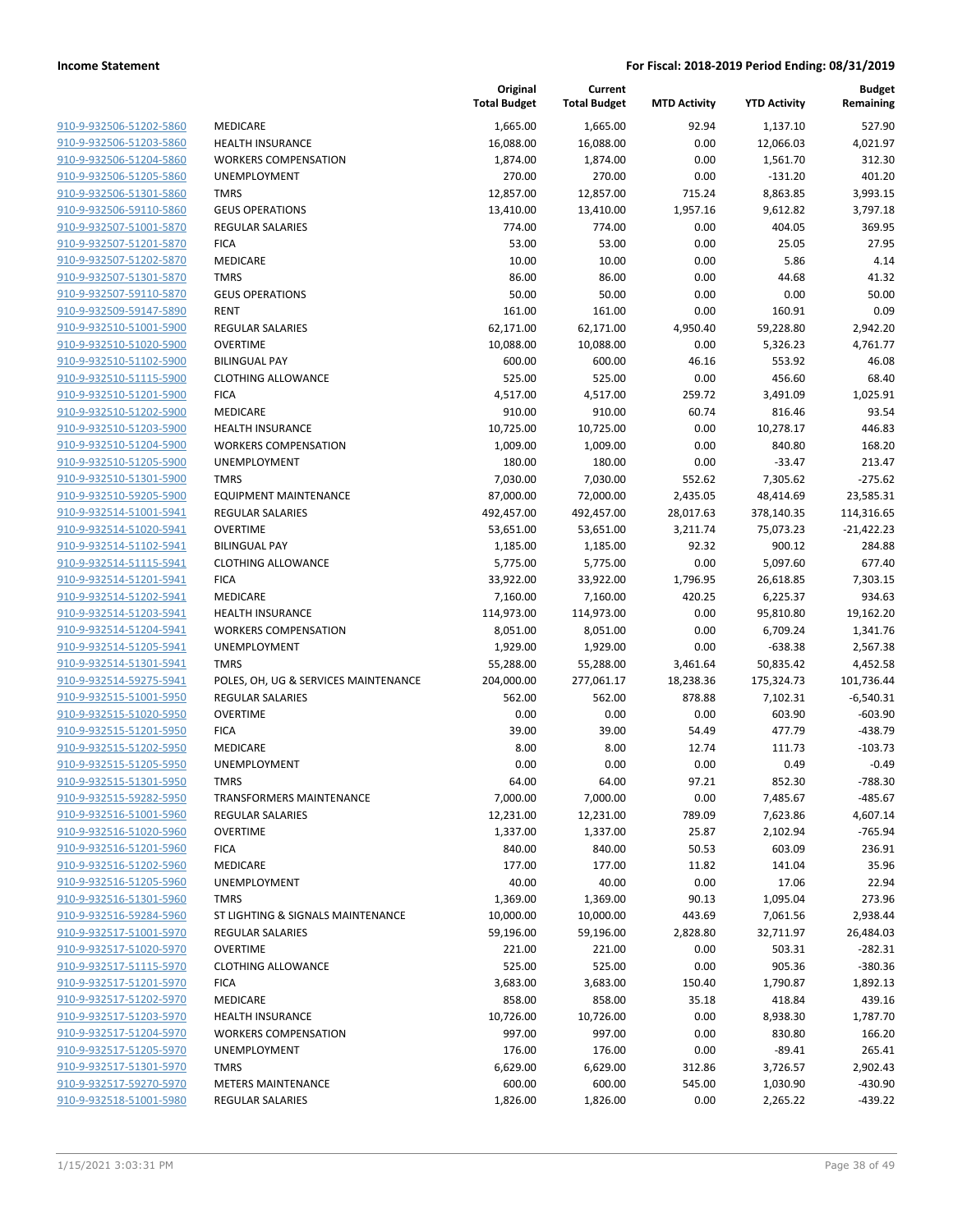|                                                    |                                          | Original<br><b>Total Budget</b> | Current<br><b>Total Budget</b> | <b>MTD Activity</b> | <b>YTD Activity</b> | <b>Budget</b><br>Remaining |
|----------------------------------------------------|------------------------------------------|---------------------------------|--------------------------------|---------------------|---------------------|----------------------------|
| 910-9-932506-51202-5860                            | MEDICARE                                 | 1,665.00                        | 1,665.00                       | 92.94               | 1,137.10            | 527.90                     |
| 910-9-932506-51203-5860                            | <b>HEALTH INSURANCE</b>                  | 16,088.00                       | 16,088.00                      | 0.00                | 12,066.03           | 4,021.97                   |
| 910-9-932506-51204-5860                            | <b>WORKERS COMPENSATION</b>              | 1,874.00                        | 1,874.00                       | 0.00                | 1,561.70            | 312.30                     |
| 910-9-932506-51205-5860                            | UNEMPLOYMENT                             | 270.00                          | 270.00                         | 0.00                | $-131.20$           | 401.20                     |
| 910-9-932506-51301-5860                            | <b>TMRS</b>                              | 12,857.00                       | 12,857.00                      | 715.24              | 8,863.85            | 3,993.15                   |
| 910-9-932506-59110-5860                            | <b>GEUS OPERATIONS</b>                   | 13,410.00                       | 13,410.00                      | 1,957.16            | 9,612.82            | 3,797.18                   |
| 910-9-932507-51001-5870                            | <b>REGULAR SALARIES</b>                  | 774.00                          | 774.00                         | 0.00                | 404.05              | 369.95                     |
| 910-9-932507-51201-5870                            | <b>FICA</b>                              | 53.00                           | 53.00                          | 0.00                | 25.05               | 27.95                      |
| 910-9-932507-51202-5870                            | <b>MEDICARE</b>                          | 10.00                           | 10.00                          | 0.00                | 5.86                | 4.14                       |
| 910-9-932507-51301-5870                            | <b>TMRS</b>                              | 86.00                           | 86.00                          | 0.00                | 44.68               | 41.32                      |
| 910-9-932507-59110-5870                            | <b>GEUS OPERATIONS</b>                   | 50.00                           | 50.00                          | 0.00                | 0.00                | 50.00                      |
| 910-9-932509-59147-5890                            | <b>RENT</b>                              | 161.00                          | 161.00                         | 0.00                | 160.91              | 0.09                       |
| 910-9-932510-51001-5900                            | <b>REGULAR SALARIES</b>                  | 62,171.00                       | 62,171.00                      | 4,950.40            | 59,228.80           | 2,942.20                   |
| 910-9-932510-51020-5900                            | <b>OVERTIME</b>                          | 10,088.00                       | 10,088.00                      | 0.00                | 5,326.23            | 4,761.77                   |
| 910-9-932510-51102-5900                            | <b>BILINGUAL PAY</b>                     | 600.00                          | 600.00                         | 46.16               | 553.92              | 46.08                      |
| 910-9-932510-51115-5900                            | <b>CLOTHING ALLOWANCE</b>                | 525.00                          | 525.00                         | 0.00                | 456.60              | 68.40                      |
| 910-9-932510-51201-5900                            | <b>FICA</b>                              | 4,517.00                        | 4,517.00                       | 259.72              | 3,491.09            | 1,025.91                   |
| 910-9-932510-51202-5900                            | MEDICARE                                 | 910.00                          | 910.00                         | 60.74               | 816.46              | 93.54                      |
| 910-9-932510-51203-5900                            | <b>HEALTH INSURANCE</b>                  | 10,725.00                       | 10,725.00                      | 0.00                | 10,278.17           | 446.83                     |
| 910-9-932510-51204-5900                            | <b>WORKERS COMPENSATION</b>              | 1,009.00                        | 1,009.00                       | 0.00                | 840.80              | 168.20                     |
| 910-9-932510-51205-5900                            | UNEMPLOYMENT                             | 180.00                          | 180.00                         | 0.00                | $-33.47$            | 213.47                     |
| 910-9-932510-51301-5900                            | <b>TMRS</b>                              | 7,030.00                        | 7,030.00                       | 552.62              | 7,305.62            | $-275.62$                  |
| 910-9-932510-59205-5900                            | <b>EQUIPMENT MAINTENANCE</b>             | 87,000.00                       | 72,000.00                      | 2,435.05            | 48,414.69           | 23,585.31                  |
| 910-9-932514-51001-5941                            | <b>REGULAR SALARIES</b>                  | 492,457.00                      | 492,457.00                     | 28,017.63           | 378,140.35          | 114,316.65                 |
| 910-9-932514-51020-5941                            | <b>OVERTIME</b>                          | 53,651.00                       | 53,651.00                      | 3,211.74            | 75,073.23           | $-21,422.23$               |
| 910-9-932514-51102-5941                            | <b>BILINGUAL PAY</b>                     | 1,185.00                        | 1,185.00                       | 92.32               | 900.12              | 284.88                     |
| 910-9-932514-51115-5941                            | <b>CLOTHING ALLOWANCE</b>                | 5,775.00                        | 5,775.00                       | 0.00                | 5,097.60            | 677.40                     |
| 910-9-932514-51201-5941                            | <b>FICA</b>                              | 33,922.00                       | 33,922.00                      | 1,796.95            | 26,618.85           | 7,303.15                   |
| 910-9-932514-51202-5941                            | MEDICARE                                 | 7,160.00                        | 7,160.00                       | 420.25              | 6,225.37            | 934.63                     |
| 910-9-932514-51203-5941                            | <b>HEALTH INSURANCE</b>                  | 114,973.00                      | 114,973.00                     | 0.00                | 95,810.80           | 19,162.20                  |
| 910-9-932514-51204-5941                            | <b>WORKERS COMPENSATION</b>              | 8,051.00                        | 8,051.00                       | 0.00                | 6,709.24            | 1,341.76                   |
| 910-9-932514-51205-5941                            | UNEMPLOYMENT                             | 1,929.00                        | 1,929.00                       | 0.00                | $-638.38$           | 2,567.38                   |
| 910-9-932514-51301-5941                            | <b>TMRS</b>                              | 55,288.00                       | 55,288.00                      | 3,461.64            | 50,835.42           | 4,452.58                   |
| 910-9-932514-59275-5941                            | POLES, OH, UG & SERVICES MAINTENANCE     | 204,000.00                      | 277,061.17                     | 18,238.36           | 175,324.73          | 101,736.44                 |
| 910-9-932515-51001-5950                            | <b>REGULAR SALARIES</b>                  | 562.00                          | 562.00                         | 878.88              | 7,102.31            | $-6,540.31$                |
| 910-9-932515-51020-5950                            | <b>OVERTIME</b>                          | 0.00                            | 0.00                           | 0.00                | 603.90              | $-603.90$                  |
| 910-9-932515-51201-5950                            | <b>FICA</b>                              | 39.00                           | 39.00                          | 54.49               | 477.79              | $-438.79$                  |
| 910-9-932515-51202-5950                            | MEDICARE                                 | 8.00                            | 8.00                           | 12.74               | 111.73              | $-103.73$                  |
| 910-9-932515-51205-5950                            | UNEMPLOYMENT                             | 0.00                            | 0.00                           | 0.00                | 0.49                | $-0.49$                    |
| 910-9-932515-51301-5950                            | <b>TMRS</b>                              | 64.00                           | 64.00                          | 97.21               | 852.30              | $-788.30$                  |
| 910-9-932515-59282-5950                            | TRANSFORMERS MAINTENANCE                 | 7,000.00                        | 7,000.00                       | 0.00                | 7,485.67            | $-485.67$                  |
| 910-9-932516-51001-5960                            | <b>REGULAR SALARIES</b>                  | 12,231.00                       | 12,231.00                      | 789.09              | 7,623.86            | 4,607.14                   |
| 910-9-932516-51020-5960                            | <b>OVERTIME</b>                          | 1,337.00                        | 1,337.00                       | 25.87               | 2,102.94            | $-765.94$                  |
| 910-9-932516-51201-5960                            | <b>FICA</b>                              | 840.00                          | 840.00                         | 50.53               | 603.09              | 236.91                     |
| 910-9-932516-51202-5960                            | MEDICARE                                 | 177.00                          | 177.00                         | 11.82               | 141.04              | 35.96                      |
| 910-9-932516-51205-5960                            | UNEMPLOYMENT                             | 40.00                           | 40.00                          | 0.00                | 17.06               | 22.94                      |
| 910-9-932516-51301-5960                            | <b>TMRS</b>                              | 1,369.00                        | 1,369.00                       | 90.13               | 1,095.04            | 273.96                     |
| 910-9-932516-59284-5960<br>910-9-932517-51001-5970 | ST LIGHTING & SIGNALS MAINTENANCE        | 10,000.00                       | 10,000.00                      | 443.69              | 7,061.56            | 2,938.44                   |
|                                                    | REGULAR SALARIES<br><b>OVERTIME</b>      | 59,196.00                       | 59,196.00                      | 2,828.80            | 32,711.97           | 26,484.03<br>$-282.31$     |
| 910-9-932517-51020-5970                            |                                          | 221.00                          | 221.00                         | 0.00                | 503.31              |                            |
| 910-9-932517-51115-5970<br>910-9-932517-51201-5970 | <b>CLOTHING ALLOWANCE</b><br><b>FICA</b> | 525.00<br>3,683.00              | 525.00<br>3,683.00             | 0.00<br>150.40      | 905.36<br>1,790.87  | $-380.36$<br>1,892.13      |
| 910-9-932517-51202-5970                            | MEDICARE                                 | 858.00                          | 858.00                         | 35.18               | 418.84              | 439.16                     |
| 910-9-932517-51203-5970                            | <b>HEALTH INSURANCE</b>                  | 10,726.00                       | 10,726.00                      | 0.00                | 8,938.30            | 1,787.70                   |
| 910-9-932517-51204-5970                            | <b>WORKERS COMPENSATION</b>              | 997.00                          | 997.00                         | 0.00                | 830.80              | 166.20                     |
| 910-9-932517-51205-5970                            | <b>UNEMPLOYMENT</b>                      | 176.00                          | 176.00                         | 0.00                | $-89.41$            | 265.41                     |
| 910-9-932517-51301-5970                            | <b>TMRS</b>                              | 6,629.00                        | 6,629.00                       | 312.86              | 3,726.57            | 2,902.43                   |
| 910-9-932517-59270-5970                            | <b>METERS MAINTENANCE</b>                | 600.00                          | 600.00                         | 545.00              | 1,030.90            | $-430.90$                  |
| 910-9-932518-51001-5980                            | <b>REGULAR SALARIES</b>                  | 1,826.00                        | 1,826.00                       | 0.00                | 2,265.22            | $-439.22$                  |
|                                                    |                                          |                                 |                                |                     |                     |                            |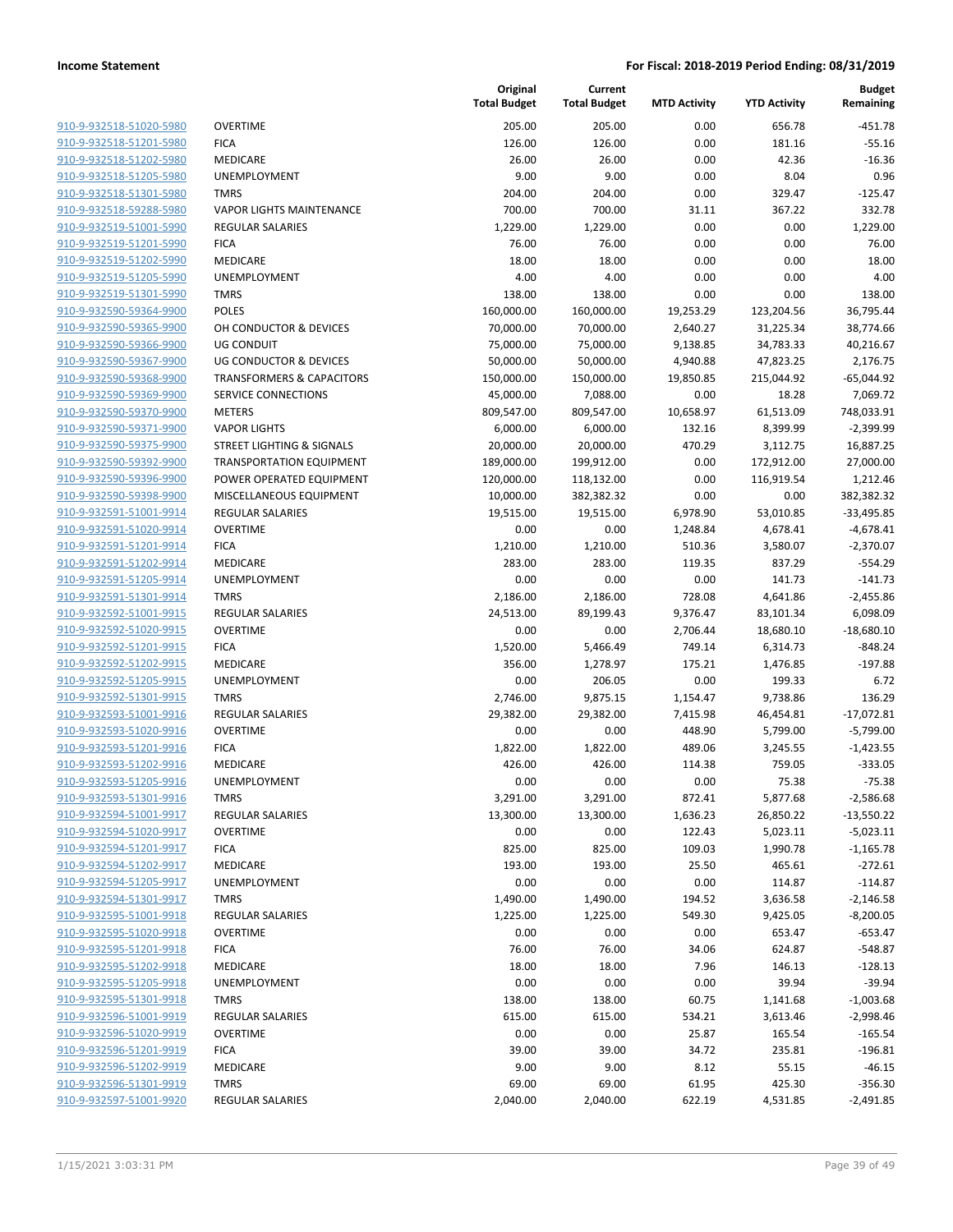| 910-9-932518-51020-5980        |
|--------------------------------|
| 910-9-932518-51201-5980        |
| 910-9-932518-51202-5980        |
| 910-9-932518-51205-5980        |
| 910-9-932518-51301-5980        |
| 910-9-932518-59288-5980        |
| 910-9-932519-51001-5990        |
| 910-9-932519-51201-5990        |
| 910-9-932519-51202-5990        |
| 910-9-932519-51205-5990        |
| 910-9-932519-51301-5990        |
| 910-9-932590-59364-9900        |
| 910-9-932590-59365-9900        |
| 910-9-932590-59366-9900        |
| 910-9-932590-59367-9900        |
| 910-9-932590-59368-9900        |
| 910-9-932590-59369-9900        |
| 910-9-932590-59370-9900        |
| 910-9-932590-59371-9900        |
| 910-9-932590-59375-9900        |
| 910-9-932590-59392-9900        |
| 910-9-932590-59396-9900        |
| 910-9-932590-59398-9900        |
| 910-9-932591-51001-9914        |
| 910-9-932591-51020-9914        |
| 910-9-932591-51201-9914        |
| 910-9-932591-51202-9914        |
| 910-9-932591-51205-9914        |
| 910-9-932591-51301-9914        |
| 910-9-932592-51001-9915        |
| 910-9-932592-51020-9915        |
| 910-9-932592-51201-9915        |
| 910-9-932592-51202-9915        |
| 910-9-932592-51205-9915        |
| 910-9-932592-51301-9915        |
| 910-9-932593-51001-9916        |
| 910-9-932593-51020-9916        |
| 910-9-932593-51201-9916        |
| 910-9-932593-51202-9916        |
| 910-9-932593-51205-9916        |
| 910-9-932593-51301-9916        |
| <u>910-9-932594-51001-9917</u> |
| 910-9-932594-51020-9917        |
| <u>910-9-932594-51201-9917</u> |
| 910-9-932594-51202-9917        |
| 910-9-932594-51205-9917        |
| 910-9-932594-51301-9917        |
| 910-9-932595-51001-9918        |
| 910-9-932595-51020-9918        |
| 910-9-932595-51201-9918        |
| 910-9-932595-51202-9918        |
| <u>910-9-932595-51205-9918</u> |
| 910-9-932595-51301-9918        |
| 910-9-932596-51001-9919        |
| 910-9-932596-51020-9919        |
| 910-9-932596-51201-9919        |
| <u>910-9-932596-51202-9919</u> |
| <u>910-9-932596-51301-9919</u> |
| 910-9-932597-51001-9920        |

|                                                    |                                                                    | Original<br><b>Total Budget</b> | Current<br><b>Total Budget</b> | <b>MTD Activity</b> | <b>YTD Activity</b>   | <b>Budget</b><br>Remaining |
|----------------------------------------------------|--------------------------------------------------------------------|---------------------------------|--------------------------------|---------------------|-----------------------|----------------------------|
| 910-9-932518-51020-5980                            | <b>OVERTIME</b>                                                    | 205.00                          | 205.00                         | 0.00                | 656.78                | $-451.78$                  |
| 910-9-932518-51201-5980                            | <b>FICA</b>                                                        | 126.00                          | 126.00                         | 0.00                | 181.16                | $-55.16$                   |
| 910-9-932518-51202-5980                            | <b>MEDICARE</b>                                                    | 26.00                           | 26.00                          | 0.00                | 42.36                 | $-16.36$                   |
| 910-9-932518-51205-5980                            | UNEMPLOYMENT                                                       | 9.00                            | 9.00                           | 0.00                | 8.04                  | 0.96                       |
| 910-9-932518-51301-5980                            | <b>TMRS</b>                                                        | 204.00                          | 204.00                         | 0.00                | 329.47                | $-125.47$                  |
| 910-9-932518-59288-5980                            | <b>VAPOR LIGHTS MAINTENANCE</b>                                    | 700.00                          | 700.00                         | 31.11               | 367.22                | 332.78                     |
| 910-9-932519-51001-5990                            | <b>REGULAR SALARIES</b>                                            | 1,229.00                        | 1,229.00                       | 0.00                | 0.00                  | 1,229.00                   |
| 910-9-932519-51201-5990                            | <b>FICA</b>                                                        | 76.00                           | 76.00                          | 0.00                | 0.00                  | 76.00                      |
| 910-9-932519-51202-5990                            | <b>MEDICARE</b>                                                    | 18.00                           | 18.00                          | 0.00                | 0.00                  | 18.00                      |
| 910-9-932519-51205-5990                            | UNEMPLOYMENT                                                       | 4.00                            | 4.00                           | 0.00                | 0.00                  | 4.00                       |
| 910-9-932519-51301-5990                            | <b>TMRS</b>                                                        | 138.00                          | 138.00                         | 0.00                | 0.00                  | 138.00                     |
| 910-9-932590-59364-9900                            | <b>POLES</b>                                                       | 160,000.00                      | 160,000.00                     | 19,253.29           | 123,204.56            | 36,795.44                  |
| 910-9-932590-59365-9900                            | OH CONDUCTOR & DEVICES                                             | 70,000.00                       | 70,000.00                      | 2,640.27            | 31,225.34             | 38,774.66                  |
| 910-9-932590-59366-9900                            | UG CONDUIT                                                         | 75,000.00                       | 75,000.00                      | 9,138.85            | 34,783.33             | 40,216.67                  |
| 910-9-932590-59367-9900                            | <b>UG CONDUCTOR &amp; DEVICES</b>                                  | 50,000.00                       | 50,000.00                      | 4,940.88            | 47,823.25             | 2,176.75                   |
| 910-9-932590-59368-9900<br>910-9-932590-59369-9900 | <b>TRANSFORMERS &amp; CAPACITORS</b><br><b>SERVICE CONNECTIONS</b> | 150,000.00                      | 150,000.00                     | 19,850.85           | 215,044.92            | $-65,044.92$               |
| 910-9-932590-59370-9900                            | <b>METERS</b>                                                      | 45,000.00                       | 7,088.00                       | 0.00                | 18.28                 | 7,069.72<br>748,033.91     |
| 910-9-932590-59371-9900                            | <b>VAPOR LIGHTS</b>                                                | 809,547.00<br>6,000.00          | 809,547.00<br>6,000.00         | 10,658.97<br>132.16 | 61,513.09<br>8,399.99 | $-2,399.99$                |
| 910-9-932590-59375-9900                            | <b>STREET LIGHTING &amp; SIGNALS</b>                               | 20,000.00                       | 20,000.00                      | 470.29              | 3,112.75              | 16,887.25                  |
| 910-9-932590-59392-9900                            | <b>TRANSPORTATION EQUIPMENT</b>                                    | 189,000.00                      | 199,912.00                     | 0.00                | 172,912.00            | 27,000.00                  |
| 910-9-932590-59396-9900                            | POWER OPERATED EQUIPMENT                                           | 120,000.00                      | 118,132.00                     | 0.00                | 116,919.54            | 1,212.46                   |
| 910-9-932590-59398-9900                            | MISCELLANEOUS EQUIPMENT                                            | 10,000.00                       | 382,382.32                     | 0.00                | 0.00                  | 382,382.32                 |
| 910-9-932591-51001-9914                            | <b>REGULAR SALARIES</b>                                            | 19,515.00                       | 19,515.00                      | 6,978.90            | 53,010.85             | $-33,495.85$               |
| 910-9-932591-51020-9914                            | <b>OVERTIME</b>                                                    | 0.00                            | 0.00                           | 1,248.84            | 4,678.41              | $-4,678.41$                |
| 910-9-932591-51201-9914                            | <b>FICA</b>                                                        | 1,210.00                        | 1,210.00                       | 510.36              | 3,580.07              | $-2,370.07$                |
| 910-9-932591-51202-9914                            | MEDICARE                                                           | 283.00                          | 283.00                         | 119.35              | 837.29                | $-554.29$                  |
| 910-9-932591-51205-9914                            | UNEMPLOYMENT                                                       | 0.00                            | 0.00                           | 0.00                | 141.73                | $-141.73$                  |
| 910-9-932591-51301-9914                            | <b>TMRS</b>                                                        | 2,186.00                        | 2,186.00                       | 728.08              | 4,641.86              | $-2,455.86$                |
| 910-9-932592-51001-9915                            | <b>REGULAR SALARIES</b>                                            | 24,513.00                       | 89,199.43                      | 9,376.47            | 83,101.34             | 6,098.09                   |
| 910-9-932592-51020-9915                            | <b>OVERTIME</b>                                                    | 0.00                            | 0.00                           | 2,706.44            | 18,680.10             | $-18,680.10$               |
| 910-9-932592-51201-9915                            | <b>FICA</b>                                                        | 1,520.00                        | 5,466.49                       | 749.14              | 6,314.73              | $-848.24$                  |
| 910-9-932592-51202-9915                            | MEDICARE                                                           | 356.00                          | 1,278.97                       | 175.21              | 1,476.85              | $-197.88$                  |
| 910-9-932592-51205-9915                            | UNEMPLOYMENT                                                       | 0.00                            | 206.05                         | 0.00                | 199.33                | 6.72                       |
| 910-9-932592-51301-9915                            | <b>TMRS</b>                                                        | 2,746.00                        | 9,875.15                       | 1,154.47            | 9,738.86              | 136.29                     |
| 910-9-932593-51001-9916                            | <b>REGULAR SALARIES</b>                                            | 29,382.00                       | 29,382.00                      | 7,415.98            | 46,454.81             | $-17,072.81$               |
| 910-9-932593-51020-9916                            | <b>OVERTIME</b>                                                    | 0.00                            | 0.00                           | 448.90              | 5,799.00              | $-5,799.00$                |
| 910-9-932593-51201-9916                            | <b>FICA</b>                                                        | 1,822.00                        | 1,822.00                       | 489.06              | 3,245.55              | $-1,423.55$                |
| 910-9-932593-51202-9916                            | MEDICARE                                                           | 426.00                          | 426.00                         | 114.38              | 759.05                | $-333.05$                  |
| 910-9-932593-51205-9916                            | UNEMPLOYMENT                                                       | 0.00                            | 0.00                           | 0.00                | 75.38                 | $-75.38$                   |
| 910-9-932593-51301-9916                            | <b>TMRS</b>                                                        | 3,291.00                        | 3,291.00                       | 872.41              | 5,877.68              | $-2,586.68$                |
| 910-9-932594-51001-9917                            | <b>REGULAR SALARIES</b>                                            | 13,300.00                       | 13,300.00                      | 1,636.23            | 26,850.22             | $-13,550.22$               |
| 910-9-932594-51020-9917                            | <b>OVERTIME</b>                                                    | 0.00                            | 0.00                           | 122.43              | 5,023.11              | $-5,023.11$                |
| 910-9-932594-51201-9917                            | <b>FICA</b><br><b>MEDICARE</b>                                     | 825.00                          | 825.00                         | 109.03              | 1,990.78              | $-1,165.78$                |
| 910-9-932594-51202-9917<br>910-9-932594-51205-9917 | UNEMPLOYMENT                                                       | 193.00<br>0.00                  | 193.00<br>0.00                 | 25.50<br>0.00       | 465.61<br>114.87      | $-272.61$<br>$-114.87$     |
| 910-9-932594-51301-9917                            | <b>TMRS</b>                                                        | 1,490.00                        | 1,490.00                       | 194.52              | 3,636.58              | $-2,146.58$                |
| 910-9-932595-51001-9918                            | <b>REGULAR SALARIES</b>                                            | 1,225.00                        | 1,225.00                       | 549.30              | 9,425.05              | $-8,200.05$                |
| 910-9-932595-51020-9918                            | <b>OVERTIME</b>                                                    | 0.00                            | 0.00                           | 0.00                | 653.47                | $-653.47$                  |
| 910-9-932595-51201-9918                            | <b>FICA</b>                                                        | 76.00                           | 76.00                          | 34.06               | 624.87                | $-548.87$                  |
| 910-9-932595-51202-9918                            | MEDICARE                                                           | 18.00                           | 18.00                          | 7.96                | 146.13                | $-128.13$                  |
| 910-9-932595-51205-9918                            | UNEMPLOYMENT                                                       | 0.00                            | 0.00                           | 0.00                | 39.94                 | $-39.94$                   |
| 910-9-932595-51301-9918                            | <b>TMRS</b>                                                        | 138.00                          | 138.00                         | 60.75               | 1,141.68              | $-1,003.68$                |
| 910-9-932596-51001-9919                            | <b>REGULAR SALARIES</b>                                            | 615.00                          | 615.00                         | 534.21              | 3,613.46              | $-2,998.46$                |
| 910-9-932596-51020-9919                            | <b>OVERTIME</b>                                                    | 0.00                            | 0.00                           | 25.87               | 165.54                | $-165.54$                  |
| 910-9-932596-51201-9919                            | <b>FICA</b>                                                        | 39.00                           | 39.00                          | 34.72               | 235.81                | $-196.81$                  |
| 910-9-932596-51202-9919                            | <b>MEDICARE</b>                                                    | 9.00                            | 9.00                           | 8.12                | 55.15                 | $-46.15$                   |
| 910-9-932596-51301-9919                            | <b>TMRS</b>                                                        | 69.00                           | 69.00                          | 61.95               | 425.30                | $-356.30$                  |
| 910-9-932597-51001-9920                            | <b>REGULAR SALARIES</b>                                            | 2,040.00                        | 2,040.00                       | 622.19              | 4,531.85              | $-2,491.85$                |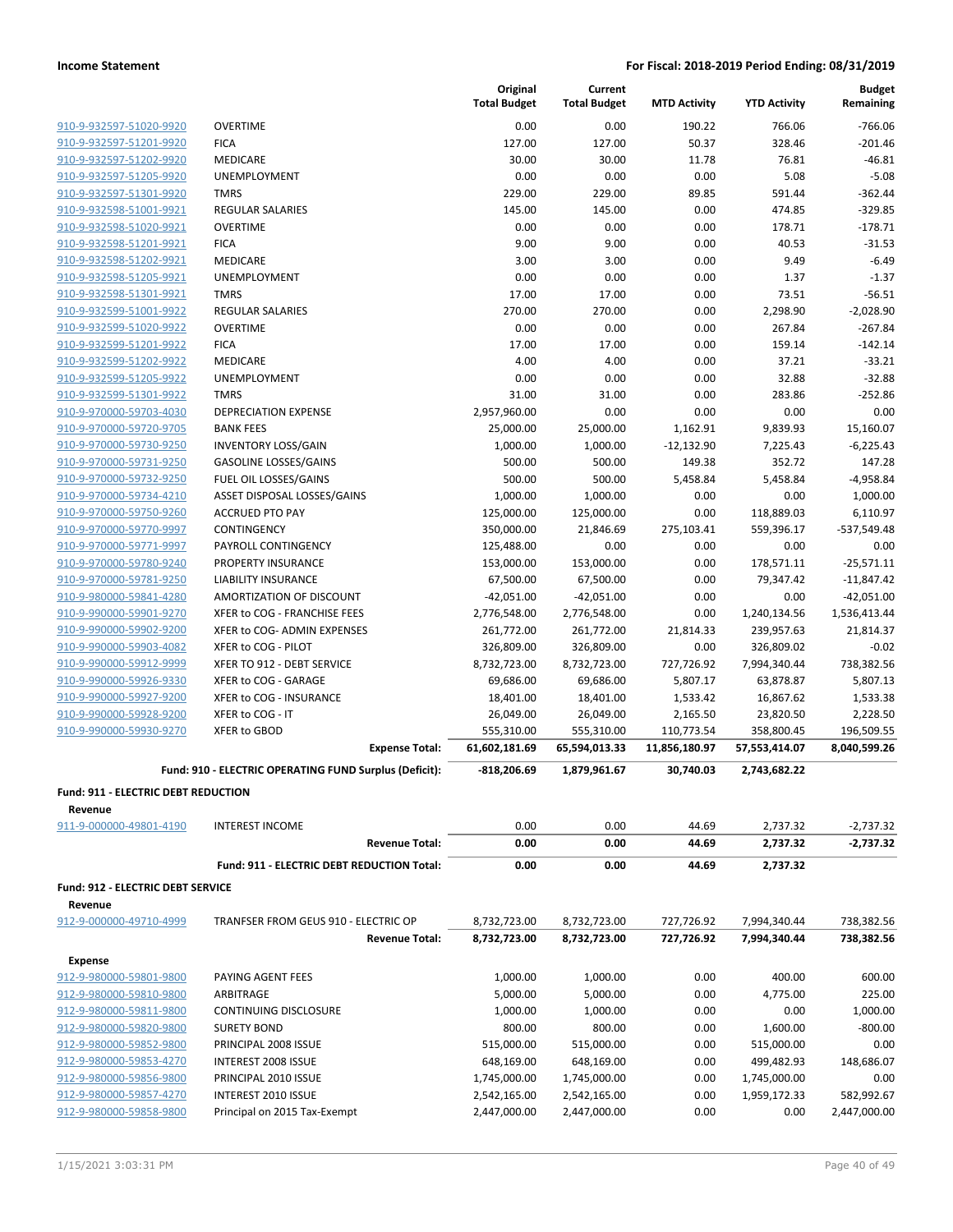|                                                     |                                                        | Original<br><b>Total Budget</b> | Current<br><b>Total Budget</b> | <b>MTD Activity</b>      | <b>YTD Activity</b>  | <b>Budget</b><br>Remaining |
|-----------------------------------------------------|--------------------------------------------------------|---------------------------------|--------------------------------|--------------------------|----------------------|----------------------------|
| 910-9-932597-51020-9920                             | <b>OVERTIME</b>                                        | 0.00                            | 0.00                           | 190.22                   | 766.06               | $-766.06$                  |
| 910-9-932597-51201-9920                             | <b>FICA</b>                                            | 127.00                          | 127.00                         | 50.37                    | 328.46               | $-201.46$                  |
| 910-9-932597-51202-9920                             | MEDICARE                                               | 30.00                           | 30.00                          | 11.78                    | 76.81                | $-46.81$                   |
| 910-9-932597-51205-9920                             | UNEMPLOYMENT                                           | 0.00                            | 0.00                           | 0.00                     | 5.08                 | $-5.08$                    |
| 910-9-932597-51301-9920                             | <b>TMRS</b>                                            | 229.00                          | 229.00                         | 89.85                    | 591.44               | $-362.44$                  |
| 910-9-932598-51001-9921                             | <b>REGULAR SALARIES</b>                                | 145.00                          | 145.00                         | 0.00                     | 474.85               | $-329.85$                  |
| 910-9-932598-51020-9921                             | <b>OVERTIME</b>                                        | 0.00                            | 0.00                           | 0.00                     | 178.71               | $-178.71$                  |
| 910-9-932598-51201-9921                             | <b>FICA</b>                                            | 9.00                            | 9.00                           | 0.00                     | 40.53                | $-31.53$                   |
| 910-9-932598-51202-9921                             | MEDICARE                                               | 3.00                            | 3.00                           | 0.00                     | 9.49                 | $-6.49$                    |
| 910-9-932598-51205-9921                             | UNEMPLOYMENT                                           | 0.00                            | 0.00                           | 0.00                     | 1.37                 | $-1.37$                    |
| 910-9-932598-51301-9921                             | <b>TMRS</b>                                            | 17.00                           | 17.00                          | 0.00                     | 73.51                | $-56.51$                   |
| 910-9-932599-51001-9922                             | <b>REGULAR SALARIES</b>                                | 270.00                          | 270.00                         | 0.00                     | 2,298.90             | $-2,028.90$                |
| 910-9-932599-51020-9922                             | <b>OVERTIME</b>                                        | 0.00                            | 0.00                           | 0.00                     | 267.84               | $-267.84$                  |
| 910-9-932599-51201-9922                             | <b>FICA</b>                                            | 17.00                           | 17.00                          | 0.00                     | 159.14               | $-142.14$                  |
| 910-9-932599-51202-9922                             | MEDICARE                                               | 4.00                            | 4.00                           | 0.00                     | 37.21                | $-33.21$                   |
| 910-9-932599-51205-9922                             | UNEMPLOYMENT                                           | 0.00                            | 0.00                           | 0.00                     | 32.88                | $-32.88$                   |
| 910-9-932599-51301-9922                             | <b>TMRS</b>                                            | 31.00                           | 31.00                          | 0.00                     | 283.86               | $-252.86$                  |
| 910-9-970000-59703-4030<br>910-9-970000-59720-9705  | <b>DEPRECIATION EXPENSE</b><br><b>BANK FEES</b>        | 2,957,960.00<br>25,000.00       | 0.00                           | 0.00                     | 0.00                 | 0.00<br>15,160.07          |
| 910-9-970000-59730-9250                             | <b>INVENTORY LOSS/GAIN</b>                             | 1,000.00                        | 25,000.00<br>1,000.00          | 1,162.91<br>$-12,132.90$ | 9,839.93<br>7,225.43 | $-6,225.43$                |
| 910-9-970000-59731-9250                             | <b>GASOLINE LOSSES/GAINS</b>                           | 500.00                          | 500.00                         | 149.38                   | 352.72               | 147.28                     |
| 910-9-970000-59732-9250                             | FUEL OIL LOSSES/GAINS                                  | 500.00                          | 500.00                         | 5,458.84                 | 5,458.84             | $-4,958.84$                |
| 910-9-970000-59734-4210                             | ASSET DISPOSAL LOSSES/GAINS                            | 1,000.00                        | 1,000.00                       | 0.00                     | 0.00                 | 1,000.00                   |
| 910-9-970000-59750-9260                             | <b>ACCRUED PTO PAY</b>                                 | 125,000.00                      | 125,000.00                     | 0.00                     | 118,889.03           | 6,110.97                   |
| 910-9-970000-59770-9997                             | CONTINGENCY                                            | 350,000.00                      | 21,846.69                      | 275,103.41               | 559,396.17           | -537,549.48                |
| 910-9-970000-59771-9997                             | PAYROLL CONTINGENCY                                    | 125,488.00                      | 0.00                           | 0.00                     | 0.00                 | 0.00                       |
| 910-9-970000-59780-9240                             | PROPERTY INSURANCE                                     | 153,000.00                      | 153,000.00                     | 0.00                     | 178,571.11           | $-25,571.11$               |
| 910-9-970000-59781-9250                             | <b>LIABILITY INSURANCE</b>                             | 67,500.00                       | 67,500.00                      | 0.00                     | 79,347.42            | $-11,847.42$               |
| 910-9-980000-59841-4280                             | AMORTIZATION OF DISCOUNT                               | $-42,051.00$                    | $-42,051.00$                   | 0.00                     | 0.00                 | $-42,051.00$               |
| 910-9-990000-59901-9270                             | XFER to COG - FRANCHISE FEES                           | 2,776,548.00                    | 2,776,548.00                   | 0.00                     | 1,240,134.56         | 1,536,413.44               |
| 910-9-990000-59902-9200                             | XFER to COG- ADMIN EXPENSES                            | 261,772.00                      | 261,772.00                     | 21,814.33                | 239,957.63           | 21,814.37                  |
| 910-9-990000-59903-4082                             | XFER to COG - PILOT                                    | 326,809.00                      | 326,809.00                     | 0.00                     | 326,809.02           | $-0.02$                    |
| 910-9-990000-59912-9999                             | XFER TO 912 - DEBT SERVICE                             | 8,732,723.00                    | 8,732,723.00                   | 727,726.92               | 7,994,340.44         | 738,382.56                 |
| 910-9-990000-59926-9330                             | XFER to COG - GARAGE                                   | 69,686.00                       | 69,686.00                      | 5,807.17                 | 63,878.87            | 5,807.13                   |
| 910-9-990000-59927-9200                             | XFER to COG - INSURANCE                                | 18,401.00                       | 18,401.00                      | 1,533.42                 | 16,867.62            | 1,533.38                   |
| 910-9-990000-59928-9200                             | XFER to COG - IT                                       | 26,049.00                       | 26,049.00                      | 2,165.50                 | 23,820.50            | 2,228.50                   |
| 910-9-990000-59930-9270                             | XFER to GBOD                                           | 555,310.00                      | 555,310.00                     | 110,773.54               | 358,800.45           | 196,509.55                 |
|                                                     | <b>Expense Total:</b>                                  | 61,602,181.69                   | 65,594,013.33                  | 11,856,180.97            | 57,553,414.07        | 8,040,599.26               |
|                                                     | Fund: 910 - ELECTRIC OPERATING FUND Surplus (Deficit): | $-818,206.69$                   | 1,879,961.67                   | 30,740.03                | 2,743,682.22         |                            |
| Fund: 911 - ELECTRIC DEBT REDUCTION                 |                                                        |                                 |                                |                          |                      |                            |
| Revenue                                             | <b>INTEREST INCOME</b>                                 | 0.00                            | 0.00                           | 44.69                    |                      |                            |
| 911-9-000000-49801-4190                             | <b>Revenue Total:</b>                                  | 0.00                            | 0.00                           | 44.69                    | 2,737.32<br>2,737.32 | $-2,737.32$                |
|                                                     |                                                        |                                 |                                |                          |                      | -2,737.32                  |
|                                                     | Fund: 911 - ELECTRIC DEBT REDUCTION Total:             | 0.00                            | 0.00                           | 44.69                    | 2,737.32             |                            |
| <b>Fund: 912 - ELECTRIC DEBT SERVICE</b><br>Revenue |                                                        |                                 |                                |                          |                      |                            |
| 912-9-000000-49710-4999                             | TRANFSER FROM GEUS 910 - ELECTRIC OP                   | 8,732,723.00                    | 8,732,723.00                   | 727,726.92               | 7,994,340.44         | 738,382.56                 |
|                                                     | <b>Revenue Total:</b>                                  | 8,732,723.00                    | 8,732,723.00                   | 727,726.92               | 7,994,340.44         | 738,382.56                 |
| <b>Expense</b>                                      |                                                        |                                 |                                |                          |                      |                            |
| 912-9-980000-59801-9800                             | PAYING AGENT FEES                                      | 1,000.00                        | 1,000.00                       | 0.00                     | 400.00               | 600.00                     |
| 912-9-980000-59810-9800                             | ARBITRAGE                                              | 5,000.00                        | 5,000.00                       | 0.00                     | 4,775.00             | 225.00                     |
| 912-9-980000-59811-9800                             | <b>CONTINUING DISCLOSURE</b>                           | 1,000.00                        | 1,000.00                       | 0.00                     | 0.00                 | 1,000.00                   |
| 912-9-980000-59820-9800                             | <b>SURETY BOND</b>                                     | 800.00                          | 800.00                         | 0.00                     | 1,600.00             | $-800.00$                  |
| 912-9-980000-59852-9800                             | PRINCIPAL 2008 ISSUE                                   | 515,000.00                      | 515,000.00                     | 0.00                     | 515,000.00           | 0.00                       |
| 912-9-980000-59853-4270                             | INTEREST 2008 ISSUE                                    | 648,169.00                      | 648,169.00                     | 0.00                     | 499,482.93           | 148,686.07                 |
| 912-9-980000-59856-9800                             | PRINCIPAL 2010 ISSUE                                   | 1,745,000.00                    | 1,745,000.00                   | 0.00                     | 1,745,000.00         | 0.00                       |
| 912-9-980000-59857-4270                             | INTEREST 2010 ISSUE                                    | 2,542,165.00                    | 2,542,165.00                   | 0.00                     | 1,959,172.33         | 582,992.67                 |
| 912-9-980000-59858-9800                             | Principal on 2015 Tax-Exempt                           | 2,447,000.00                    | 2,447,000.00                   | 0.00                     | 0.00                 | 2,447,000.00               |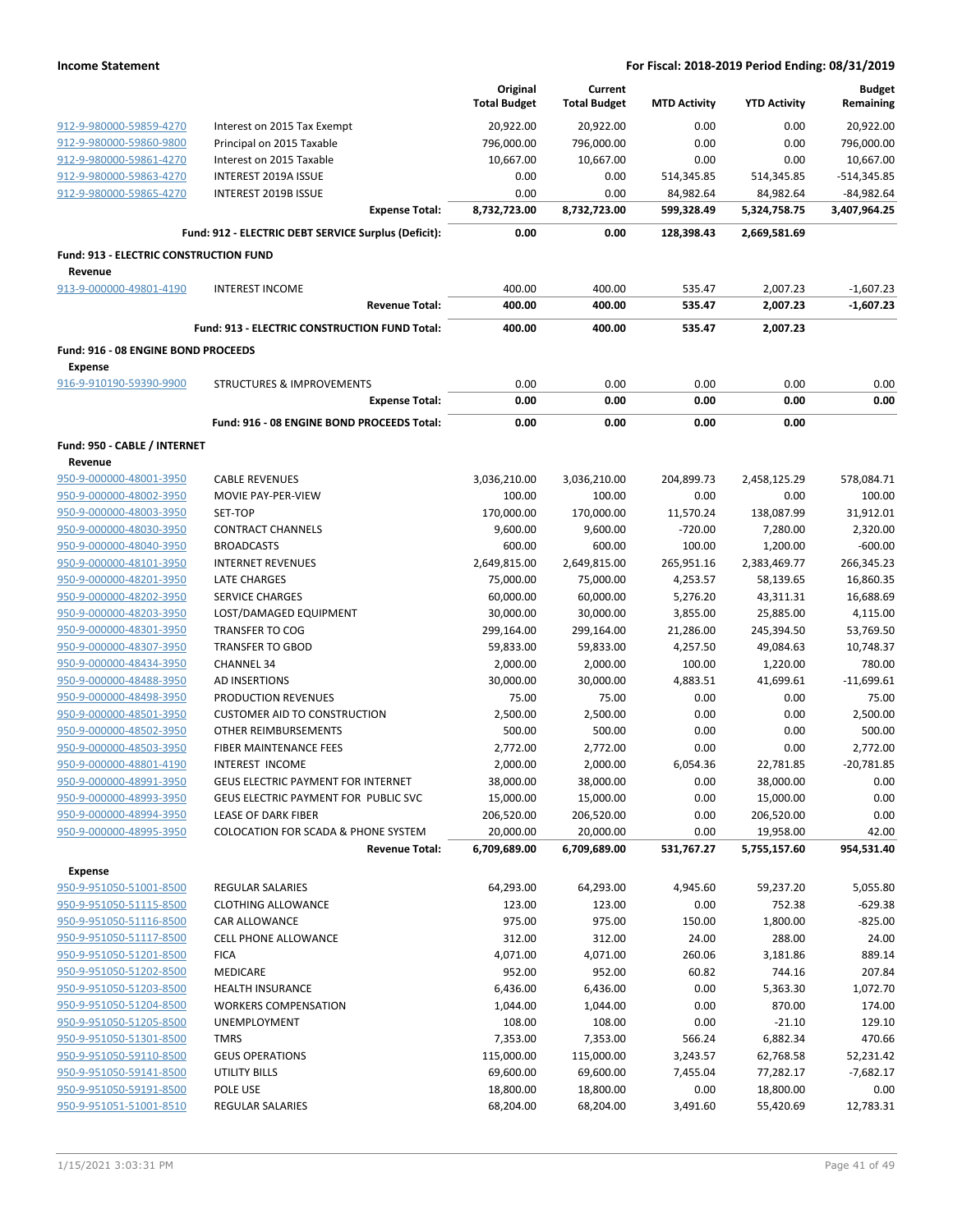|                                                       |                                                      | Original<br><b>Total Budget</b> | Current<br><b>Total Budget</b> | <b>MTD Activity</b> | <b>YTD Activity</b>  | <b>Budget</b><br>Remaining |
|-------------------------------------------------------|------------------------------------------------------|---------------------------------|--------------------------------|---------------------|----------------------|----------------------------|
| 912-9-980000-59859-4270                               | Interest on 2015 Tax Exempt                          | 20,922.00                       | 20,922.00                      | 0.00                | 0.00                 | 20,922.00                  |
| 912-9-980000-59860-9800                               | Principal on 2015 Taxable                            | 796,000.00                      | 796,000.00                     | 0.00                | 0.00                 | 796,000.00                 |
| 912-9-980000-59861-4270                               | Interest on 2015 Taxable                             | 10,667.00                       | 10,667.00                      | 0.00                | 0.00                 | 10,667.00                  |
| 912-9-980000-59863-4270                               | <b>INTEREST 2019A ISSUE</b>                          | 0.00                            | 0.00                           | 514,345.85          | 514,345.85           | $-514,345.85$              |
| 912-9-980000-59865-4270                               | INTEREST 2019B ISSUE                                 | 0.00                            | 0.00                           | 84,982.64           | 84,982.64            | $-84,982.64$               |
|                                                       | <b>Expense Total:</b>                                | 8,732,723.00                    | 8,732,723.00                   | 599,328.49          | 5,324,758.75         | 3,407,964.25               |
|                                                       | Fund: 912 - ELECTRIC DEBT SERVICE Surplus (Deficit): | 0.00                            | 0.00                           | 128,398.43          | 2,669,581.69         |                            |
| Fund: 913 - ELECTRIC CONSTRUCTION FUND                |                                                      |                                 |                                |                     |                      |                            |
| Revenue                                               |                                                      |                                 |                                |                     |                      |                            |
| 913-9-000000-49801-4190                               | <b>INTEREST INCOME</b><br><b>Revenue Total:</b>      | 400.00<br>400.00                | 400.00<br>400.00               | 535.47<br>535.47    | 2,007.23<br>2,007.23 | $-1,607.23$<br>$-1,607.23$ |
|                                                       | Fund: 913 - ELECTRIC CONSTRUCTION FUND Total:        | 400.00                          | 400.00                         | 535.47              | 2,007.23             |                            |
|                                                       |                                                      |                                 |                                |                     |                      |                            |
| Fund: 916 - 08 ENGINE BOND PROCEEDS<br><b>Expense</b> |                                                      |                                 |                                |                     |                      |                            |
| 916-9-910190-59390-9900                               | <b>STRUCTURES &amp; IMPROVEMENTS</b>                 | 0.00                            | 0.00                           | 0.00                | 0.00                 | 0.00                       |
|                                                       | <b>Expense Total:</b>                                | 0.00                            | 0.00                           | 0.00                | 0.00                 | 0.00                       |
|                                                       | Fund: 916 - 08 ENGINE BOND PROCEEDS Total:           | 0.00                            | 0.00                           | 0.00                | 0.00                 |                            |
| Fund: 950 - CABLE / INTERNET                          |                                                      |                                 |                                |                     |                      |                            |
| Revenue                                               |                                                      |                                 |                                |                     |                      |                            |
| 950-9-000000-48001-3950                               | <b>CABLE REVENUES</b>                                | 3,036,210.00                    | 3,036,210.00                   | 204,899.73          | 2,458,125.29         | 578,084.71                 |
| 950-9-000000-48002-3950                               | MOVIE PAY-PER-VIEW                                   | 100.00                          | 100.00                         | 0.00                | 0.00                 | 100.00                     |
| 950-9-000000-48003-3950                               | SET-TOP                                              | 170,000.00                      | 170,000.00                     | 11,570.24           | 138,087.99           | 31,912.01                  |
| 950-9-000000-48030-3950                               | <b>CONTRACT CHANNELS</b>                             | 9,600.00                        | 9,600.00                       | $-720.00$           | 7,280.00             | 2,320.00                   |
| 950-9-000000-48040-3950                               | <b>BROADCASTS</b>                                    | 600.00                          | 600.00                         | 100.00              | 1,200.00             | $-600.00$                  |
| 950-9-000000-48101-3950                               | <b>INTERNET REVENUES</b>                             | 2,649,815.00                    | 2,649,815.00                   | 265,951.16          | 2,383,469.77         | 266,345.23                 |
| 950-9-000000-48201-3950                               | LATE CHARGES                                         | 75,000.00                       | 75,000.00                      | 4,253.57            | 58,139.65            | 16,860.35                  |
| 950-9-000000-48202-3950                               | <b>SERVICE CHARGES</b>                               | 60,000.00                       | 60,000.00                      | 5,276.20            | 43,311.31            | 16,688.69                  |
| 950-9-000000-48203-3950                               | LOST/DAMAGED EQUIPMENT                               | 30,000.00                       | 30,000.00                      | 3,855.00            | 25,885.00            | 4,115.00                   |
| 950-9-000000-48301-3950                               | <b>TRANSFER TO COG</b>                               | 299,164.00                      | 299,164.00                     | 21,286.00           | 245,394.50           | 53,769.50                  |
| 950-9-000000-48307-3950                               | <b>TRANSFER TO GBOD</b>                              | 59,833.00                       | 59,833.00                      | 4,257.50            | 49,084.63            | 10,748.37                  |
| 950-9-000000-48434-3950                               | <b>CHANNEL 34</b>                                    | 2,000.00                        | 2,000.00                       | 100.00              | 1,220.00             | 780.00                     |
| 950-9-000000-48488-3950                               | <b>AD INSERTIONS</b>                                 | 30,000.00                       | 30,000.00                      | 4,883.51            | 41,699.61            | $-11,699.61$               |
| 950-9-000000-48498-3950                               | PRODUCTION REVENUES                                  | 75.00                           | 75.00                          | 0.00                | 0.00                 | 75.00                      |
| 950-9-000000-48501-3950                               | <b>CUSTOMER AID TO CONSTRUCTION</b>                  | 2,500.00                        | 2,500.00                       | 0.00                | 0.00                 | 2,500.00                   |
| 950-9-000000-48502-3950                               | OTHER REIMBURSEMENTS                                 | 500.00                          | 500.00                         | 0.00                | 0.00                 | 500.00                     |
| 950-9-000000-48503-3950                               | FIBER MAINTENANCE FEES                               | 2,772.00                        | 2,772.00                       | 0.00                | 0.00                 | 2,772.00                   |
| 950-9-000000-48801-4190                               | <b>INTEREST INCOME</b>                               | 2,000.00                        | 2,000.00                       | 6,054.36            | 22,781.85            | $-20,781.85$               |
| 950-9-000000-48991-3950                               | <b>GEUS ELECTRIC PAYMENT FOR INTERNET</b>            | 38,000.00                       | 38,000.00                      | 0.00                | 38,000.00            | 0.00                       |
| 950-9-000000-48993-3950                               | GEUS ELECTRIC PAYMENT FOR PUBLIC SVC                 | 15,000.00                       | 15,000.00                      | 0.00                | 15,000.00            | 0.00                       |
| 950-9-000000-48994-3950                               | LEASE OF DARK FIBER                                  | 206,520.00                      | 206,520.00                     | 0.00                | 206,520.00           | 0.00                       |
| 950-9-000000-48995-3950                               | <b>COLOCATION FOR SCADA &amp; PHONE SYSTEM</b>       | 20,000.00                       | 20,000.00                      | 0.00                | 19,958.00            | 42.00                      |
|                                                       | <b>Revenue Total:</b>                                | 6,709,689.00                    | 6,709,689.00                   | 531,767.27          | 5,755,157.60         | 954,531.40                 |
| Expense                                               |                                                      |                                 |                                |                     |                      |                            |
| 950-9-951050-51001-8500                               | <b>REGULAR SALARIES</b>                              | 64,293.00                       | 64,293.00                      | 4,945.60            | 59,237.20            | 5,055.80                   |
| 950-9-951050-51115-8500                               | <b>CLOTHING ALLOWANCE</b>                            | 123.00                          | 123.00                         | 0.00                | 752.38               | $-629.38$                  |
| 950-9-951050-51116-8500                               | CAR ALLOWANCE                                        | 975.00                          | 975.00                         | 150.00              | 1,800.00             | $-825.00$                  |
| 950-9-951050-51117-8500                               | <b>CELL PHONE ALLOWANCE</b>                          | 312.00                          | 312.00                         | 24.00               | 288.00               | 24.00                      |
| 950-9-951050-51201-8500                               | <b>FICA</b>                                          | 4,071.00                        | 4,071.00                       | 260.06              | 3,181.86             | 889.14                     |
| 950-9-951050-51202-8500                               | MEDICARE                                             | 952.00                          | 952.00                         | 60.82               | 744.16               | 207.84                     |
| 950-9-951050-51203-8500                               | HEALTH INSURANCE                                     | 6,436.00                        | 6,436.00                       | 0.00                | 5,363.30             | 1,072.70                   |
| 950-9-951050-51204-8500                               | <b>WORKERS COMPENSATION</b>                          | 1,044.00                        | 1,044.00                       | 0.00                | 870.00               | 174.00                     |
| 950-9-951050-51205-8500                               | <b>UNEMPLOYMENT</b>                                  | 108.00                          | 108.00                         | 0.00                | $-21.10$             | 129.10                     |
| 950-9-951050-51301-8500                               | <b>TMRS</b>                                          | 7,353.00                        | 7,353.00                       | 566.24              | 6,882.34             | 470.66                     |
| 950-9-951050-59110-8500                               | <b>GEUS OPERATIONS</b>                               | 115,000.00                      | 115,000.00                     | 3,243.57            | 62,768.58            | 52,231.42                  |
| 950-9-951050-59141-8500                               | UTILITY BILLS                                        | 69,600.00                       | 69,600.00                      | 7,455.04            | 77,282.17            | $-7,682.17$                |
| 950-9-951050-59191-8500                               | POLE USE                                             | 18,800.00                       | 18,800.00                      | 0.00                | 18,800.00            | 0.00                       |
| 950-9-951051-51001-8510                               | REGULAR SALARIES                                     | 68,204.00                       | 68,204.00                      | 3,491.60            | 55,420.69            | 12,783.31                  |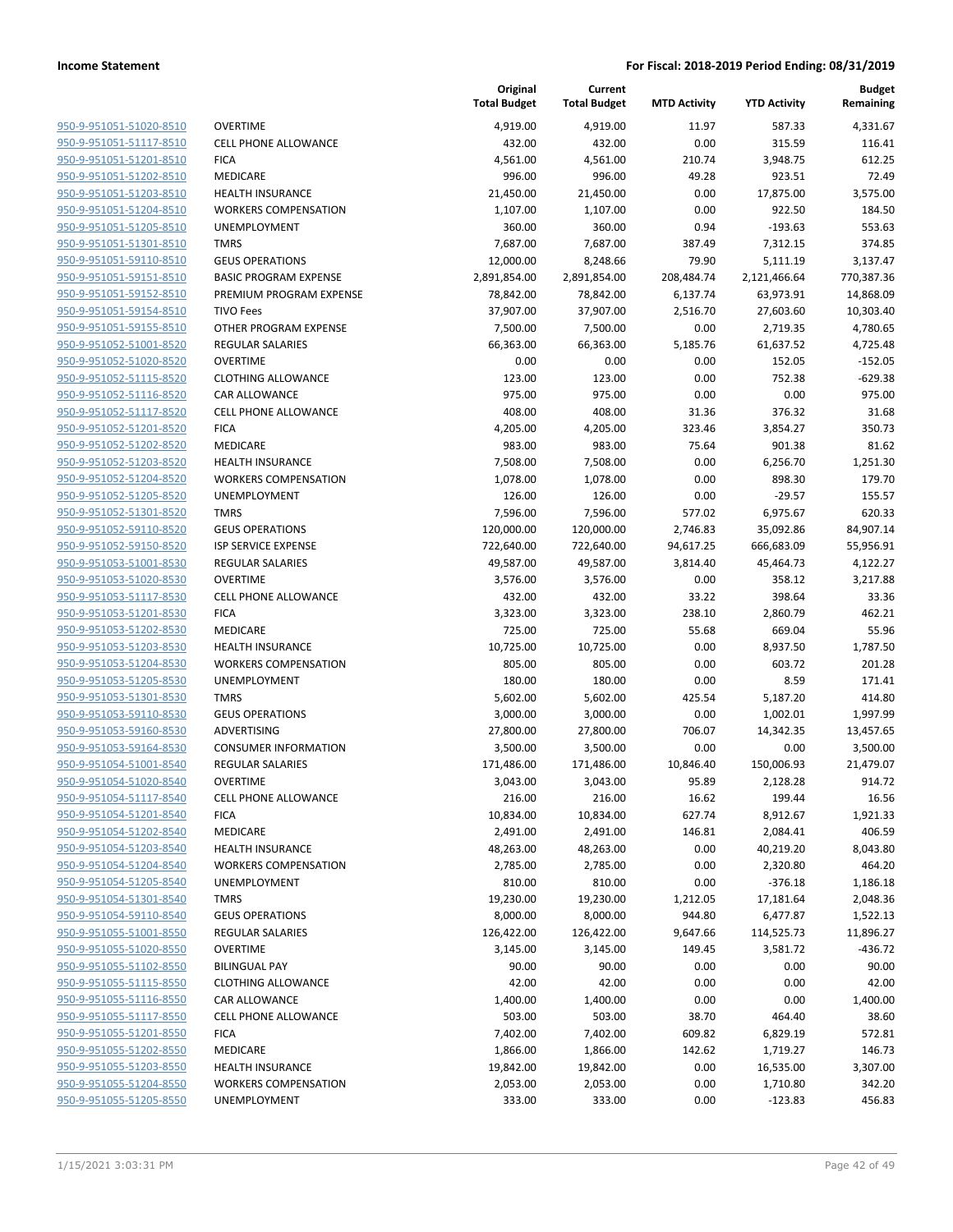| 950-9-951051-51020-8510                            | OVERTIME                              |
|----------------------------------------------------|---------------------------------------|
| <u>950-9-951051-51117-8510</u>                     | <b>CELL PHONE ALLO</b>                |
| 950-9-951051-51201-8510                            | FICA                                  |
| 950-9-951051-51202-8510                            | MEDICARE                              |
| 950-9-951051-51203-8510                            | <b>HEALTH INSURAN</b>                 |
| 950-9-951051-51204-8510                            | <b>WORKERS COMPE</b>                  |
| <u>950-9-951051-51205-8510</u>                     | UNEMPLOYMENT                          |
| 950-9-951051-51301-8510                            | TMRS                                  |
| 950-9-951051-59110-8510                            | <b>GEUS OPERATION</b>                 |
| 950-9-951051-59151-8510                            | <b>BASIC PROGRAM</b>                  |
| 950-9-951051-59152-8510                            | PREMIUM PROGR                         |
| <u>950-9-951051-59154-8510</u>                     | TIVO Fees                             |
| 950-9-951051-59155-8510                            | OTHER PROGRAM                         |
| 950-9-951052-51001-8520                            | REGULAR SALARIE                       |
| 950-9-951052-51020-8520                            | OVERTIME                              |
| 950-9-951052-51115-8520                            | <b>CLOTHING ALLOW</b>                 |
| <u>950-9-951052-51116-8520</u>                     | CAR ALLOWANCE                         |
| 950-9-951052-51117-8520                            | <b>CELL PHONE ALLO</b>                |
| 950-9-951052-51201-8520                            | <b>FICA</b>                           |
| 950-9-951052-51202-8520                            | <b>MEDICARE</b>                       |
| 950-9-951052-51203-8520                            | HEALTH INSURAN                        |
| 950-9-951052-51204-8520                            | <b>WORKERS COMPE</b>                  |
| 950-9-951052-51205-8520                            | UNEMPLOYMENT                          |
| 950-9-951052-51301-8520                            | <b>TMRS</b>                           |
| 950-9-951052-59110-8520                            | <b>GEUS OPERATION</b>                 |
| 950-9-951052-59150-8520                            | <b>ISP SERVICE EXPEI</b>              |
| <u>950-9-951053-51001-8530</u>                     | REGULAR SALARIE                       |
| 950-9-951053-51020-8530                            | OVERTIME                              |
| 950-9-951053-51117-8530                            | <b>CELL PHONE ALLO</b><br><b>FICA</b> |
| 950-9-951053-51201-8530<br>950-9-951053-51202-8530 | MEDICARE                              |
| <u>950-9-951053-51203-8530</u>                     | HEALTH INSURAN                        |
| 950-9-951053-51204-8530                            | <b>WORKERS COMPE</b>                  |
| 950-9-951053-51205-8530                            | <b>UNEMPLOYMENT</b>                   |
| 950-9-951053-51301-8530                            | TMRS                                  |
| 950-9-951053-59110-8530                            | <b>GEUS OPERATION</b>                 |
| <u>950-9-951053-59160-8530</u>                     | <b>ADVERTISING</b>                    |
| 950-9-951053-59164-8530                            | <b>CONSUMER INFOI</b>                 |
| 950-9-951054-51001-8540                            | <b>REGULAR SALARIE</b>                |
| 950-9-951054-51020-8540                            | OVERTIME                              |
| 950-9-951054-51117-8540                            | CELL PHONE ALLO                       |
| 950-9-951054-51201-8540                            | <b>FICA</b>                           |
| 950-9-951054-51202-8540                            | MEDICARE                              |
| 950-9-951054-51203-8540                            | <b>HEALTH INSURAN</b>                 |
| 950-9-951054-51204-8540                            | <b>WORKERS COMPE</b>                  |
| 950-9-951054-51205-8540                            | <b>UNEMPLOYMENT</b>                   |
| 950-9-951054-51301-8540                            | <b>TMRS</b>                           |
| 950-9-951054-59110-8540                            | <b>GEUS OPERATION</b>                 |
| 950-9-951055-51001-8550                            | <b>REGULAR SALARIE</b>                |
| 950-9-951055-51020-8550                            | <b>OVERTIME</b>                       |
| 950-9-951055-51102-8550                            | <b>BILINGUAL PAY</b>                  |
| 950-9-951055-51115-8550                            | <b>CLOTHING ALLOW</b>                 |
| 950-9-951055-51116-8550                            | CAR ALLOWANCE                         |
| 950-9-951055-51117-8550                            | <b>CELL PHONE ALLO</b>                |
| 950-9-951055-51201-8550                            | <b>FICA</b>                           |
| 950-9-951055-51202-8550                            | MEDICARE                              |
| 950-9-951055-51203-8550                            | <b>HEALTH INSURAN</b>                 |
| 950-9-951055-51204-8550                            | <b>WORKERS COMPE</b>                  |
| 950-9-951055-51205-8550                            | <b>UNEMPLOYMENT</b>                   |
|                                                    |                                       |

|                         |                              | Original<br><b>Total Budget</b> | Current<br><b>Total Budget</b> | <b>MTD Activity</b> | <b>YTD Activity</b> | <b>Budget</b><br>Remaining |
|-------------------------|------------------------------|---------------------------------|--------------------------------|---------------------|---------------------|----------------------------|
| 950-9-951051-51020-8510 | <b>OVERTIME</b>              | 4,919.00                        | 4,919.00                       | 11.97               | 587.33              | 4,331.67                   |
| 950-9-951051-51117-8510 | <b>CELL PHONE ALLOWANCE</b>  | 432.00                          | 432.00                         | 0.00                | 315.59              | 116.41                     |
| 950-9-951051-51201-8510 | <b>FICA</b>                  | 4,561.00                        | 4,561.00                       | 210.74              | 3,948.75            | 612.25                     |
| 950-9-951051-51202-8510 | MEDICARE                     | 996.00                          | 996.00                         | 49.28               | 923.51              | 72.49                      |
| 950-9-951051-51203-8510 | <b>HEALTH INSURANCE</b>      | 21,450.00                       | 21,450.00                      | 0.00                | 17,875.00           | 3,575.00                   |
| 950-9-951051-51204-8510 | <b>WORKERS COMPENSATION</b>  | 1,107.00                        | 1,107.00                       | 0.00                | 922.50              | 184.50                     |
| 950-9-951051-51205-8510 | UNEMPLOYMENT                 | 360.00                          | 360.00                         | 0.94                | $-193.63$           | 553.63                     |
| 950-9-951051-51301-8510 | <b>TMRS</b>                  | 7,687.00                        | 7,687.00                       | 387.49              | 7,312.15            | 374.85                     |
| 950-9-951051-59110-8510 | <b>GEUS OPERATIONS</b>       | 12,000.00                       | 8,248.66                       | 79.90               | 5,111.19            | 3,137.47                   |
| 950-9-951051-59151-8510 | <b>BASIC PROGRAM EXPENSE</b> | 2,891,854.00                    | 2,891,854.00                   | 208,484.74          | 2,121,466.64        | 770,387.36                 |
| 950-9-951051-59152-8510 | PREMIUM PROGRAM EXPENSE      | 78,842.00                       | 78,842.00                      | 6,137.74            | 63,973.91           | 14,868.09                  |
| 950-9-951051-59154-8510 | <b>TIVO Fees</b>             | 37,907.00                       | 37,907.00                      | 2,516.70            | 27,603.60           | 10,303.40                  |
| 950-9-951051-59155-8510 | OTHER PROGRAM EXPENSE        | 7,500.00                        | 7,500.00                       | 0.00                | 2,719.35            | 4,780.65                   |
| 950-9-951052-51001-8520 | <b>REGULAR SALARIES</b>      | 66,363.00                       | 66,363.00                      | 5,185.76            | 61,637.52           | 4,725.48                   |
| 950-9-951052-51020-8520 | <b>OVERTIME</b>              | 0.00                            | 0.00                           | 0.00                | 152.05              | $-152.05$                  |
| 950-9-951052-51115-8520 | <b>CLOTHING ALLOWANCE</b>    | 123.00                          | 123.00                         | 0.00                | 752.38              | $-629.38$                  |
| 950-9-951052-51116-8520 | CAR ALLOWANCE                | 975.00                          | 975.00                         | 0.00                | 0.00                | 975.00                     |
| 950-9-951052-51117-8520 | <b>CELL PHONE ALLOWANCE</b>  | 408.00                          | 408.00                         | 31.36               | 376.32              | 31.68                      |
| 950-9-951052-51201-8520 | <b>FICA</b>                  | 4,205.00                        | 4,205.00                       | 323.46              | 3,854.27            | 350.73                     |
| 950-9-951052-51202-8520 | <b>MEDICARE</b>              | 983.00                          | 983.00                         | 75.64               | 901.38              | 81.62                      |
| 950-9-951052-51203-8520 | <b>HEALTH INSURANCE</b>      | 7,508.00                        | 7,508.00                       | 0.00                | 6,256.70            | 1,251.30                   |
| 950-9-951052-51204-8520 | <b>WORKERS COMPENSATION</b>  | 1,078.00                        | 1,078.00                       | 0.00                | 898.30              | 179.70                     |
| 950-9-951052-51205-8520 | <b>UNEMPLOYMENT</b>          | 126.00                          | 126.00                         | 0.00                | $-29.57$            | 155.57                     |
| 950-9-951052-51301-8520 | <b>TMRS</b>                  | 7,596.00                        | 7,596.00                       | 577.02              | 6,975.67            | 620.33                     |
| 950-9-951052-59110-8520 | <b>GEUS OPERATIONS</b>       | 120,000.00                      | 120,000.00                     | 2,746.83            | 35,092.86           | 84,907.14                  |
| 950-9-951052-59150-8520 | <b>ISP SERVICE EXPENSE</b>   | 722,640.00                      | 722,640.00                     | 94,617.25           | 666,683.09          | 55,956.91                  |
| 950-9-951053-51001-8530 | REGULAR SALARIES             | 49,587.00                       | 49,587.00                      | 3,814.40            | 45,464.73           | 4,122.27                   |
| 950-9-951053-51020-8530 | <b>OVERTIME</b>              | 3,576.00                        | 3,576.00                       | 0.00                | 358.12              | 3,217.88                   |
| 950-9-951053-51117-8530 | <b>CELL PHONE ALLOWANCE</b>  | 432.00                          | 432.00                         | 33.22               | 398.64              | 33.36                      |
| 950-9-951053-51201-8530 | <b>FICA</b>                  | 3,323.00                        | 3,323.00                       | 238.10              | 2,860.79            | 462.21                     |
| 950-9-951053-51202-8530 | MEDICARE                     | 725.00                          | 725.00                         | 55.68               | 669.04              | 55.96                      |
| 950-9-951053-51203-8530 | <b>HEALTH INSURANCE</b>      | 10,725.00                       | 10,725.00                      | 0.00                | 8,937.50            | 1,787.50                   |
| 950-9-951053-51204-8530 | <b>WORKERS COMPENSATION</b>  | 805.00                          | 805.00                         | 0.00                | 603.72              | 201.28                     |
| 950-9-951053-51205-8530 | <b>UNEMPLOYMENT</b>          | 180.00                          | 180.00                         | 0.00                | 8.59                | 171.41                     |
| 950-9-951053-51301-8530 | <b>TMRS</b>                  | 5,602.00                        | 5,602.00                       | 425.54              | 5,187.20            | 414.80                     |
| 950-9-951053-59110-8530 | <b>GEUS OPERATIONS</b>       | 3,000.00                        | 3,000.00                       | 0.00                | 1,002.01            | 1,997.99                   |
| 950-9-951053-59160-8530 | ADVERTISING                  | 27,800.00                       | 27,800.00                      | 706.07              | 14,342.35           | 13,457.65                  |
| 950-9-951053-59164-8530 | <b>CONSUMER INFORMATION</b>  | 3,500.00                        | 3,500.00                       | 0.00                | 0.00                | 3,500.00                   |
| 950-9-951054-51001-8540 | <b>REGULAR SALARIES</b>      | 171,486.00                      | 171,486.00                     | 10,846.40           | 150,006.93          | 21,479.07                  |
| 950-9-951054-51020-8540 | <b>OVERTIME</b>              | 3,043.00                        | 3,043.00                       | 95.89               | 2,128.28            | 914.72                     |
| 950-9-951054-51117-8540 | CELL PHONE ALLOWANCE         | 216.00                          | 216.00                         | 16.62               | 199.44              | 16.56                      |
| 950-9-951054-51201-8540 | <b>FICA</b>                  | 10,834.00                       | 10,834.00                      | 627.74              | 8,912.67            | 1,921.33                   |
| 950-9-951054-51202-8540 | MEDICARE                     | 2,491.00                        | 2,491.00                       | 146.81              | 2,084.41            | 406.59                     |
| 950-9-951054-51203-8540 | <b>HEALTH INSURANCE</b>      | 48,263.00                       | 48,263.00                      | 0.00                | 40,219.20           | 8,043.80                   |
| 950-9-951054-51204-8540 | <b>WORKERS COMPENSATION</b>  | 2,785.00                        | 2,785.00                       | 0.00                | 2,320.80            | 464.20                     |
| 950-9-951054-51205-8540 | UNEMPLOYMENT                 | 810.00                          | 810.00                         | 0.00                | $-376.18$           | 1,186.18                   |
| 950-9-951054-51301-8540 | <b>TMRS</b>                  | 19,230.00                       | 19,230.00                      | 1,212.05            | 17,181.64           | 2,048.36                   |
| 950-9-951054-59110-8540 | <b>GEUS OPERATIONS</b>       | 8,000.00                        | 8,000.00                       | 944.80              | 6,477.87            | 1,522.13                   |
| 950-9-951055-51001-8550 | <b>REGULAR SALARIES</b>      | 126,422.00                      | 126,422.00                     | 9,647.66            | 114,525.73          | 11,896.27                  |
| 950-9-951055-51020-8550 | <b>OVERTIME</b>              | 3,145.00                        | 3,145.00                       | 149.45              | 3,581.72            | $-436.72$                  |
| 950-9-951055-51102-8550 | <b>BILINGUAL PAY</b>         | 90.00                           | 90.00                          | 0.00                | 0.00                | 90.00                      |
| 950-9-951055-51115-8550 | <b>CLOTHING ALLOWANCE</b>    | 42.00                           | 42.00                          | 0.00                | 0.00                | 42.00                      |
| 950-9-951055-51116-8550 | CAR ALLOWANCE                | 1,400.00                        | 1,400.00                       | 0.00                | 0.00                | 1,400.00                   |
| 950-9-951055-51117-8550 | <b>CELL PHONE ALLOWANCE</b>  | 503.00                          | 503.00                         | 38.70               | 464.40              | 38.60                      |
| 950-9-951055-51201-8550 | <b>FICA</b>                  | 7,402.00                        | 7,402.00                       | 609.82              | 6,829.19            | 572.81                     |
| 950-9-951055-51202-8550 | MEDICARE                     | 1,866.00                        | 1,866.00                       | 142.62              | 1,719.27            | 146.73                     |
| 950-9-951055-51203-8550 | <b>HEALTH INSURANCE</b>      | 19,842.00                       | 19,842.00                      | 0.00                | 16,535.00           | 3,307.00                   |
| 950-9-951055-51204-8550 | <b>WORKERS COMPENSATION</b>  | 2,053.00                        | 2,053.00                       | 0.00                | 1,710.80            | 342.20                     |
| 950-9-951055-51205-8550 | UNEMPLOYMENT                 | 333.00                          | 333.00                         | 0.00                | $-123.83$           | 456.83                     |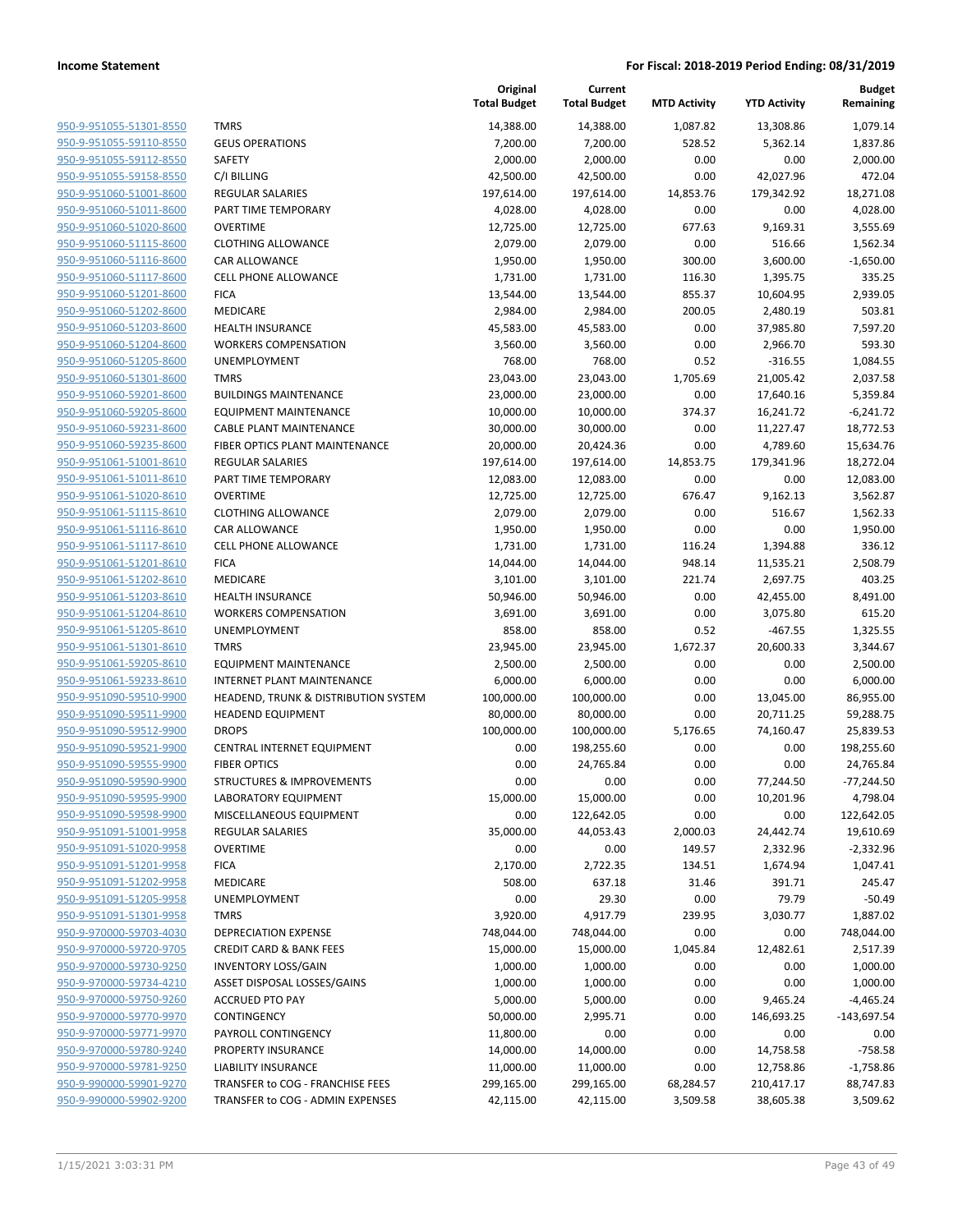| 950-9-951055-51301-8550                            |
|----------------------------------------------------|
| 950-9-951055-59110-8550                            |
| 950-9-951055-59112-8550                            |
| 950-9-951055-59158-8550                            |
| 950-9-951060-51001-8600                            |
| 950-9-951060-51011-8600                            |
| <u>950-9-951060-51020-8600</u>                     |
| 950-9-951060-51115-8600                            |
| 950-9-951060-51116-8600                            |
| 950-9-951060-51117-8600                            |
| 950-9-951060-51201-8600                            |
| 950-9-951060-51202-8600                            |
| 950-9-951060-51203-8600                            |
| 950-9-951060-51204-8600                            |
| 950-9-951060-51205-8600                            |
| 950-9-951060-51301-8600                            |
| <u>950-9-951060-59201-8600</u>                     |
| 950-9-951060-59205-8600<br>950-9-951060-59231-8600 |
| 950-9-951060-59235-8600                            |
| 950-9-951061-51001-8610                            |
| 950-9-951061-51011-8610                            |
| 950-9-951061-51020-8610                            |
| 950-9-951061-51115-8610                            |
| 950-9-951061-51116-8610                            |
| 950-9-951061-51117-8610                            |
| 950-9-951061-51201-8610                            |
| 950-9-951061-51202-8610                            |
| 950-9-951061-51203-8610                            |
| 950-9-951061-51204-8610                            |
| 950-9-951061-51205-8610                            |
| <u>950-9-951061-51301-8610</u>                     |
| <u>950-9-951061-59205-8610</u>                     |
| 950-9-951061-59233-8610                            |
| 950-9-951090-59510-9900                            |
| 950-9-951090-59511-9900                            |
| 950-9-951090-59512-9900                            |
| 950-9-951090-59521-9900                            |
| 950-9-951090-59555-9900                            |
| 950-9-951090-59590-9900                            |
| 950-9-951090-59595-9900                            |
| 950-9-951090-59598-9900                            |
| <u>950-9-951091-51001-9958</u>                     |
| 950-9-951091-51020-9958                            |
| 950-9-951091-51201-9958                            |
| <u>950-9-951091-51202-9958</u>                     |
| 950-9-951091-51205-9958                            |
| 950-9-951091-51301-9958                            |
| 950-9-970000-59703-4030                            |
| 950-9-970000-59720-9705                            |
| <u>950-9-970000-59730-9250</u>                     |
| <u>950-9-970000-59734-4210</u>                     |
| 950-9-970000-59750-9260                            |
| 950-9-970000-59770-9970                            |
| 950-9-970000-59771-9970                            |
| 950-9-970000-59780-9240                            |
| 950-9-970000-59781-9250                            |
| <u>950-9-990000-59901-9270</u>                     |
| <u>950-9-990000-59902-9200</u>                     |

|                         |                                                 | Original<br><b>Total Budget</b> | Current<br><b>Total Budget</b> | <b>MTD Activity</b> | <b>YTD Activity</b> | <b>Budget</b><br>Remaining |
|-------------------------|-------------------------------------------------|---------------------------------|--------------------------------|---------------------|---------------------|----------------------------|
| 950-9-951055-51301-8550 | <b>TMRS</b>                                     | 14,388.00                       | 14,388.00                      | 1,087.82            | 13,308.86           | 1,079.14                   |
| 950-9-951055-59110-8550 | <b>GEUS OPERATIONS</b>                          | 7,200.00                        | 7,200.00                       | 528.52              | 5,362.14            | 1,837.86                   |
| 950-9-951055-59112-8550 | <b>SAFETY</b>                                   | 2,000.00                        | 2,000.00                       | 0.00                | 0.00                | 2,000.00                   |
| 950-9-951055-59158-8550 | C/I BILLING                                     | 42,500.00                       | 42,500.00                      | 0.00                | 42,027.96           | 472.04                     |
| 950-9-951060-51001-8600 | <b>REGULAR SALARIES</b>                         | 197,614.00                      | 197,614.00                     | 14,853.76           | 179,342.92          | 18,271.08                  |
| 950-9-951060-51011-8600 | PART TIME TEMPORARY                             | 4,028.00                        | 4,028.00                       | 0.00                | 0.00                | 4,028.00                   |
| 950-9-951060-51020-8600 | <b>OVERTIME</b>                                 | 12,725.00                       | 12,725.00                      | 677.63              | 9,169.31            | 3,555.69                   |
| 950-9-951060-51115-8600 | <b>CLOTHING ALLOWANCE</b>                       | 2,079.00                        | 2,079.00                       | 0.00                | 516.66              | 1,562.34                   |
| 950-9-951060-51116-8600 | <b>CAR ALLOWANCE</b>                            | 1,950.00                        | 1,950.00                       | 300.00              | 3,600.00            | $-1,650.00$                |
| 950-9-951060-51117-8600 | <b>CELL PHONE ALLOWANCE</b>                     | 1,731.00                        | 1,731.00                       | 116.30              | 1,395.75            | 335.25                     |
| 950-9-951060-51201-8600 | <b>FICA</b>                                     | 13,544.00                       | 13,544.00                      | 855.37              | 10,604.95           | 2,939.05                   |
| 950-9-951060-51202-8600 | MEDICARE                                        | 2,984.00                        | 2,984.00                       | 200.05              | 2,480.19            | 503.81                     |
| 950-9-951060-51203-8600 | <b>HEALTH INSURANCE</b>                         | 45,583.00                       | 45,583.00                      | 0.00                | 37,985.80           | 7,597.20                   |
| 950-9-951060-51204-8600 | <b>WORKERS COMPENSATION</b>                     | 3,560.00                        | 3,560.00                       | 0.00                | 2,966.70            | 593.30                     |
| 950-9-951060-51205-8600 | UNEMPLOYMENT                                    | 768.00                          | 768.00                         | 0.52                | $-316.55$           | 1,084.55                   |
| 950-9-951060-51301-8600 | <b>TMRS</b>                                     | 23,043.00                       | 23,043.00                      | 1,705.69            | 21,005.42           | 2,037.58                   |
| 950-9-951060-59201-8600 | <b>BUILDINGS MAINTENANCE</b>                    | 23,000.00                       | 23,000.00                      | 0.00                | 17,640.16           | 5,359.84                   |
| 950-9-951060-59205-8600 | <b>EQUIPMENT MAINTENANCE</b>                    | 10,000.00                       | 10,000.00                      | 374.37              | 16,241.72           | $-6,241.72$                |
| 950-9-951060-59231-8600 | <b>CABLE PLANT MAINTENANCE</b>                  | 30,000.00                       | 30,000.00                      | 0.00                | 11,227.47           | 18,772.53                  |
| 950-9-951060-59235-8600 | FIBER OPTICS PLANT MAINTENANCE                  | 20,000.00                       | 20,424.36                      | 0.00                | 4,789.60            | 15,634.76                  |
| 950-9-951061-51001-8610 | <b>REGULAR SALARIES</b>                         | 197,614.00                      | 197,614.00                     | 14,853.75           | 179,341.96          | 18,272.04                  |
| 950-9-951061-51011-8610 | PART TIME TEMPORARY                             | 12,083.00                       | 12,083.00                      | 0.00                | 0.00                | 12,083.00                  |
| 950-9-951061-51020-8610 | <b>OVERTIME</b>                                 | 12,725.00                       | 12,725.00                      | 676.47              | 9,162.13            | 3,562.87                   |
| 950-9-951061-51115-8610 | <b>CLOTHING ALLOWANCE</b>                       | 2,079.00                        | 2,079.00                       | 0.00                | 516.67              | 1,562.33                   |
| 950-9-951061-51116-8610 | CAR ALLOWANCE                                   | 1,950.00                        | 1,950.00                       | 0.00                | 0.00                | 1,950.00                   |
| 950-9-951061-51117-8610 | <b>CELL PHONE ALLOWANCE</b>                     | 1,731.00                        | 1,731.00                       | 116.24              | 1,394.88            | 336.12                     |
| 950-9-951061-51201-8610 | <b>FICA</b>                                     | 14,044.00                       | 14,044.00                      | 948.14              | 11,535.21           | 2,508.79                   |
| 950-9-951061-51202-8610 | MEDICARE                                        | 3,101.00                        | 3,101.00                       | 221.74              | 2,697.75            | 403.25                     |
| 950-9-951061-51203-8610 | <b>HEALTH INSURANCE</b>                         | 50,946.00                       | 50,946.00                      | 0.00                | 42,455.00           | 8,491.00                   |
| 950-9-951061-51204-8610 | <b>WORKERS COMPENSATION</b>                     | 3,691.00                        | 3,691.00                       | 0.00                | 3,075.80            | 615.20                     |
| 950-9-951061-51205-8610 | UNEMPLOYMENT                                    | 858.00                          | 858.00                         | 0.52                | $-467.55$           | 1,325.55                   |
| 950-9-951061-51301-8610 | <b>TMRS</b>                                     | 23,945.00                       | 23,945.00                      | 1,672.37            | 20,600.33           | 3,344.67                   |
| 950-9-951061-59205-8610 | <b>EQUIPMENT MAINTENANCE</b>                    | 2,500.00                        | 2,500.00                       | 0.00                | 0.00                | 2,500.00                   |
| 950-9-951061-59233-8610 | <b>INTERNET PLANT MAINTENANCE</b>               | 6,000.00                        | 6,000.00                       | 0.00                | 0.00                | 6,000.00                   |
| 950-9-951090-59510-9900 | <b>HEADEND, TRUNK &amp; DISTRIBUTION SYSTEM</b> | 100,000.00                      | 100,000.00                     | 0.00                | 13,045.00           | 86,955.00                  |
| 950-9-951090-59511-9900 | <b>HEADEND EQUIPMENT</b>                        | 80,000.00                       | 80,000.00                      | 0.00                | 20,711.25           | 59,288.75                  |
| 950-9-951090-59512-9900 | <b>DROPS</b>                                    | 100,000.00                      | 100,000.00                     | 5,176.65            | 74,160.47           | 25,839.53                  |
| 950-9-951090-59521-9900 | CENTRAL INTERNET EQUIPMENT                      | 0.00                            | 198,255.60                     | 0.00                | 0.00                | 198,255.60                 |
| 950-9-951090-59555-9900 | <b>FIBER OPTICS</b>                             | 0.00                            | 24,765.84                      | 0.00                | 0.00                | 24,765.84                  |
| 950-9-951090-59590-9900 | STRUCTURES & IMPROVEMENTS                       | 0.00                            | 0.00                           | 0.00                | 77,244.50           | $-77,244.50$               |
| 950-9-951090-59595-9900 | LABORATORY EQUIPMENT                            | 15,000.00                       | 15,000.00                      | 0.00                | 10,201.96           | 4,798.04                   |
| 950-9-951090-59598-9900 | MISCELLANEOUS EQUIPMENT                         | 0.00                            | 122,642.05                     | 0.00                | 0.00                | 122,642.05                 |
| 950-9-951091-51001-9958 | <b>REGULAR SALARIES</b>                         | 35,000.00                       | 44,053.43                      | 2,000.03            | 24,442.74           | 19,610.69                  |
| 950-9-951091-51020-9958 | <b>OVERTIME</b>                                 | 0.00                            | 0.00                           | 149.57              | 2,332.96            | $-2,332.96$                |
| 950-9-951091-51201-9958 | <b>FICA</b>                                     | 2,170.00                        | 2,722.35                       | 134.51              | 1,674.94            | 1,047.41                   |
| 950-9-951091-51202-9958 | MEDICARE                                        | 508.00                          | 637.18                         | 31.46               | 391.71              | 245.47                     |
| 950-9-951091-51205-9958 | UNEMPLOYMENT                                    | 0.00                            | 29.30                          | 0.00                | 79.79               | $-50.49$                   |
| 950-9-951091-51301-9958 | <b>TMRS</b>                                     | 3,920.00                        | 4,917.79                       | 239.95              | 3,030.77            | 1,887.02                   |
| 950-9-970000-59703-4030 | <b>DEPRECIATION EXPENSE</b>                     | 748,044.00                      | 748,044.00                     | 0.00                | 0.00                | 748,044.00                 |
| 950-9-970000-59720-9705 | <b>CREDIT CARD &amp; BANK FEES</b>              | 15,000.00                       | 15,000.00                      | 1,045.84            | 12,482.61           | 2,517.39                   |
| 950-9-970000-59730-9250 | <b>INVENTORY LOSS/GAIN</b>                      | 1,000.00                        | 1,000.00                       | 0.00                | 0.00                | 1,000.00                   |
| 950-9-970000-59734-4210 | ASSET DISPOSAL LOSSES/GAINS                     | 1,000.00                        | 1,000.00                       | 0.00                | 0.00                | 1,000.00                   |
| 950-9-970000-59750-9260 | <b>ACCRUED PTO PAY</b>                          | 5,000.00                        | 5,000.00                       | 0.00                | 9,465.24            | $-4,465.24$                |
| 950-9-970000-59770-9970 | CONTINGENCY                                     | 50,000.00                       | 2,995.71                       | 0.00                | 146,693.25          | $-143,697.54$              |
| 950-9-970000-59771-9970 | PAYROLL CONTINGENCY                             | 11,800.00                       | 0.00                           | 0.00                | 0.00                | 0.00                       |
| 950-9-970000-59780-9240 | PROPERTY INSURANCE                              | 14,000.00                       | 14,000.00                      | 0.00                | 14,758.58           | $-758.58$                  |
| 950-9-970000-59781-9250 | LIABILITY INSURANCE                             | 11,000.00                       | 11,000.00                      | 0.00                | 12,758.86           | $-1,758.86$                |
| 950-9-990000-59901-9270 | TRANSFER to COG - FRANCHISE FEES                | 299,165.00                      | 299,165.00                     | 68,284.57           | 210,417.17          | 88,747.83                  |
| 950-9-990000-59902-9200 | TRANSFER to COG - ADMIN EXPENSES                | 42,115.00                       | 42,115.00                      | 3,509.58            | 38,605.38           | 3,509.62                   |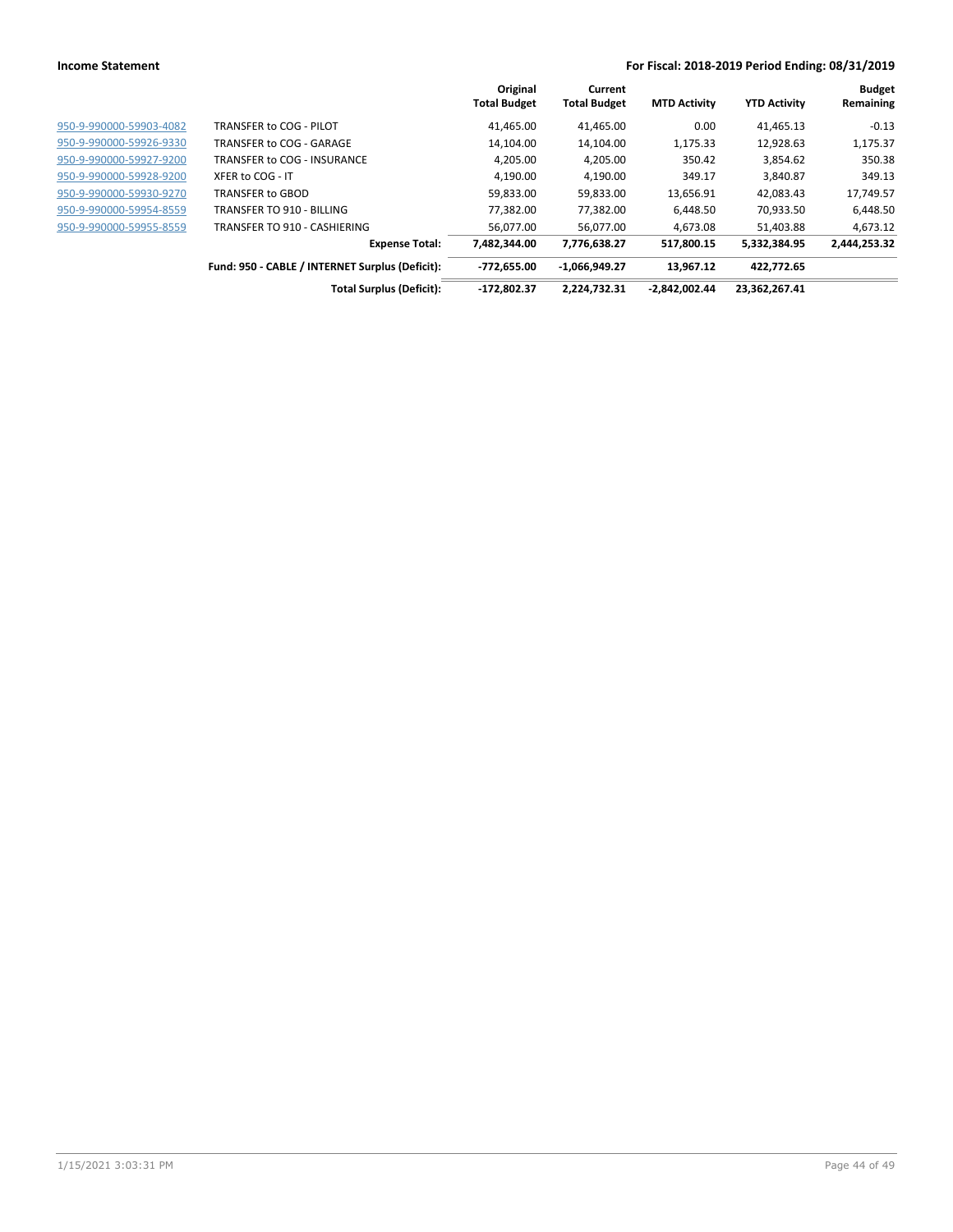|                         |                                                 | Original<br><b>Total Budget</b> | Current<br><b>Total Budget</b> | <b>MTD Activity</b> | <b>YTD Activity</b> | <b>Budget</b><br>Remaining |
|-------------------------|-------------------------------------------------|---------------------------------|--------------------------------|---------------------|---------------------|----------------------------|
| 950-9-990000-59903-4082 | TRANSFER to COG - PILOT                         | 41,465.00                       | 41,465.00                      | 0.00                | 41,465.13           | $-0.13$                    |
| 950-9-990000-59926-9330 | TRANSFER to COG - GARAGE                        | 14,104.00                       | 14,104.00                      | 1,175.33            | 12,928.63           | 1,175.37                   |
| 950-9-990000-59927-9200 | TRANSFER to COG - INSURANCE                     | 4.205.00                        | 4.205.00                       | 350.42              | 3,854.62            | 350.38                     |
| 950-9-990000-59928-9200 | XFER to COG - IT                                | 4.190.00                        | 4.190.00                       | 349.17              | 3.840.87            | 349.13                     |
| 950-9-990000-59930-9270 | <b>TRANSFER to GBOD</b>                         | 59,833.00                       | 59,833.00                      | 13,656.91           | 42,083.43           | 17,749.57                  |
| 950-9-990000-59954-8559 | TRANSFER TO 910 - BILLING                       | 77,382.00                       | 77,382.00                      | 6,448.50            | 70,933.50           | 6,448.50                   |
| 950-9-990000-59955-8559 | TRANSFER TO 910 - CASHIERING                    | 56,077.00                       | 56,077.00                      | 4,673.08            | 51,403.88           | 4,673.12                   |
|                         | <b>Expense Total:</b>                           | 7,482,344.00                    | 7,776,638.27                   | 517,800.15          | 5,332,384.95        | 2,444,253.32               |
|                         | Fund: 950 - CABLE / INTERNET Surplus (Deficit): | $-772,655.00$                   | $-1,066,949.27$                | 13.967.12           | 422.772.65          |                            |
|                         | <b>Total Surplus (Deficit):</b>                 | $-172.802.37$                   | 2.224.732.31                   | $-2,842,002.44$     | 23.362.267.41       |                            |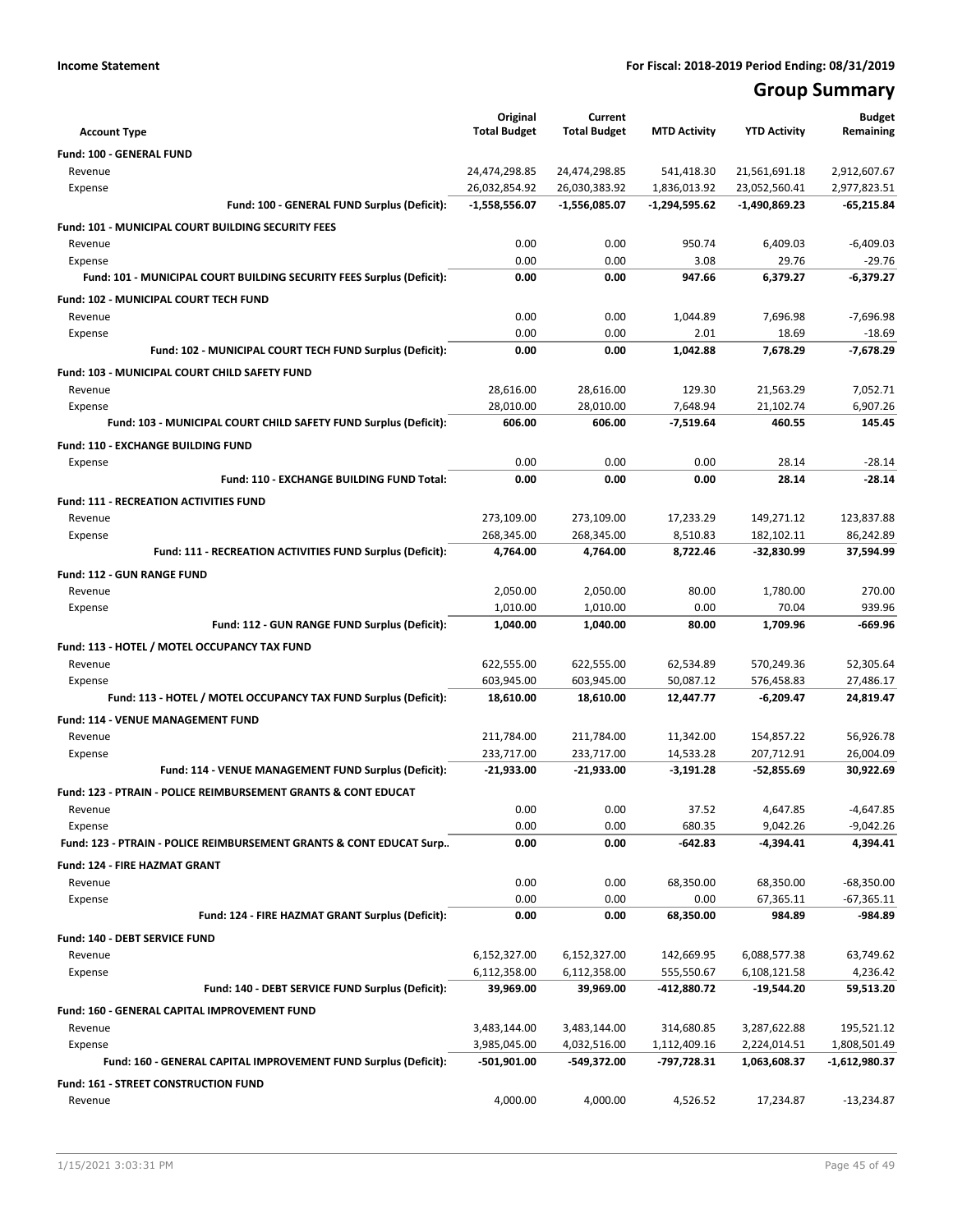# **Group Summary**

| <b>Account Type</b>                                                        | Original<br><b>Total Budget</b> | Current<br><b>Total Budget</b> | <b>MTD Activity</b>         | <b>YTD Activity</b>          | <b>Budget</b><br>Remaining    |
|----------------------------------------------------------------------------|---------------------------------|--------------------------------|-----------------------------|------------------------------|-------------------------------|
| <b>Fund: 100 - GENERAL FUND</b>                                            |                                 |                                |                             |                              |                               |
| Revenue                                                                    | 24,474,298.85                   | 24,474,298.85                  | 541,418.30                  | 21,561,691.18                | 2,912,607.67                  |
| Expense                                                                    | 26,032,854.92                   | 26,030,383.92                  | 1,836,013.92                | 23,052,560.41                | 2,977,823.51                  |
| Fund: 100 - GENERAL FUND Surplus (Deficit):                                | $-1,558,556.07$                 | $-1,556,085.07$                | -1,294,595.62               | -1,490,869.23                | -65,215.84                    |
| Fund: 101 - MUNICIPAL COURT BUILDING SECURITY FEES                         |                                 |                                |                             |                              |                               |
| Revenue                                                                    | 0.00                            | 0.00                           | 950.74                      | 6,409.03                     | $-6,409.03$                   |
| Expense                                                                    | 0.00                            | 0.00                           | 3.08                        | 29.76                        | $-29.76$                      |
| Fund: 101 - MUNICIPAL COURT BUILDING SECURITY FEES Surplus (Deficit):      | 0.00                            | 0.00                           | 947.66                      | 6.379.27                     | $-6,379.27$                   |
| Fund: 102 - MUNICIPAL COURT TECH FUND                                      |                                 |                                |                             |                              |                               |
| Revenue                                                                    | 0.00                            | 0.00                           | 1,044.89                    | 7,696.98                     | $-7,696.98$                   |
| Expense                                                                    | 0.00                            | 0.00                           | 2.01                        | 18.69                        | $-18.69$                      |
| Fund: 102 - MUNICIPAL COURT TECH FUND Surplus (Deficit):                   | 0.00                            | 0.00                           | 1,042.88                    | 7,678.29                     | $-7,678.29$                   |
| Fund: 103 - MUNICIPAL COURT CHILD SAFETY FUND                              |                                 |                                |                             |                              |                               |
| Revenue                                                                    | 28,616.00                       | 28,616.00                      | 129.30                      | 21,563.29                    | 7,052.71                      |
| Expense                                                                    | 28,010.00<br>606.00             | 28,010.00<br>606.00            | 7,648.94                    | 21,102.74<br>460.55          | 6,907.26<br>145.45            |
| Fund: 103 - MUNICIPAL COURT CHILD SAFETY FUND Surplus (Deficit):           |                                 |                                | $-7,519.64$                 |                              |                               |
| Fund: 110 - EXCHANGE BUILDING FUND                                         |                                 |                                |                             |                              |                               |
| Expense<br>Fund: 110 - EXCHANGE BUILDING FUND Total:                       | 0.00<br>0.00                    | 0.00<br>0.00                   | 0.00<br>0.00                | 28.14<br>28.14               | $-28.14$<br>$-28.14$          |
|                                                                            |                                 |                                |                             |                              |                               |
| <b>Fund: 111 - RECREATION ACTIVITIES FUND</b>                              |                                 |                                |                             |                              |                               |
| Revenue<br>Expense                                                         | 273,109.00<br>268,345.00        | 273,109.00<br>268,345.00       | 17,233.29<br>8,510.83       | 149,271.12<br>182,102.11     | 123,837.88<br>86,242.89       |
| Fund: 111 - RECREATION ACTIVITIES FUND Surplus (Deficit):                  | 4,764.00                        | 4,764.00                       | 8,722.46                    | -32,830.99                   | 37,594.99                     |
|                                                                            |                                 |                                |                             |                              |                               |
| Fund: 112 - GUN RANGE FUND<br>Revenue                                      | 2,050.00                        | 2,050.00                       | 80.00                       | 1,780.00                     | 270.00                        |
| Expense                                                                    | 1,010.00                        | 1,010.00                       | 0.00                        | 70.04                        | 939.96                        |
| Fund: 112 - GUN RANGE FUND Surplus (Deficit):                              | 1,040.00                        | 1,040.00                       | 80.00                       | 1,709.96                     | $-669.96$                     |
| Fund: 113 - HOTEL / MOTEL OCCUPANCY TAX FUND                               |                                 |                                |                             |                              |                               |
| Revenue                                                                    | 622,555.00                      | 622,555.00                     | 62,534.89                   | 570,249.36                   | 52,305.64                     |
| Expense                                                                    | 603,945.00                      | 603,945.00                     | 50,087.12                   | 576,458.83                   | 27,486.17                     |
| Fund: 113 - HOTEL / MOTEL OCCUPANCY TAX FUND Surplus (Deficit):            | 18,610.00                       | 18,610.00                      | 12,447.77                   | $-6,209.47$                  | 24,819.47                     |
| Fund: 114 - VENUE MANAGEMENT FUND                                          |                                 |                                |                             |                              |                               |
| Revenue                                                                    | 211,784.00                      | 211,784.00                     | 11,342.00                   | 154,857.22                   | 56,926.78                     |
| Expense                                                                    | 233,717.00                      | 233,717.00                     | 14,533.28                   | 207,712.91                   | 26,004.09                     |
| Fund: 114 - VENUE MANAGEMENT FUND Surplus (Deficit):                       | -21,933.00                      | -21,933.00                     | $-3,191.28$                 | -52,855.69                   | 30.922.69                     |
| <b>Fund: 123 - PTRAIN - POLICE REIMBURSEMENT GRANTS &amp; CONT EDUCAT</b>  |                                 |                                |                             |                              |                               |
| Revenue                                                                    | 0.00                            | 0.00                           | 37.52                       | 4,647.85                     | $-4,647.85$                   |
| Expense                                                                    | 0.00                            | 0.00                           | 680.35                      | 9,042.26                     | $-9,042.26$                   |
| Fund: 123 - PTRAIN - POLICE REIMBURSEMENT GRANTS & CONT EDUCAT Surp        | 0.00                            | 0.00                           | -642.83                     | $-4,394.41$                  | 4,394.41                      |
| Fund: 124 - FIRE HAZMAT GRANT                                              |                                 |                                |                             |                              |                               |
| Revenue                                                                    | 0.00                            | 0.00                           | 68,350.00                   | 68,350.00                    | $-68,350.00$                  |
| Expense                                                                    | 0.00                            | 0.00                           | 0.00                        | 67,365.11                    | $-67,365.11$                  |
| Fund: 124 - FIRE HAZMAT GRANT Surplus (Deficit):                           | 0.00                            | 0.00                           | 68,350.00                   | 984.89                       | $-984.89$                     |
| Fund: 140 - DEBT SERVICE FUND                                              |                                 |                                |                             |                              |                               |
| Revenue                                                                    | 6,152,327.00                    | 6,152,327.00                   | 142,669.95                  | 6,088,577.38                 | 63,749.62                     |
| Expense                                                                    | 6,112,358.00                    | 6,112,358.00                   | 555,550.67                  | 6,108,121.58                 | 4,236.42                      |
| Fund: 140 - DEBT SERVICE FUND Surplus (Deficit):                           | 39,969.00                       | 39,969.00                      | -412,880.72                 | -19,544.20                   | 59,513.20                     |
| Fund: 160 - GENERAL CAPITAL IMPROVEMENT FUND                               |                                 |                                |                             |                              |                               |
| Revenue                                                                    | 3,483,144.00                    | 3,483,144.00                   | 314,680.85                  | 3,287,622.88                 | 195,521.12                    |
| Expense<br>Fund: 160 - GENERAL CAPITAL IMPROVEMENT FUND Surplus (Deficit): | 3,985,045.00<br>-501,901.00     | 4,032,516.00<br>-549,372.00    | 1,112,409.16<br>-797,728.31 | 2,224,014.51<br>1,063,608.37 | 1,808,501.49<br>-1,612,980.37 |
|                                                                            |                                 |                                |                             |                              |                               |
| Fund: 161 - STREET CONSTRUCTION FUND                                       |                                 |                                |                             |                              |                               |
| Revenue                                                                    | 4,000.00                        | 4,000.00                       | 4,526.52                    | 17,234.87                    | $-13,234.87$                  |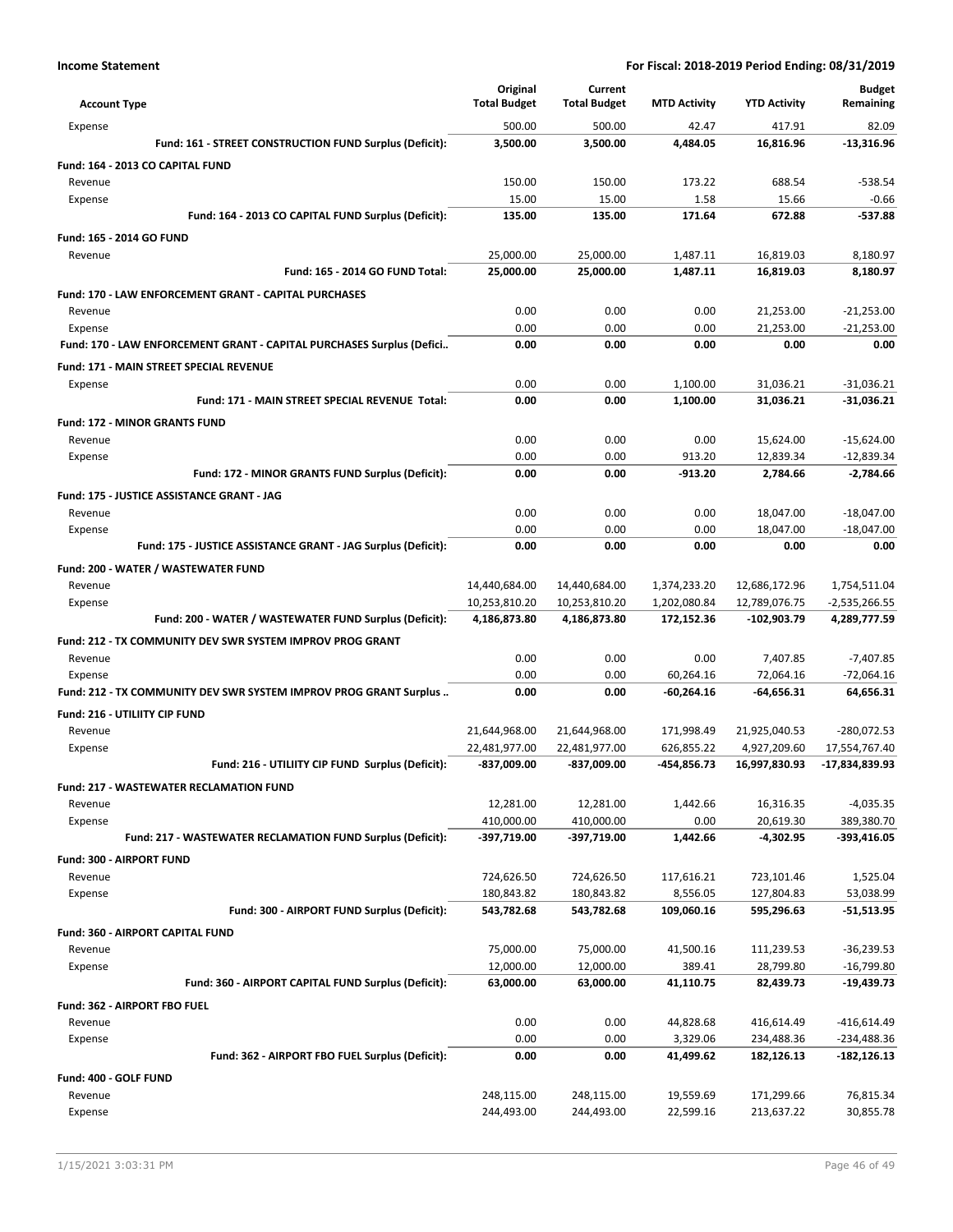|                                                                       | Original                       | Current                        |                              |                                | <b>Budget</b>                   |
|-----------------------------------------------------------------------|--------------------------------|--------------------------------|------------------------------|--------------------------------|---------------------------------|
| <b>Account Type</b>                                                   | <b>Total Budget</b>            | <b>Total Budget</b>            | <b>MTD Activity</b>          | <b>YTD Activity</b>            | Remaining                       |
| Expense                                                               | 500.00                         | 500.00                         | 42.47                        | 417.91                         | 82.09                           |
| Fund: 161 - STREET CONSTRUCTION FUND Surplus (Deficit):               | 3,500.00                       | 3,500.00                       | 4,484.05                     | 16,816.96                      | $-13,316.96$                    |
| Fund: 164 - 2013 CO CAPITAL FUND                                      |                                |                                |                              |                                |                                 |
| Revenue                                                               | 150.00<br>15.00                | 150.00<br>15.00                | 173.22<br>1.58               | 688.54<br>15.66                | $-538.54$<br>$-0.66$            |
| Expense<br>Fund: 164 - 2013 CO CAPITAL FUND Surplus (Deficit):        | 135.00                         | 135.00                         | 171.64                       | 672.88                         | $-537.88$                       |
|                                                                       |                                |                                |                              |                                |                                 |
| Fund: 165 - 2014 GO FUND<br>Revenue                                   | 25,000.00                      | 25,000.00                      | 1,487.11                     | 16,819.03                      | 8,180.97                        |
| Fund: 165 - 2014 GO FUND Total:                                       | 25,000.00                      | 25,000.00                      | 1.487.11                     | 16,819.03                      | 8,180.97                        |
| <b>Fund: 170 - LAW ENFORCEMENT GRANT - CAPITAL PURCHASES</b>          |                                |                                |                              |                                |                                 |
| Revenue                                                               | 0.00                           | 0.00                           | 0.00                         | 21,253.00                      | $-21,253.00$                    |
| Expense                                                               | 0.00                           | 0.00                           | 0.00                         | 21,253.00                      | $-21,253.00$                    |
| Fund: 170 - LAW ENFORCEMENT GRANT - CAPITAL PURCHASES Surplus (Defici | 0.00                           | 0.00                           | 0.00                         | 0.00                           | 0.00                            |
| Fund: 171 - MAIN STREET SPECIAL REVENUE                               |                                |                                |                              |                                |                                 |
| Expense                                                               | 0.00                           | 0.00                           | 1,100.00                     | 31,036.21                      | $-31,036.21$                    |
| Fund: 171 - MAIN STREET SPECIAL REVENUE Total:                        | 0.00                           | 0.00                           | 1.100.00                     | 31.036.21                      | $-31.036.21$                    |
| <b>Fund: 172 - MINOR GRANTS FUND</b>                                  |                                |                                |                              |                                |                                 |
| Revenue                                                               | 0.00                           | 0.00                           | 0.00                         | 15,624.00                      | $-15,624.00$                    |
| Expense                                                               | 0.00                           | 0.00                           | 913.20                       | 12,839.34                      | $-12.839.34$                    |
| Fund: 172 - MINOR GRANTS FUND Surplus (Deficit):                      | 0.00                           | 0.00                           | -913.20                      | 2,784.66                       | $-2,784.66$                     |
| Fund: 175 - JUSTICE ASSISTANCE GRANT - JAG                            |                                |                                |                              |                                |                                 |
| Revenue                                                               | 0.00                           | 0.00                           | 0.00                         | 18,047.00                      | $-18,047.00$                    |
| Expense                                                               | 0.00                           | 0.00                           | 0.00                         | 18,047.00                      | $-18,047.00$                    |
| Fund: 175 - JUSTICE ASSISTANCE GRANT - JAG Surplus (Deficit):         | 0.00                           | 0.00                           | 0.00                         | 0.00                           | 0.00                            |
| Fund: 200 - WATER / WASTEWATER FUND                                   |                                |                                |                              |                                |                                 |
| Revenue<br>Expense                                                    | 14,440,684.00<br>10,253,810.20 | 14,440,684.00<br>10,253,810.20 | 1,374,233.20<br>1,202,080.84 | 12,686,172.96<br>12,789,076.75 | 1,754,511.04<br>$-2,535,266.55$ |
| Fund: 200 - WATER / WASTEWATER FUND Surplus (Deficit):                | 4,186,873.80                   | 4,186,873.80                   | 172,152.36                   | -102,903.79                    | 4,289,777.59                    |
| Fund: 212 - TX COMMUNITY DEV SWR SYSTEM IMPROV PROG GRANT             |                                |                                |                              |                                |                                 |
| Revenue                                                               | 0.00                           | 0.00                           | 0.00                         | 7,407.85                       | $-7,407.85$                     |
| Expense                                                               | 0.00                           | 0.00                           | 60,264.16                    | 72,064.16                      | $-72,064.16$                    |
| Fund: 212 - TX COMMUNITY DEV SWR SYSTEM IMPROV PROG GRANT Surplus     | 0.00                           | 0.00                           | -60,264.16                   | -64,656.31                     | 64,656.31                       |
| Fund: 216 - UTILIITY CIP FUND                                         |                                |                                |                              |                                |                                 |
| Revenue                                                               | 21,644,968.00                  | 21,644,968.00                  | 171,998.49                   | 21,925,040.53                  | -280,072.53                     |
| Expense                                                               | 22,481,977.00                  | 22,481,977.00                  | 626,855.22                   | 4,927,209.60                   | 17,554,767.40                   |
| Fund: 216 - UTILIITY CIP FUND Surplus (Deficit):                      | -837,009.00                    | -837,009.00                    | -454,856.73                  | 16,997,830.93                  | -17,834,839.93                  |
| Fund: 217 - WASTEWATER RECLAMATION FUND                               |                                |                                |                              |                                |                                 |
| Revenue                                                               | 12,281.00                      | 12,281.00                      | 1,442.66                     | 16,316.35                      | $-4,035.35$                     |
| Expense                                                               | 410,000.00                     | 410,000.00                     | 0.00                         | 20,619.30                      | 389,380.70                      |
| Fund: 217 - WASTEWATER RECLAMATION FUND Surplus (Deficit):            | -397,719.00                    | -397,719.00                    | 1,442.66                     | -4,302.95                      | -393,416.05                     |
| Fund: 300 - AIRPORT FUND                                              |                                |                                |                              |                                |                                 |
| Revenue<br>Expense                                                    | 724,626.50<br>180,843.82       | 724,626.50<br>180,843.82       | 117,616.21<br>8,556.05       | 723,101.46<br>127,804.83       | 1,525.04<br>53,038.99           |
| Fund: 300 - AIRPORT FUND Surplus (Deficit):                           | 543,782.68                     | 543,782.68                     | 109,060.16                   | 595,296.63                     | $-51,513.95$                    |
| <b>Fund: 360 - AIRPORT CAPITAL FUND</b>                               |                                |                                |                              |                                |                                 |
| Revenue                                                               | 75,000.00                      | 75,000.00                      | 41,500.16                    | 111,239.53                     | $-36,239.53$                    |
| Expense                                                               | 12,000.00                      | 12,000.00                      | 389.41                       | 28,799.80                      | $-16,799.80$                    |
| Fund: 360 - AIRPORT CAPITAL FUND Surplus (Deficit):                   | 63,000.00                      | 63,000.00                      | 41,110.75                    | 82,439.73                      | $-19,439.73$                    |
| Fund: 362 - AIRPORT FBO FUEL                                          |                                |                                |                              |                                |                                 |
| Revenue                                                               | 0.00                           | 0.00                           | 44,828.68                    | 416,614.49                     | -416,614.49                     |
| Expense                                                               | 0.00                           | 0.00                           | 3,329.06                     | 234,488.36                     | -234,488.36                     |
| Fund: 362 - AIRPORT FBO FUEL Surplus (Deficit):                       | 0.00                           | 0.00                           | 41,499.62                    | 182,126.13                     | $-182, 126.13$                  |
| Fund: 400 - GOLF FUND                                                 |                                |                                |                              |                                |                                 |
| Revenue                                                               | 248,115.00                     | 248,115.00                     | 19,559.69                    | 171,299.66                     | 76,815.34                       |
| Expense                                                               | 244,493.00                     | 244,493.00                     | 22,599.16                    | 213,637.22                     | 30,855.78                       |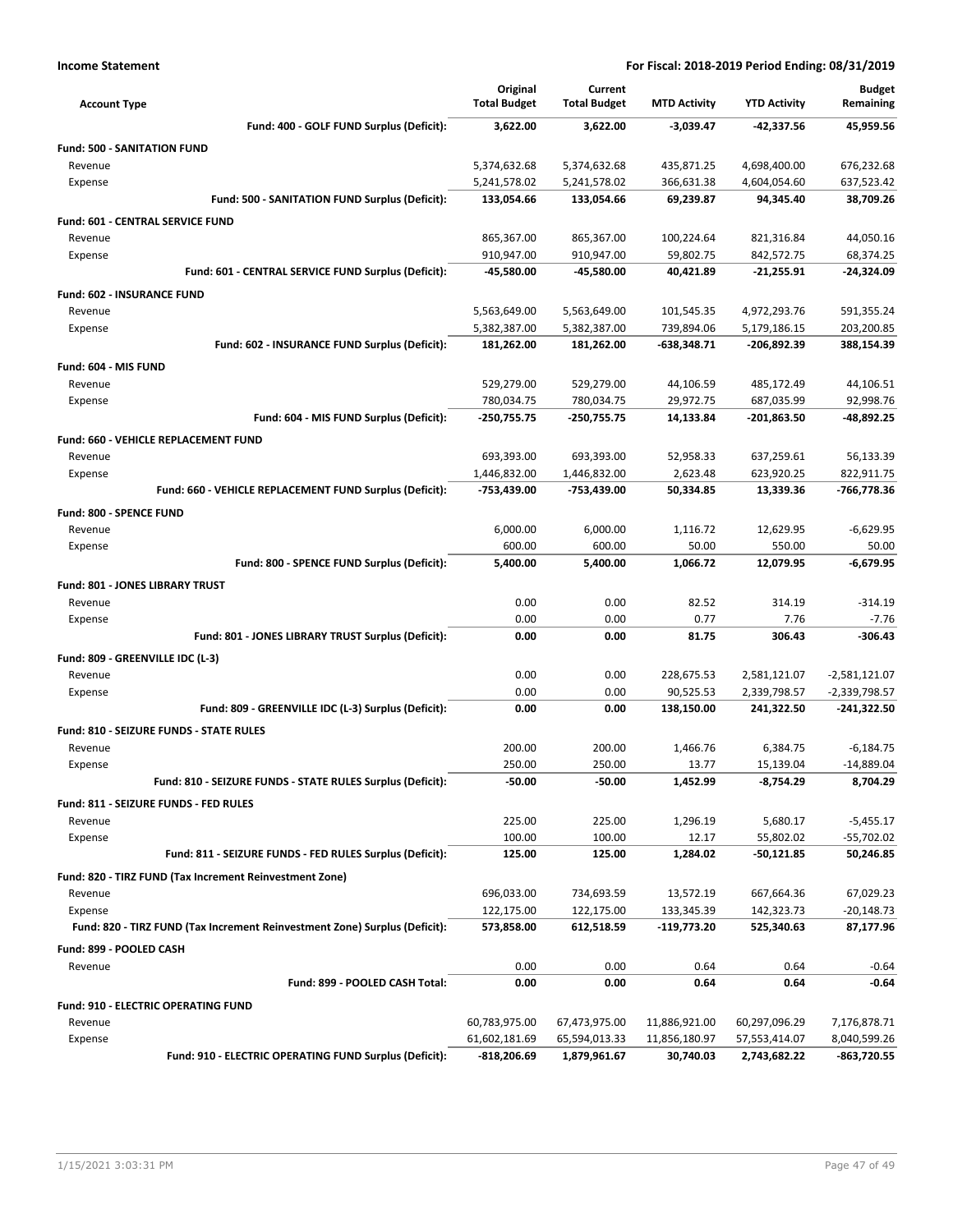| <b>Account Type</b>                                                        | Original<br><b>Total Budget</b> | Current<br><b>Total Budget</b> | <b>MTD Activity</b> | <b>YTD Activity</b> | <b>Budget</b><br>Remaining |
|----------------------------------------------------------------------------|---------------------------------|--------------------------------|---------------------|---------------------|----------------------------|
| Fund: 400 - GOLF FUND Surplus (Deficit):                                   | 3,622.00                        | 3,622.00                       | $-3,039.47$         | -42,337.56          | 45,959.56                  |
| <b>Fund: 500 - SANITATION FUND</b>                                         |                                 |                                |                     |                     |                            |
| Revenue                                                                    | 5,374,632.68                    | 5,374,632.68                   | 435,871.25          | 4,698,400.00        | 676,232.68                 |
| Expense                                                                    | 5,241,578.02                    | 5,241,578.02                   | 366,631.38          | 4,604,054.60        | 637,523.42                 |
| Fund: 500 - SANITATION FUND Surplus (Deficit):                             | 133,054.66                      | 133,054.66                     | 69,239.87           | 94,345.40           | 38,709.26                  |
| <b>Fund: 601 - CENTRAL SERVICE FUND</b>                                    |                                 |                                |                     |                     |                            |
| Revenue                                                                    | 865,367.00                      | 865,367.00                     | 100,224.64          | 821,316.84          | 44,050.16                  |
| Expense                                                                    | 910,947.00                      | 910,947.00                     | 59,802.75           | 842,572.75          | 68,374.25                  |
| Fund: 601 - CENTRAL SERVICE FUND Surplus (Deficit):                        | -45,580.00                      | -45,580.00                     | 40.421.89           | $-21,255.91$        | $-24,324.09$               |
| <b>Fund: 602 - INSURANCE FUND</b>                                          |                                 |                                |                     |                     |                            |
| Revenue                                                                    | 5,563,649.00                    | 5,563,649.00                   | 101,545.35          | 4,972,293.76        | 591,355.24                 |
| Expense                                                                    | 5,382,387.00                    | 5,382,387.00                   | 739,894.06          | 5,179,186.15        | 203,200.85                 |
| Fund: 602 - INSURANCE FUND Surplus (Deficit):                              | 181,262.00                      | 181,262.00                     | -638,348.71         | -206,892.39         | 388,154.39                 |
| Fund: 604 - MIS FUND                                                       |                                 |                                |                     |                     |                            |
| Revenue                                                                    | 529,279.00                      | 529,279.00                     | 44,106.59           | 485,172.49          | 44,106.51                  |
| Expense                                                                    | 780,034.75                      | 780,034.75                     | 29,972.75           | 687,035.99          | 92,998.76                  |
| Fund: 604 - MIS FUND Surplus (Deficit):                                    | -250,755.75                     | -250,755.75                    | 14,133.84           | -201,863.50         | $-48,892.25$               |
| Fund: 660 - VEHICLE REPLACEMENT FUND                                       |                                 |                                |                     |                     |                            |
| Revenue                                                                    | 693,393.00                      | 693,393.00                     | 52,958.33           | 637,259.61          | 56.133.39                  |
| Expense                                                                    | 1,446,832.00                    | 1,446,832.00                   | 2,623.48            | 623,920.25          | 822,911.75                 |
| Fund: 660 - VEHICLE REPLACEMENT FUND Surplus (Deficit):                    | -753,439.00                     | -753,439.00                    | 50,334.85           | 13,339.36           | -766,778.36                |
| Fund: 800 - SPENCE FUND                                                    |                                 |                                |                     |                     |                            |
| Revenue                                                                    | 6,000.00                        | 6,000.00                       | 1,116.72            | 12,629.95           | $-6,629.95$                |
| Expense                                                                    | 600.00                          | 600.00                         | 50.00               | 550.00              | 50.00                      |
| Fund: 800 - SPENCE FUND Surplus (Deficit):                                 | 5,400.00                        | 5,400.00                       | 1,066.72            | 12,079.95           | $-6,679.95$                |
| <b>Fund: 801 - JONES LIBRARY TRUST</b>                                     |                                 |                                |                     |                     |                            |
| Revenue                                                                    | 0.00                            | 0.00                           | 82.52               | 314.19              | $-314.19$                  |
| Expense                                                                    | 0.00                            | 0.00                           | 0.77                | 7.76                | $-7.76$                    |
| Fund: 801 - JONES LIBRARY TRUST Surplus (Deficit):                         | 0.00                            | 0.00                           | 81.75               | 306.43              | $-306.43$                  |
| Fund: 809 - GREENVILLE IDC (L-3)                                           |                                 |                                |                     |                     |                            |
| Revenue                                                                    | 0.00                            | 0.00                           | 228,675.53          | 2,581,121.07        | $-2,581,121.07$            |
| Expense                                                                    | 0.00                            | 0.00                           | 90,525.53           | 2,339,798.57        | $-2,339,798.57$            |
| Fund: 809 - GREENVILLE IDC (L-3) Surplus (Deficit):                        | 0.00                            | 0.00                           | 138,150.00          | 241,322.50          | $-241,322.50$              |
| <b>Fund: 810 - SEIZURE FUNDS - STATE RULES</b>                             |                                 |                                |                     |                     |                            |
| Revenue                                                                    | 200.00                          | 200.00                         | 1,466.76            | 6,384.75            | $-6,184.75$                |
| Expense                                                                    | 250.00                          | 250.00                         | 13.77               | 15,139.04           | $-14,889.04$               |
| Fund: 810 - SEIZURE FUNDS - STATE RULES Surplus (Deficit):                 | $-50.00$                        | $-50.00$                       | 1,452.99            | $-8,754.29$         | 8,704.29                   |
| Fund: 811 - SEIZURE FUNDS - FED RULES                                      |                                 |                                |                     |                     |                            |
| Revenue                                                                    | 225.00                          | 225.00                         | 1,296.19            | 5,680.17            | $-5,455.17$                |
| Expense                                                                    | 100.00                          | 100.00                         | 12.17               | 55,802.02           | $-55,702.02$               |
| Fund: 811 - SEIZURE FUNDS - FED RULES Surplus (Deficit):                   | 125.00                          | 125.00                         | 1,284.02            | -50,121.85          | 50,246.85                  |
| Fund: 820 - TIRZ FUND (Tax Increment Reinvestment Zone)                    |                                 |                                |                     |                     |                            |
| Revenue                                                                    | 696,033.00                      | 734,693.59                     | 13,572.19           | 667,664.36          | 67,029.23                  |
| Expense                                                                    | 122,175.00                      | 122,175.00                     | 133,345.39          | 142,323.73          | $-20,148.73$               |
| Fund: 820 - TIRZ FUND (Tax Increment Reinvestment Zone) Surplus (Deficit): | 573,858.00                      | 612,518.59                     | -119,773.20         | 525,340.63          | 87,177.96                  |
| Fund: 899 - POOLED CASH                                                    |                                 |                                |                     |                     |                            |
| Revenue                                                                    | 0.00                            | 0.00                           | 0.64                | 0.64                | $-0.64$                    |
| Fund: 899 - POOLED CASH Total:                                             | 0.00                            | 0.00                           | 0.64                | 0.64                | $-0.64$                    |
| <b>Fund: 910 - ELECTRIC OPERATING FUND</b>                                 |                                 |                                |                     |                     |                            |
| Revenue                                                                    | 60,783,975.00                   | 67,473,975.00                  | 11,886,921.00       | 60,297,096.29       | 7,176,878.71               |
| Expense                                                                    | 61,602,181.69                   | 65,594,013.33                  | 11,856,180.97       | 57,553,414.07       | 8,040,599.26               |
| Fund: 910 - ELECTRIC OPERATING FUND Surplus (Deficit):                     | -818,206.69                     | 1,879,961.67                   | 30,740.03           | 2,743,682.22        | -863,720.55                |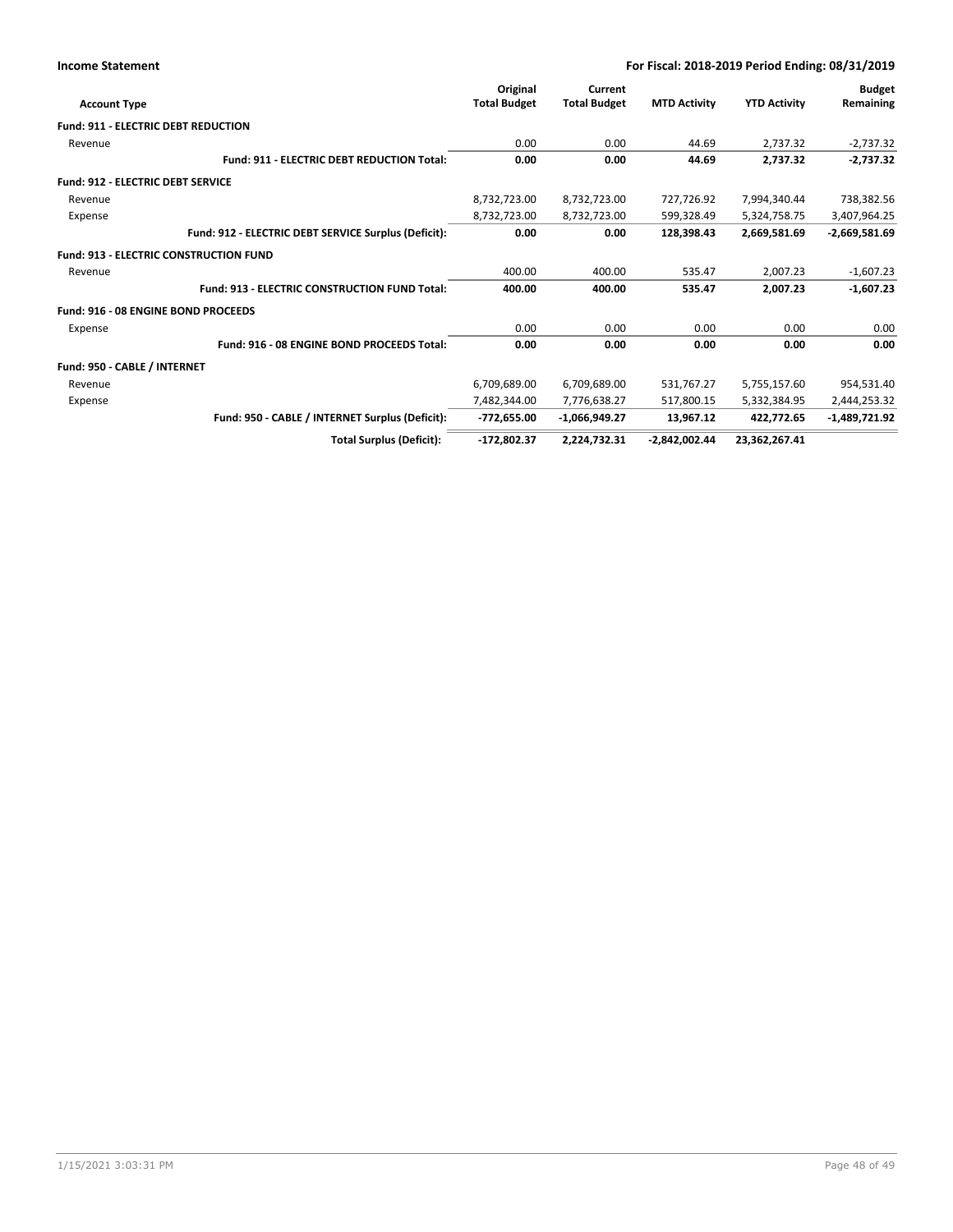| <b>Income Statement</b>                       |                                                      | For Fiscal: 2018-2019 Period Ending: 08/31/2019 |                                |                     |                     |                            |
|-----------------------------------------------|------------------------------------------------------|-------------------------------------------------|--------------------------------|---------------------|---------------------|----------------------------|
| <b>Account Type</b>                           |                                                      | Original<br><b>Total Budget</b>                 | Current<br><b>Total Budget</b> | <b>MTD Activity</b> | <b>YTD Activity</b> | <b>Budget</b><br>Remaining |
| <b>Fund: 911 - ELECTRIC DEBT REDUCTION</b>    |                                                      |                                                 |                                |                     |                     |                            |
| Revenue                                       |                                                      | 0.00                                            | 0.00                           | 44.69               | 2,737.32            | $-2,737.32$                |
|                                               | Fund: 911 - ELECTRIC DEBT REDUCTION Total:           | 0.00                                            | 0.00                           | 44.69               | 2,737.32            | $-2,737.32$                |
| <b>Fund: 912 - ELECTRIC DEBT SERVICE</b>      |                                                      |                                                 |                                |                     |                     |                            |
| Revenue                                       |                                                      | 8,732,723.00                                    | 8,732,723.00                   | 727,726.92          | 7,994,340.44        | 738,382.56                 |
| Expense                                       |                                                      | 8,732,723.00                                    | 8,732,723.00                   | 599,328.49          | 5,324,758.75        | 3,407,964.25               |
|                                               | Fund: 912 - ELECTRIC DEBT SERVICE Surplus (Deficit): | 0.00                                            | 0.00                           | 128,398.43          | 2,669,581.69        | $-2,669,581.69$            |
| <b>Fund: 913 - ELECTRIC CONSTRUCTION FUND</b> |                                                      |                                                 |                                |                     |                     |                            |
| Revenue                                       |                                                      | 400.00                                          | 400.00                         | 535.47              | 2,007.23            | $-1,607.23$                |
|                                               | <b>Fund: 913 - ELECTRIC CONSTRUCTION FUND Total:</b> | 400.00                                          | 400.00                         | 535.47              | 2.007.23            | $-1,607.23$                |
| Fund: 916 - 08 ENGINE BOND PROCEEDS           |                                                      |                                                 |                                |                     |                     |                            |
| Expense                                       |                                                      | 0.00                                            | 0.00                           | 0.00                | 0.00                | 0.00                       |
|                                               | Fund: 916 - 08 ENGINE BOND PROCEEDS Total:           | 0.00                                            | 0.00                           | 0.00                | 0.00                | 0.00                       |
| Fund: 950 - CABLE / INTERNET                  |                                                      |                                                 |                                |                     |                     |                            |
| Revenue                                       |                                                      | 6,709,689.00                                    | 6,709,689.00                   | 531,767.27          | 5,755,157.60        | 954,531.40                 |
| Expense                                       |                                                      | 7,482,344.00                                    | 7,776,638.27                   | 517.800.15          | 5,332,384.95        | 2,444,253.32               |
|                                               | Fund: 950 - CABLE / INTERNET Surplus (Deficit):      | $-772,655.00$                                   | $-1,066,949.27$                | 13,967.12           | 422,772.65          | $-1,489,721.92$            |
|                                               | <b>Total Surplus (Deficit):</b>                      | $-172,802.37$                                   | 2,224,732.31                   | $-2,842,002.44$     | 23,362,267.41       |                            |